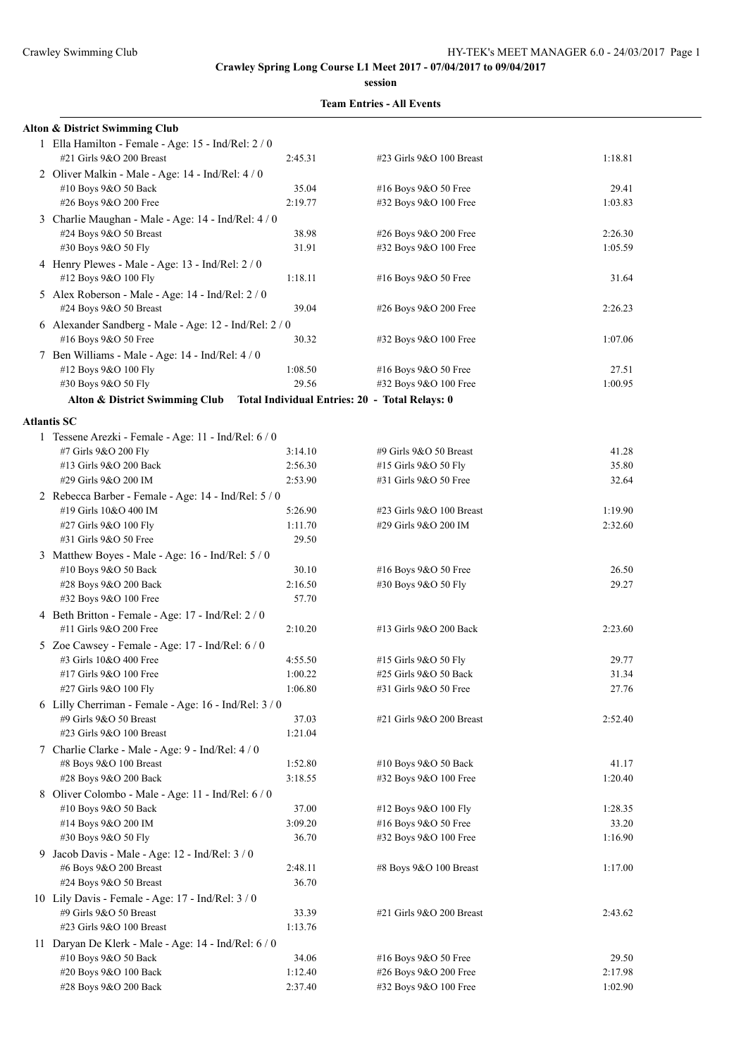**session**

| Alton & District Swimming Club                                                |                    |                                                |                |
|-------------------------------------------------------------------------------|--------------------|------------------------------------------------|----------------|
| 1 Ella Hamilton - Female - Age: 15 - Ind/Rel: 2/0<br>#21 Girls 9&O 200 Breast | 2:45.31            | #23 Girls 9&O 100 Breast                       | 1:18.81        |
| 2 Oliver Malkin - Male - Age: 14 - Ind/Rel: 4 / 0                             |                    |                                                |                |
| #10 Boys 9&O 50 Back                                                          | 35.04              | #16 Boys 9&O 50 Free                           | 29.41          |
| #26 Boys 9&O 200 Free                                                         | 2:19.77            | #32 Boys 9&O 100 Free                          | 1:03.83        |
| 3 Charlie Maughan - Male - Age: 14 - Ind/Rel: 4 / 0                           |                    |                                                |                |
| #24 Boys 9&O 50 Breast                                                        | 38.98              | #26 Boys 9&O 200 Free                          | 2:26.30        |
| #30 Boys 9&O 50 Fly                                                           | 31.91              | #32 Boys 9&O 100 Free                          | 1:05.59        |
| 4 Henry Plewes - Male - Age: 13 - Ind/Rel: 2 / 0                              |                    |                                                |                |
| #12 Boys 9&O 100 Fly                                                          | 1:18.11            | #16 Boys 9&O 50 Free                           | 31.64          |
| 5 Alex Roberson - Male - Age: 14 - Ind/Rel: 2 / 0                             |                    |                                                |                |
| #24 Boys 9&O 50 Breast                                                        | 39.04              | #26 Boys 9&O 200 Free                          | 2:26.23        |
| 6 Alexander Sandberg - Male - Age: 12 - Ind/Rel: 2 / 0                        |                    |                                                |                |
| #16 Boys 9&O 50 Free                                                          | 30.32              | #32 Boys 9&O 100 Free                          | 1:07.06        |
| 7 Ben Williams - Male - Age: 14 - Ind/Rel: 4 / 0                              |                    |                                                |                |
| #12 Boys 9&O 100 Fly                                                          | 1:08.50            | #16 Boys 9&O 50 Free                           | 27.51          |
| #30 Boys 9&O 50 Fly                                                           | 29.56              | #32 Boys 9&O 100 Free                          | 1:00.95        |
|                                                                               |                    |                                                |                |
| Alton & District Swimming Club Total Individual Entries: 20 - Total Relays: 0 |                    |                                                |                |
| <b>Atlantis SC</b>                                                            |                    |                                                |                |
| 1 Tessene Arezki - Female - Age: 11 - Ind/Rel: 6 / 0                          |                    |                                                |                |
| #7 Girls 9&O 200 Fly                                                          | 3:14.10            | #9 Girls 9&O 50 Breast                         | 41.28          |
| #13 Girls 9&O 200 Back                                                        | 2:56.30            | #15 Girls 9&O 50 Fly                           | 35.80          |
| #29 Girls 9&O 200 IM                                                          | 2:53.90            | #31 Girls 9&O 50 Free                          | 32.64          |
| 2 Rebecca Barber - Female - Age: 14 - Ind/Rel: 5 / 0                          |                    |                                                |                |
| #19 Girls 10&O 400 IM                                                         | 5:26.90            | #23 Girls 9&O 100 Breast                       | 1:19.90        |
| #27 Girls 9&O 100 Fly                                                         | 1:11.70            | #29 Girls 9&O 200 IM                           | 2:32.60        |
| #31 Girls 9&O 50 Free                                                         | 29.50              |                                                |                |
| 3 Matthew Boyes - Male - Age: 16 - Ind/Rel: 5 / 0                             |                    |                                                |                |
| #10 Boys 9&O 50 Back                                                          | 30.10              | #16 Boys 9&O 50 Free                           | 26.50          |
| #28 Boys 9&O 200 Back                                                         | 2:16.50            | #30 Boys 9&O 50 Fly                            | 29.27          |
| #32 Boys 9&O 100 Free                                                         | 57.70              |                                                |                |
| 4 Beth Britton - Female - Age: 17 - Ind/Rel: 2 / 0                            |                    |                                                |                |
| #11 Girls 9&O 200 Free                                                        | 2:10.20            | #13 Girls 9&O 200 Back                         | 2:23.60        |
|                                                                               |                    |                                                |                |
| 5 Zoe Cawsey - Female - Age: 17 - Ind/Rel: 6 / 0                              |                    |                                                |                |
| #3 Girls 10&O 400 Free                                                        | 4:55.50            | #15 Girls 9&O 50 Fly                           | 29.77          |
| #17 Girls 9&O 100 Free                                                        | 1:00.22<br>1:06.80 | #25 Girls 9&O 50 Back<br>#31 Girls 9&O 50 Free | 31.34<br>27.76 |
| #27 Girls 9&O 100 Fly                                                         |                    |                                                |                |
| 6 Lilly Cherriman - Female - Age: $16$ - Ind/Rel: $3/0$                       |                    |                                                |                |
| #9 Girls 9&O 50 Breast                                                        | 37.03              | #21 Girls 9&O 200 Breast                       | 2:52.40        |
| #23 Girls 9&O 100 Breast                                                      | 1:21.04            |                                                |                |
| 7 Charlie Clarke - Male - Age: 9 - Ind/Rel: 4/0                               |                    |                                                |                |
| #8 Boys 9&O 100 Breast                                                        | 1:52.80            | #10 Boys 9&O 50 Back                           | 41.17          |
| #28 Boys 9&O 200 Back                                                         | 3:18.55            | #32 Boys 9&O 100 Free                          | 1:20.40        |
| 8 Oliver Colombo - Male - Age: 11 - Ind/Rel: 6 / 0                            |                    |                                                |                |
| #10 Boys 9&O 50 Back                                                          | 37.00              | #12 Boys 9&O 100 Fly                           | 1:28.35        |
| #14 Boys 9&O 200 IM                                                           | 3:09.20            | #16 Boys 9&O 50 Free                           | 33.20          |
| #30 Boys 9&O 50 Fly                                                           | 36.70              | #32 Boys 9&O 100 Free                          | 1:16.90        |
| 9 Jacob Davis - Male - Age: 12 - Ind/Rel: 3 / 0                               |                    |                                                |                |
| #6 Boys 9&O 200 Breast                                                        | 2:48.11            | #8 Boys 9&O 100 Breast                         | 1:17.00        |
| #24 Boys 9&O 50 Breast                                                        | 36.70              |                                                |                |
| 10 Lily Davis - Female - Age: 17 - Ind/Rel: 3 / 0                             |                    |                                                |                |
| #9 Girls 9&O 50 Breast                                                        | 33.39              | #21 Girls 9&O 200 Breast                       | 2:43.62        |
| #23 Girls 9&O 100 Breast                                                      | 1:13.76            |                                                |                |
| 11 Daryan De Klerk - Male - Age: 14 - Ind/Rel: 6 / 0                          |                    |                                                |                |
| #10 Boys 9&O 50 Back                                                          | 34.06              | #16 Boys 9&O 50 Free                           | 29.50          |
| #20 Boys 9&O 100 Back                                                         | 1:12.40            | #26 Boys 9&O 200 Free                          | 2:17.98        |
| #28 Boys 9&O 200 Back                                                         | 2:37.40            | #32 Boys 9&O 100 Free                          | 1:02.90        |
|                                                                               |                    |                                                |                |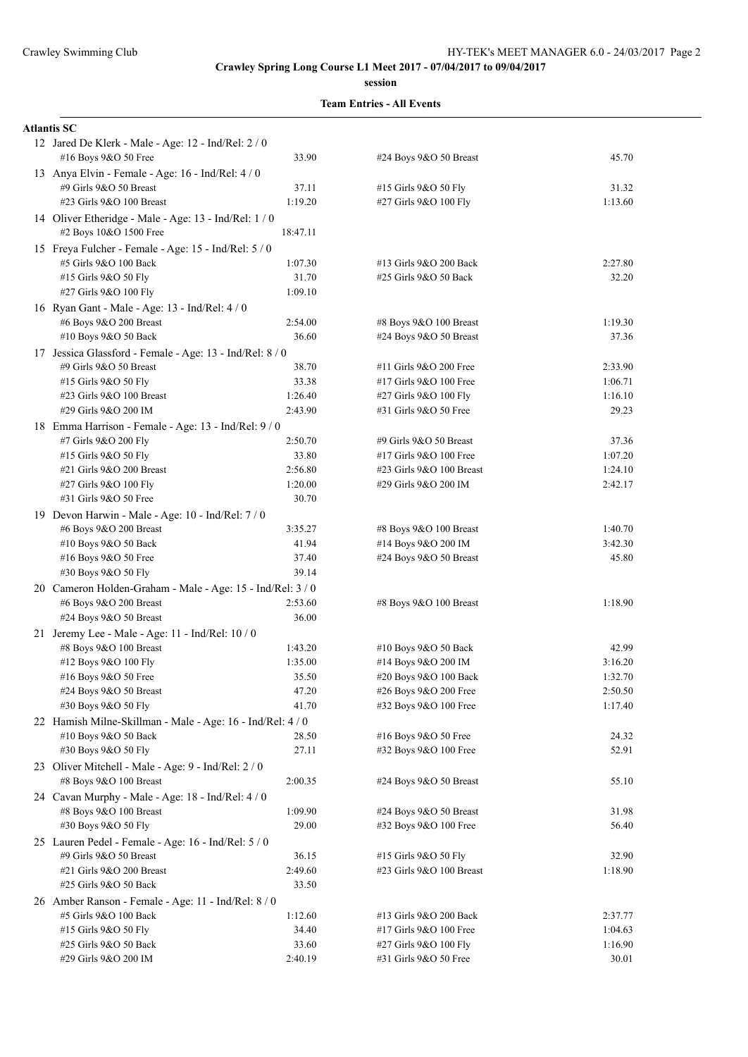#### **session**

| <b>Atlantis SC</b>                                                              |          |                          |         |
|---------------------------------------------------------------------------------|----------|--------------------------|---------|
| 12 Jared De Klerk - Male - Age: 12 - Ind/Rel: 2 / 0<br>#16 Boys 9&O 50 Free     | 33.90    | #24 Boys 9&O 50 Breast   | 45.70   |
| 13 Anya Elvin - Female - Age: 16 - Ind/Rel: 4/0                                 |          |                          |         |
| #9 Girls 9&O 50 Breast                                                          | 37.11    | #15 Girls 9&O 50 Fly     | 31.32   |
| #23 Girls 9&O 100 Breast                                                        | 1:19.20  | #27 Girls 9&O 100 Fly    | 1:13.60 |
| 14 Oliver Etheridge - Male - Age: 13 - Ind/Rel: 1 / 0<br>#2 Boys 10&O 1500 Free | 18:47.11 |                          |         |
| 15 Freya Fulcher - Female - Age: 15 - Ind/Rel: 5 / 0                            |          |                          |         |
| #5 Girls 9&O 100 Back                                                           | 1:07.30  | #13 Girls 9&O 200 Back   | 2:27.80 |
| #15 Girls 9&O 50 Fly                                                            | 31.70    | #25 Girls 9&O 50 Back    | 32.20   |
| #27 Girls 9&O 100 Fly                                                           | 1:09.10  |                          |         |
| 16 Ryan Gant - Male - Age: 13 - Ind/Rel: 4 / 0                                  |          |                          |         |
| #6 Boys 9&O 200 Breast                                                          | 2:54.00  | #8 Boys 9&O 100 Breast   | 1:19.30 |
| #10 Boys 9&O 50 Back                                                            | 36.60    | #24 Boys 9&O 50 Breast   | 37.36   |
| 17 Jessica Glassford - Female - Age: 13 - Ind/Rel: 8 / 0                        |          |                          |         |
| #9 Girls 9&O 50 Breast                                                          | 38.70    | #11 Girls 9&O 200 Free   | 2:33.90 |
| #15 Girls 9&O 50 Fly                                                            | 33.38    | #17 Girls 9&O 100 Free   | 1:06.71 |
| #23 Girls 9&O 100 Breast                                                        | 1:26.40  | #27 Girls 9&O 100 Fly    | 1:16.10 |
| #29 Girls 9&O 200 IM                                                            | 2:43.90  | #31 Girls 9&O 50 Free    | 29.23   |
| 18 Emma Harrison - Female - Age: 13 - Ind/Rel: 9 / 0                            |          |                          |         |
| #7 Girls 9&O 200 Fly                                                            | 2:50.70  | #9 Girls 9&O 50 Breast   | 37.36   |
| #15 Girls 9&O 50 Fly                                                            | 33.80    | #17 Girls 9&O 100 Free   | 1:07.20 |
| #21 Girls 9&O 200 Breast                                                        | 2:56.80  | #23 Girls 9&O 100 Breast | 1:24.10 |
| #27 Girls 9&O 100 Fly                                                           | 1:20.00  | #29 Girls 9&O 200 IM     | 2:42.17 |
| #31 Girls 9&O 50 Free                                                           | 30.70    |                          |         |
| 19 Devon Harwin - Male - Age: 10 - Ind/Rel: 7/0                                 |          |                          |         |
| #6 Boys 9&O 200 Breast                                                          | 3:35.27  | #8 Boys 9&O 100 Breast   | 1:40.70 |
| #10 Boys 9&O 50 Back                                                            | 41.94    | #14 Boys 9&O 200 IM      | 3:42.30 |
| #16 Boys 9&O 50 Free                                                            | 37.40    | #24 Boys 9&O 50 Breast   | 45.80   |
| #30 Boys 9&O 50 Fly                                                             | 39.14    |                          |         |
| 20 Cameron Holden-Graham - Male - Age: 15 - Ind/Rel: 3 / 0                      |          |                          |         |
| #6 Boys 9&O 200 Breast                                                          | 2:53.60  | #8 Boys 9&O 100 Breast   | 1:18.90 |
| #24 Boys 9&O 50 Breast                                                          | 36.00    |                          |         |
| 21 Jeremy Lee - Male - Age: 11 - Ind/Rel: 10 / 0                                |          |                          |         |
| #8 Boys 9&O 100 Breast                                                          | 1:43.20  | #10 Boys 9&O 50 Back     | 42.99   |
| #12 Boys 9&O 100 Fly                                                            | 1:35.00  | #14 Boys 9&O 200 IM      | 3:16.20 |
| #16 Boys 9&O 50 Free                                                            | 35.50    | #20 Boys 9&O 100 Back    | 1:32.70 |
| #24 Boys 9&O 50 Breast                                                          | 47.20    | #26 Boys 9&O 200 Free    | 2:50.50 |
| #30 Boys 9&O 50 Fly                                                             | 41.70    | #32 Boys 9&O 100 Free    | 1:17.40 |
| 22 Hamish Milne-Skillman - Male - Age: 16 - Ind/Rel: 4 / 0                      |          |                          |         |
| #10 Boys 9&O 50 Back                                                            | 28.50    | #16 Boys 9&O 50 Free     | 24.32   |
| #30 Boys 9&O 50 Fly                                                             | 27.11    | #32 Boys 9&O 100 Free    | 52.91   |
| 23 Oliver Mitchell - Male - Age: 9 - Ind/Rel: 2 / 0                             |          |                          |         |
| #8 Boys 9&O 100 Breast                                                          | 2:00.35  | #24 Boys 9&O 50 Breast   | 55.10   |
| 24 Cavan Murphy - Male - Age: 18 - Ind/Rel: 4/0                                 |          |                          |         |
| #8 Boys 9&O 100 Breast                                                          | 1:09.90  | #24 Boys 9&O 50 Breast   | 31.98   |
| #30 Boys 9&O 50 Fly                                                             | 29.00    | #32 Boys 9&O 100 Free    | 56.40   |
| 25 Lauren Pedel - Female - Age: 16 - Ind/Rel: 5 / 0                             |          |                          |         |
| #9 Girls 9&O 50 Breast                                                          | 36.15    | #15 Girls 9&O 50 Fly     | 32.90   |
| #21 Girls 9&O 200 Breast                                                        | 2:49.60  | #23 Girls 9&O 100 Breast | 1:18.90 |
| #25 Girls 9&O 50 Back                                                           | 33.50    |                          |         |
| 26 Amber Ranson - Female - Age: 11 - Ind/Rel: 8 / 0                             |          |                          |         |
| #5 Girls 9&O 100 Back                                                           | 1:12.60  | #13 Girls 9&O 200 Back   | 2:37.77 |
| #15 Girls 9&O 50 Fly                                                            | 34.40    | #17 Girls 9&O 100 Free   | 1:04.63 |
| #25 Girls 9&O 50 Back                                                           | 33.60    | #27 Girls 9&O 100 Fly    | 1:16.90 |
| #29 Girls 9&O 200 IM                                                            | 2:40.19  | #31 Girls 9&O 50 Free    | 30.01   |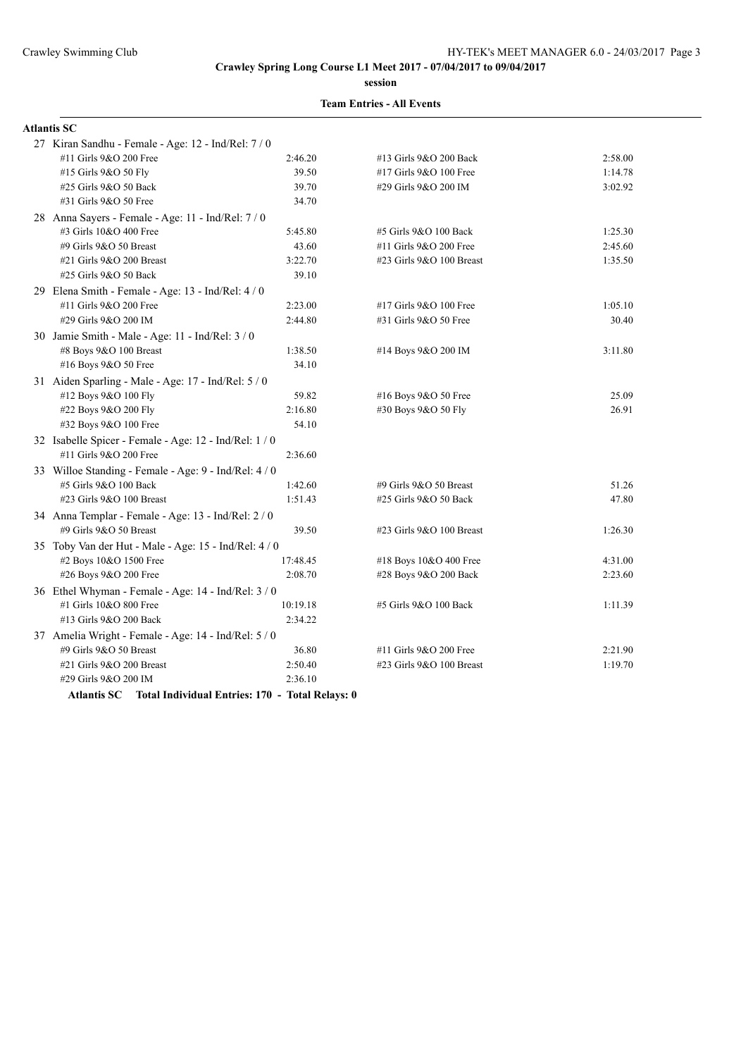**session**

#### **Team Entries - All Events**

| <b>Atlantis SC</b>                                     |          |                          |         |
|--------------------------------------------------------|----------|--------------------------|---------|
| 27 Kiran Sandhu - Female - Age: 12 - Ind/Rel: 7 / 0    |          |                          |         |
| #11 Girls 9&O 200 Free                                 | 2:46.20  | #13 Girls 9&O 200 Back   | 2:58.00 |
| #15 Girls 9&O 50 Fly                                   | 39.50    | #17 Girls 9&O 100 Free   | 1:14.78 |
| #25 Girls 9&O 50 Back                                  | 39.70    | #29 Girls 9&O 200 IM     | 3:02.92 |
| #31 Girls 9&O 50 Free                                  | 34.70    |                          |         |
| 28 Anna Sayers - Female - Age: 11 - Ind/Rel: 7/0       |          |                          |         |
| #3 Girls 10&O 400 Free                                 | 5:45.80  | #5 Girls 9&O 100 Back    | 1:25.30 |
| #9 Girls 9&O 50 Breast                                 | 43.60    | #11 Girls 9&O 200 Free   | 2:45.60 |
| #21 Girls 9&O 200 Breast                               | 3:22.70  | #23 Girls 9&O 100 Breast | 1:35.50 |
| #25 Girls 9&O 50 Back                                  | 39.10    |                          |         |
| 29 Elena Smith - Female - Age: 13 - Ind/Rel: 4 / 0     |          |                          |         |
| #11 Girls 9&O 200 Free                                 | 2:23.00  | #17 Girls 9&O 100 Free   | 1:05.10 |
| #29 Girls 9&O 200 IM                                   | 2:44.80  | #31 Girls 9&O 50 Free    | 30.40   |
| 30 Jamie Smith - Male - Age: 11 - Ind/Rel: 3 / 0       |          |                          |         |
| #8 Boys 9&O 100 Breast                                 | 1:38.50  | #14 Boys 9&O 200 IM      | 3:11.80 |
| #16 Boys 9&O 50 Free                                   | 34.10    |                          |         |
| 31 Aiden Sparling - Male - Age: 17 - Ind/Rel: 5 / 0    |          |                          |         |
| #12 Boys 9&O 100 Fly                                   | 59.82    | #16 Boys 9&O 50 Free     | 25.09   |
| #22 Boys 9&O 200 Fly                                   | 2:16.80  | #30 Boys 9&O 50 Fly      | 26.91   |
| #32 Boys 9&O 100 Free                                  | 54.10    |                          |         |
| 32 Isabelle Spicer - Female - Age: 12 - Ind/Rel: 1 / 0 |          |                          |         |
| #11 Girls 9&O 200 Free                                 | 2:36.60  |                          |         |
| 33 Willoe Standing - Female - Age: 9 - Ind/Rel: 4 / 0  |          |                          |         |
| #5 Girls 9&O 100 Back                                  | 1:42.60  | #9 Girls 9&O 50 Breast   | 51.26   |
| #23 Girls 9&O 100 Breast                               | 1:51.43  | #25 Girls 9&O 50 Back    | 47.80   |
| 34 Anna Templar - Female - Age: 13 - Ind/Rel: 2 / 0    |          |                          |         |
| #9 Girls 9&O 50 Breast                                 | 39.50    | #23 Girls 9&O 100 Breast | 1:26.30 |
| 35 Toby Van der Hut - Male - Age: 15 - Ind/Rel: 4 / 0  |          |                          |         |
| #2 Boys 10&O 1500 Free                                 | 17:48.45 | #18 Boys 10&O 400 Free   | 4:31.00 |
| #26 Boys 9&O 200 Free                                  | 2:08.70  | #28 Boys 9&O 200 Back    | 2:23.60 |
| 36 Ethel Whyman - Female - Age: 14 - Ind/Rel: 3 / 0    |          |                          |         |
| #1 Girls 10&O 800 Free                                 | 10:19.18 | #5 Girls 9&O 100 Back    | 1:11.39 |
| #13 Girls 9&O 200 Back                                 | 2:34.22  |                          |         |
| 37 Amelia Wright - Female - Age: 14 - Ind/Rel: 5 / 0   |          |                          |         |
| #9 Girls 9&O 50 Breast                                 | 36.80    | #11 Girls 9&O 200 Free   | 2:21.90 |
| #21 Girls 9&O 200 Breast                               | 2:50.40  | #23 Girls 9&O 100 Breast | 1:19.70 |
| #29 Girls 9&O 200 IM                                   | 2:36.10  |                          |         |
|                                                        |          |                          |         |

**Atlantis SC Total Individual Entries: 170 - Total Relays: 0**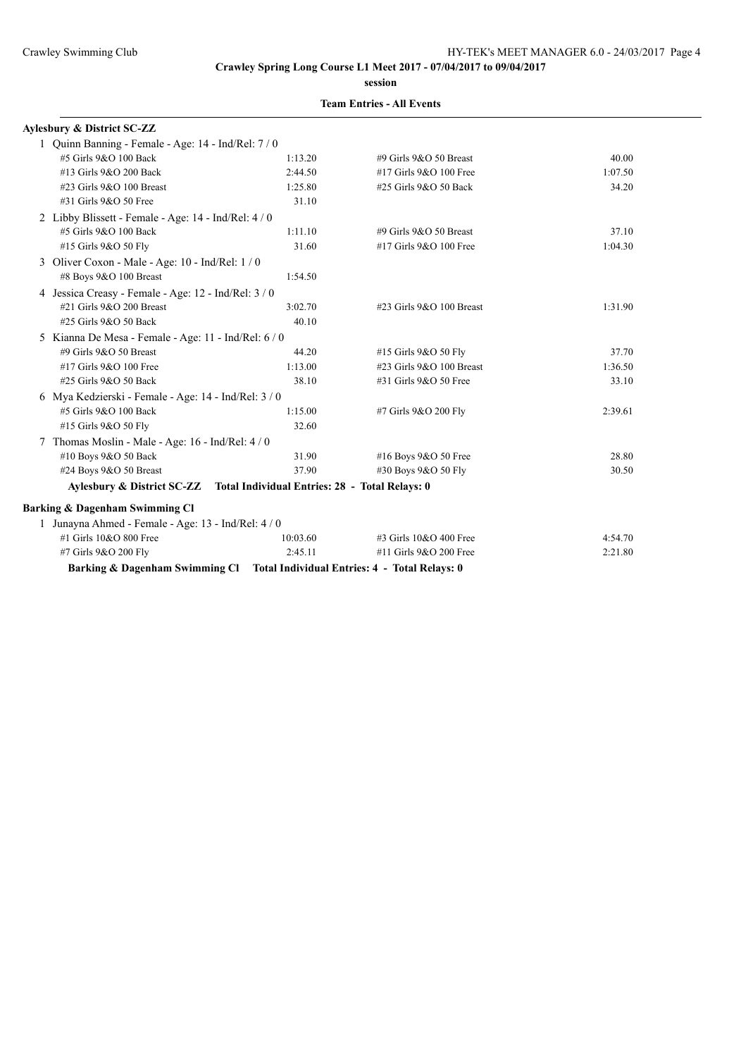**session**

### **Team Entries - All Events**

| Avlesbury & District SC-ZZ                                                |          |                            |         |
|---------------------------------------------------------------------------|----------|----------------------------|---------|
| 1 Quinn Banning - Female - Age: 14 - Ind/Rel: 7 / 0                       |          |                            |         |
| #5 Girls 9&O 100 Back                                                     | 1:13.20  | #9 Girls $9&O$ 50 Breast   | 40.00   |
| #13 Girls 9&O 200 Back                                                    | 2:44.50  | #17 Girls 9&O 100 Free     | 1:07.50 |
| #23 Girls 9&O 100 Breast                                                  | 1:25.80  | #25 Girls 9&O 50 Back      | 34.20   |
| #31 Girls 9&O 50 Free                                                     | 31.10    |                            |         |
| 2 Libby Blissett - Female - Age: 14 - Ind/Rel: 4/0                        |          |                            |         |
| #5 Girls 9&O 100 Back                                                     | 1:11.10  | #9 Girls 9&O 50 Breast     | 37.10   |
| #15 Girls 9&O 50 Fly                                                      | 31.60    | #17 Girls 9&O 100 Free     | 1:04.30 |
| 3 Oliver Coxon - Male - Age: 10 - Ind/Rel: 1 / 0                          |          |                            |         |
| #8 Boys 9&O 100 Breast                                                    | 1:54.50  |                            |         |
| 4 Jessica Creasy - Female - Age: 12 - Ind/Rel: 3 / 0                      |          |                            |         |
| #21 Girls 9&O 200 Breast                                                  | 3:02.70  | #23 Girls 9&O 100 Breast   | 1:31.90 |
| #25 Girls 9&O 50 Back                                                     | 40.10    |                            |         |
| 5 Kianna De Mesa - Female - Age: 11 - Ind/Rel: 6 / 0                      |          |                            |         |
| #9 Girls 9&O 50 Breast                                                    | 44.20    | #15 Girls 9&O 50 Fly       | 37.70   |
| #17 Girls 9&O 100 Free                                                    | 1:13.00  | #23 Girls $9&O$ 100 Breast | 1:36.50 |
| #25 Girls 9&O 50 Back                                                     | 38.10    | #31 Girls 9&O 50 Free      | 33.10   |
| 6 Mya Kedzierski - Female - Age: 14 - Ind/Rel: 3 / 0                      |          |                            |         |
| #5 Girls 9&O 100 Back                                                     | 1:15.00  | #7 Girls 9&O 200 Fly       | 2:39.61 |
| #15 Girls 9&O 50 Fly                                                      | 32.60    |                            |         |
| Thomas Moslin - Male - Age: 16 - Ind/Rel: 4/0                             |          |                            |         |
| #10 Boys 9&O 50 Back                                                      | 31.90    | #16 Boys 9&O 50 Free       | 28.80   |
| #24 Boys 9&O 50 Breast                                                    | 37.90    | #30 Boys 9&O 50 Fly        | 30.50   |
| Aylesbury & District SC-ZZ Total Individual Entries: 28 - Total Relays: 0 |          |                            |         |
| <b>Barking &amp; Dagenham Swimming Cl</b>                                 |          |                            |         |
| 1 Junayna Ahmed - Female - Age: 13 - Ind/Rel: 4 / 0                       |          |                            |         |
| #1 Girls 10&O 800 Free                                                    | 10:03.60 | $\#3$ Girls 10&O 400 Free  | 4:54.70 |
| #7 Girls 9&O 200 Fly                                                      | 2:45.11  | #11 Girls 9&O 200 Free     | 2:21.80 |

**Barking & Dagenham Swimming Cl Total Individual Entries: 4 - Total Relays: 0**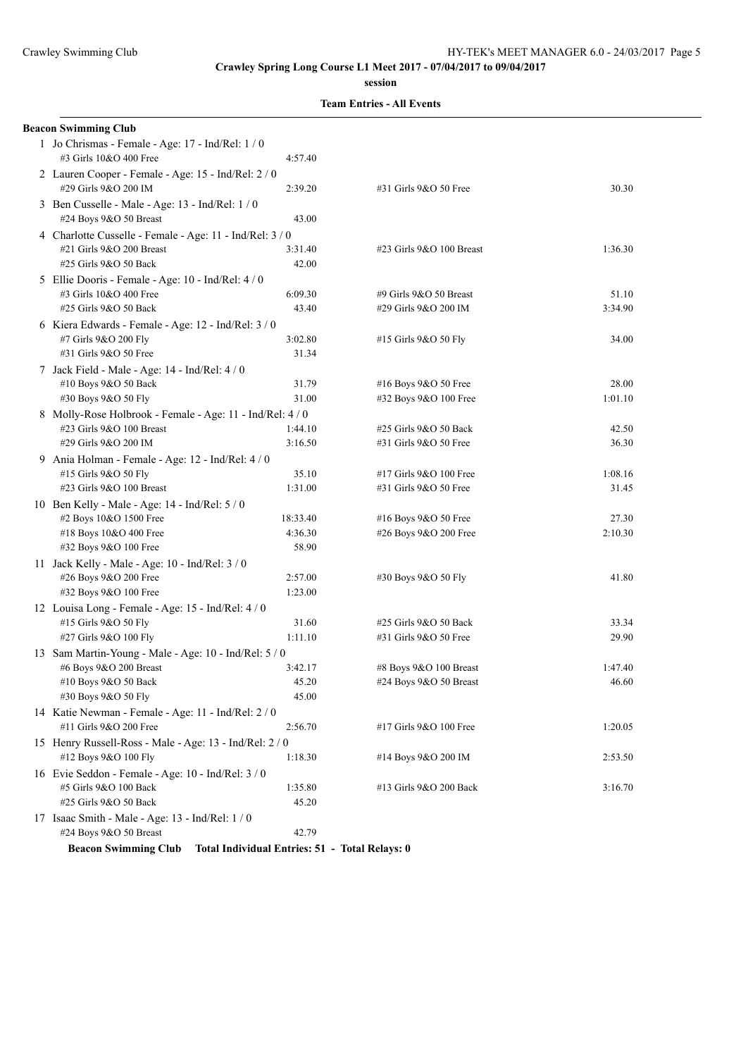**session**

**Team Entries - All Events**

| <b>Beacon Swimming Club</b>                                                                                   |                    |                                                 |                  |
|---------------------------------------------------------------------------------------------------------------|--------------------|-------------------------------------------------|------------------|
| 1 Jo Chrismas - Female - Age: 17 - Ind/Rel: 1/0<br>#3 Girls 10&O 400 Free                                     | 4:57.40            |                                                 |                  |
| 2 Lauren Cooper - Female - Age: 15 - Ind/Rel: 2 / 0<br>#29 Girls 9&O 200 IM                                   | 2:39.20            | #31 Girls 9&O 50 Free                           | 30.30            |
| 3 Ben Cusselle - Male - Age: 13 - Ind/Rel: 1 / 0<br>#24 Boys 9&O 50 Breast                                    | 43.00              |                                                 |                  |
| 4 Charlotte Cusselle - Female - Age: 11 - Ind/Rel: 3 / 0<br>#21 Girls 9&O 200 Breast<br>#25 Girls 9&O 50 Back | 3:31.40<br>42.00   | #23 Girls 9&O 100 Breast                        | 1:36.30          |
| 5 Ellie Dooris - Female - Age: 10 - Ind/Rel: 4 / 0<br>#3 Girls 10&O 400 Free                                  | 6:09.30            | #9 Girls 9&O 50 Breast                          | 51.10            |
| #25 Girls 9&O 50 Back<br>6 Kiera Edwards - Female - Age: 12 - Ind/Rel: 3 / 0                                  | 43.40              | #29 Girls 9&O 200 IM                            | 3:34.90          |
| #7 Girls 9&O 200 Fly<br>#31 Girls 9&O 50 Free                                                                 | 3:02.80<br>31.34   | #15 Girls 9&O 50 Fly                            | 34.00            |
| 7 Jack Field - Male - Age: 14 - Ind/Rel: 4 / 0<br>#10 Boys 9&O 50 Back<br>#30 Boys 9&O 50 Fly                 | 31.79<br>31.00     | #16 Boys 9&O 50 Free<br>#32 Boys 9&O 100 Free   | 28.00<br>1:01.10 |
| 8 Molly-Rose Holbrook - Female - Age: 11 - Ind/Rel: 4 / 0<br>#23 Girls 9&O 100 Breast                         | 1:44.10            | #25 Girls 9&O 50 Back                           | 42.50            |
| #29 Girls 9&O 200 IM<br>9 Ania Holman - Female - Age: 12 - Ind/Rel: 4 / 0                                     | 3:16.50            | #31 Girls 9&O 50 Free                           | 36.30            |
| #15 Girls 9&O 50 Fly<br>#23 Girls 9&O 100 Breast                                                              | 35.10<br>1:31.00   | #17 Girls 9&O 100 Free<br>#31 Girls 9&O 50 Free | 1:08.16<br>31.45 |
| 10 Ben Kelly - Male - Age: 14 - Ind/Rel: 5 / 0<br>#2 Boys 10&O 1500 Free                                      | 18:33.40           | #16 Boys 9&O 50 Free                            | 27.30            |
| #18 Boys 10&O 400 Free<br>#32 Boys 9&O 100 Free<br>11 Jack Kelly - Male - Age: 10 - Ind/Rel: 3 / 0            | 4:36.30<br>58.90   | #26 Boys 9&O 200 Free                           | 2:10.30          |
| #26 Boys 9&O 200 Free<br>#32 Boys 9&O 100 Free                                                                | 2:57.00<br>1:23.00 | #30 Boys 9&O 50 Fly                             | 41.80            |
| 12 Louisa Long - Female - Age: 15 - Ind/Rel: 4/0<br>#15 Girls 9&O 50 Fly                                      | 31.60<br>1:11.10   | #25 Girls 9&O 50 Back<br>#31 Girls 9&O 50 Free  | 33.34            |
| #27 Girls 9&O 100 Fly<br>13 Sam Martin-Young - Male - Age: 10 - Ind/Rel: 5 / 0<br>#6 Boys 9&O 200 Breast      | 3:42.17            | #8 Boys 9&O 100 Breast                          | 29.90<br>1:47.40 |
| #10 Boys 9&O 50 Back<br>#30 Boys 9&O 50 Fly                                                                   | 45.20<br>45.00     | #24 Boys 9&O 50 Breast                          | 46.60            |
| 14 Katie Newman - Female - Age: 11 - Ind/Rel: 2 / 0<br>#11 Girls 9&O 200 Free                                 | 2:56.70            | #17 Girls 9&O 100 Free                          | 1:20.05          |
| 15 Henry Russell-Ross - Male - Age: 13 - Ind/Rel: 2 / 0<br>#12 Boys 9&O 100 Fly                               | 1:18.30            | #14 Boys 9&O 200 IM                             | 2:53.50          |
| 16 Evie Seddon - Female - Age: 10 - Ind/Rel: 3 / 0<br>#5 Girls 9&O 100 Back<br>#25 Girls 9&O 50 Back          | 1:35.80<br>45.20   | #13 Girls 9&O 200 Back                          | 3:16.70          |
| 17 Isaac Smith - Male - Age: 13 - Ind/Rel: 1 / 0<br>#24 Boys 9&O 50 Breast                                    | 42.79              |                                                 |                  |

**Beacon Swimming Club Total Individual Entries: 51 - Total Relays: 0**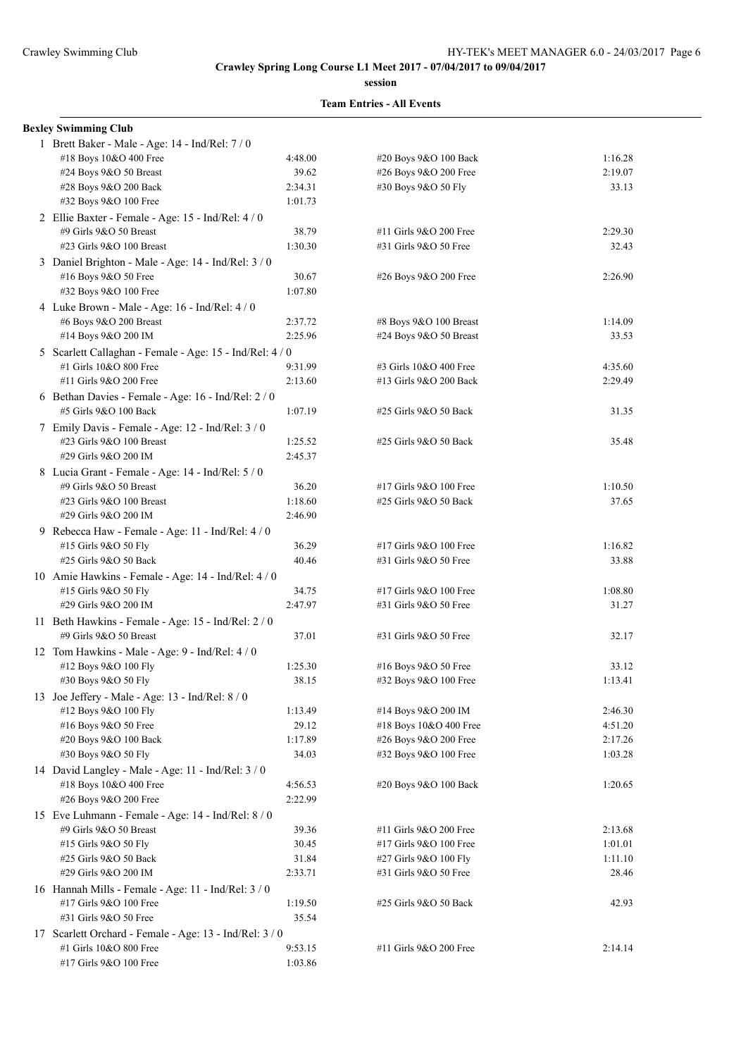**session**

#### **Team Entries - All Events**

#### **Bexley Swimming Club**

| 1 Brett Baker - Male - Age: 14 - Ind/Rel: 7 / 0          |         |                        |         |
|----------------------------------------------------------|---------|------------------------|---------|
| #18 Boys 10&O 400 Free                                   | 4:48.00 | #20 Boys 9&O 100 Back  | 1:16.28 |
| #24 Boys 9&O 50 Breast                                   | 39.62   | #26 Boys 9&O 200 Free  | 2:19.07 |
| #28 Boys 9&O 200 Back                                    | 2:34.31 | #30 Boys 9&O 50 Fly    | 33.13   |
| #32 Boys 9&O 100 Free                                    | 1:01.73 |                        |         |
| 2 Ellie Baxter - Female - Age: 15 - Ind/Rel: 4/0         |         |                        |         |
| #9 Girls 9&O 50 Breast                                   | 38.79   | #11 Girls 9&O 200 Free | 2:29.30 |
| #23 Girls 9&O 100 Breast                                 | 1:30.30 | #31 Girls 9&O 50 Free  | 32.43   |
| 3 Daniel Brighton - Male - Age: 14 - Ind/Rel: 3 / 0      |         |                        |         |
| #16 Boys 9&O 50 Free                                     | 30.67   | #26 Boys 9&O 200 Free  | 2:26.90 |
| #32 Boys 9&O 100 Free                                    | 1:07.80 |                        |         |
| 4 Luke Brown - Male - Age: 16 - Ind/Rel: 4 / 0           |         |                        |         |
| #6 Boys 9&O 200 Breast                                   | 2:37.72 | #8 Boys 9&O 100 Breast | 1:14.09 |
| #14 Boys 9&O 200 IM                                      | 2:25.96 | #24 Boys 9&O 50 Breast | 33.53   |
| 5 Scarlett Callaghan - Female - Age: 15 - Ind/Rel: 4 / 0 |         |                        |         |
| #1 Girls 10&O 800 Free                                   | 9:31.99 | #3 Girls 10&O 400 Free | 4:35.60 |
| #11 Girls 9&O 200 Free                                   | 2:13.60 | #13 Girls 9&O 200 Back | 2:29.49 |
| 6 Bethan Davies - Female - Age: 16 - Ind/Rel: 2 / 0      |         |                        |         |
| #5 Girls 9&O 100 Back                                    | 1:07.19 | #25 Girls 9&O 50 Back  | 31.35   |
| 7 Emily Davis - Female - Age: 12 - Ind/Rel: 3 / 0        |         |                        |         |
| #23 Girls 9&O 100 Breast                                 | 1:25.52 | #25 Girls 9&O 50 Back  | 35.48   |
| #29 Girls 9&O 200 IM                                     | 2:45.37 |                        |         |
| 8 Lucia Grant - Female - Age: 14 - Ind/Rel: 5 / 0        |         |                        |         |
| #9 Girls 9&O 50 Breast                                   | 36.20   | #17 Girls 9&O 100 Free | 1:10.50 |
| #23 Girls 9&O 100 Breast                                 | 1:18.60 | #25 Girls 9&O 50 Back  | 37.65   |
| #29 Girls 9&O 200 IM                                     | 2:46.90 |                        |         |
| 9 Rebecca Haw - Female - Age: 11 - Ind/Rel: 4 / 0        |         |                        |         |
| #15 Girls 9&O 50 Fly                                     | 36.29   | #17 Girls 9&O 100 Free | 1:16.82 |
| #25 Girls 9&O 50 Back                                    | 40.46   | #31 Girls 9&O 50 Free  | 33.88   |
| 10 Amie Hawkins - Female - Age: 14 - Ind/Rel: 4 / 0      |         |                        |         |
| #15 Girls 9&O 50 Fly                                     | 34.75   | #17 Girls 9&O 100 Free | 1:08.80 |
| #29 Girls 9&O 200 IM                                     | 2:47.97 | #31 Girls 9&O 50 Free  | 31.27   |
| 11 Beth Hawkins - Female - Age: 15 - Ind/Rel: 2 / 0      |         |                        |         |
| #9 Girls 9&O 50 Breast                                   | 37.01   | #31 Girls 9&O 50 Free  | 32.17   |
| 12 Tom Hawkins - Male - Age: 9 - Ind/Rel: 4 / 0          |         |                        |         |
| #12 Boys 9&O 100 Fly                                     | 1:25.30 | #16 Boys 9&O 50 Free   | 33.12   |
| #30 Boys 9&O 50 Fly                                      | 38.15   | #32 Boys 9&O 100 Free  | 1:13.41 |
| 13 Joe Jeffery - Male - Age: 13 - Ind/Rel: 8 / 0         |         |                        |         |
| #12 Boys 9&O 100 Fly                                     | 1:13.49 | #14 Boys 9&O 200 IM    | 2:46.30 |
| #16 Boys 9&O 50 Free                                     | 29.12   | #18 Boys 10&O 400 Free | 4:51.20 |
| #20 Boys 9&O 100 Back                                    | 1:17.89 | #26 Boys 9&O 200 Free  | 2:17.26 |
| #30 Boys 9&O 50 Fly                                      | 34.03   | #32 Boys 9&O 100 Free  | 1:03.28 |
| 14 David Langley - Male - Age: 11 - Ind/Rel: 3 / 0       |         |                        |         |
| #18 Boys 10&O 400 Free                                   | 4:56.53 | #20 Boys 9&O 100 Back  | 1:20.65 |
| #26 Boys 9&O 200 Free                                    | 2:22.99 |                        |         |
| 15 Eve Luhmann - Female - Age: 14 - Ind/Rel: 8 / 0       |         |                        |         |
| #9 Girls 9&O 50 Breast                                   | 39.36   | #11 Girls 9&O 200 Free | 2:13.68 |
| #15 Girls 9&O 50 Fly                                     | 30.45   | #17 Girls 9&O 100 Free | 1:01.01 |
| #25 Girls 9&O 50 Back                                    | 31.84   | #27 Girls 9&O 100 Fly  | 1:11.10 |
| #29 Girls 9&O 200 IM                                     | 2:33.71 | #31 Girls 9&O 50 Free  | 28.46   |
| 16 Hannah Mills - Female - Age: 11 - Ind/Rel: 3 / 0      |         |                        |         |
| #17 Girls 9&O 100 Free                                   | 1:19.50 | #25 Girls 9&O 50 Back  | 42.93   |
| #31 Girls 9&O 50 Free                                    | 35.54   |                        |         |
| 17 Scarlett Orchard - Female - Age: 13 - Ind/Rel: 3 / 0  |         |                        |         |
| #1 Girls 10&O 800 Free                                   | 9:53.15 | #11 Girls 9&O 200 Free | 2:14.14 |
| #17 Girls 9&O 100 Free                                   | 1:03.86 |                        |         |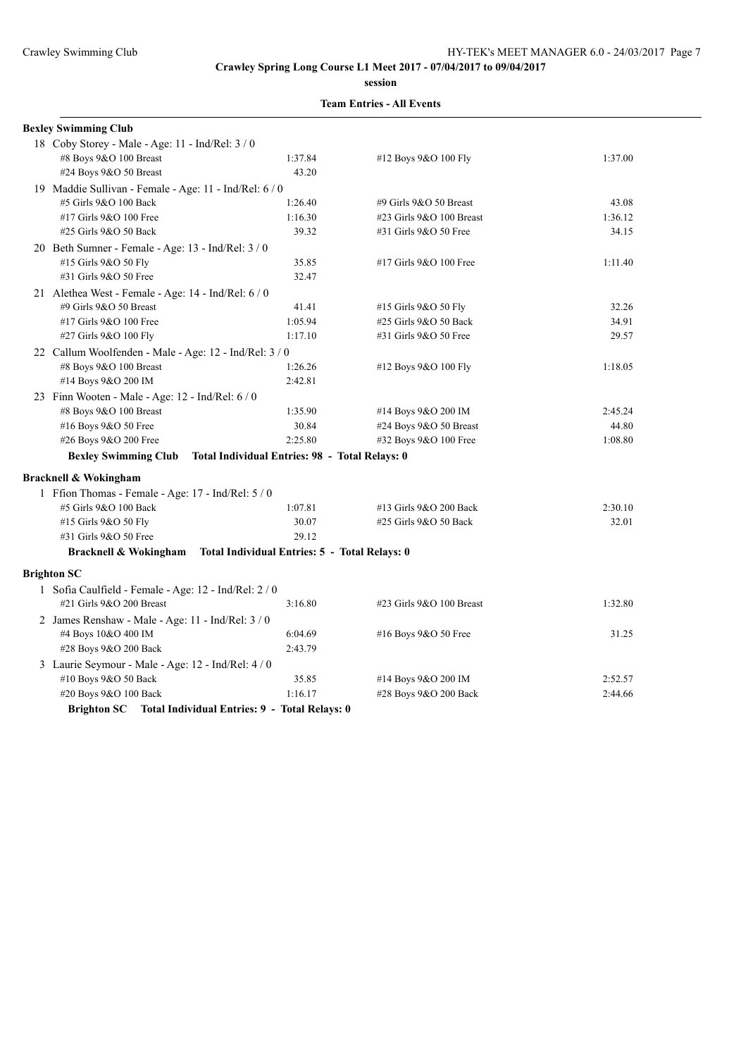**session**

### **Team Entries - All Events**

| <b>Bexley Swimming Club</b>                            |                                                        |                            |         |  |  |  |
|--------------------------------------------------------|--------------------------------------------------------|----------------------------|---------|--|--|--|
| 18 Coby Storey - Male - Age: 11 - Ind/Rel: 3 / 0       |                                                        |                            |         |  |  |  |
| #8 Boys 9&O 100 Breast                                 | 1:37.84                                                | #12 Boys 9&O 100 Fly       | 1:37.00 |  |  |  |
| #24 Boys 9&O 50 Breast                                 | 43.20                                                  |                            |         |  |  |  |
| 19 Maddie Sullivan - Female - Age: 11 - Ind/Rel: 6 / 0 |                                                        |                            |         |  |  |  |
| #5 Girls 9&O 100 Back                                  | 1:26.40                                                | #9 Girls 9&O 50 Breast     | 43.08   |  |  |  |
| #17 Girls 9&O 100 Free                                 | 1:16.30                                                | #23 Girls $9&O$ 100 Breast | 1:36.12 |  |  |  |
| #25 Girls 9&O 50 Back                                  | 39.32                                                  | #31 Girls 9&O 50 Free      | 34.15   |  |  |  |
| 20 Beth Sumner - Female - Age: 13 - Ind/Rel: 3 / 0     |                                                        |                            |         |  |  |  |
| #15 Girls 9&O 50 Fly                                   | 35.85                                                  | #17 Girls 9&O 100 Free     | 1:11.40 |  |  |  |
| #31 Girls 9&O 50 Free                                  | 32.47                                                  |                            |         |  |  |  |
| 21 Alethea West - Female - Age: 14 - Ind/Rel: 6 / 0    |                                                        |                            |         |  |  |  |
| #9 Girls 9&O 50 Breast                                 | 41.41                                                  | #15 Girls 9&O 50 Fly       | 32.26   |  |  |  |
| #17 Girls 9&O 100 Free                                 | 1:05.94                                                | #25 Girls 9&O 50 Back      | 34.91   |  |  |  |
| #27 Girls 9&O 100 Fly                                  | 1:17.10                                                | #31 Girls 9&O 50 Free      | 29.57   |  |  |  |
|                                                        | 22 Callum Woolfenden - Male - Age: 12 - Ind/Rel: 3 / 0 |                            |         |  |  |  |
| #8 Boys 9&O 100 Breast                                 | 1:26.26                                                | #12 Boys 9&O 100 Fly       | 1:18.05 |  |  |  |
| #14 Boys 9&O 200 IM                                    | 2:42.81                                                |                            |         |  |  |  |
| 23 Finn Wooten - Male - Age: 12 - Ind/Rel: 6 / 0       |                                                        |                            |         |  |  |  |
| #8 Boys 9&O 100 Breast                                 | 1:35.90                                                | #14 Boys 9&O 200 IM        | 2:45.24 |  |  |  |
| #16 Boys 9&O 50 Free                                   | 30.84                                                  | #24 Boys 9&O 50 Breast     | 44.80   |  |  |  |
| #26 Boys 9&O 200 Free                                  | 2:25.80                                                | #32 Boys 9&O 100 Free      | 1:08.80 |  |  |  |
| <b>Bexley Swimming Club</b>                            | Total Individual Entries: 98 - Total Relays: 0         |                            |         |  |  |  |
| <b>Bracknell &amp; Wokingham</b>                       |                                                        |                            |         |  |  |  |
| 1 Ffion Thomas - Female - Age: 17 - Ind/Rel: 5 / 0     |                                                        |                            |         |  |  |  |
| #5 Girls 9&O 100 Back                                  | 1:07.81                                                | #13 Girls 9&O 200 Back     | 2:30.10 |  |  |  |
| #15 Girls 9&O 50 Fly                                   | 30.07                                                  | #25 Girls 9&O 50 Back      | 32.01   |  |  |  |
| #31 Girls 9&O 50 Free                                  | 29.12                                                  |                            |         |  |  |  |
| <b>Bracknell &amp; Wokingham</b>                       | <b>Total Individual Entries: 5 - Total Relays: 0</b>   |                            |         |  |  |  |
| <b>Brighton SC</b>                                     |                                                        |                            |         |  |  |  |
| 1 Sofia Caulfield - Female - Age: 12 - Ind/Rel: 2 / 0  |                                                        |                            |         |  |  |  |
| #21 Girls 9&O 200 Breast                               | 3:16.80                                                | #23 Girls $9&O$ 100 Breast | 1:32.80 |  |  |  |
| 2 James Renshaw - Male - Age: 11 - Ind/Rel: 3 / 0      |                                                        |                            |         |  |  |  |
| #4 Boys 10&O 400 IM                                    | 6:04.69                                                | #16 Boys 9&O 50 Free       | 31.25   |  |  |  |
| #28 Boys 9&O 200 Back                                  | 2:43.79                                                |                            |         |  |  |  |
| 3 Laurie Seymour - Male - Age: 12 - Ind/Rel: 4 / 0     |                                                        |                            |         |  |  |  |
| #10 Boys 9&O 50 Back                                   | 35.85                                                  | #14 Boys 9&O 200 IM        | 2:52.57 |  |  |  |
| #20 Boys 9&O 100 Back                                  | 1:16.17                                                | #28 Boys 9&O 200 Back      | 2:44.66 |  |  |  |
|                                                        |                                                        |                            |         |  |  |  |

**Brighton SC Total Individual Entries: 9 - Total Relays: 0**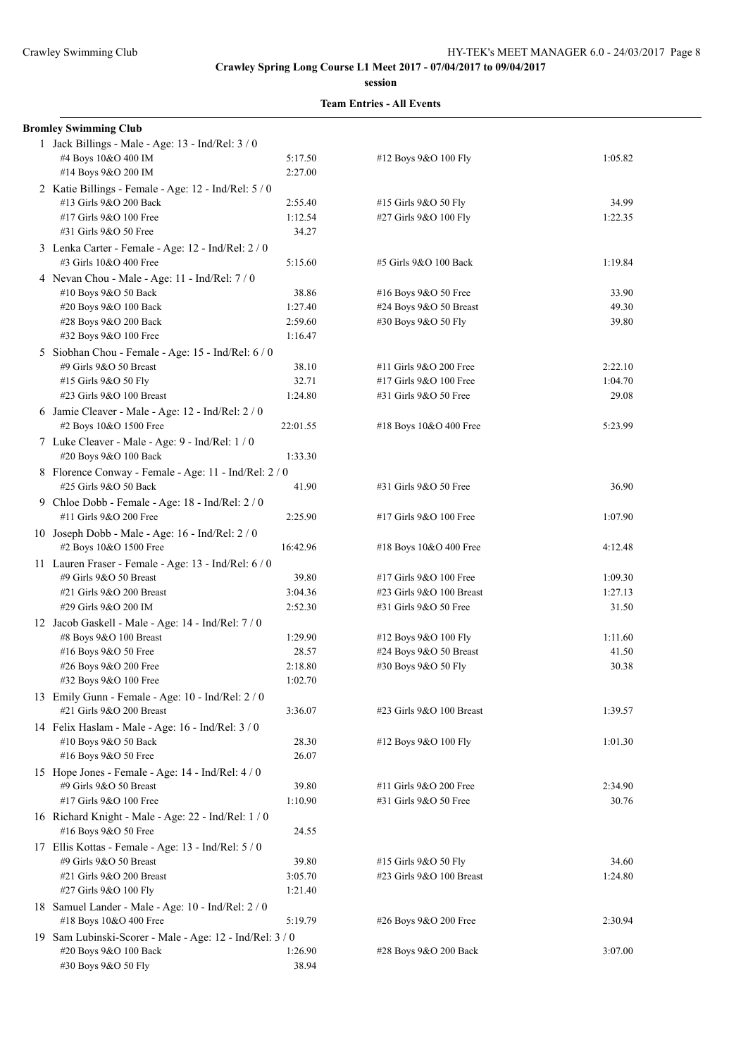**session**

| <b>Bromley Swimming Club</b>                                                      |          |                            |         |
|-----------------------------------------------------------------------------------|----------|----------------------------|---------|
| 1 Jack Billings - Male - Age: 13 - Ind/Rel: 3 / 0                                 |          |                            |         |
| #4 Boys 10&O 400 IM                                                               | 5:17.50  | #12 Boys 9&O 100 Fly       | 1:05.82 |
| #14 Boys 9&O 200 IM                                                               | 2:27.00  |                            |         |
| 2 Katie Billings - Female - Age: 12 - Ind/Rel: 5 / 0                              |          |                            |         |
| #13 Girls 9&O 200 Back                                                            | 2:55.40  | #15 Girls 9&O 50 Fly       | 34.99   |
| #17 Girls 9&O 100 Free                                                            | 1:12.54  | #27 Girls 9&O 100 Fly      | 1:22.35 |
| #31 Girls 9&O 50 Free                                                             | 34.27    |                            |         |
| 3 Lenka Carter - Female - Age: 12 - Ind/Rel: 2 / 0                                |          |                            |         |
| #3 Girls 10&O 400 Free                                                            | 5:15.60  | #5 Girls 9&O 100 Back      | 1:19.84 |
| 4 Nevan Chou - Male - Age: 11 - Ind/Rel: 7/0                                      |          |                            |         |
| #10 Boys 9&O 50 Back                                                              | 38.86    | #16 Boys 9&O 50 Free       | 33.90   |
| #20 Boys 9&O 100 Back                                                             | 1:27.40  | #24 Boys 9&O 50 Breast     | 49.30   |
| #28 Boys 9&O 200 Back                                                             | 2:59.60  | #30 Boys 9&O 50 Fly        | 39.80   |
| #32 Boys 9&O 100 Free                                                             | 1:16.47  |                            |         |
| 5 Siobhan Chou - Female - Age: 15 - Ind/Rel: 6/0                                  |          |                            |         |
| #9 Girls 9&O 50 Breast                                                            | 38.10    | #11 Girls 9&O 200 Free     | 2:22.10 |
| #15 Girls 9&O 50 Fly                                                              | 32.71    | #17 Girls 9&O 100 Free     | 1:04.70 |
| #23 Girls 9&O 100 Breast                                                          | 1:24.80  | #31 Girls 9&O 50 Free      | 29.08   |
| 6 Jamie Cleaver - Male - Age: 12 - Ind/Rel: 2 / 0                                 |          |                            |         |
| #2 Boys 10&O 1500 Free                                                            | 22:01.55 | #18 Boys 10&O 400 Free     | 5:23.99 |
| 7 Luke Cleaver - Male - Age: 9 - Ind/Rel: 1 / 0                                   |          |                            |         |
| #20 Boys 9&O 100 Back                                                             | 1:33.30  |                            |         |
| 8 Florence Conway - Female - Age: 11 - Ind/Rel: 2 / 0                             |          |                            |         |
| #25 Girls 9&O 50 Back                                                             | 41.90    | #31 Girls 9&O 50 Free      | 36.90   |
| 9 Chloe Dobb - Female - Age: 18 - Ind/Rel: 2 / 0                                  |          |                            |         |
| #11 Girls 9&O 200 Free                                                            | 2:25.90  | #17 Girls 9&O 100 Free     | 1:07.90 |
|                                                                                   |          |                            |         |
| 10 Joseph Dobb - Male - Age: 16 - Ind/Rel: 2 / 0<br>#2 Boys 10&O 1500 Free        | 16:42.96 | #18 Boys 10&O 400 Free     | 4:12.48 |
|                                                                                   |          |                            |         |
| 11 Lauren Fraser - Female - Age: 13 - Ind/Rel: 6 / 0<br>#9 Girls 9&O 50 Breast    | 39.80    | #17 Girls 9&O 100 Free     | 1:09.30 |
| #21 Girls 9&O 200 Breast                                                          | 3:04.36  | #23 Girls 9&O 100 Breast   | 1:27.13 |
| #29 Girls 9&O 200 IM                                                              | 2:52.30  | #31 Girls 9&O 50 Free      | 31.50   |
|                                                                                   |          |                            |         |
| 12 Jacob Gaskell - Male - Age: 14 - Ind/Rel: 7 / 0<br>#8 Boys 9&O 100 Breast      | 1:29.90  | #12 Boys 9&O 100 Fly       | 1:11.60 |
| #16 Boys 9&O 50 Free                                                              | 28.57    | #24 Boys 9&O 50 Breast     | 41.50   |
| #26 Boys 9&O 200 Free                                                             | 2:18.80  | #30 Boys 9&O 50 Fly        | 30.38   |
| #32 Boys 9&O 100 Free                                                             | 1:02.70  |                            |         |
| 13 Emily Gunn - Female - Age: 10 - Ind/Rel: 2 / 0                                 |          |                            |         |
| #21 Girls 9&O 200 Breast                                                          | 3:36.07  | #23 Girls $9&O$ 100 Breast | 1:39.57 |
| 14 Felix Haslam - Male - Age: 16 - Ind/Rel: 3 / 0                                 |          |                            |         |
| #10 Boys 9&O 50 Back                                                              | 28.30    | #12 Boys 9&O 100 Fly       | 1:01.30 |
| #16 Boys 9&O 50 Free                                                              | 26.07    |                            |         |
| 15 Hope Jones - Female - Age: 14 - Ind/Rel: 4 / 0                                 |          |                            |         |
| #9 Girls 9&O 50 Breast                                                            | 39.80    | #11 Girls 9&O 200 Free     | 2:34.90 |
| #17 Girls 9&O 100 Free                                                            | 1:10.90  | #31 Girls 9&O 50 Free      | 30.76   |
| 16 Richard Knight - Male - Age: 22 - Ind/Rel: 1 / 0                               |          |                            |         |
| #16 Boys 9&O 50 Free                                                              | 24.55    |                            |         |
| 17 Ellis Kottas - Female - Age: 13 - Ind/Rel: 5 / 0                               |          |                            |         |
| #9 Girls 9&O 50 Breast                                                            | 39.80    | #15 Girls 9&O 50 Fly       | 34.60   |
| #21 Girls 9&O 200 Breast                                                          | 3:05.70  | #23 Girls 9&O 100 Breast   | 1:24.80 |
| #27 Girls 9&O 100 Fly                                                             | 1:21.40  |                            |         |
|                                                                                   |          |                            |         |
| 18 Samuel Lander - Male - Age: 10 - Ind/Rel: 2 / 0<br>#18 Boys 10&O 400 Free      | 5:19.79  | #26 Boys 9&O 200 Free      | 2:30.94 |
|                                                                                   |          |                            |         |
| 19 Sam Lubinski-Scorer - Male - Age: 12 - Ind/Rel: 3 / 0<br>#20 Boys 9&O 100 Back | 1:26.90  | #28 Boys 9&O 200 Back      | 3:07.00 |
| #30 Boys 9&O 50 Fly                                                               | 38.94    |                            |         |
|                                                                                   |          |                            |         |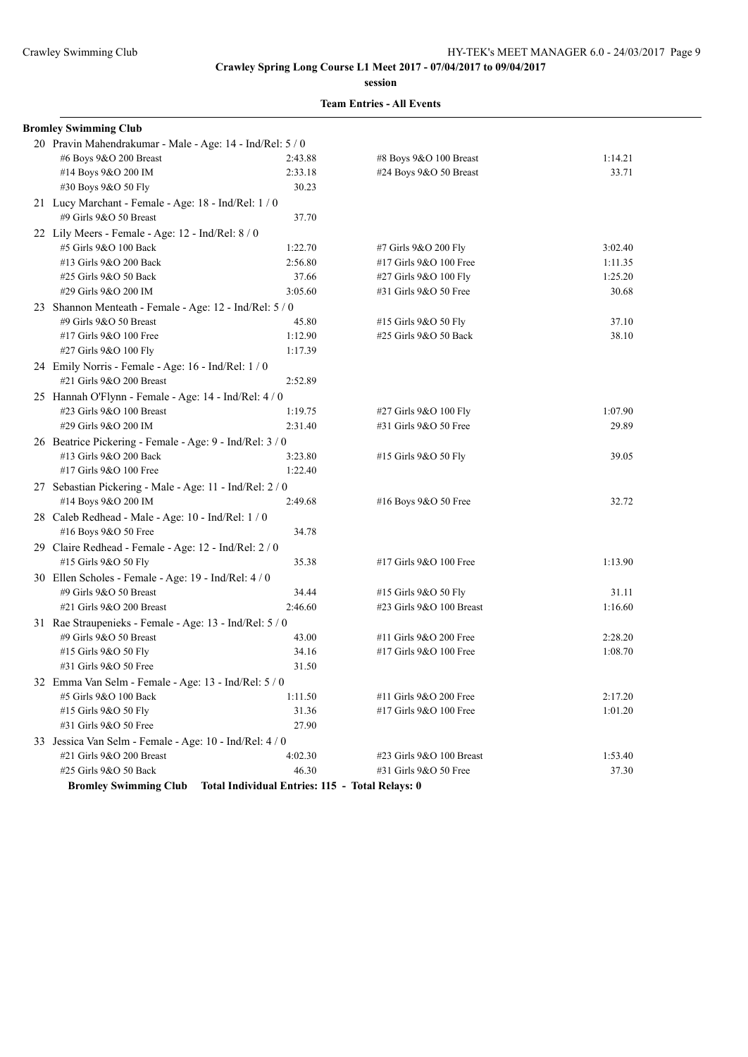**session**

| #6 Boys 9&O 200 Breast       | 2:43.88                      | #8 Boys 9&O 100 Breast                                                                                                                                                                                                                                                                                                                                                                                                                                                                                                                                                                                                                                                                                                                                                                                                   | 1:14.21                                         |
|------------------------------|------------------------------|--------------------------------------------------------------------------------------------------------------------------------------------------------------------------------------------------------------------------------------------------------------------------------------------------------------------------------------------------------------------------------------------------------------------------------------------------------------------------------------------------------------------------------------------------------------------------------------------------------------------------------------------------------------------------------------------------------------------------------------------------------------------------------------------------------------------------|-------------------------------------------------|
| #14 Boys 9&O 200 IM          | 2:33.18                      | #24 Boys 9&O 50 Breast                                                                                                                                                                                                                                                                                                                                                                                                                                                                                                                                                                                                                                                                                                                                                                                                   | 33.71                                           |
| #30 Boys 9&O 50 Fly          | 30.23                        |                                                                                                                                                                                                                                                                                                                                                                                                                                                                                                                                                                                                                                                                                                                                                                                                                          |                                                 |
|                              |                              |                                                                                                                                                                                                                                                                                                                                                                                                                                                                                                                                                                                                                                                                                                                                                                                                                          |                                                 |
| #9 Girls 9&O 50 Breast       | 37.70                        |                                                                                                                                                                                                                                                                                                                                                                                                                                                                                                                                                                                                                                                                                                                                                                                                                          |                                                 |
|                              |                              |                                                                                                                                                                                                                                                                                                                                                                                                                                                                                                                                                                                                                                                                                                                                                                                                                          |                                                 |
| #5 Girls 9&O 100 Back        | 1:22.70                      | #7 Girls 9&O 200 Fly                                                                                                                                                                                                                                                                                                                                                                                                                                                                                                                                                                                                                                                                                                                                                                                                     | 3:02.40                                         |
| #13 Girls 9&O 200 Back       | 2:56.80                      | #17 Girls 9&O 100 Free                                                                                                                                                                                                                                                                                                                                                                                                                                                                                                                                                                                                                                                                                                                                                                                                   | 1:11.35                                         |
| #25 Girls 9&O 50 Back        | 37.66                        | #27 Girls 9&O 100 Fly                                                                                                                                                                                                                                                                                                                                                                                                                                                                                                                                                                                                                                                                                                                                                                                                    | 1:25.20                                         |
| #29 Girls 9&O 200 IM         | 3:05.60                      | #31 Girls 9&O 50 Free                                                                                                                                                                                                                                                                                                                                                                                                                                                                                                                                                                                                                                                                                                                                                                                                    | 30.68                                           |
|                              |                              |                                                                                                                                                                                                                                                                                                                                                                                                                                                                                                                                                                                                                                                                                                                                                                                                                          |                                                 |
| #9 Girls 9&O 50 Breast       | 45.80                        | #15 Girls 9&O 50 Fly                                                                                                                                                                                                                                                                                                                                                                                                                                                                                                                                                                                                                                                                                                                                                                                                     | 37.10                                           |
| #17 Girls 9&O 100 Free       | 1:12.90                      | #25 Girls 9&O 50 Back                                                                                                                                                                                                                                                                                                                                                                                                                                                                                                                                                                                                                                                                                                                                                                                                    | 38.10                                           |
| #27 Girls 9&O 100 Fly        | 1:17.39                      |                                                                                                                                                                                                                                                                                                                                                                                                                                                                                                                                                                                                                                                                                                                                                                                                                          |                                                 |
|                              |                              |                                                                                                                                                                                                                                                                                                                                                                                                                                                                                                                                                                                                                                                                                                                                                                                                                          |                                                 |
| #21 Girls 9&O 200 Breast     | 2:52.89                      |                                                                                                                                                                                                                                                                                                                                                                                                                                                                                                                                                                                                                                                                                                                                                                                                                          |                                                 |
|                              |                              |                                                                                                                                                                                                                                                                                                                                                                                                                                                                                                                                                                                                                                                                                                                                                                                                                          |                                                 |
| #23 Girls 9&O 100 Breast     | 1:19.75                      | #27 Girls 9&O 100 Fly                                                                                                                                                                                                                                                                                                                                                                                                                                                                                                                                                                                                                                                                                                                                                                                                    | 1:07.90                                         |
| #29 Girls 9&O 200 IM         | 2:31.40                      | #31 Girls 9&O 50 Free                                                                                                                                                                                                                                                                                                                                                                                                                                                                                                                                                                                                                                                                                                                                                                                                    | 29.89                                           |
|                              |                              |                                                                                                                                                                                                                                                                                                                                                                                                                                                                                                                                                                                                                                                                                                                                                                                                                          |                                                 |
| #13 Girls 9&O 200 Back       | 3:23.80                      | #15 Girls 9&O 50 Fly                                                                                                                                                                                                                                                                                                                                                                                                                                                                                                                                                                                                                                                                                                                                                                                                     | 39.05                                           |
| #17 Girls 9&O 100 Free       | 1:22.40                      |                                                                                                                                                                                                                                                                                                                                                                                                                                                                                                                                                                                                                                                                                                                                                                                                                          |                                                 |
|                              |                              |                                                                                                                                                                                                                                                                                                                                                                                                                                                                                                                                                                                                                                                                                                                                                                                                                          |                                                 |
| #14 Boys 9&O 200 IM          | 2:49.68                      | #16 Boys 9&O 50 Free                                                                                                                                                                                                                                                                                                                                                                                                                                                                                                                                                                                                                                                                                                                                                                                                     | 32.72                                           |
|                              |                              |                                                                                                                                                                                                                                                                                                                                                                                                                                                                                                                                                                                                                                                                                                                                                                                                                          |                                                 |
| #16 Boys 9&O 50 Free         | 34.78                        |                                                                                                                                                                                                                                                                                                                                                                                                                                                                                                                                                                                                                                                                                                                                                                                                                          |                                                 |
|                              |                              |                                                                                                                                                                                                                                                                                                                                                                                                                                                                                                                                                                                                                                                                                                                                                                                                                          |                                                 |
| #15 Girls 9&O 50 Fly         | 35.38                        | #17 Girls 9&O 100 Free                                                                                                                                                                                                                                                                                                                                                                                                                                                                                                                                                                                                                                                                                                                                                                                                   | 1:13.90                                         |
|                              |                              |                                                                                                                                                                                                                                                                                                                                                                                                                                                                                                                                                                                                                                                                                                                                                                                                                          |                                                 |
| #9 Girls 9&O 50 Breast       | 34.44                        | #15 Girls 9&O 50 Fly                                                                                                                                                                                                                                                                                                                                                                                                                                                                                                                                                                                                                                                                                                                                                                                                     | 31.11                                           |
| #21 Girls 9&O 200 Breast     | 2:46.60                      | #23 Girls 9&O 100 Breast                                                                                                                                                                                                                                                                                                                                                                                                                                                                                                                                                                                                                                                                                                                                                                                                 | 1:16.60                                         |
|                              |                              |                                                                                                                                                                                                                                                                                                                                                                                                                                                                                                                                                                                                                                                                                                                                                                                                                          |                                                 |
| #9 Girls 9&O 50 Breast       | 43.00                        | #11 Girls 9&O 200 Free                                                                                                                                                                                                                                                                                                                                                                                                                                                                                                                                                                                                                                                                                                                                                                                                   | 2:28.20                                         |
| #15 Girls 9&O 50 Fly         | 34.16                        | #17 Girls 9&O 100 Free                                                                                                                                                                                                                                                                                                                                                                                                                                                                                                                                                                                                                                                                                                                                                                                                   | 1:08.70                                         |
| #31 Girls 9&O 50 Free        | 31.50                        |                                                                                                                                                                                                                                                                                                                                                                                                                                                                                                                                                                                                                                                                                                                                                                                                                          |                                                 |
|                              |                              |                                                                                                                                                                                                                                                                                                                                                                                                                                                                                                                                                                                                                                                                                                                                                                                                                          |                                                 |
| #5 Girls 9&O 100 Back        | 1:11.50                      | #11 Girls 9&O 200 Free                                                                                                                                                                                                                                                                                                                                                                                                                                                                                                                                                                                                                                                                                                                                                                                                   | 2:17.20                                         |
| #15 Girls 9&O 50 Fly         | 31.36                        | #17 Girls 9&O 100 Free                                                                                                                                                                                                                                                                                                                                                                                                                                                                                                                                                                                                                                                                                                                                                                                                   | 1:01.20                                         |
| #31 Girls 9&O 50 Free        | 27.90                        |                                                                                                                                                                                                                                                                                                                                                                                                                                                                                                                                                                                                                                                                                                                                                                                                                          |                                                 |
|                              |                              |                                                                                                                                                                                                                                                                                                                                                                                                                                                                                                                                                                                                                                                                                                                                                                                                                          |                                                 |
| #21 Girls 9&O 200 Breast     | 4:02.30                      | #23 Girls 9&O 100 Breast                                                                                                                                                                                                                                                                                                                                                                                                                                                                                                                                                                                                                                                                                                                                                                                                 | 1:53.40                                         |
| #25 Girls 9&O 50 Back        | 46.30                        | #31 Girls 9&O 50 Free                                                                                                                                                                                                                                                                                                                                                                                                                                                                                                                                                                                                                                                                                                                                                                                                    | 37.30                                           |
| <b>Bromley Swimming Club</b> |                              |                                                                                                                                                                                                                                                                                                                                                                                                                                                                                                                                                                                                                                                                                                                                                                                                                          |                                                 |
|                              | <b>Bromley Swimming Club</b> | 20 Pravin Mahendrakumar - Male - Age: 14 - Ind/Rel: 5 / 0<br>21 Lucy Marchant - Female - Age: 18 - Ind/Rel: 1 / 0<br>22 Lily Meers - Female - Age: 12 - Ind/Rel: 8 / 0<br>23 Shannon Menteath - Female - Age: 12 - Ind/Rel: 5 / 0<br>24 Emily Norris - Female - Age: 16 - Ind/Rel: 1/0<br>25 Hannah O'Flynn - Female - Age: 14 - Ind/Rel: 4 / 0<br>26 Beatrice Pickering - Female - Age: 9 - Ind/Rel: 3 / 0<br>27 Sebastian Pickering - Male - Age: 11 - Ind/Rel: 2 / 0<br>28 Caleb Redhead - Male - Age: 10 - Ind/Rel: 1 / 0<br>29 Claire Redhead - Female - Age: 12 - Ind/Rel: 2 / 0<br>30 Ellen Scholes - Female - Age: 19 - Ind/Rel: 4/0<br>31 Rae Straupenieks - Female - Age: 13 - Ind/Rel: 5 / 0<br>32 Emma Van Selm - Female - Age: 13 - Ind/Rel: 5 / 0<br>33 Jessica Van Selm - Female - Age: 10 - Ind/Rel: 4/0 | Total Individual Entries: 115 - Total Relays: 0 |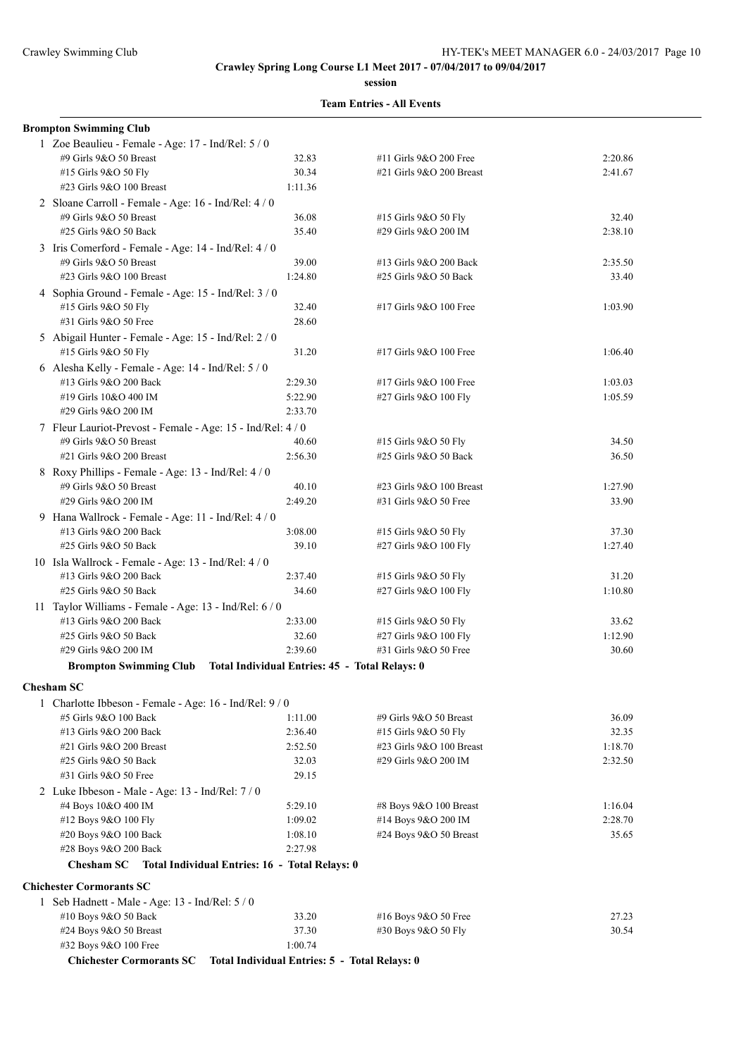**session**

|  | <b>Team Entries - All Events</b> |  |  |
|--|----------------------------------|--|--|
|--|----------------------------------|--|--|

| <b>Brompton Swimming Club</b>                                         |                                               |                          |         |
|-----------------------------------------------------------------------|-----------------------------------------------|--------------------------|---------|
| 1 Zoe Beaulieu - Female - Age: 17 - Ind/Rel: 5 / 0                    |                                               |                          |         |
| #9 Girls 9&O 50 Breast                                                | 32.83                                         | #11 Girls 9&O 200 Free   | 2:20.86 |
| #15 Girls 9&O 50 Fly                                                  | 30.34                                         | #21 Girls 9&O 200 Breast | 2:41.67 |
| #23 Girls 9&O 100 Breast                                              | 1:11.36                                       |                          |         |
| 2 Sloane Carroll - Female - Age: 16 - Ind/Rel: 4 / 0                  |                                               |                          |         |
| #9 Girls 9&O 50 Breast                                                | 36.08                                         | #15 Girls 9&O 50 Fly     | 32.40   |
| #25 Girls 9&O 50 Back                                                 | 35.40                                         | #29 Girls 9&O 200 IM     | 2:38.10 |
| 3 Iris Comerford - Female - Age: 14 - Ind/Rel: 4 / 0                  |                                               |                          |         |
| #9 Girls 9&O 50 Breast                                                | 39.00                                         | #13 Girls 9&O 200 Back   | 2:35.50 |
| #23 Girls 9&O 100 Breast                                              | 1:24.80                                       | #25 Girls 9&O 50 Back    | 33.40   |
| 4 Sophia Ground - Female - Age: 15 - Ind/Rel: 3 / 0                   |                                               |                          |         |
| #15 Girls 9&O 50 Fly                                                  | 32.40                                         | #17 Girls 9&O 100 Free   | 1:03.90 |
| #31 Girls 9&O 50 Free                                                 | 28.60                                         |                          |         |
| 5 Abigail Hunter - Female - Age: 15 - Ind/Rel: 2 / 0                  |                                               |                          |         |
| #15 Girls 9&O 50 Fly                                                  | 31.20                                         | #17 Girls 9&O 100 Free   | 1:06.40 |
| 6 Alesha Kelly - Female - Age: 14 - Ind/Rel: 5 / 0                    |                                               |                          |         |
| #13 Girls 9&O 200 Back                                                | 2:29.30                                       | #17 Girls 9&O 100 Free   | 1:03.03 |
| #19 Girls 10&O 400 IM                                                 | 5:22.90                                       | #27 Girls 9&O 100 Fly    | 1:05.59 |
| #29 Girls 9&O 200 IM                                                  | 2:33.70                                       |                          |         |
| 7 Fleur Lauriot-Prevost - Female - Age: 15 - Ind/Rel: 4 / 0           |                                               |                          |         |
| #9 Girls 9&O 50 Breast                                                | 40.60                                         | #15 Girls 9&O 50 Fly     | 34.50   |
| #21 Girls 9&O 200 Breast                                              | 2:56.30                                       | #25 Girls 9&O 50 Back    | 36.50   |
| 8 Roxy Phillips - Female - Age: 13 - Ind/Rel: 4 / 0                   |                                               |                          |         |
| #9 Girls 9&O 50 Breast                                                | 40.10                                         | #23 Girls 9&O 100 Breast | 1:27.90 |
| #29 Girls 9&O 200 IM                                                  | 2:49.20                                       | #31 Girls 9&O 50 Free    | 33.90   |
| 9 Hana Wallrock - Female - Age: 11 - Ind/Rel: 4 / 0                   |                                               |                          |         |
| #13 Girls 9&O 200 Back                                                | 3:08.00                                       | #15 Girls 9&O 50 Fly     | 37.30   |
| #25 Girls 9&O 50 Back                                                 | 39.10                                         | #27 Girls 9&O 100 Fly    | 1:27.40 |
| 10 Isla Wallrock - Female - Age: 13 - Ind/Rel: 4 / 0                  |                                               |                          |         |
| #13 Girls 9&O 200 Back                                                | 2:37.40                                       | #15 Girls 9&O 50 Fly     | 31.20   |
| #25 Girls 9&O 50 Back                                                 | 34.60                                         | #27 Girls 9&O 100 Fly    | 1:10.80 |
| 11 Taylor Williams - Female - Age: 13 - Ind/Rel: 6 / 0                |                                               |                          |         |
| #13 Girls 9&O 200 Back                                                | 2:33.00                                       | #15 Girls 9&O 50 Fly     | 33.62   |
| #25 Girls 9&O 50 Back                                                 | 32.60                                         | #27 Girls 9&O 100 Fly    | 1:12.90 |
| #29 Girls 9&O 200 IM                                                  | 2:39.60                                       | #31 Girls 9&O 50 Free    | 30.60   |
| Brompton Swimming Club Total Individual Entries: 45 - Total Relays: 0 |                                               |                          |         |
| <b>Chesham SC</b>                                                     |                                               |                          |         |
| 1 Charlotte Ibbeson - Female - Age: 16 - Ind/Rel: 9/0                 |                                               |                          |         |
| #5 Girls 9&O 100 Back                                                 | 1:11.00                                       | #9 Girls 9&O 50 Breast   | 36.09   |
| #13 Girls 9&O 200 Back                                                | 2:36.40                                       | #15 Girls 9&O 50 Fly     | 32.35   |
| #21 Girls 9&O 200 Breast                                              | 2:52.50                                       | #23 Girls 9&O 100 Breast | 1:18.70 |
| #25 Girls 9&O 50 Back                                                 | 32.03                                         | #29 Girls 9&O 200 IM     | 2:32.50 |
| #31 Girls 9&O 50 Free                                                 | 29.15                                         |                          |         |
| 2 Luke Ibbeson - Male - Age: 13 - Ind/Rel: 7/0                        |                                               |                          |         |
| #4 Boys 10&O 400 IM                                                   | 5:29.10                                       | #8 Boys 9&O 100 Breast   | 1:16.04 |
| #12 Boys 9&O 100 Fly                                                  | 1:09.02                                       | #14 Boys 9&O 200 IM      | 2:28.70 |
| #20 Boys 9&O 100 Back                                                 | 1:08.10                                       | #24 Boys 9&O 50 Breast   | 35.65   |
| #28 Boys 9&O 200 Back                                                 | 2:27.98                                       |                          |         |
| <b>Chesham SC</b><br>Total Individual Entries: 16 - Total Relays: 0   |                                               |                          |         |
| <b>Chichester Cormorants SC</b>                                       |                                               |                          |         |
| 1 Seb Hadnett - Male - Age: 13 - Ind/Rel: 5 / 0                       |                                               |                          |         |
| #10 Boys 9&O 50 Back                                                  | 33.20                                         | #16 Boys 9&O 50 Free     | 27.23   |
| #24 Boys 9&O 50 Breast                                                | 37.30                                         | #30 Boys 9&O 50 Fly      | 30.54   |
| #32 Boys 9&O 100 Free                                                 | 1:00.74                                       |                          |         |
| <b>Chichester Cormorants SC</b>                                       | Total Individual Entries: 5 - Total Relays: 0 |                          |         |
|                                                                       |                                               |                          |         |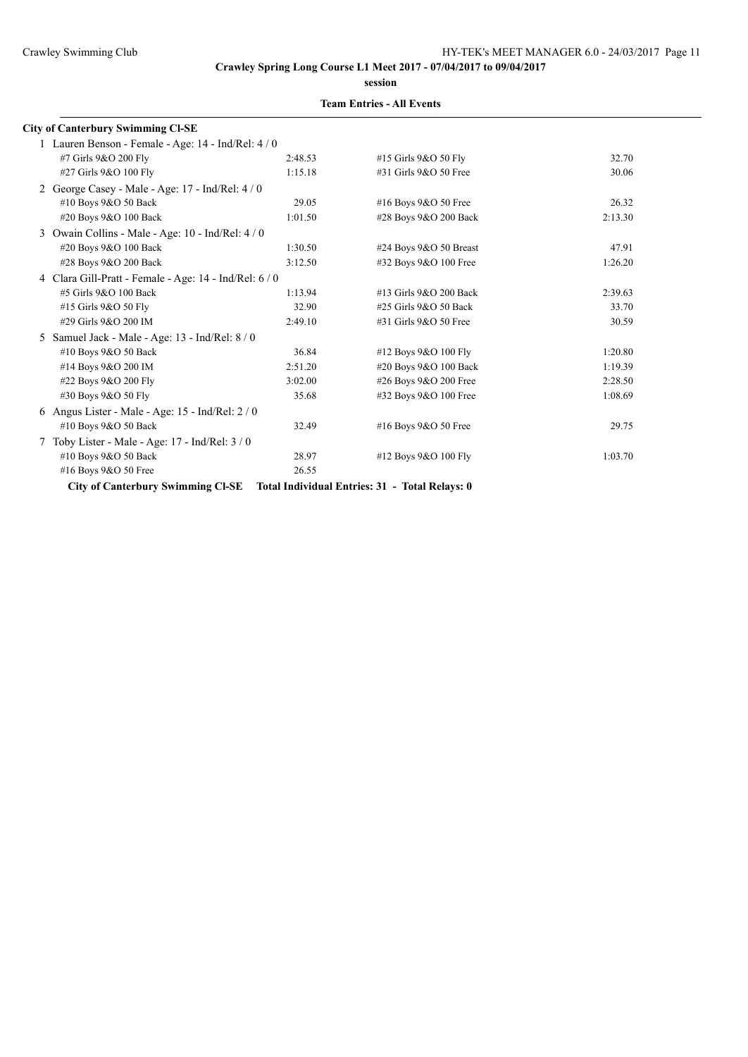**session**

|   | <b>City of Canterbury Swimming CI-SE</b>             |         |                                                |         |
|---|------------------------------------------------------|---------|------------------------------------------------|---------|
|   | 1 Lauren Benson - Female - Age: 14 - Ind/Rel: 4 / 0  |         |                                                |         |
|   | #7 Girls 9&O 200 Fly                                 | 2:48.53 | #15 Girls 9&O 50 Fly                           | 32.70   |
|   | #27 Girls 9&O 100 Fly                                | 1:15.18 | #31 Girls 9&O 50 Free                          | 30.06   |
|   | 2 George Casey - Male - Age: 17 - Ind/Rel: 4 / 0     |         |                                                |         |
|   | #10 Boys 9&O 50 Back                                 | 29.05   | #16 Boys 9&O 50 Free                           | 26.32   |
|   | #20 Boys 9&O 100 Back                                | 1:01.50 | #28 Boys 9&O 200 Back                          | 2:13.30 |
| 3 | Owain Collins - Male - Age: 10 - Ind/Rel: 4/0        |         |                                                |         |
|   | #20 Boys 9&O 100 Back                                | 1:30.50 | #24 Boys 9&O 50 Breast                         | 47.91   |
|   | #28 Boys 9&O 200 Back                                | 3:12.50 | #32 Boys 9&O 100 Free                          | 1:26.20 |
|   | 4 Clara Gill-Pratt - Female - Age: 14 - Ind/Rel: 6/0 |         |                                                |         |
|   | #5 Girls 9&O 100 Back                                | 1:13.94 | #13 Girls 9&O 200 Back                         | 2:39.63 |
|   | #15 Girls 9&O 50 Fly                                 | 32.90   | #25 Girls 9&O 50 Back                          | 33.70   |
|   | #29 Girls 9&O 200 IM                                 | 2:49.10 | #31 Girls 9&O 50 Free                          | 30.59   |
| 5 | Samuel Jack - Male - Age: 13 - Ind/Rel: 8 / 0        |         |                                                |         |
|   | #10 Boys 9&O 50 Back                                 | 36.84   | #12 Boys 9&O 100 Fly                           | 1:20.80 |
|   | #14 Boys 9&O 200 IM                                  | 2:51.20 | #20 Boys 9&O 100 Back                          | 1:19.39 |
|   | #22 Boys 9&O 200 Fly                                 | 3:02.00 | #26 Boys 9&O 200 Free                          | 2:28.50 |
|   | #30 Boys 9&O 50 Fly                                  | 35.68   | #32 Boys 9&O 100 Free                          | 1:08.69 |
| 6 | Angus Lister - Male - Age: 15 - Ind/Rel: 2 / 0       |         |                                                |         |
|   | #10 Boys 9&O 50 Back                                 | 32.49   | #16 Boys 9&O 50 Free                           | 29.75   |
|   | Toby Lister - Male - Age: $17$ - Ind/Rel: $3/0$      |         |                                                |         |
|   | #10 Boys 9&O 50 Back                                 | 28.97   | #12 Boys 9&O 100 Fly                           | 1:03.70 |
|   | #16 Boys 9&O 50 Free                                 | 26.55   |                                                |         |
|   | <b>City of Canterbury Swimming CI-SE</b>             |         | Total Individual Entries: 31 - Total Relays: 0 |         |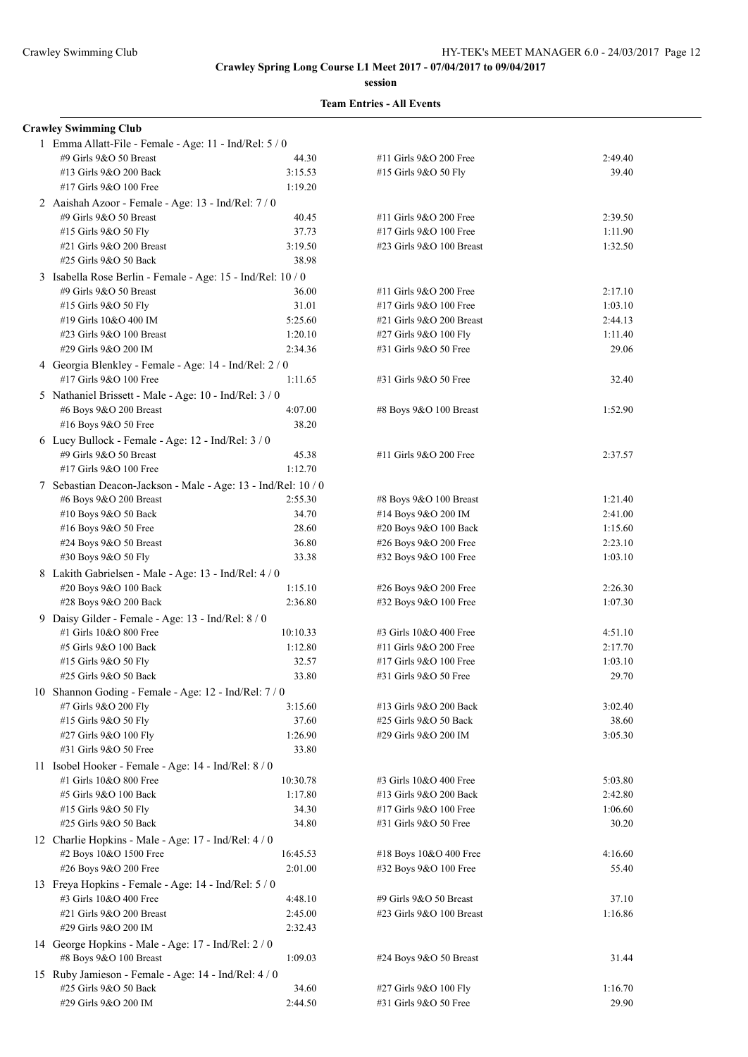**session**

|  | <b>Team Entries - All Events</b> |  |  |
|--|----------------------------------|--|--|
|--|----------------------------------|--|--|

| <b>Crawley Swimming Club</b>                                  |          |                          |         |
|---------------------------------------------------------------|----------|--------------------------|---------|
| 1 Emma Allatt-File - Female - Age: 11 - Ind/Rel: 5 / 0        |          |                          |         |
| #9 Girls 9&O 50 Breast                                        | 44.30    | #11 Girls 9&O 200 Free   | 2:49.40 |
| #13 Girls 9&O 200 Back                                        | 3:15.53  | #15 Girls 9&O 50 Fly     | 39.40   |
| #17 Girls 9&O 100 Free                                        | 1:19.20  |                          |         |
| 2 Aaishah Azoor - Female - Age: 13 - Ind/Rel: 7 / 0           |          |                          |         |
| #9 Girls 9&O 50 Breast                                        | 40.45    | #11 Girls 9&O 200 Free   | 2:39.50 |
| #15 Girls 9&O 50 Fly                                          | 37.73    | #17 Girls 9&O 100 Free   | 1:11.90 |
| #21 Girls 9&O 200 Breast                                      | 3:19.50  | #23 Girls 9&O 100 Breast | 1:32.50 |
| #25 Girls 9&O 50 Back                                         | 38.98    |                          |         |
| 3 Isabella Rose Berlin - Female - Age: 15 - Ind/Rel: 10 / 0   |          |                          |         |
| #9 Girls 9&O 50 Breast                                        | 36.00    | #11 Girls 9&O 200 Free   | 2:17.10 |
| #15 Girls 9&O 50 Fly                                          | 31.01    | #17 Girls 9&O 100 Free   | 1:03.10 |
| #19 Girls 10&O 400 IM                                         | 5:25.60  | #21 Girls 9&O 200 Breast | 2:44.13 |
| #23 Girls 9&O 100 Breast                                      | 1:20.10  | #27 Girls 9&O 100 Fly    | 1:11.40 |
| #29 Girls 9&O 200 IM                                          | 2:34.36  | #31 Girls 9&O 50 Free    | 29.06   |
| 4 Georgia Blenkley - Female - Age: 14 - Ind/Rel: 2 / 0        |          |                          |         |
| #17 Girls 9&O 100 Free                                        | 1:11.65  | #31 Girls 9&O 50 Free    | 32.40   |
|                                                               |          |                          |         |
| 5 Nathaniel Brissett - Male - Age: 10 - Ind/Rel: 3 / 0        |          |                          |         |
| #6 Boys 9&O 200 Breast                                        | 4:07.00  | #8 Boys 9&O 100 Breast   | 1:52.90 |
| #16 Boys 9&O 50 Free                                          | 38.20    |                          |         |
| 6 Lucy Bullock - Female - Age: $12$ - Ind/Rel: $3/0$          |          |                          |         |
| #9 Girls 9&O 50 Breast                                        | 45.38    | #11 Girls 9&O 200 Free   | 2:37.57 |
| #17 Girls 9&O 100 Free                                        | 1:12.70  |                          |         |
| 7 Sebastian Deacon-Jackson - Male - Age: 13 - Ind/Rel: 10 / 0 |          |                          |         |
| #6 Boys 9&O 200 Breast                                        | 2:55.30  | #8 Boys 9&O 100 Breast   | 1:21.40 |
| #10 Boys 9&O 50 Back                                          | 34.70    | #14 Boys 9&O 200 IM      | 2:41.00 |
| #16 Boys 9&O 50 Free                                          | 28.60    | #20 Boys 9&O 100 Back    | 1:15.60 |
| #24 Boys 9&O 50 Breast                                        | 36.80    | #26 Boys 9&O 200 Free    | 2:23.10 |
| #30 Boys 9&O 50 Fly                                           | 33.38    | #32 Boys 9&O 100 Free    | 1:03.10 |
| 8 Lakith Gabrielsen - Male - Age: 13 - Ind/Rel: 4 / 0         |          |                          |         |
| #20 Boys 9&O 100 Back                                         | 1:15.10  | #26 Boys 9&O 200 Free    | 2:26.30 |
| #28 Boys 9&O 200 Back                                         | 2:36.80  | #32 Boys 9&O 100 Free    | 1:07.30 |
| 9 Daisy Gilder - Female - Age: 13 - Ind/Rel: 8 / 0            |          |                          |         |
| #1 Girls 10&O 800 Free                                        | 10:10.33 | #3 Girls 10&O 400 Free   | 4:51.10 |
| #5 Girls 9&O 100 Back                                         | 1:12.80  | #11 Girls 9&O 200 Free   | 2:17.70 |
| #15 Girls 9&O 50 Fly                                          | 32.57    | #17 Girls 9&O 100 Free   | 1:03.10 |
| #25 Girls 9&O 50 Back                                         | 33.80    | #31 Girls 9&O 50 Free    | 29.70   |
| 10 Shannon Goding - Female - Age: 12 - Ind/Rel: 7 / 0         |          |                          |         |
| #7 Girls 9&O 200 Fly                                          | 3:15.60  | #13 Girls 9&O 200 Back   | 3:02.40 |
| #15 Girls 9&O 50 Fly                                          | 37.60    | #25 Girls 9&O 50 Back    | 38.60   |
| #27 Girls 9&O 100 Fly                                         | 1:26.90  | #29 Girls 9&O 200 IM     | 3:05.30 |
| #31 Girls 9&O 50 Free                                         | 33.80    |                          |         |
| 11 Isobel Hooker - Female - Age: 14 - Ind/Rel: 8 / 0          |          |                          |         |
| #1 Girls 10&O 800 Free                                        | 10:30.78 | #3 Girls 10&O 400 Free   | 5:03.80 |
| #5 Girls 9&O 100 Back                                         | 1:17.80  | #13 Girls 9&O 200 Back   | 2:42.80 |
| #15 Girls 9&O 50 Fly                                          | 34.30    | #17 Girls 9&O 100 Free   | 1:06.60 |
| #25 Girls 9&O 50 Back                                         | 34.80    | #31 Girls 9&O 50 Free    | 30.20   |
| 12 Charlie Hopkins - Male - Age: 17 - Ind/Rel: 4 / 0          |          |                          |         |
| #2 Boys 10&O 1500 Free                                        | 16:45.53 | #18 Boys 10&O 400 Free   | 4:16.60 |
| #26 Boys 9&O 200 Free                                         | 2:01.00  |                          | 55.40   |
|                                                               |          | #32 Boys 9&O 100 Free    |         |
| 13 Freya Hopkins - Female - Age: 14 - Ind/Rel: 5 / 0          |          |                          |         |
| #3 Girls 10&O 400 Free                                        | 4:48.10  | #9 Girls 9&O 50 Breast   | 37.10   |
| #21 Girls 9&O 200 Breast                                      | 2:45.00  | #23 Girls 9&O 100 Breast | 1:16.86 |
| #29 Girls 9&O 200 IM                                          | 2:32.43  |                          |         |
| 14 George Hopkins - Male - Age: 17 - Ind/Rel: 2 / 0           |          |                          |         |
| #8 Boys 9&O 100 Breast                                        | 1:09.03  | #24 Boys 9&O 50 Breast   | 31.44   |
| 15 Ruby Jamieson - Female - Age: 14 - Ind/Rel: 4 / 0          |          |                          |         |
| #25 Girls 9&O 50 Back                                         | 34.60    | #27 Girls 9&O 100 Fly    | 1:16.70 |
| #29 Girls 9&O 200 IM                                          | 2:44.50  | #31 Girls 9&O 50 Free    | 29.90   |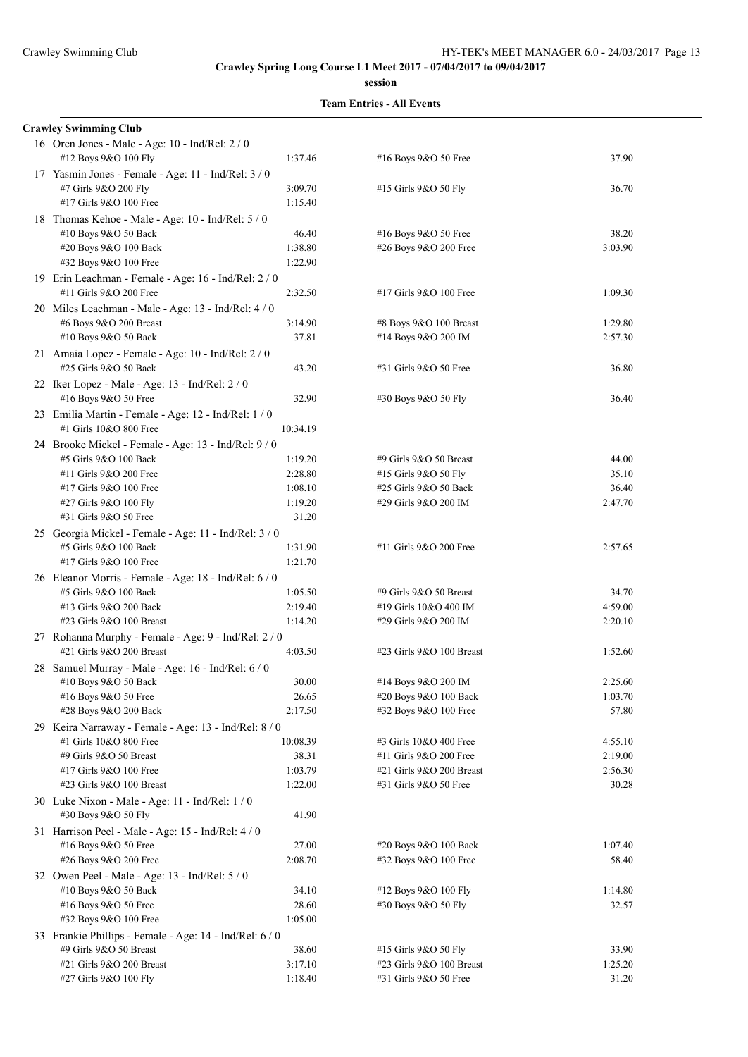**session**

| <b>Crawley Swimming Club</b>                                                   |                    |                                                 |                  |
|--------------------------------------------------------------------------------|--------------------|-------------------------------------------------|------------------|
| 16 Oren Jones - Male - Age: 10 - Ind/Rel: 2 / 0<br>#12 Boys 9&O 100 Fly        | 1:37.46            | #16 Boys 9&O 50 Free                            | 37.90            |
| 17 Yasmin Jones - Female - Age: 11 - Ind/Rel: 3 / 0<br>#7 Girls 9&O 200 Fly    | 3:09.70            | #15 Girls 9&O 50 Fly                            | 36.70            |
| #17 Girls 9&O 100 Free                                                         | 1:15.40            |                                                 |                  |
| 18 Thomas Kehoe - Male - Age: 10 - Ind/Rel: 5 / 0                              |                    |                                                 |                  |
| #10 Boys 9&O 50 Back                                                           | 46.40              | #16 Boys 9&O 50 Free                            | 38.20            |
| #20 Boys 9&O 100 Back                                                          | 1:38.80            | #26 Boys 9&O 200 Free                           | 3:03.90          |
| #32 Boys 9&O 100 Free                                                          | 1:22.90            |                                                 |                  |
| 19 Erin Leachman - Female - Age: 16 - Ind/Rel: 2 / 0<br>#11 Girls 9&O 200 Free | 2:32.50            | #17 Girls 9&O 100 Free                          | 1:09.30          |
| 20 Miles Leachman - Male - Age: 13 - Ind/Rel: 4 / 0                            |                    |                                                 |                  |
| #6 Boys 9&O 200 Breast                                                         | 3:14.90            | #8 Boys 9&O 100 Breast                          | 1:29.80          |
| #10 Boys 9&O 50 Back                                                           | 37.81              | #14 Boys 9&O 200 IM                             | 2:57.30          |
| 21 Amaia Lopez - Female - Age: 10 - Ind/Rel: 2 / 0<br>#25 Girls 9&O 50 Back    | 43.20              | #31 Girls 9&O 50 Free                           | 36.80            |
| 22 Iker Lopez - Male - Age: 13 - Ind/Rel: 2 / 0                                |                    |                                                 |                  |
| #16 Boys 9&O 50 Free                                                           | 32.90              | #30 Boys 9&O 50 Fly                             | 36.40            |
| 23 Emilia Martin - Female - Age: 12 - Ind/Rel: 1 / 0                           |                    |                                                 |                  |
| #1 Girls 10&O 800 Free                                                         | 10:34.19           |                                                 |                  |
| 24 Brooke Mickel - Female - Age: 13 - Ind/Rel: 9 / 0                           |                    |                                                 |                  |
| #5 Girls 9&O 100 Back                                                          | 1:19.20            | #9 Girls 9&O 50 Breast                          | 44.00            |
| #11 Girls 9&O 200 Free                                                         | 2:28.80            | #15 Girls 9&O 50 Fly                            | 35.10            |
| #17 Girls 9&O 100 Free                                                         | 1:08.10            | #25 Girls 9&O 50 Back                           | 36.40            |
| #27 Girls 9&O 100 Fly                                                          | 1:19.20            | #29 Girls 9&O 200 IM                            | 2:47.70          |
| #31 Girls 9&O 50 Free                                                          | 31.20              |                                                 |                  |
| 25 Georgia Mickel - Female - Age: 11 - Ind/Rel: 3 / 0                          |                    |                                                 |                  |
| #5 Girls 9&O 100 Back                                                          | 1:31.90            | #11 Girls 9&O 200 Free                          | 2:57.65          |
| #17 Girls 9&O 100 Free                                                         | 1:21.70            |                                                 |                  |
| 26 Eleanor Morris - Female - Age: 18 - Ind/Rel: 6 / 0                          |                    |                                                 |                  |
| #5 Girls 9&O 100 Back<br>#13 Girls 9&O 200 Back                                | 1:05.50<br>2:19.40 | #9 Girls 9&O 50 Breast<br>#19 Girls 10&O 400 IM | 34.70<br>4:59.00 |
| #23 Girls 9&O 100 Breast                                                       | 1:14.20            | #29 Girls 9&O 200 IM                            | 2:20.10          |
| 27 Rohanna Murphy - Female - Age: 9 - Ind/Rel: 2 / 0                           |                    |                                                 |                  |
| #21 Girls 9&O 200 Breast                                                       | 4:03.50            | #23 Girls 9&O 100 Breast                        | 1:52.60          |
| 28 Samuel Murray - Male - Age: 16 - Ind/Rel: 6 / 0                             |                    |                                                 |                  |
| $#10$ Boys 9&O 50 Back                                                         | 30.00              | #14 Boys 9&O 200 IM                             | 2:25.60          |
| #16 Boys 9&O 50 Free                                                           | 26.65              | #20 Boys 9&O 100 Back                           | 1:03.70          |
| #28 Boys 9&O 200 Back                                                          | 2:17.50            | #32 Boys 9&O 100 Free                           | 57.80            |
| 29 Keira Narraway - Female - Age: 13 - Ind/Rel: 8 / 0                          |                    |                                                 |                  |
| #1 Girls 10&O 800 Free                                                         | 10:08.39           | #3 Girls 10&O 400 Free                          | 4:55.10          |
| #9 Girls 9&O 50 Breast                                                         | 38.31              | #11 Girls 9&O 200 Free                          | 2:19.00          |
| #17 Girls 9&O 100 Free                                                         | 1:03.79            | #21 Girls 9&O 200 Breast                        | 2:56.30          |
| #23 Girls 9&O 100 Breast                                                       | 1:22.00            | #31 Girls 9&O 50 Free                           | 30.28            |
| 30 Luke Nixon - Male - Age: 11 - Ind/Rel: 1/0<br>#30 Boys 9&O 50 Fly           | 41.90              |                                                 |                  |
| 31 Harrison Peel - Male - Age: 15 - Ind/Rel: 4/0                               |                    |                                                 |                  |
| #16 Boys 9&O 50 Free                                                           | 27.00              | #20 Boys 9&O 100 Back                           | 1:07.40          |
| #26 Boys 9&O 200 Free                                                          | 2:08.70            | #32 Boys 9&O 100 Free                           | 58.40            |
| 32 Owen Peel - Male - Age: 13 - Ind/Rel: 5 / 0                                 |                    |                                                 |                  |
| #10 Boys 9&O 50 Back                                                           | 34.10              | #12 Boys 9&O 100 Fly                            | 1:14.80          |
| #16 Boys 9&O 50 Free                                                           | 28.60              | #30 Boys 9&O 50 Fly                             | 32.57            |
| #32 Boys 9&O 100 Free                                                          | 1:05.00            |                                                 |                  |
| 33 Frankie Phillips - Female - Age: 14 - Ind/Rel: 6 / 0                        |                    |                                                 |                  |
| #9 Girls 9&O 50 Breast                                                         | 38.60              | #15 Girls 9&O 50 Fly                            | 33.90            |
| #21 Girls 9&O 200 Breast                                                       | 3:17.10            | #23 Girls 9&O 100 Breast                        | 1:25.20          |
| #27 Girls 9&O 100 Fly                                                          | 1:18.40            | #31 Girls 9&O 50 Free                           | 31.20            |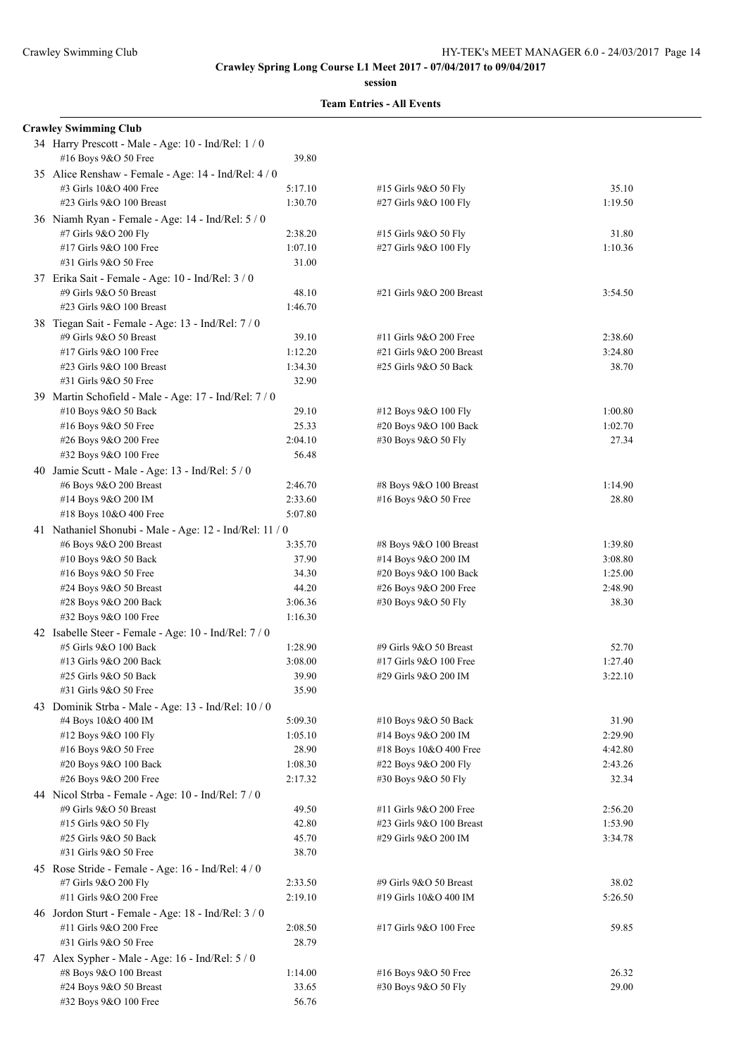**session**

| <b>Crawley Swimming Club</b>                                                |                    |                                               |                    |
|-----------------------------------------------------------------------------|--------------------|-----------------------------------------------|--------------------|
| 34 Harry Prescott - Male - Age: 10 - Ind/Rel: 1/0<br>#16 Boys 9&O 50 Free   | 39.80              |                                               |                    |
| 35 Alice Renshaw - Female - Age: 14 - Ind/Rel: 4 / 0                        |                    |                                               |                    |
| #3 Girls 10&O 400 Free                                                      | 5:17.10            | #15 Girls 9&O 50 Fly                          | 35.10              |
| #23 Girls $9&O$ 100 Breast                                                  | 1:30.70            | #27 Girls 9&O 100 Fly                         | 1:19.50            |
| 36 Niamh Ryan - Female - Age: 14 - Ind/Rel: 5 / 0                           |                    |                                               |                    |
| #7 Girls 9&O 200 Fly                                                        | 2:38.20            | #15 Girls 9&O 50 Fly                          | 31.80              |
| #17 Girls 9&O 100 Free                                                      | 1:07.10            | #27 Girls 9&O 100 Fly                         | 1:10.36            |
| #31 Girls 9&O 50 Free                                                       | 31.00              |                                               |                    |
| 37 Erika Sait - Female - Age: 10 - Ind/Rel: 3 / 0<br>#9 Girls 9&O 50 Breast | 48.10              | #21 Girls 9&O 200 Breast                      | 3:54.50            |
| #23 Girls 9&O 100 Breast                                                    | 1:46.70            |                                               |                    |
| 38 Tiegan Sait - Female - Age: 13 - Ind/Rel: 7/0                            |                    |                                               |                    |
| #9 Girls 9&O 50 Breast                                                      | 39.10              | #11 Girls 9&O 200 Free                        | 2:38.60            |
| #17 Girls 9&O 100 Free                                                      | 1:12.20            | #21 Girls 9&O 200 Breast                      | 3:24.80            |
| #23 Girls 9&O 100 Breast                                                    | 1:34.30            | #25 Girls 9&O 50 Back                         | 38.70              |
| #31 Girls 9&O 50 Free                                                       | 32.90              |                                               |                    |
| 39 Martin Schofield - Male - Age: 17 - Ind/Rel: 7 / 0                       |                    |                                               |                    |
| #10 Boys 9&O 50 Back                                                        | 29.10              | #12 Boys 9&O 100 Fly                          | 1:00.80            |
| #16 Boys 9&O 50 Free                                                        | 25.33              | #20 Boys 9&O 100 Back                         | 1:02.70            |
| #26 Boys 9&O 200 Free                                                       | 2:04.10            | #30 Boys 9&O 50 Fly                           | 27.34              |
| #32 Boys 9&O 100 Free                                                       | 56.48              |                                               |                    |
| 40 Jamie Scutt - Male - Age: 13 - Ind/Rel: 5 / 0                            |                    |                                               |                    |
| #6 Boys 9&O 200 Breast                                                      | 2:46.70            | #8 Boys 9&O 100 Breast                        | 1:14.90            |
| #14 Boys 9&O 200 IM                                                         | 2:33.60            | #16 Boys 9&O 50 Free                          | 28.80              |
| #18 Boys 10&O 400 Free                                                      | 5:07.80            |                                               |                    |
| 41 Nathaniel Shonubi - Male - Age: 12 - Ind/Rel: 11 / 0                     |                    |                                               |                    |
| #6 Boys 9&O 200 Breast<br>#10 Boys 9&O 50 Back                              | 3:35.70<br>37.90   | #8 Boys 9&O 100 Breast<br>#14 Boys 9&O 200 IM | 1:39.80<br>3:08.80 |
| #16 Boys $9&O 50$ Free                                                      | 34.30              | #20 Boys 9&O 100 Back                         | 1:25.00            |
| #24 Boys 9&O 50 Breast                                                      | 44.20              | #26 Boys 9&O 200 Free                         | 2:48.90            |
| #28 Boys 9&O 200 Back                                                       | 3:06.36            | #30 Boys 9&O 50 Fly                           | 38.30              |
| #32 Boys 9&O 100 Free                                                       | 1:16.30            |                                               |                    |
| 42 Isabelle Steer - Female - Age: 10 - Ind/Rel: 7 / 0                       |                    |                                               |                    |
| #5 Girls 9&O 100 Back                                                       | 1:28.90            | #9 Girls 9&O 50 Breast                        | 52.70              |
| #13 Girls 9&O 200 Back                                                      | 3:08.00            | #17 Girls 9&O 100 Free                        | 1:27.40            |
| #25 Girls 9&O 50 Back                                                       | 39.90              | #29 Girls 9&O 200 IM                          | 3:22.10            |
| #31 Girls 9&O 50 Free                                                       | 35.90              |                                               |                    |
| 43 Dominik Strba - Male - Age: 13 - Ind/Rel: 10 / 0                         |                    |                                               |                    |
| #4 Boys 10&O 400 IM                                                         | 5:09.30            | #10 Boys 9&O 50 Back                          | 31.90              |
| #12 Boys 9&O 100 Fly                                                        | 1:05.10            | #14 Boys 9&O 200 IM                           | 2:29.90            |
| #16 Boys 9&O 50 Free                                                        | 28.90              | #18 Boys 10&O 400 Free                        | 4:42.80            |
| #20 Boys 9&O 100 Back<br>#26 Boys 9&O 200 Free                              | 1:08.30<br>2:17.32 | #22 Boys 9&O 200 Fly<br>#30 Boys 9&O 50 Fly   | 2:43.26<br>32.34   |
|                                                                             |                    |                                               |                    |
| 44 Nicol Strba - Female - Age: 10 - Ind/Rel: 7/0<br>#9 Girls 9&O 50 Breast  | 49.50              | #11 Girls 9&O 200 Free                        | 2:56.20            |
| #15 Girls 9&O 50 Fly                                                        | 42.80              | #23 Girls 9&O 100 Breast                      | 1:53.90            |
| #25 Girls 9&O 50 Back                                                       | 45.70              | #29 Girls 9&O 200 IM                          | 3:34.78            |
| #31 Girls 9&O 50 Free                                                       | 38.70              |                                               |                    |
| 45 Rose Stride - Female - Age: 16 - Ind/Rel: 4 / 0                          |                    |                                               |                    |
| #7 Girls 9&O 200 Fly                                                        | 2:33.50            | #9 Girls 9&O 50 Breast                        | 38.02              |
| #11 Girls 9&O 200 Free                                                      | 2:19.10            | #19 Girls 10&O 400 IM                         | 5:26.50            |
| 46 Jordon Sturt - Female - Age: 18 - Ind/Rel: 3 / 0                         |                    |                                               |                    |
| #11 Girls 9&O 200 Free                                                      | 2:08.50            | #17 Girls 9&O 100 Free                        | 59.85              |
| #31 Girls 9&O 50 Free                                                       | 28.79              |                                               |                    |
| 47 Alex Sypher - Male - Age: 16 - Ind/Rel: 5 / 0                            |                    |                                               |                    |
| #8 Boys 9&O 100 Breast                                                      | 1:14.00            | #16 Boys 9&O 50 Free                          | 26.32              |
| #24 Boys 9&O 50 Breast                                                      | 33.65              | #30 Boys 9&O 50 Fly                           | 29.00              |
| #32 Boys 9&O 100 Free                                                       | 56.76              |                                               |                    |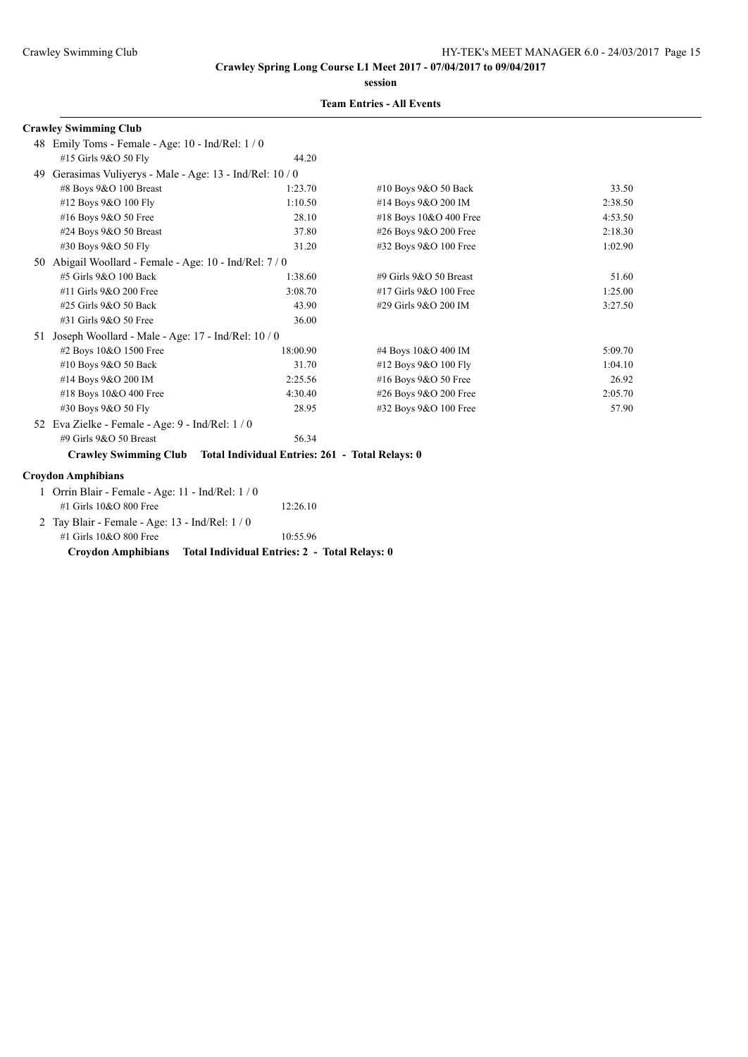**session**

## **Team Entries - All Events**

#### **Crawley Swimming Club**

|    | 48 Emily Toms - Female - Age: 10 - Ind/Rel: 1/0         |                                                                       |                        |         |
|----|---------------------------------------------------------|-----------------------------------------------------------------------|------------------------|---------|
|    | #15 Girls 9&O 50 Fly                                    | 44.20                                                                 |                        |         |
| 49 | Gerasimas Vuliyerys - Male - Age: 13 - Ind/Rel: 10 / 0  |                                                                       |                        |         |
|    | #8 Boys 9&O 100 Breast                                  | 1:23.70                                                               | #10 Boys $9&O 50$ Back | 33.50   |
|    | #12 Boys 9&O 100 Fly                                    | 1:10.50                                                               | #14 Boys 9&O 200 IM    | 2:38.50 |
|    | #16 Boys 9&O 50 Free                                    | 28.10                                                                 | #18 Boys 10&O 400 Free | 4:53.50 |
|    | #24 Boys 9&O 50 Breast                                  | 37.80                                                                 | #26 Boys 9&O 200 Free  | 2:18.30 |
|    | #30 Boys 9&O 50 Fly                                     | 31.20                                                                 | #32 Boys 9&O 100 Free  | 1:02.90 |
|    | 50 Abigail Woollard - Female - Age: 10 - Ind/Rel: 7 / 0 |                                                                       |                        |         |
|    | #5 Girls 9&O 100 Back                                   | 1:38.60                                                               | #9 Girls 9&O 50 Breast | 51.60   |
|    | #11 Girls 9&O 200 Free                                  | 3:08.70                                                               | #17 Girls 9&O 100 Free | 1:25.00 |
|    | #25 Girls 9&O 50 Back                                   | 43.90                                                                 | #29 Girls 9&O 200 IM   | 3:27.50 |
|    | #31 Girls 9&O 50 Free                                   | 36.00                                                                 |                        |         |
| 51 | Joseph Woollard - Male - Age: 17 - Ind/Rel: 10 / 0      |                                                                       |                        |         |
|    | #2 Boys 10&O 1500 Free                                  | 18:00.90                                                              | #4 Boys 10&O 400 IM    | 5:09.70 |
|    | #10 Boys 9&O 50 Back                                    | 31.70                                                                 | #12 Boys 9&O 100 Fly   | 1:04.10 |
|    | #14 Boys 9&O 200 IM                                     | 2:25.56                                                               | #16 Boys 9&O 50 Free   | 26.92   |
|    | #18 Boys 10&O 400 Free                                  | 4:30.40                                                               | #26 Boys 9&O 200 Free  | 2:05.70 |
|    | #30 Boys 9&O 50 Fly                                     | 28.95                                                                 | #32 Boys 9&O 100 Free  | 57.90   |
|    | 52 Eva Zielke - Female - Age: 9 - Ind/Rel: 1 / 0        |                                                                       |                        |         |
|    | #9 Girls 9&O 50 Breast                                  | 56.34                                                                 |                        |         |
|    |                                                         | Crawley Swimming Club Total Individual Entries: 261 - Total Relays: 0 |                        |         |
|    | <b>Croydon Amphibians</b>                               |                                                                       |                        |         |
|    | Orrin Blair - Female - Age: 11 - Ind/Rel: 1 / 0         |                                                                       |                        |         |
|    | #1 Girls 10&O 800 Free                                  | 12:26.10                                                              |                        |         |

 2 Tay Blair - Female - Age: 13 - Ind/Rel: 1 / 0 #1 Girls 10&O 800 Free 10:55.96

**Croydon Amphibians Total Individual Entries: 2 - Total Relays: 0**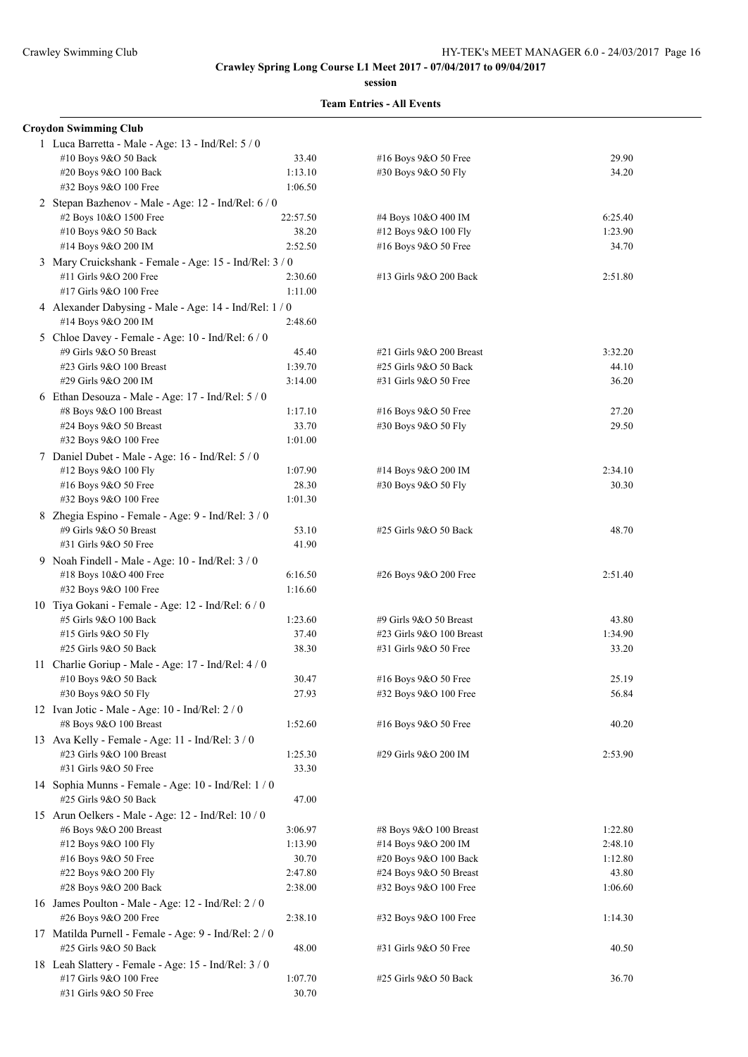**session**

| <b>Croydon Swimming Club</b>                           |          |                          |         |
|--------------------------------------------------------|----------|--------------------------|---------|
| 1 Luca Barretta - Male - Age: 13 - Ind/Rel: 5 / 0      |          |                          |         |
| #10 Boys 9&O 50 Back                                   | 33.40    | #16 Boys 9&O 50 Free     | 29.90   |
| #20 Boys 9&O 100 Back                                  | 1:13.10  | #30 Boys 9&O 50 Fly      | 34.20   |
| #32 Boys 9&O 100 Free                                  | 1:06.50  |                          |         |
| 2 Stepan Bazhenov - Male - Age: 12 - Ind/Rel: 6 / 0    |          |                          |         |
| #2 Boys 10&O 1500 Free                                 | 22:57.50 | #4 Boys 10&O 400 IM      | 6:25.40 |
| #10 Boys 9&O 50 Back                                   | 38.20    | #12 Boys 9&O 100 Fly     | 1:23.90 |
| #14 Boys 9&O 200 IM                                    | 2:52.50  | #16 Boys 9&O 50 Free     | 34.70   |
|                                                        |          |                          |         |
| 3 Mary Cruickshank - Female - Age: 15 - Ind/Rel: 3 / 0 |          |                          |         |
| #11 Girls 9&O 200 Free<br>#17 Girls 9&O 100 Free       | 2:30.60  | #13 Girls 9&O 200 Back   | 2:51.80 |
|                                                        | 1:11.00  |                          |         |
| 4 Alexander Dabysing - Male - Age: 14 - Ind/Rel: 1 / 0 |          |                          |         |
| #14 Boys 9&O 200 IM                                    | 2:48.60  |                          |         |
| 5 Chloe Davey - Female - Age: 10 - Ind/Rel: 6 / 0      |          |                          |         |
| #9 Girls 9&O 50 Breast                                 | 45.40    | #21 Girls 9&O 200 Breast | 3:32.20 |
| #23 Girls 9&O 100 Breast                               | 1:39.70  | #25 Girls 9&O 50 Back    | 44.10   |
| #29 Girls 9&O 200 IM                                   | 3:14.00  | #31 Girls 9&O 50 Free    | 36.20   |
| 6 Ethan Desouza - Male - Age: 17 - Ind/Rel: 5 / 0      |          |                          |         |
| #8 Boys 9&O 100 Breast                                 | 1:17.10  | #16 Boys 9&O 50 Free     | 27.20   |
| #24 Boys 9&O 50 Breast                                 | 33.70    | #30 Boys 9&O 50 Fly      | 29.50   |
| #32 Boys 9&O 100 Free                                  | 1:01.00  |                          |         |
| 7 Daniel Dubet - Male - Age: 16 - Ind/Rel: 5 / 0       |          |                          |         |
| #12 Boys 9&O 100 Fly                                   | 1:07.90  | #14 Boys 9&O 200 IM      | 2:34.10 |
| #16 Boys 9&O 50 Free                                   | 28.30    | #30 Boys 9&O 50 Fly      | 30.30   |
| $\#32$ Boys 9&O 100 Free                               | 1:01.30  |                          |         |
| 8 Zhegia Espino - Female - Age: 9 - Ind/Rel: 3 / 0     |          |                          |         |
| #9 Girls 9&O 50 Breast                                 | 53.10    | #25 Girls 9&O 50 Back    | 48.70   |
| #31 Girls 9&O 50 Free                                  | 41.90    |                          |         |
|                                                        |          |                          |         |
| 9 Noah Findell - Male - Age: 10 - Ind/Rel: 3 / 0       |          |                          |         |
| #18 Boys 10&O 400 Free                                 | 6:16.50  | #26 Boys 9&O 200 Free    | 2:51.40 |
| #32 Boys 9&O 100 Free                                  | 1:16.60  |                          |         |
| 10 Tiya Gokani - Female - Age: 12 - Ind/Rel: 6 / 0     |          |                          |         |
| #5 Girls 9&O 100 Back                                  | 1:23.60  | #9 Girls 9&O 50 Breast   | 43.80   |
| #15 Girls 9&O 50 Fly                                   | 37.40    | #23 Girls 9&O 100 Breast | 1:34.90 |
| #25 Girls 9&O 50 Back                                  | 38.30    | #31 Girls 9&O 50 Free    | 33.20   |
| 11 Charlie Goriup - Male - Age: 17 - Ind/Rel: 4/0      |          |                          |         |
| #10 Boys 9&O 50 Back                                   | 30.47    | #16 Boys 9&O 50 Free     | 25.19   |
| #30 Boys 9&O 50 Fly                                    | 27.93    | #32 Boys 9&O 100 Free    | 56.84   |
| 12 Ivan Jotic - Male - Age: 10 - Ind/Rel: 2 / 0        |          |                          |         |
| #8 Boys 9&O 100 Breast                                 | 1:52.60  | #16 Boys 9&O 50 Free     | 40.20   |
| 13 Ava Kelly - Female - Age: 11 - Ind/Rel: 3 / 0       |          |                          |         |
| #23 Girls 9&O 100 Breast                               | 1:25.30  | #29 Girls 9&O 200 IM     | 2:53.90 |
| #31 Girls 9&O 50 Free                                  | 33.30    |                          |         |
| 14 Sophia Munns - Female - Age: 10 - Ind/Rel: 1 / 0    |          |                          |         |
| #25 Girls 9&O 50 Back                                  | 47.00    |                          |         |
| 15 Arun Oelkers - Male - Age: 12 - Ind/Rel: 10 / 0     |          |                          |         |
| #6 Boys 9&O 200 Breast                                 | 3:06.97  | #8 Boys 9&O 100 Breast   | 1:22.80 |
|                                                        | 1:13.90  |                          |         |
| #12 Boys 9&O 100 Fly                                   |          | #14 Boys 9&O 200 IM      | 2:48.10 |
| #16 Boys 9&O 50 Free                                   | 30.70    | #20 Boys 9&O 100 Back    | 1:12.80 |
| #22 Boys 9&O 200 Fly                                   | 2:47.80  | #24 Boys 9&O 50 Breast   | 43.80   |
| #28 Boys 9&O 200 Back                                  | 2:38.00  | #32 Boys 9&O 100 Free    | 1:06.60 |
| 16 James Poulton - Male - Age: 12 - Ind/Rel: 2 / 0     |          |                          |         |
| #26 Boys 9&O 200 Free                                  | 2:38.10  | #32 Boys 9&O 100 Free    | 1:14.30 |
| 17 Matilda Purnell - Female - Age: 9 - Ind/Rel: 2 / 0  |          |                          |         |
| #25 Girls 9&O 50 Back                                  | 48.00    | #31 Girls 9&O 50 Free    | 40.50   |
| 18 Leah Slattery - Female - Age: 15 - Ind/Rel: 3/0     |          |                          |         |
| #17 Girls 9&O 100 Free                                 | 1:07.70  | #25 Girls 9&O 50 Back    | 36.70   |
| #31 Girls 9&O 50 Free                                  | 30.70    |                          |         |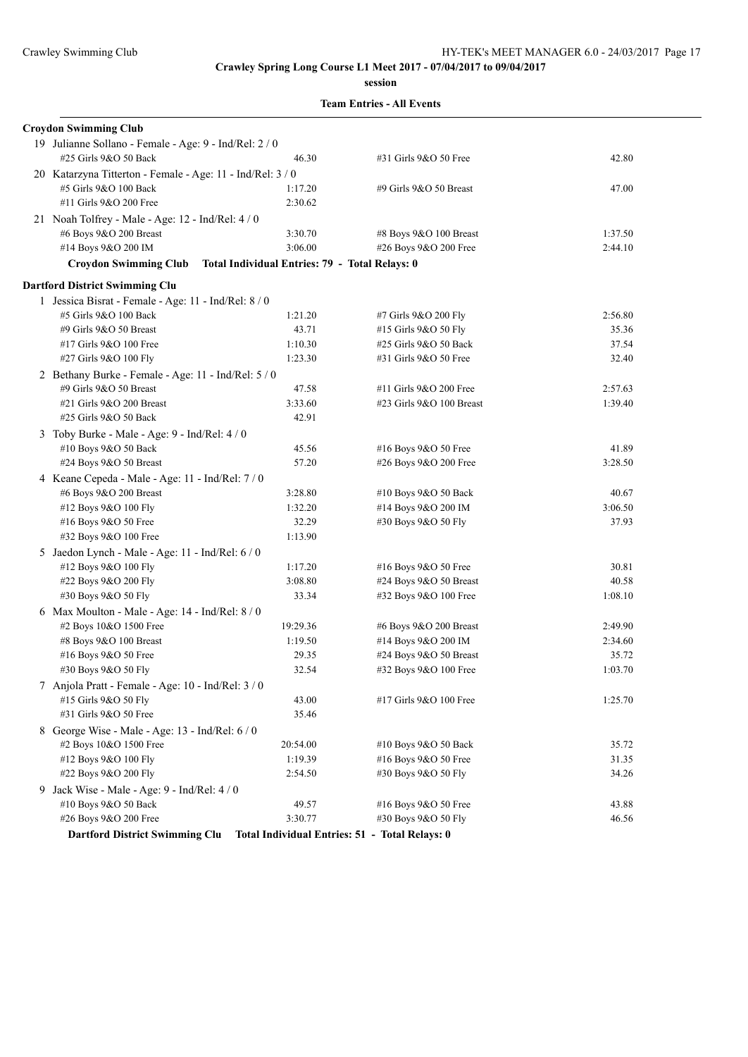**session**

|  | <b>Team Entries - All Events</b> |  |  |
|--|----------------------------------|--|--|
|--|----------------------------------|--|--|

| <b>Croydon Swimming Club</b>                               |                                                       |                            |         |
|------------------------------------------------------------|-------------------------------------------------------|----------------------------|---------|
| 19 Julianne Sollano - Female - Age: 9 - Ind/Rel: 2 / 0     |                                                       |                            |         |
| #25 Girls 9&O 50 Back                                      | 46.30                                                 | #31 Girls 9&O 50 Free      | 42.80   |
| 20 Katarzyna Titterton - Female - Age: 11 - Ind/Rel: 3 / 0 |                                                       |                            |         |
| #5 Girls 9&O 100 Back                                      | 1:17.20                                               | #9 Girls $9&O$ 50 Breast   | 47.00   |
| #11 Girls 9&O 200 Free                                     | 2:30.62                                               |                            |         |
| 21 Noah Tolfrey - Male - Age: 12 - Ind/Rel: 4/0            |                                                       |                            |         |
| #6 Boys 9&O 200 Breast                                     | 3:30.70                                               | #8 Boys 9&O 100 Breast     | 1:37.50 |
| #14 Boys 9&O 200 IM                                        | 3:06.00                                               | #26 Boys 9&O 200 Free      | 2:44.10 |
| <b>Croydon Swimming Club</b>                               | <b>Total Individual Entries: 79 - Total Relays: 0</b> |                            |         |
|                                                            |                                                       |                            |         |
| <b>Dartford District Swimming Clu</b>                      |                                                       |                            |         |
| 1 Jessica Bisrat - Female - Age: 11 - Ind/Rel: 8 / 0       |                                                       |                            |         |
| #5 Girls 9&O 100 Back                                      | 1:21.20                                               | #7 Girls 9&O 200 Fly       | 2:56.80 |
| #9 Girls 9&O 50 Breast                                     | 43.71                                                 | #15 Girls 9&O 50 Fly       | 35.36   |
| #17 Girls 9&O 100 Free                                     | 1:10.30                                               | #25 Girls 9&O 50 Back      | 37.54   |
| #27 Girls 9&O 100 Fly                                      | 1:23.30                                               | #31 Girls 9&O 50 Free      | 32.40   |
| 2 Bethany Burke - Female - Age: 11 - Ind/Rel: 5 / 0        |                                                       |                            |         |
| #9 Girls 9&O 50 Breast                                     | 47.58                                                 | #11 Girls 9&O 200 Free     | 2:57.63 |
| #21 Girls 9&O 200 Breast                                   | 3:33.60                                               | #23 Girls 9&O 100 Breast   | 1:39.40 |
| #25 Girls 9&O 50 Back                                      | 42.91                                                 |                            |         |
| 3 Toby Burke - Male - Age: 9 - Ind/Rel: 4 / 0              |                                                       |                            |         |
| #10 Boys 9&O 50 Back                                       | 45.56                                                 | #16 Boys 9&O 50 Free       | 41.89   |
| #24 Boys 9&O 50 Breast                                     | 57.20                                                 | #26 Boys 9&O 200 Free      | 3:28.50 |
| 4 Keane Cepeda - Male - Age: 11 - Ind/Rel: 7/0             |                                                       |                            |         |
| #6 Boys 9&O 200 Breast                                     | 3:28.80                                               | #10 Boys 9&O 50 Back       | 40.67   |
| #12 Boys 9&O 100 Fly                                       | 1:32.20                                               | #14 Boys 9&O 200 IM        | 3:06.50 |
| #16 Boys 9&O 50 Free                                       | 32.29                                                 | #30 Boys 9&O 50 Fly        | 37.93   |
| #32 Boys 9&O 100 Free                                      | 1:13.90                                               |                            |         |
| 5 Jaedon Lynch - Male - Age: $11$ - Ind/Rel: $6/0$         |                                                       |                            |         |
| #12 Boys 9&O 100 Fly                                       | 1:17.20                                               | #16 Boys 9&O 50 Free       | 30.81   |
| #22 Boys 9&O 200 Fly                                       | 3:08.80                                               | $#24$ Boys $9&O$ 50 Breast | 40.58   |
| #30 Boys 9&O 50 Fly                                        | 33.34                                                 | #32 Boys 9&O 100 Free      | 1:08.10 |
| 6 Max Moulton - Male - Age: 14 - Ind/Rel: 8 / 0            |                                                       |                            |         |
| #2 Boys 10&O 1500 Free                                     | 19:29.36                                              | #6 Boys 9&O 200 Breast     | 2:49.90 |
| #8 Boys 9&O 100 Breast                                     | 1:19.50                                               | #14 Boys 9&O 200 IM        | 2:34.60 |
| #16 Boys 9&O 50 Free                                       | 29.35                                                 | #24 Boys 9&O 50 Breast     | 35.72   |
| #30 Boys 9&O 50 Fly                                        | 32.54                                                 | #32 Boys 9&O 100 Free      | 1:03.70 |
| 7 Anjola Pratt - Female - Age: 10 - Ind/Rel: 3 / 0         |                                                       |                            |         |
| #15 Girls 9&O 50 Fly                                       | 43.00                                                 | #17 Girls 9&O 100 Free     | 1:25.70 |
| #31 Girls 9&O 50 Free                                      | 35.46                                                 |                            |         |
| 8 George Wise - Male - Age: 13 - Ind/Rel: 6 / 0            |                                                       |                            |         |
| #2 Boys 10&O 1500 Free                                     | 20:54.00                                              | #10 Boys 9&O 50 Back       | 35.72   |
| #12 Boys 9&O 100 Fly                                       | 1:19.39                                               | #16 Boys 9&O 50 Free       | 31.35   |
| #22 Boys 9&O 200 Fly                                       | 2:54.50                                               | #30 Boys 9&O 50 Fly        | 34.26   |
| 9 Jack Wise - Male - Age: 9 - Ind/Rel: 4 / 0               |                                                       |                            |         |
| #10 Boys 9&O 50 Back                                       | 49.57                                                 | #16 Boys 9&O 50 Free       | 43.88   |
| #26 Boys 9&O 200 Free                                      | 3:30.77                                               | #30 Boys 9&O 50 Fly        | 46.56   |
| <b>Dartford District Swimming Clu</b>                      | Total Individual Entries: 51 - Total Relays: 0        |                            |         |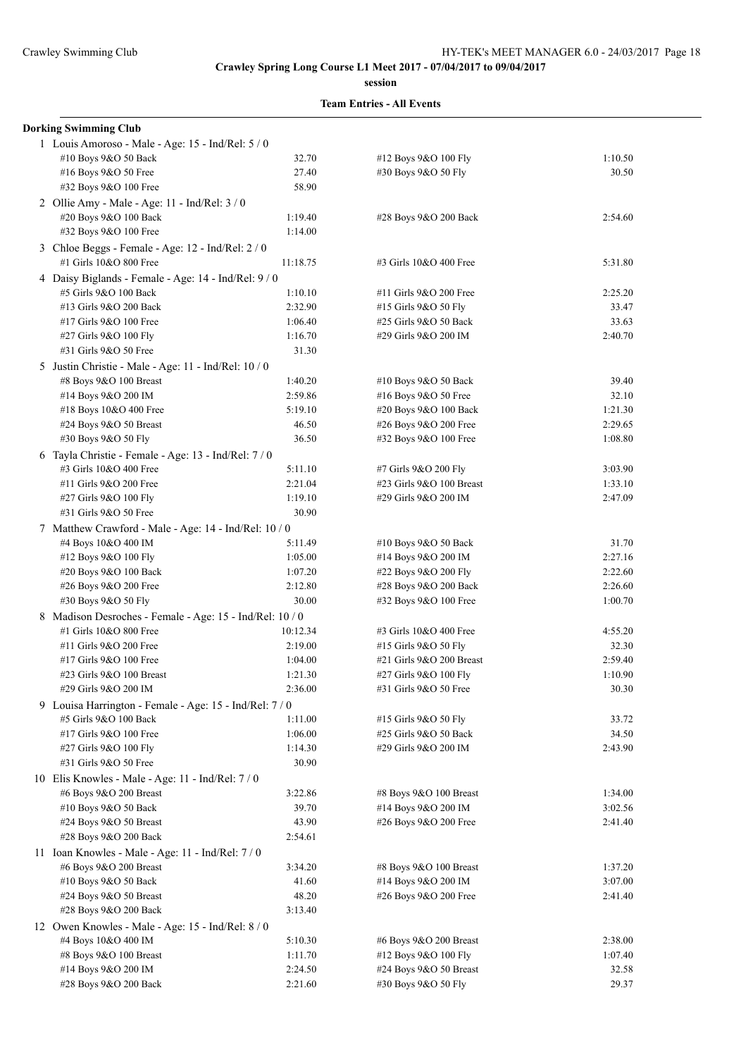**session**

| <b>Dorking Swimming Club</b>                                                |          |                          |         |
|-----------------------------------------------------------------------------|----------|--------------------------|---------|
| 1 Louis Amoroso - Male - Age: 15 - Ind/Rel: 5 / 0                           |          |                          |         |
| #10 Boys 9&O 50 Back                                                        | 32.70    | #12 Boys 9&O 100 Fly     | 1:10.50 |
| #16 Boys 9&O 50 Free                                                        | 27.40    | #30 Boys 9&O 50 Fly      | 30.50   |
| #32 Boys 9&O 100 Free                                                       | 58.90    |                          |         |
| 2 Ollie Amy - Male - Age: 11 - Ind/Rel: 3 / 0                               |          |                          |         |
| #20 Boys 9&O 100 Back                                                       | 1:19.40  | #28 Boys 9&O 200 Back    | 2:54.60 |
| #32 Boys 9&O 100 Free                                                       | 1:14.00  |                          |         |
|                                                                             |          |                          |         |
| 3 Chloe Beggs - Female - Age: 12 - Ind/Rel: 2 / 0<br>#1 Girls 10&O 800 Free | 11:18.75 | #3 Girls 10&O 400 Free   | 5:31.80 |
|                                                                             |          |                          |         |
| 4 Daisy Biglands - Female - Age: 14 - Ind/Rel: 9 / 0                        |          |                          |         |
| #5 Girls 9&O 100 Back                                                       | 1:10.10  | #11 Girls 9&O 200 Free   | 2:25.20 |
| #13 Girls 9&O 200 Back                                                      | 2:32.90  | #15 Girls 9&O 50 Fly     | 33.47   |
| #17 Girls 9&O 100 Free                                                      | 1:06.40  | #25 Girls 9&O 50 Back    | 33.63   |
| #27 Girls 9&O 100 Fly                                                       | 1:16.70  | #29 Girls 9&O 200 IM     | 2:40.70 |
| #31 Girls 9&O 50 Free                                                       | 31.30    |                          |         |
| 5 Justin Christie - Male - Age: 11 - Ind/Rel: 10 / 0                        |          |                          |         |
| #8 Boys 9&O 100 Breast                                                      | 1:40.20  | #10 Boys 9&O 50 Back     | 39.40   |
| #14 Boys 9&O 200 IM                                                         | 2:59.86  | #16 Boys 9&O 50 Free     | 32.10   |
| #18 Boys 10&O 400 Free                                                      | 5:19.10  | #20 Boys 9&O 100 Back    | 1:21.30 |
| #24 Boys 9&O 50 Breast                                                      | 46.50    | #26 Boys 9&O 200 Free    | 2:29.65 |
| #30 Boys 9&O 50 Fly                                                         | 36.50    | #32 Boys 9&O 100 Free    | 1:08.80 |
| 6 Tayla Christie - Female - Age: 13 - Ind/Rel: 7/0                          |          |                          |         |
| #3 Girls 10&O 400 Free                                                      | 5:11.10  | #7 Girls 9&O 200 Fly     | 3:03.90 |
| #11 Girls 9&O 200 Free                                                      | 2:21.04  | #23 Girls 9&O 100 Breast | 1:33.10 |
| #27 Girls 9&O 100 Fly                                                       | 1:19.10  | #29 Girls 9&O 200 IM     | 2:47.09 |
| #31 Girls 9&O 50 Free                                                       | 30.90    |                          |         |
| 7 Matthew Crawford - Male - Age: 14 - Ind/Rel: 10 / 0                       |          |                          |         |
| #4 Boys 10&O 400 IM                                                         | 5:11.49  | #10 Boys 9&O 50 Back     | 31.70   |
| #12 Boys 9&O 100 Fly                                                        | 1:05.00  | #14 Boys 9&O 200 IM      | 2:27.16 |
| #20 Boys 9&O 100 Back                                                       | 1:07.20  | #22 Boys 9&O 200 Fly     | 2:22.60 |
| #26 Boys 9&O 200 Free                                                       | 2:12.80  | #28 Boys 9&O 200 Back    | 2:26.60 |
| #30 Boys 9&O 50 Fly                                                         | 30.00    | #32 Boys 9&O 100 Free    | 1:00.70 |
| 8 Madison Desroches - Female - Age: 15 - Ind/Rel: 10 / 0                    |          |                          |         |
| #1 Girls 10&O 800 Free                                                      | 10:12.34 | #3 Girls 10&O 400 Free   | 4:55.20 |
| #11 Girls 9&O 200 Free                                                      | 2:19.00  | #15 Girls 9&O 50 Fly     | 32.30   |
| #17 Girls 9&O 100 Free                                                      | 1:04.00  | #21 Girls 9&O 200 Breast | 2:59.40 |
| #23 Girls 9&O 100 Breast                                                    | 1:21.30  | #27 Girls 9&O 100 Fly    | 1:10.90 |
| #29 Girls 9&O 200 IM                                                        | 2:36.00  | #31 Girls 9&O 50 Free    | 30.30   |
|                                                                             |          |                          |         |
| 9 Louisa Harrington - Female - Age: 15 - Ind/Rel: 7/0                       |          |                          |         |
| #5 Girls 9&O 100 Back                                                       | 1:11.00  | #15 Girls 9&O 50 Fly     | 33.72   |
| #17 Girls 9&O 100 Free                                                      | 1:06.00  | #25 Girls 9&O 50 Back    | 34.50   |
| #27 Girls 9&O 100 Fly                                                       | 1:14.30  | #29 Girls 9&O 200 IM     | 2:43.90 |
| #31 Girls 9&O 50 Free                                                       | 30.90    |                          |         |
| 10 Elis Knowles - Male - Age: 11 - Ind/Rel: 7/0                             |          |                          |         |
| #6 Boys 9&O 200 Breast                                                      | 3:22.86  | #8 Boys 9&O 100 Breast   | 1:34.00 |
| #10 Boys 9&O 50 Back                                                        | 39.70    | #14 Boys 9&O 200 IM      | 3:02.56 |
| #24 Boys 9&O 50 Breast                                                      | 43.90    | #26 Boys 9&O 200 Free    | 2:41.40 |
| #28 Boys 9&O 200 Back                                                       | 2:54.61  |                          |         |
| 11 Ioan Knowles - Male - Age: 11 - Ind/Rel: $7/0$                           |          |                          |         |
| #6 Boys 9&O 200 Breast                                                      | 3:34.20  | #8 Boys 9&O 100 Breast   | 1:37.20 |
| #10 Boys 9&O 50 Back                                                        | 41.60    | #14 Boys 9&O 200 IM      | 3:07.00 |
| #24 Boys 9&O 50 Breast                                                      | 48.20    | #26 Boys 9&O 200 Free    | 2:41.40 |
| #28 Boys 9&O 200 Back                                                       | 3:13.40  |                          |         |
| 12 Owen Knowles - Male - Age: 15 - Ind/Rel: 8 / 0                           |          |                          |         |
| #4 Boys 10&O 400 IM                                                         | 5:10.30  | #6 Boys 9&O 200 Breast   | 2:38.00 |
| #8 Boys 9&O 100 Breast                                                      | 1:11.70  | #12 Boys 9&O 100 Fly     | 1:07.40 |
| #14 Boys 9&O 200 IM                                                         | 2:24.50  | #24 Boys 9&O 50 Breast   | 32.58   |
| #28 Boys 9&O 200 Back                                                       | 2:21.60  | #30 Boys 9&O 50 Fly      | 29.37   |
|                                                                             |          |                          |         |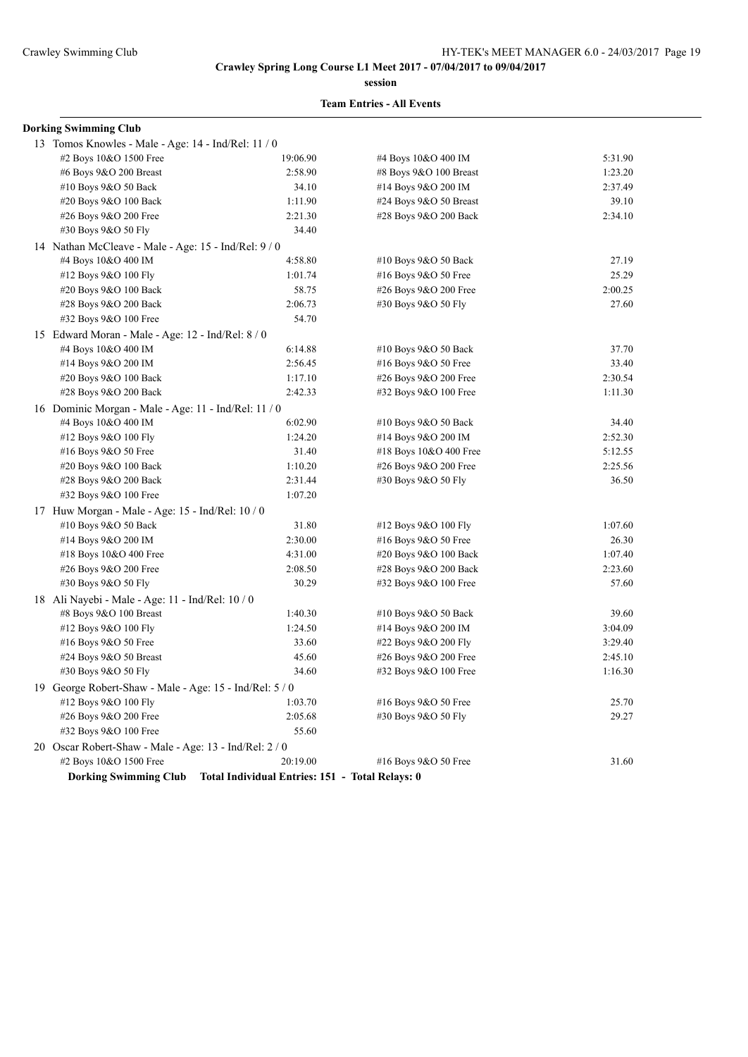**session**

| <b>Dorking Swimming Club</b>                            |                                                 |                           |         |
|---------------------------------------------------------|-------------------------------------------------|---------------------------|---------|
| 13 Tomos Knowles - Male - Age: 14 - Ind/Rel: 11 / 0     |                                                 |                           |         |
| #2 Boys 10&O 1500 Free                                  | 19:06.90                                        | #4 Boys 10&O 400 IM       | 5:31.90 |
| #6 Boys 9&O 200 Breast                                  | 2:58.90                                         | #8 Boys 9&O 100 Breast    | 1:23.20 |
| #10 Boys 9&O 50 Back                                    | 34.10                                           | #14 Boys 9&O 200 IM       | 2:37.49 |
| #20 Boys 9&O 100 Back                                   | 1:11.90                                         | $\#24$ Boys 9&O 50 Breast | 39.10   |
| #26 Boys 9&O 200 Free                                   | 2:21.30                                         | #28 Boys 9&O 200 Back     | 2:34.10 |
| #30 Boys 9&O 50 Fly                                     | 34.40                                           |                           |         |
| 14 Nathan McCleave - Male - Age: 15 - Ind/Rel: 9/0      |                                                 |                           |         |
| #4 Boys 10&O 400 IM                                     | 4:58.80                                         | #10 Boys 9&O 50 Back      | 27.19   |
| #12 Boys 9&O 100 Fly                                    | 1:01.74                                         | #16 Boys 9&O 50 Free      | 25.29   |
| #20 Boys 9&O 100 Back                                   | 58.75                                           | #26 Boys 9&O 200 Free     | 2:00.25 |
| #28 Boys 9&O 200 Back                                   | 2:06.73                                         | #30 Boys 9&O 50 Fly       | 27.60   |
| #32 Boys 9&O 100 Free                                   | 54.70                                           |                           |         |
| 15 Edward Moran - Male - Age: 12 - Ind/Rel: 8 / 0       |                                                 |                           |         |
| #4 Boys 10&O 400 IM                                     | 6:14.88                                         | #10 Boys $9&O 50$ Back    | 37.70   |
| #14 Boys 9&O 200 IM                                     | 2:56.45                                         | #16 Boys 9&O 50 Free      | 33.40   |
| #20 Boys 9&O 100 Back                                   | 1:17.10                                         | #26 Boys 9&O 200 Free     | 2:30.54 |
| #28 Boys 9&O 200 Back                                   | 2:42.33                                         | #32 Boys 9&O 100 Free     | 1:11.30 |
| 16 Dominic Morgan - Male - Age: 11 - Ind/Rel: 11 / 0    |                                                 |                           |         |
| #4 Boys 10&O 400 IM                                     | 6:02.90                                         | #10 Boys 9&O 50 Back      | 34.40   |
| #12 Boys 9&O 100 Fly                                    | 1:24.20                                         | #14 Boys 9&O 200 IM       | 2:52.30 |
| #16 Boys 9&O 50 Free                                    | 31.40                                           | #18 Boys 10&O 400 Free    | 5:12.55 |
| #20 Boys 9&O 100 Back                                   | 1:10.20                                         | #26 Boys 9&O 200 Free     | 2:25.56 |
| #28 Boys 9&O 200 Back                                   | 2:31.44                                         | #30 Boys 9&O 50 Fly       | 36.50   |
| #32 Boys 9&O 100 Free                                   | 1:07.20                                         |                           |         |
| 17 Huw Morgan - Male - Age: 15 - Ind/Rel: $10/0$        |                                                 |                           |         |
| #10 Boys 9&O 50 Back                                    | 31.80                                           | #12 Boys 9&O 100 Fly      | 1:07.60 |
| #14 Boys 9&O 200 IM                                     | 2:30.00                                         | #16 Boys 9&O 50 Free      | 26.30   |
| #18 Boys 10&O 400 Free                                  | 4:31.00                                         | #20 Boys 9&O 100 Back     | 1:07.40 |
| #26 Boys 9&O 200 Free                                   | 2:08.50                                         | #28 Boys 9&O 200 Back     | 2:23.60 |
| #30 Boys 9&O 50 Fly                                     | 30.29                                           | #32 Boys 9&O 100 Free     | 57.60   |
| 18 Ali Nayebi - Male - Age: 11 - Ind/Rel: 10 / 0        |                                                 |                           |         |
| #8 Boys 9&O 100 Breast                                  | 1:40.30                                         | #10 Boys 9&O 50 Back      | 39.60   |
| #12 Boys 9&O 100 Fly                                    | 1:24.50                                         | #14 Boys 9&O 200 IM       | 3:04.09 |
| #16 Boys 9&O 50 Free                                    | 33.60                                           | #22 Boys 9&O 200 Fly      | 3:29.40 |
| #24 Boys 9&O 50 Breast                                  | 45.60                                           | #26 Boys 9&O 200 Free     | 2:45.10 |
| #30 Boys 9&O 50 Fly                                     | 34.60                                           | #32 Boys 9&O 100 Free     | 1:16.30 |
| 19 George Robert-Shaw - Male - Age: 15 - Ind/Rel: 5 / 0 |                                                 |                           |         |
| #12 Boys 9&O 100 Fly                                    | 1:03.70                                         | #16 Boys 9&O 50 Free      | 25.70   |
| #26 Boys 9&O 200 Free                                   | 2:05.68                                         | #30 Boys 9&O 50 Fly       | 29.27   |
| #32 Boys 9&O 100 Free                                   | 55.60                                           |                           |         |
| 20 Oscar Robert-Shaw - Male - Age: 13 - Ind/Rel: 2 / 0  |                                                 |                           |         |
| #2 Boys 10&O 1500 Free                                  | 20:19.00                                        | #16 Boys 9&O 50 Free      | 31.60   |
| <b>Dorking Swimming Club</b>                            | Total Individual Entries: 151 - Total Relays: 0 |                           |         |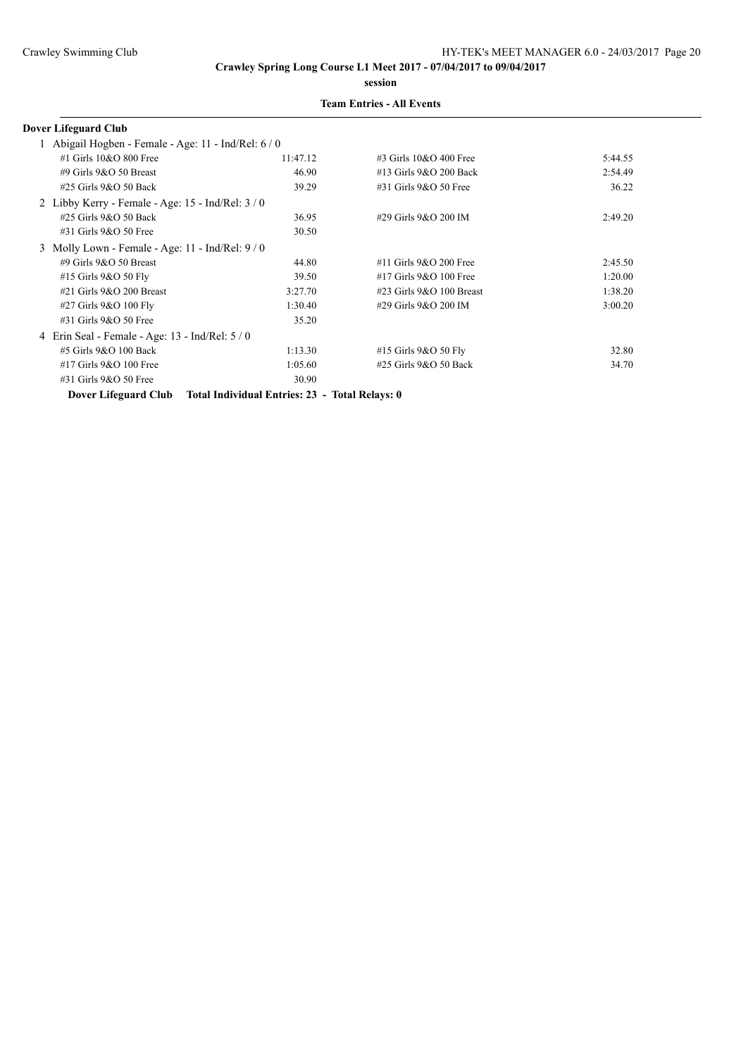**session**

### **Team Entries - All Events**

## **Dover Lifeguard Club**

| Abigail Hogben - Female - Age: 11 - Ind/Rel: 6 / 0  |                                                                     |                             |         |
|-----------------------------------------------------|---------------------------------------------------------------------|-----------------------------|---------|
| $#1$ Girls $10&O$ 800 Free                          | 11:47.12                                                            | $\#3$ Girls 10&O 400 Free   | 5:44.55 |
| #9 Girls $9&O$ 50 Breast                            | 46.90                                                               | #13 Girls 9&O 200 Back      | 2:54.49 |
| $\#25$ Girls 9&O 50 Back                            | 39.29                                                               | $\#31$ Girls $9&O$ 50 Free  | 36.22   |
| 2 Libby Kerry - Female - Age: $15$ - Ind/Rel: $3/0$ |                                                                     |                             |         |
| $#25$ Girls $9&O$ 50 Back                           | 36.95                                                               | #29 Girls 9&O 200 IM        | 2:49.20 |
| $\#31$ Girls 9&O 50 Free                            | 30.50                                                               |                             |         |
| 3 Molly Lown - Female - Age: $11$ - Ind/Rel: $9/0$  |                                                                     |                             |         |
| #9 Girls $9&O$ 50 Breast                            | 44.80                                                               | $#11$ Girls 9&O 200 Free    | 2:45.50 |
| #15 Girls 9&O 50 Fly                                | 39.50                                                               | #17 Girls 9&O 100 Free      | 1:20.00 |
| $\#21$ Girls 9&O 200 Breast                         | 3:27.70                                                             | $\#23$ Girls 9&O 100 Breast | 1:38.20 |
| #27 Girls 9&O 100 Fly                               | 1:30.40                                                             | #29 Girls 9&O 200 IM        | 3:00.20 |
| #31 Girls 9&O 50 Free                               | 35.20                                                               |                             |         |
| 4 Erin Seal - Female - Age: 13 - Ind/Rel: 5 / 0     |                                                                     |                             |         |
| #5 Girls 9&O 100 Back                               | 1:13.30                                                             | #15 Girls 9&O 50 Fly        | 32.80   |
| $#17$ Girls 9&O 100 Free                            | 1:05.60                                                             | $\#25$ Girls $9&O$ 50 Back  | 34.70   |
| $\#31$ Girls 9&O 50 Free                            | 30.90                                                               |                             |         |
|                                                     | Dover Lifeguard Club Total Individual Entries: 23 - Total Relays: 0 |                             |         |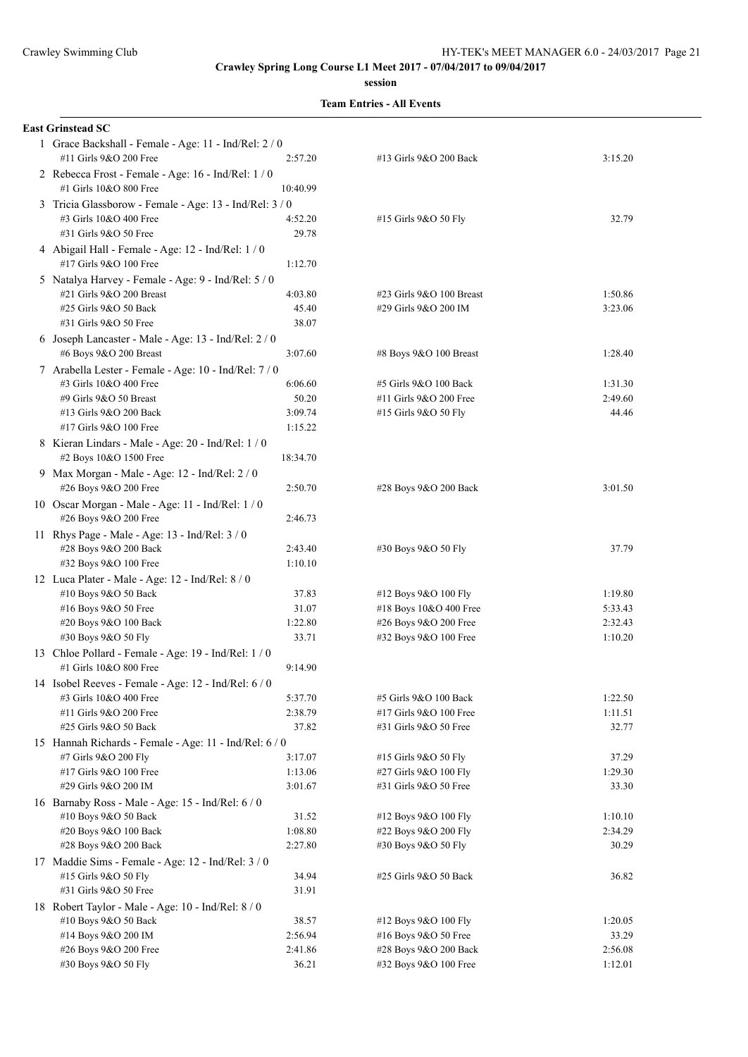**session**

|  | <b>Team Entries - All Events</b> |  |  |
|--|----------------------------------|--|--|
|--|----------------------------------|--|--|

| <b>East Grinstead SC</b>                                                                                                                                                                                            |                                        |                                                                         |                             |
|---------------------------------------------------------------------------------------------------------------------------------------------------------------------------------------------------------------------|----------------------------------------|-------------------------------------------------------------------------|-----------------------------|
| 1 Grace Backshall - Female - Age: 11 - Ind/Rel: 2 / 0<br>#11 Girls 9&O 200 Free                                                                                                                                     | 2:57.20                                | #13 Girls 9&O 200 Back                                                  | 3:15.20                     |
| 2 Rebecca Frost - Female - Age: 16 - Ind/Rel: 1 / 0<br>#1 Girls 10&O 800 Free                                                                                                                                       | 10:40.99                               |                                                                         |                             |
| 3 Tricia Glassborow - Female - Age: 13 - Ind/Rel: 3 / 0<br>#3 Girls 10&O 400 Free<br>#31 Girls 9&O 50 Free                                                                                                          | 4:52.20<br>29.78                       | #15 Girls 9&O 50 Fly                                                    | 32.79                       |
| 4 Abigail Hall - Female - Age: 12 - Ind/Rel: 1 / 0<br>#17 Girls 9&O 100 Free                                                                                                                                        | 1:12.70                                |                                                                         |                             |
| 5 Natalya Harvey - Female - Age: 9 - Ind/Rel: 5 / 0<br>#21 Girls 9&O 200 Breast<br>#25 Girls 9&O 50 Back<br>#31 Girls 9&O 50 Free                                                                                   | 4:03.80<br>45.40<br>38.07              | #23 Girls 9&O 100 Breast<br>#29 Girls 9&O 200 IM                        | 1:50.86<br>3:23.06          |
| 6 Joseph Lancaster - Male - Age: 13 - Ind/Rel: 2 / 0<br>#6 Boys 9&O 200 Breast                                                                                                                                      | 3:07.60                                | #8 Boys 9&O 100 Breast                                                  | 1:28.40                     |
| 7 Arabella Lester - Female - Age: 10 - Ind/Rel: 7 / 0<br>#3 Girls 10&O 400 Free<br>#9 Girls 9&O 50 Breast<br>#13 Girls 9&O 200 Back<br>#17 Girls 9&O 100 Free<br>8 Kieran Lindars - Male - Age: 20 - Ind/Rel: 1 / 0 | 6:06.60<br>50.20<br>3:09.74<br>1:15.22 | #5 Girls 9&O 100 Back<br>#11 Girls 9&O 200 Free<br>#15 Girls 9&O 50 Fly | 1:31.30<br>2:49.60<br>44.46 |
| #2 Boys 10&O 1500 Free<br>9 Max Morgan - Male - Age: 12 - Ind/Rel: 2 / 0                                                                                                                                            | 18:34.70                               |                                                                         |                             |
| #26 Boys 9&O 200 Free<br>10 Oscar Morgan - Male - Age: 11 - Ind/Rel: 1 / 0<br>#26 Boys 9&O 200 Free                                                                                                                 | 2:50.70<br>2:46.73                     | #28 Boys 9&O 200 Back                                                   | 3:01.50                     |
| 11 Rhys Page - Male - Age: 13 - Ind/Rel: 3 / 0<br>#28 Boys 9&O 200 Back                                                                                                                                             | 2:43.40                                | #30 Boys 9&O 50 Fly                                                     | 37.79                       |
| #32 Boys 9&O 100 Free                                                                                                                                                                                               | 1:10.10                                |                                                                         |                             |
| 12 Luca Plater - Male - Age: 12 - Ind/Rel: 8 / 0<br>#10 Boys 9&O 50 Back                                                                                                                                            | 37.83                                  | #12 Boys 9&O 100 Fly                                                    | 1:19.80                     |
| #16 Boys 9&O 50 Free                                                                                                                                                                                                | 31.07                                  | #18 Boys 10&O 400 Free                                                  | 5:33.43                     |
| #20 Boys 9&O 100 Back                                                                                                                                                                                               | 1:22.80                                | #26 Boys 9&O 200 Free                                                   | 2:32.43                     |
| #30 Boys 9&O 50 Fly                                                                                                                                                                                                 | 33.71                                  | #32 Boys 9&O 100 Free                                                   | 1:10.20                     |
| 13 Chloe Pollard - Female - Age: 19 - Ind/Rel: 1 / 0<br>#1 Girls 10&O 800 Free                                                                                                                                      | 9:14.90                                |                                                                         |                             |
| 14 Isobel Reeves - Female - Age: 12 - Ind/Rel: 6 / 0                                                                                                                                                                |                                        |                                                                         |                             |
| #3 Girls 10&O 400 Free                                                                                                                                                                                              | 5:37.70                                | #5 Girls 9&O 100 Back                                                   | 1:22.50                     |
| #11 Girls 9&O 200 Free                                                                                                                                                                                              | 2:38.79                                | #17 Girls 9&O 100 Free                                                  | 1:11.51                     |
| #25 Girls 9&O 50 Back                                                                                                                                                                                               | 37.82                                  | #31 Girls 9&O 50 Free                                                   | 32.77                       |
| 15 Hannah Richards - Female - Age: 11 - Ind/Rel: 6 / 0                                                                                                                                                              |                                        |                                                                         |                             |
| #7 Girls 9&O 200 Fly                                                                                                                                                                                                | 3:17.07                                | #15 Girls 9&O 50 Fly                                                    | 37.29                       |
| #17 Girls 9&O 100 Free                                                                                                                                                                                              | 1:13.06                                | #27 Girls 9&O 100 Fly                                                   | 1:29.30                     |
| #29 Girls 9&O 200 IM                                                                                                                                                                                                | 3:01.67                                | #31 Girls 9&O 50 Free                                                   | 33.30                       |
| 16 Barnaby Ross - Male - Age: 15 - Ind/Rel: 6 / 0                                                                                                                                                                   |                                        |                                                                         |                             |
| #10 Boys 9&O 50 Back                                                                                                                                                                                                | 31.52                                  | #12 Boys 9&O 100 Fly                                                    | 1:10.10                     |
| #20 Boys 9&O 100 Back                                                                                                                                                                                               | 1:08.80                                | #22 Boys 9&O 200 Fly                                                    | 2:34.29                     |
| #28 Boys 9&O 200 Back                                                                                                                                                                                               | 2:27.80                                | #30 Boys 9&O 50 Fly                                                     | 30.29                       |
| 17 Maddie Sims - Female - Age: 12 - Ind/Rel: 3 / 0                                                                                                                                                                  |                                        |                                                                         |                             |
| #15 Girls 9&O 50 Fly                                                                                                                                                                                                | 34.94                                  | #25 Girls 9&O 50 Back                                                   | 36.82                       |
| #31 Girls 9&O 50 Free                                                                                                                                                                                               | 31.91                                  |                                                                         |                             |
| 18 Robert Taylor - Male - Age: 10 - Ind/Rel: 8 / 0                                                                                                                                                                  |                                        |                                                                         |                             |
| #10 Boys 9&O 50 Back                                                                                                                                                                                                | 38.57                                  | #12 Boys 9&O 100 Fly                                                    | 1:20.05                     |
| #14 Boys 9&O 200 IM                                                                                                                                                                                                 | 2:56.94<br>2:41.86                     | #16 Boys 9&O 50 Free                                                    | 33.29                       |
| #26 Boys 9&O 200 Free<br>#30 Boys 9&O 50 Fly                                                                                                                                                                        | 36.21                                  | #28 Boys 9&O 200 Back<br>#32 Boys 9&O 100 Free                          | 2:56.08<br>1:12.01          |
|                                                                                                                                                                                                                     |                                        |                                                                         |                             |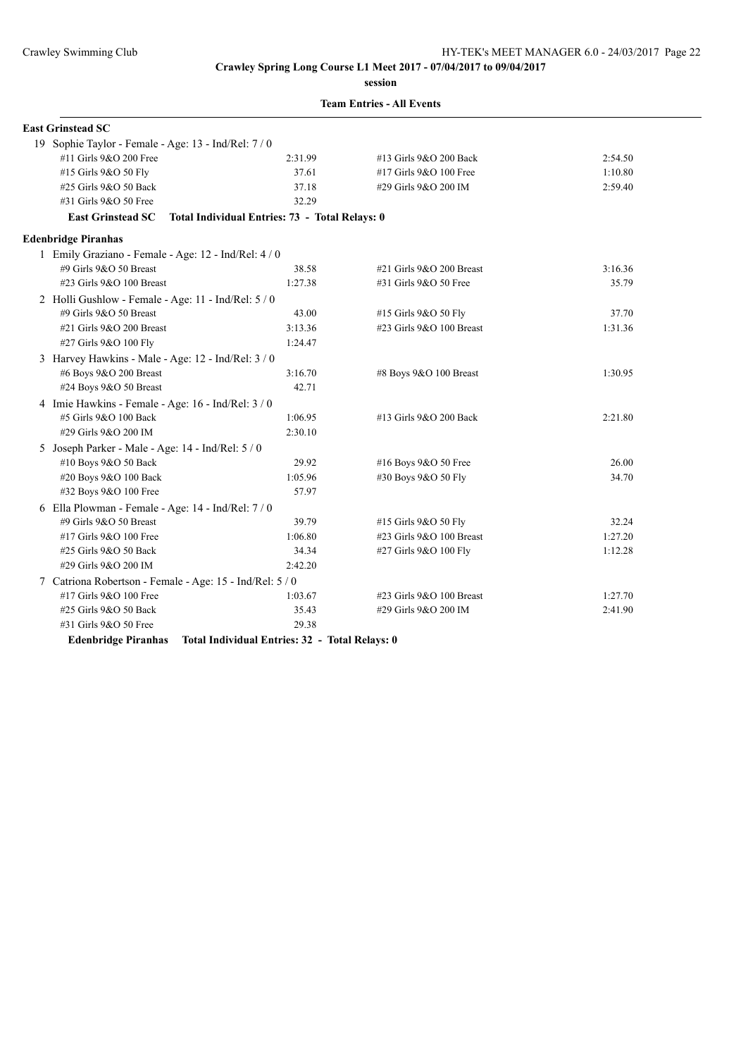**session**

|  | <b>Team Entries - All Events</b> |  |  |
|--|----------------------------------|--|--|
|--|----------------------------------|--|--|

| <b>East Grinstead SC</b>                                 |                                                |                          |         |
|----------------------------------------------------------|------------------------------------------------|--------------------------|---------|
| 19 Sophie Taylor - Female - Age: 13 - Ind/Rel: 7 / 0     |                                                |                          |         |
| #11 Girls 9&O 200 Free                                   | 2:31.99                                        | #13 Girls 9&O 200 Back   | 2:54.50 |
| #15 Girls 9&O 50 Fly                                     | 37.61                                          | #17 Girls 9&O 100 Free   | 1:10.80 |
| #25 Girls 9&O 50 Back                                    | 37.18                                          | #29 Girls 9&O 200 IM     | 2:59.40 |
| #31 Girls 9&O 50 Free                                    | 32.29                                          |                          |         |
| <b>East Grinstead SC</b>                                 | Total Individual Entries: 73 - Total Relays: 0 |                          |         |
| <b>Edenbridge Piranhas</b>                               |                                                |                          |         |
| 1 Emily Graziano - Female - Age: 12 - Ind/Rel: 4 / 0     |                                                |                          |         |
| #9 Girls 9&O 50 Breast                                   | 38.58                                          | #21 Girls 9&O 200 Breast | 3:16.36 |
| #23 Girls 9&O 100 Breast                                 | 1:27.38                                        | #31 Girls 9&O 50 Free    | 35.79   |
| 2 Holli Gushlow - Female - Age: 11 - Ind/Rel: 5 / 0      |                                                |                          |         |
| #9 Girls 9&O 50 Breast                                   | 43.00                                          | #15 Girls 9&O 50 Fly     | 37.70   |
| #21 Girls 9&O 200 Breast                                 | 3:13.36                                        | #23 Girls 9&O 100 Breast | 1:31.36 |
| #27 Girls 9&O 100 Fly                                    | 1:24.47                                        |                          |         |
| 3 Harvey Hawkins - Male - Age: 12 - Ind/Rel: 3 / 0       |                                                |                          |         |
| #6 Boys 9&O 200 Breast                                   | 3:16.70                                        | #8 Boys 9&O 100 Breast   | 1:30.95 |
| #24 Boys 9&O 50 Breast                                   | 42.71                                          |                          |         |
| 4 Imie Hawkins - Female - Age: 16 - Ind/Rel: 3 / 0       |                                                |                          |         |
| #5 Girls 9&O 100 Back                                    | 1:06.95                                        | #13 Girls 9&O 200 Back   | 2:21.80 |
| #29 Girls 9&O 200 IM                                     | 2:30.10                                        |                          |         |
| 5 Joseph Parker - Male - Age: 14 - Ind/Rel: 5 / 0        |                                                |                          |         |
| #10 Boys 9&O 50 Back                                     | 29.92                                          | #16 Boys 9&O 50 Free     | 26.00   |
| #20 Boys 9&O 100 Back                                    | 1:05.96                                        | #30 Boys 9&O 50 Fly      | 34.70   |
| #32 Boys 9&O 100 Free                                    | 57.97                                          |                          |         |
| 6 Ella Plowman - Female - Age: 14 - Ind/Rel: 7/0         |                                                |                          |         |
| #9 Girls 9&O 50 Breast                                   | 39.79                                          | #15 Girls 9&O 50 Fly     | 32.24   |
| #17 Girls 9&O 100 Free                                   | 1:06.80                                        | #23 Girls 9&O 100 Breast | 1:27.20 |
| #25 Girls 9&O 50 Back                                    | 34.34                                          | #27 Girls 9&O 100 Fly    | 1:12.28 |
| #29 Girls 9&O 200 IM                                     | 2:42.20                                        |                          |         |
| 7 Catriona Robertson - Female - Age: 15 - Ind/Rel: 5 / 0 |                                                |                          |         |
| #17 Girls 9&O 100 Free                                   | 1:03.67                                        | #23 Girls 9&O 100 Breast | 1:27.70 |
| #25 Girls 9&O 50 Back                                    | 35.43                                          | #29 Girls 9&O 200 IM     | 2:41.90 |
| #31 Girls 9&O 50 Free                                    | 29.38                                          |                          |         |

**Edenbridge Piranhas Total Individual Entries: 32 - Total Relays: 0**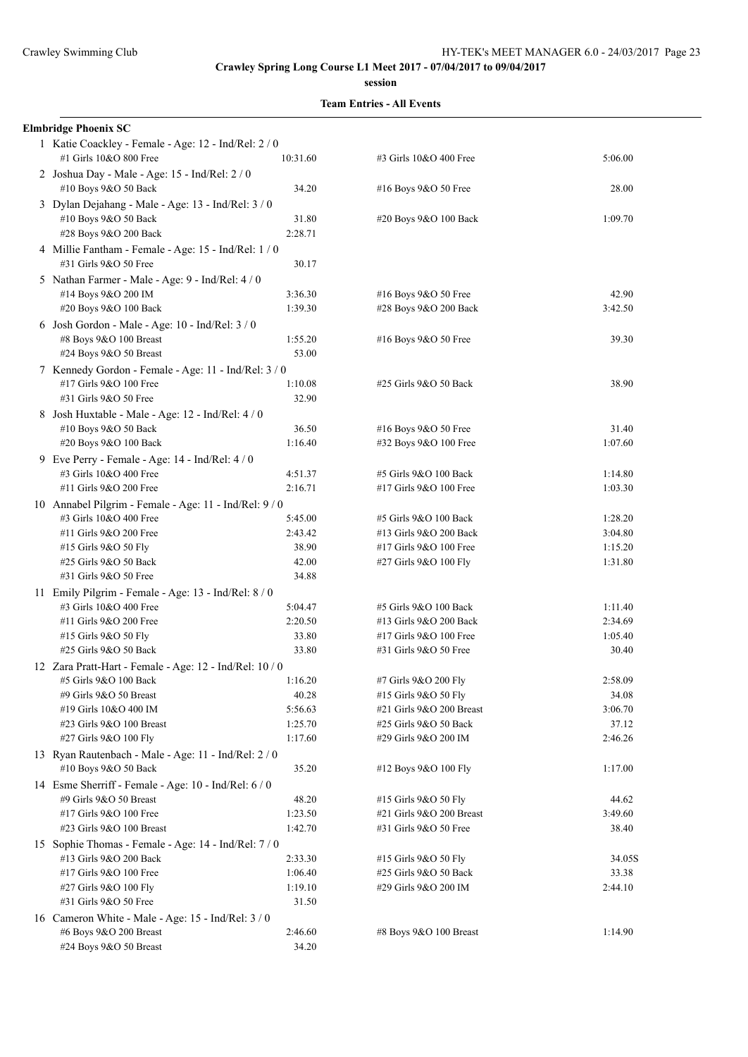#### **session**

|  | <b>Team Entries - All Events</b> |  |  |
|--|----------------------------------|--|--|
|--|----------------------------------|--|--|

| <b>Elmbridge Phoenix SC</b>                                                    |          |                          |         |
|--------------------------------------------------------------------------------|----------|--------------------------|---------|
| 1 Katie Coackley - Female - Age: 12 - Ind/Rel: 2 / 0<br>#1 Girls 10&O 800 Free | 10:31.60 | #3 Girls 10&O 400 Free   | 5:06.00 |
| 2 Joshua Day - Male - Age: 15 - Ind/Rel: 2 / 0<br>#10 Boys 9&O 50 Back         | 34.20    | #16 Boys 9&O 50 Free     | 28.00   |
| 3 Dylan Dejahang - Male - Age: 13 - Ind/Rel: 3 / 0                             |          |                          |         |
| #10 Boys 9&O 50 Back                                                           | 31.80    | #20 Boys 9&O 100 Back    | 1:09.70 |
| #28 Boys 9&O 200 Back                                                          | 2:28.71  |                          |         |
| 4 Millie Fantham - Female - Age: 15 - Ind/Rel: 1 / 0<br>#31 Girls 9&O 50 Free  | 30.17    |                          |         |
| 5 Nathan Farmer - Male - Age: 9 - Ind/Rel: 4 / 0                               |          |                          |         |
| #14 Boys 9&O 200 IM                                                            | 3:36.30  | #16 Boys 9&O 50 Free     | 42.90   |
| #20 Boys 9&O 100 Back                                                          | 1:39.30  | #28 Boys 9&O 200 Back    | 3:42.50 |
| 6 Josh Gordon - Male - Age: 10 - Ind/Rel: 3 / 0                                |          |                          |         |
| #8 Boys 9&O 100 Breast                                                         | 1:55.20  | #16 Boys 9&O 50 Free     | 39.30   |
| #24 Boys 9&O 50 Breast                                                         | 53.00    |                          |         |
| 7 Kennedy Gordon - Female - Age: 11 - Ind/Rel: 3 / 0                           |          |                          |         |
| #17 Girls 9&O 100 Free                                                         | 1:10.08  | #25 Girls 9&O 50 Back    | 38.90   |
| #31 Girls 9&O 50 Free                                                          | 32.90    |                          |         |
| 8 Josh Huxtable - Male - Age: 12 - Ind/Rel: 4 / 0                              |          |                          |         |
| #10 Boys 9&O 50 Back                                                           | 36.50    | #16 Boys 9&O 50 Free     | 31.40   |
| #20 Boys 9&O 100 Back                                                          | 1:16.40  | #32 Boys 9&O 100 Free    | 1:07.60 |
| 9 Eve Perry - Female - Age: 14 - Ind/Rel: 4 / 0                                |          |                          |         |
| #3 Girls 10&O 400 Free                                                         | 4:51.37  | #5 Girls 9&O 100 Back    | 1:14.80 |
| #11 Girls 9&O 200 Free                                                         | 2:16.71  | #17 Girls 9&O 100 Free   | 1:03.30 |
| 10 Annabel Pilgrim - Female - Age: 11 - Ind/Rel: 9 / 0                         |          |                          |         |
| #3 Girls 10&O 400 Free                                                         | 5:45.00  | #5 Girls 9&O 100 Back    | 1:28.20 |
| #11 Girls 9&O 200 Free                                                         | 2:43.42  | #13 Girls 9&O 200 Back   | 3:04.80 |
| #15 Girls 9&O 50 Fly                                                           | 38.90    | #17 Girls 9&O 100 Free   | 1:15.20 |
| #25 Girls 9&O 50 Back                                                          | 42.00    | #27 Girls 9&O 100 Fly    | 1:31.80 |
| #31 Girls 9&O 50 Free                                                          | 34.88    |                          |         |
| 11 Emily Pilgrim - Female - Age: 13 - Ind/Rel: 8 / 0                           |          |                          |         |
| #3 Girls 10&O 400 Free                                                         | 5:04.47  | #5 Girls 9&O 100 Back    | 1:11.40 |
| #11 Girls 9&O 200 Free                                                         | 2:20.50  | #13 Girls 9&O 200 Back   | 2:34.69 |
| #15 Girls 9&O 50 Fly                                                           | 33.80    | #17 Girls 9&O 100 Free   | 1:05.40 |
| #25 Girls 9&O 50 Back                                                          | 33.80    | #31 Girls 9&O 50 Free    | 30.40   |
| 12 Zara Pratt-Hart - Female - Age: 12 - Ind/Rel: 10 / 0                        |          |                          |         |
| #5 Girls 9&O 100 Back                                                          | 1:16.20  | #7 Girls 9&O 200 Fly     | 2:58.09 |
| #9 Girls 9&O 50 Breast                                                         | 40.28    | #15 Girls 9&O 50 Fly     | 34.08   |
| #19 Girls 10&O 400 IM                                                          | 5:56.63  | #21 Girls 9&O 200 Breast | 3:06.70 |
| #23 Girls 9&O 100 Breast                                                       | 1:25.70  | #25 Girls 9&O 50 Back    | 37.12   |
| #27 Girls 9&O 100 Fly                                                          | 1:17.60  | #29 Girls 9&O 200 IM     | 2:46.26 |
| 13 Ryan Rautenbach - Male - Age: 11 - Ind/Rel: 2 / 0                           |          |                          |         |
| #10 Boys 9&O 50 Back                                                           | 35.20    | #12 Boys 9&O 100 Fly     | 1:17.00 |
| 14 Esme Sherriff - Female - Age: 10 - Ind/Rel: 6 / 0                           |          |                          |         |
| #9 Girls 9&O 50 Breast                                                         | 48.20    | #15 Girls 9&O 50 Fly     | 44.62   |
| #17 Girls 9&O 100 Free                                                         | 1:23.50  | #21 Girls 9&O 200 Breast | 3:49.60 |
| #23 Girls 9&O 100 Breast                                                       | 1:42.70  | #31 Girls 9&O 50 Free    | 38.40   |
| 15 Sophie Thomas - Female - Age: 14 - Ind/Rel: 7 / 0                           |          |                          |         |
| #13 Girls 9&O 200 Back                                                         | 2:33.30  | #15 Girls 9&O 50 Fly     | 34.05S  |
| #17 Girls 9&O 100 Free                                                         | 1:06.40  | #25 Girls 9&O 50 Back    | 33.38   |
| #27 Girls 9&O 100 Fly                                                          | 1:19.10  | #29 Girls 9&O 200 IM     | 2:44.10 |
| #31 Girls 9&O 50 Free                                                          | 31.50    |                          |         |
| 16 Cameron White - Male - Age: 15 - Ind/Rel: 3 / 0                             |          |                          |         |
| #6 Boys 9&O 200 Breast                                                         | 2:46.60  | #8 Boys 9&O 100 Breast   | 1:14.90 |
| #24 Boys 9&O 50 Breast                                                         | 34.20    |                          |         |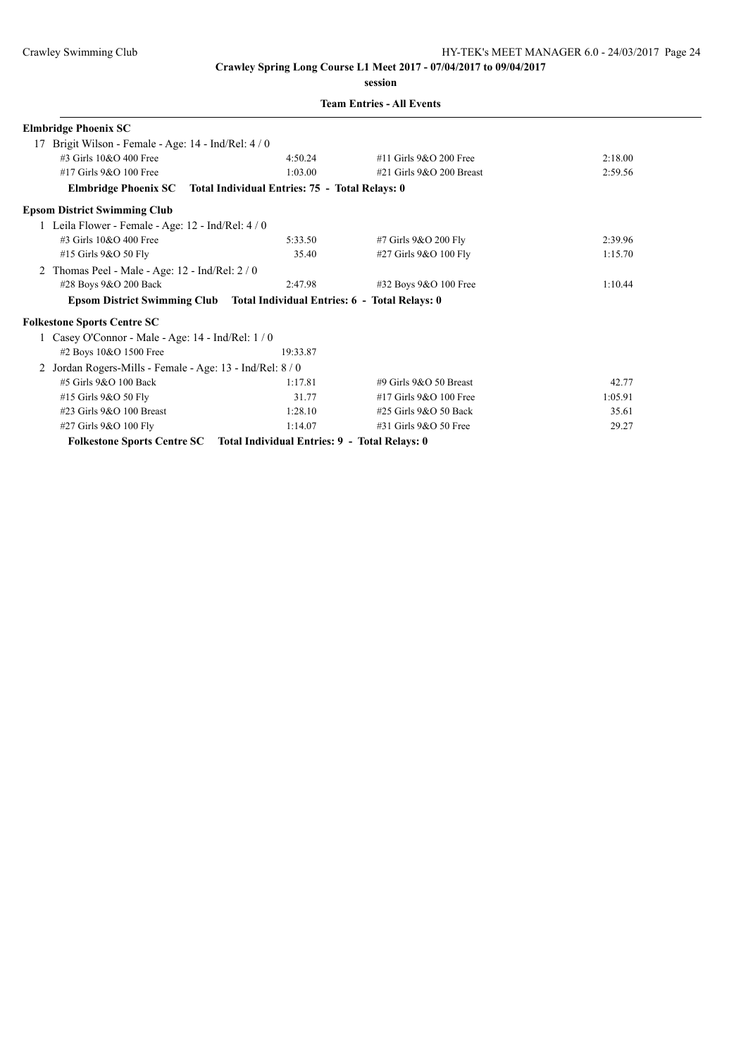**session**

|  | <b>Team Entries - All Events</b> |  |  |
|--|----------------------------------|--|--|
|--|----------------------------------|--|--|

| <b>Elmbridge Phoenix SC</b>                                                |                                               |                            |         |
|----------------------------------------------------------------------------|-----------------------------------------------|----------------------------|---------|
| Brigit Wilson - Female - Age: 14 - Ind/Rel: 4 / 0<br>17                    |                                               |                            |         |
| #3 Girls $10&O$ 400 Free                                                   | 4:50.24                                       | #11 Girls 9&O 200 Free     | 2:18.00 |
| #17 Girls 9&O 100 Free                                                     | 1:03.00                                       | #21 Girls $9&O$ 200 Breast | 2:59.56 |
| Elmbridge Phoenix SC Total Individual Entries: 75 - Total Relays: 0        |                                               |                            |         |
| <b>Epsom District Swimming Club</b>                                        |                                               |                            |         |
| 1 Leila Flower - Female - Age: 12 - Ind/Rel: 4/0                           |                                               |                            |         |
| #3 Girls 10&O 400 Free                                                     | 5:33.50                                       | #7 Girls 9&O 200 Fly       | 2:39.96 |
| #15 Girls 9&O 50 Fly                                                       | 35.40                                         | #27 Girls 9&O 100 Fly      | 1:15.70 |
| Thomas Peel - Male - Age: 12 - Ind/Rel: 2 / 0                              |                                               |                            |         |
| #28 Boys 9&O 200 Back                                                      | 2:47.98                                       | #32 Boys 9&O 100 Free      | 1:10.44 |
| Epsom District Swimming Club Total Individual Entries: 6 - Total Relays: 0 |                                               |                            |         |
| <b>Folkestone Sports Centre SC</b>                                         |                                               |                            |         |
| 1 Casey O'Connor - Male - Age: $14$ - Ind/Rel: $1/0$                       |                                               |                            |         |
| #2 Boys 10&O 1500 Free                                                     | 19:33.87                                      |                            |         |
| Jordan Rogers-Mills - Female - Age: 13 - Ind/Rel: 8/0                      |                                               |                            |         |
| #5 Girls 9&O 100 Back                                                      | 1:17.81                                       | #9 Girls $9&O$ 50 Breast   | 42.77   |
| #15 Girls 9&O 50 Fly                                                       | 31.77                                         | $#17$ Girls $9&O$ 100 Free | 1:05.91 |
| #23 Girls 9&O 100 Breast                                                   | 1:28.10                                       | #25 Girls 9&O 50 Back      | 35.61   |
| #27 Girls 9&O 100 Fly                                                      | 1:14.07                                       | #31 Girls 9&O 50 Free      | 29.27   |
| <b>Folkestone Sports Centre SC</b>                                         | Total Individual Entries: 9 - Total Relays: 0 |                            |         |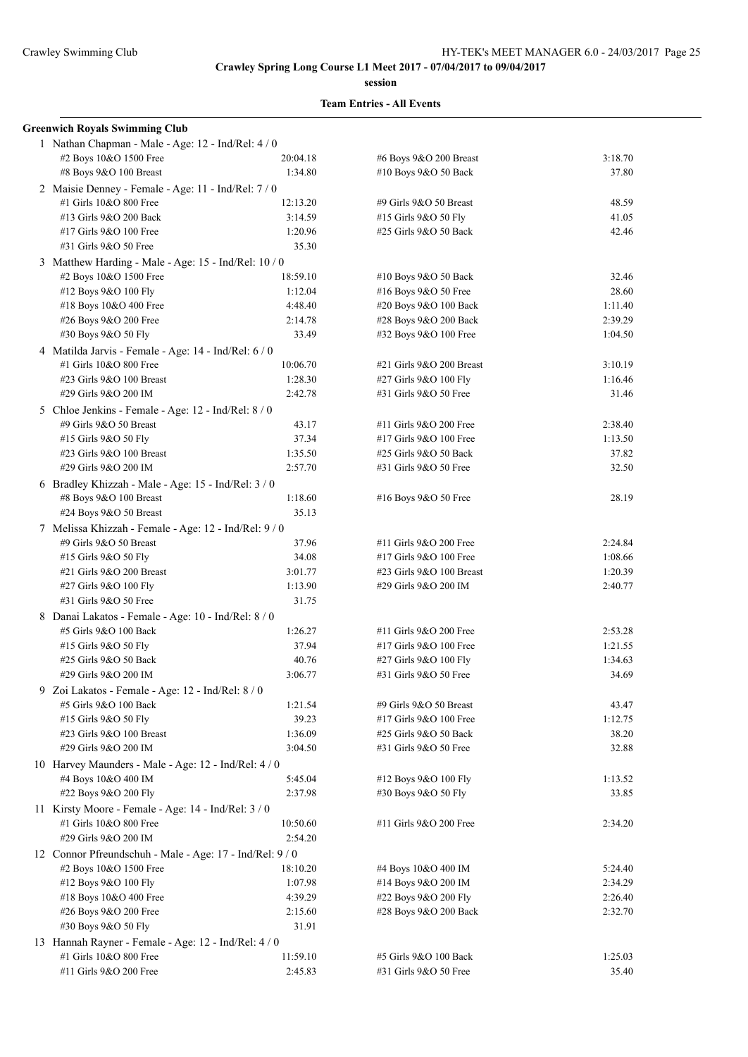**session**

|   | <b>Greenwich Royals Swimming Club</b>                                          |          |                          |         |
|---|--------------------------------------------------------------------------------|----------|--------------------------|---------|
|   | 1 Nathan Chapman - Male - Age: 12 - Ind/Rel: 4 / 0                             |          |                          |         |
|   | #2 Boys 10&O 1500 Free                                                         | 20:04.18 | #6 Boys 9&O 200 Breast   | 3:18.70 |
|   | #8 Boys 9&O 100 Breast                                                         | 1:34.80  | #10 Boys 9&O 50 Back     | 37.80   |
|   | 2 Maisie Denney - Female - Age: 11 - Ind/Rel: 7/0                              |          |                          |         |
|   | #1 Girls 10&O 800 Free                                                         | 12:13.20 | #9 Girls 9&O 50 Breast   | 48.59   |
|   | #13 Girls 9&O 200 Back                                                         | 3:14.59  | #15 Girls 9&O 50 Fly     | 41.05   |
|   | #17 Girls 9&O 100 Free                                                         | 1:20.96  | #25 Girls 9&O 50 Back    | 42.46   |
|   | #31 Girls 9&O 50 Free                                                          | 35.30    |                          |         |
|   | 3 Matthew Harding - Male - Age: 15 - Ind/Rel: 10 / 0                           |          |                          |         |
|   | #2 Boys 10&O 1500 Free                                                         | 18:59.10 | #10 Boys 9&O 50 Back     | 32.46   |
|   | #12 Boys 9&O 100 Fly                                                           | 1:12.04  | #16 Boys 9&O 50 Free     | 28.60   |
|   | #18 Boys 10&O 400 Free                                                         | 4:48.40  | #20 Boys 9&O 100 Back    | 1:11.40 |
|   | #26 Boys 9&O 200 Free                                                          | 2:14.78  | #28 Boys 9&O 200 Back    | 2:39.29 |
|   | #30 Boys 9&O 50 Fly                                                            | 33.49    | #32 Boys 9&O 100 Free    | 1:04.50 |
|   |                                                                                |          |                          |         |
|   | 4 Matilda Jarvis - Female - Age: 14 - Ind/Rel: 6 / 0<br>#1 Girls 10&O 800 Free |          |                          |         |
|   |                                                                                | 10:06.70 | #21 Girls 9&O 200 Breast | 3:10.19 |
|   | #23 Girls 9&O 100 Breast                                                       | 1:28.30  | #27 Girls 9&O 100 Fly    | 1:16.46 |
|   | #29 Girls 9&O 200 IM                                                           | 2:42.78  | #31 Girls 9&O 50 Free    | 31.46   |
|   | 5 Chloe Jenkins - Female - Age: 12 - Ind/Rel: 8 / 0                            |          |                          |         |
|   | #9 Girls 9&O 50 Breast                                                         | 43.17    | #11 Girls 9&O 200 Free   | 2:38.40 |
|   | #15 Girls 9&O 50 Fly                                                           | 37.34    | #17 Girls 9&O 100 Free   | 1:13.50 |
|   | #23 Girls 9&O 100 Breast                                                       | 1:35.50  | #25 Girls 9&O 50 Back    | 37.82   |
|   | #29 Girls 9&O 200 IM                                                           | 2:57.70  | #31 Girls 9&O 50 Free    | 32.50   |
|   | 6 Bradley Khizzah - Male - Age: 15 - Ind/Rel: 3 / 0                            |          |                          |         |
|   | #8 Boys 9&O 100 Breast                                                         | 1:18.60  | #16 Boys 9&O 50 Free     | 28.19   |
|   | #24 Boys 9&O 50 Breast                                                         | 35.13    |                          |         |
|   | 7 Melissa Khizzah - Female - Age: 12 - Ind/Rel: 9 / 0                          |          |                          |         |
|   | #9 Girls 9&O 50 Breast                                                         | 37.96    | #11 Girls 9&O 200 Free   | 2:24.84 |
|   | #15 Girls 9&O 50 Fly                                                           | 34.08    | #17 Girls 9&O 100 Free   | 1:08.66 |
|   | #21 Girls 9&O 200 Breast                                                       | 3:01.77  | #23 Girls 9&O 100 Breast | 1:20.39 |
|   | #27 Girls 9&O 100 Fly                                                          | 1:13.90  | #29 Girls 9&O 200 IM     | 2:40.77 |
|   | #31 Girls 9&O 50 Free                                                          | 31.75    |                          |         |
|   | 8 Danai Lakatos - Female - Age: 10 - Ind/Rel: 8 / 0                            |          |                          |         |
|   | #5 Girls 9&O 100 Back                                                          | 1:26.27  | #11 Girls 9&O 200 Free   | 2:53.28 |
|   | #15 Girls 9&O 50 Fly                                                           | 37.94    | #17 Girls 9&O 100 Free   | 1:21.55 |
|   | #25 Girls 9&O 50 Back                                                          | 40.76    | #27 Girls 9&O 100 Fly    | 1:34.63 |
|   | #29 Girls 9&O 200 IM                                                           | 3:06.77  | #31 Girls 9&O 50 Free    | 34.69   |
| 9 | Zoi Lakatos - Female - Age: 12 - Ind/Rel: 8 / 0                                |          |                          |         |
|   | #5 Girls 9&O 100 Back                                                          | 1:21.54  | #9 Girls 9&O 50 Breast   | 43.47   |
|   | #15 Girls 9&O 50 Fly                                                           | 39.23    | #17 Girls 9&O 100 Free   | 1:12.75 |
|   | #23 Girls 9&O 100 Breast                                                       | 1:36.09  | #25 Girls 9&O 50 Back    | 38.20   |
|   | #29 Girls 9&O 200 IM                                                           | 3:04.50  | #31 Girls 9&O 50 Free    | 32.88   |
|   | 10 Harvey Maunders - Male - Age: 12 - Ind/Rel: 4 / 0                           |          |                          |         |
|   | #4 Boys 10&O 400 IM                                                            | 5:45.04  | #12 Boys 9&O 100 Fly     | 1:13.52 |
|   | #22 Boys 9&O 200 Fly                                                           | 2:37.98  | #30 Boys 9&O 50 Fly      | 33.85   |
|   | 11 Kirsty Moore - Female - Age: 14 - Ind/Rel: 3 / 0                            |          |                          |         |
|   | #1 Girls 10&O 800 Free                                                         | 10:50.60 | #11 Girls 9&O 200 Free   | 2:34.20 |
|   | #29 Girls 9&O 200 IM                                                           | 2:54.20  |                          |         |
|   |                                                                                |          |                          |         |
|   | 12 Connor Pfreundschuh - Male - Age: 17 - Ind/Rel: 9/0                         |          |                          |         |
|   | #2 Boys 10&O 1500 Free                                                         | 18:10.20 | #4 Boys 10&O 400 IM      | 5:24.40 |
|   | #12 Boys 9&O 100 Fly                                                           | 1:07.98  | #14 Boys 9&O 200 IM      | 2:34.29 |
|   | #18 Boys 10&O 400 Free                                                         | 4:39.29  | #22 Boys 9&O 200 Fly     | 2:26.40 |
|   | #26 Boys 9&O 200 Free                                                          | 2:15.60  | #28 Boys 9&O 200 Back    | 2:32.70 |
|   | #30 Boys 9&O 50 Fly                                                            | 31.91    |                          |         |
|   | 13 Hannah Rayner - Female - Age: 12 - Ind/Rel: 4 / 0                           |          |                          |         |
|   | #1 Girls 10&O 800 Free                                                         | 11:59.10 | #5 Girls 9&O 100 Back    | 1:25.03 |
|   | #11 Girls 9&O 200 Free                                                         | 2:45.83  | #31 Girls 9&O 50 Free    | 35.40   |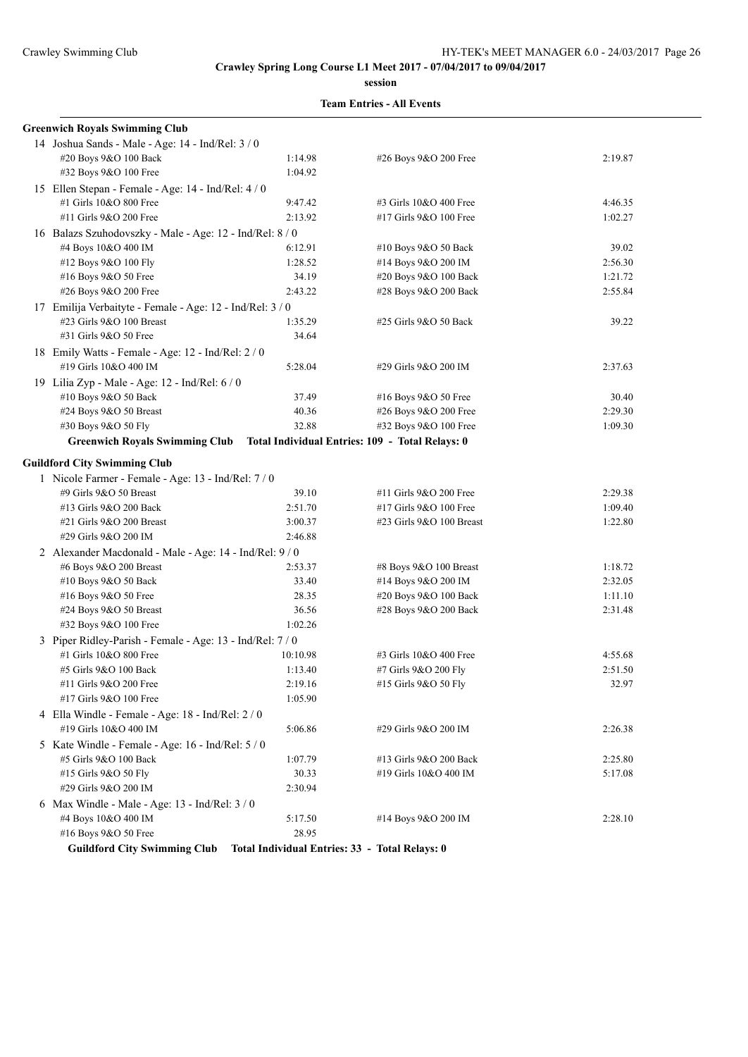**session**

| <b>Greenwich Royals Swimming Club</b>                     |                                                |                                                 |         |
|-----------------------------------------------------------|------------------------------------------------|-------------------------------------------------|---------|
| 14 Joshua Sands - Male - Age: 14 - Ind/Rel: 3 / 0         |                                                |                                                 |         |
| #20 Boys 9&O 100 Back                                     | 1:14.98                                        | #26 Boys 9&O 200 Free                           | 2:19.87 |
| #32 Boys 9&O 100 Free                                     | 1:04.92                                        |                                                 |         |
| 15 Ellen Stepan - Female - Age: 14 - Ind/Rel: 4/0         |                                                |                                                 |         |
| #1 Girls 10&O 800 Free                                    | 9:47.42                                        | #3 Girls 10&O 400 Free                          | 4:46.35 |
| #11 Girls 9&O 200 Free                                    | 2:13.92                                        | #17 Girls 9&O 100 Free                          | 1:02.27 |
| 16 Balazs Szuhodovszky - Male - Age: 12 - Ind/Rel: 8 / 0  |                                                |                                                 |         |
| #4 Boys 10&O 400 IM                                       | 6:12.91                                        | #10 Boys 9&O 50 Back                            | 39.02   |
| #12 Boys 9&O 100 Fly                                      | 1:28.52                                        | #14 Boys 9&O 200 IM                             | 2:56.30 |
| #16 Boys 9&O 50 Free                                      | 34.19                                          | #20 Boys 9&O 100 Back                           | 1:21.72 |
| #26 Boys 9&O 200 Free                                     | 2:43.22                                        | #28 Boys 9&O 200 Back                           | 2:55.84 |
| 17 Emilija Verbaityte - Female - Age: 12 - Ind/Rel: 3 / 0 |                                                |                                                 |         |
| #23 Girls 9&O 100 Breast                                  | 1:35.29                                        | #25 Girls 9&O 50 Back                           | 39.22   |
| #31 Girls 9&O 50 Free                                     | 34.64                                          |                                                 |         |
| 18 Emily Watts - Female - Age: 12 - Ind/Rel: 2 / 0        |                                                |                                                 |         |
| #19 Girls 10&O 400 IM                                     | 5:28.04                                        | #29 Girls 9&O 200 IM                            | 2:37.63 |
| 19 Lilia Zyp - Male - Age: 12 - Ind/Rel: 6/0              |                                                |                                                 |         |
| #10 Boys 9&O 50 Back                                      | 37.49                                          | #16 Boys 9&O 50 Free                            | 30.40   |
| #24 Boys 9&O 50 Breast                                    | 40.36                                          | #26 Boys 9&O 200 Free                           | 2:29.30 |
| #30 Boys 9&O 50 Fly                                       | 32.88                                          | #32 Boys 9&O 100 Free                           | 1:09.30 |
| <b>Greenwich Royals Swimming Club</b>                     |                                                | Total Individual Entries: 109 - Total Relays: 0 |         |
| <b>Guildford City Swimming Club</b>                       |                                                |                                                 |         |
| 1 Nicole Farmer - Female - Age: 13 - Ind/Rel: 7 / 0       |                                                |                                                 |         |
| #9 Girls 9&O 50 Breast                                    | 39.10                                          | #11 Girls 9&O 200 Free                          | 2:29.38 |
| #13 Girls 9&O 200 Back                                    | 2:51.70                                        | #17 Girls 9&O 100 Free                          | 1:09.40 |
| #21 Girls 9&O 200 Breast                                  | 3:00.37                                        | #23 Girls 9&O 100 Breast                        | 1:22.80 |
| #29 Girls 9&O 200 IM                                      | 2:46.88                                        |                                                 |         |
| 2 Alexander Macdonald - Male - Age: 14 - Ind/Rel: 9 / 0   |                                                |                                                 |         |
| #6 Boys 9&O 200 Breast                                    | 2:53.37                                        | #8 Boys 9&O 100 Breast                          | 1:18.72 |
| #10 Boys 9&O 50 Back                                      | 33.40                                          | #14 Boys 9&O 200 IM                             | 2:32.05 |
| #16 Boys 9&O 50 Free                                      | 28.35                                          | #20 Boys 9&O 100 Back                           | 1:11.10 |
| #24 Boys 9&O 50 Breast                                    | 36.56                                          | #28 Boys 9&O 200 Back                           | 2:31.48 |
| #32 Boys 9&O 100 Free                                     | 1:02.26                                        |                                                 |         |
| 3 Piper Ridley-Parish - Female - Age: 13 - Ind/Rel: 7 / 0 |                                                |                                                 |         |
| #1 Girls 10&O 800 Free                                    | 10:10.98                                       | #3 Girls 10&O 400 Free                          | 4:55.68 |
| #5 Girls 9&O 100 Back                                     | 1:13.40                                        | #7 Girls 9&O 200 Fly                            | 2:51.50 |
| #11 Girls 9&O 200 Free                                    | 2:19.16                                        | #15 Girls 9&O 50 Fly                            | 32.97   |
| #17 Girls 9&O 100 Free                                    | 1:05.90                                        |                                                 |         |
| 4 Ella Windle - Female - Age: 18 - Ind/Rel: 2 / 0         |                                                |                                                 |         |
| #19 Girls 10&O 400 IM                                     | 5:06.86                                        | #29 Girls 9&O 200 IM                            | 2:26.38 |
| 5 Kate Windle - Female - Age: 16 - Ind/Rel: 5/0           |                                                |                                                 |         |
| #5 Girls 9&O 100 Back                                     | 1:07.79                                        | #13 Girls 9&O 200 Back                          | 2:25.80 |
| #15 Girls 9&O 50 Fly                                      | 30.33                                          | #19 Girls 10&O 400 IM                           | 5:17.08 |
| #29 Girls 9&O 200 IM                                      | 2:30.94                                        |                                                 |         |
| 6 Max Windle - Male - Age: 13 - Ind/Rel: 3 / 0            |                                                |                                                 |         |
| #4 Boys 10&O 400 IM                                       | 5:17.50                                        | #14 Boys 9&O 200 IM                             | 2:28.10 |
| #16 Boys 9&O 50 Free                                      | 28.95                                          |                                                 |         |
| <b>Guildford City Swimming Club</b>                       | Total Individual Entries: 33 - Total Relays: 0 |                                                 |         |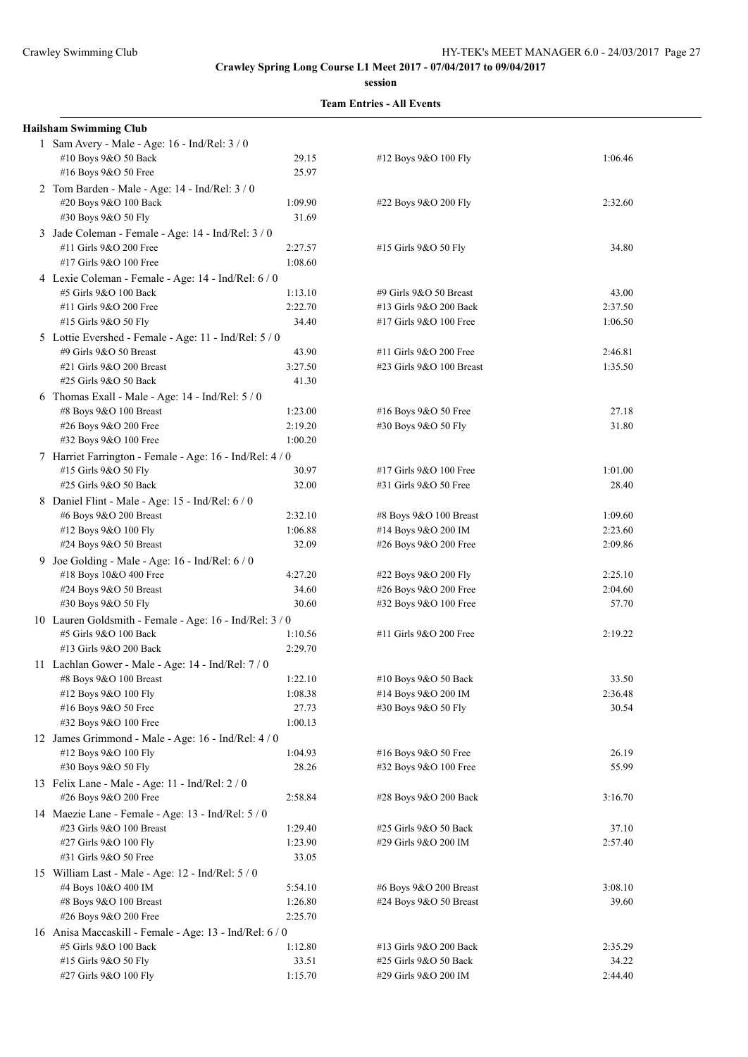**session**

| <b>Hailsham Swimming Club</b>                                                   |         |                          |         |
|---------------------------------------------------------------------------------|---------|--------------------------|---------|
| 1 Sam Avery - Male - Age: 16 - Ind/Rel: 3 / 0                                   |         |                          |         |
| #10 Boys 9&O 50 Back                                                            | 29.15   | #12 Boys 9&O 100 Fly     | 1:06.46 |
| #16 Boys 9&O 50 Free                                                            | 25.97   |                          |         |
| 2 Tom Barden - Male - Age: 14 - Ind/Rel: 3 / 0                                  |         |                          |         |
| #20 Boys 9&O 100 Back                                                           | 1:09.90 | #22 Boys 9&O 200 Fly     | 2:32.60 |
| #30 Boys 9&O 50 Fly                                                             | 31.69   |                          |         |
| 3 Jade Coleman - Female - Age: 14 - Ind/Rel: 3 / 0                              |         |                          |         |
| #11 Girls 9&O 200 Free                                                          | 2:27.57 | #15 Girls 9&O 50 Fly     | 34.80   |
| #17 Girls 9&O 100 Free                                                          | 1:08.60 |                          |         |
| 4 Lexie Coleman - Female - Age: 14 - Ind/Rel: 6 / 0                             |         |                          |         |
| #5 Girls 9&O 100 Back                                                           | 1:13.10 | #9 Girls 9&O 50 Breast   | 43.00   |
| #11 Girls 9&O 200 Free                                                          | 2:22.70 | #13 Girls 9&O 200 Back   | 2:37.50 |
| #15 Girls 9&O 50 Fly                                                            | 34.40   | #17 Girls 9&O 100 Free   | 1:06.50 |
|                                                                                 |         |                          |         |
| 5 Lottie Evershed - Female - Age: 11 - Ind/Rel: 5 / 0<br>#9 Girls 9&O 50 Breast | 43.90   | #11 Girls 9&O 200 Free   | 2:46.81 |
| #21 Girls 9&O 200 Breast                                                        | 3:27.50 | #23 Girls 9&O 100 Breast | 1:35.50 |
| #25 Girls 9&O 50 Back                                                           |         |                          |         |
|                                                                                 | 41.30   |                          |         |
| 6 Thomas Exall - Male - Age: 14 - Ind/Rel: 5 / 0                                |         |                          |         |
| #8 Boys 9&O 100 Breast                                                          | 1:23.00 | #16 Boys 9&O 50 Free     | 27.18   |
| #26 Boys 9&O 200 Free                                                           | 2:19.20 | #30 Boys 9&O 50 Fly      | 31.80   |
| #32 Boys 9&O 100 Free                                                           | 1:00.20 |                          |         |
| 7 Harriet Farrington - Female - Age: 16 - Ind/Rel: 4 / 0                        |         |                          |         |
| #15 Girls 9&O 50 Fly                                                            | 30.97   | #17 Girls 9&O 100 Free   | 1:01.00 |
| #25 Girls 9&O 50 Back                                                           | 32.00   | #31 Girls 9&O 50 Free    | 28.40   |
| 8 Daniel Flint - Male - Age: 15 - Ind/Rel: 6 / 0                                |         |                          |         |
| #6 Boys 9&O 200 Breast                                                          | 2:32.10 | #8 Boys 9&O 100 Breast   | 1:09.60 |
| #12 Boys 9&O 100 Fly                                                            | 1:06.88 | #14 Boys 9&O 200 IM      | 2:23.60 |
| #24 Boys 9&O 50 Breast                                                          | 32.09   | #26 Boys 9&O 200 Free    | 2:09.86 |
| 9 Joe Golding - Male - Age: 16 - Ind/Rel: 6 / 0                                 |         |                          |         |
| #18 Boys 10&O 400 Free                                                          | 4:27.20 | #22 Boys 9&O 200 Fly     | 2:25.10 |
| #24 Boys 9&O 50 Breast                                                          | 34.60   | #26 Boys 9&O 200 Free    | 2:04.60 |
| #30 Boys 9&O 50 Fly                                                             | 30.60   | #32 Boys 9&O 100 Free    | 57.70   |
| 10 Lauren Goldsmith - Female - Age: 16 - Ind/Rel: 3 / 0                         |         |                          |         |
| #5 Girls 9&O 100 Back                                                           | 1:10.56 | #11 Girls 9&O 200 Free   | 2:19.22 |
| #13 Girls 9&O 200 Back                                                          | 2:29.70 |                          |         |
| 11 Lachlan Gower - Male - Age: 14 - Ind/Rel: 7 / 0                              |         |                          |         |
| #8 Boys 9&O 100 Breast                                                          | 1:22.10 | #10 Boys 9&O 50 Back     | 33.50   |
| #12 Boys 9&O 100 Fly                                                            | 1:08.38 | #14 Boys 9&O 200 IM      | 2:36.48 |
| #16 Boys 9&O 50 Free                                                            | 27.73   | #30 Boys 9&O 50 Fly      | 30.54   |
| #32 Boys 9&O 100 Free                                                           | 1:00.13 |                          |         |
| 12 James Grimmond - Male - Age: 16 - Ind/Rel: 4 / 0                             |         |                          |         |
| #12 Boys 9&O 100 Fly                                                            | 1:04.93 | #16 Boys 9&O 50 Free     | 26.19   |
| #30 Boys 9&O 50 Fly                                                             | 28.26   | #32 Boys 9&O 100 Free    | 55.99   |
| 13 Felix Lane - Male - Age: 11 - Ind/Rel: 2/0                                   |         |                          |         |
| #26 Boys 9&O 200 Free                                                           | 2:58.84 | #28 Boys 9&O 200 Back    | 3:16.70 |
| 14 Maezie Lane - Female - Age: 13 - Ind/Rel: 5 / 0                              |         |                          |         |
| #23 Girls 9&O 100 Breast                                                        | 1:29.40 | #25 Girls 9&O 50 Back    | 37.10   |
| #27 Girls 9&O 100 Fly                                                           | 1:23.90 | #29 Girls 9&O 200 IM     | 2:57.40 |
| #31 Girls 9&O 50 Free                                                           | 33.05   |                          |         |
| 15 William Last - Male - Age: 12 - Ind/Rel: 5 / 0                               |         |                          |         |
| #4 Boys 10&O 400 IM                                                             | 5:54.10 | #6 Boys 9&O 200 Breast   | 3:08.10 |
| #8 Boys 9&O 100 Breast                                                          | 1:26.80 | #24 Boys 9&O 50 Breast   | 39.60   |
| #26 Boys 9&O 200 Free                                                           | 2:25.70 |                          |         |
| 16 Anisa Maccaskill - Female - Age: 13 - Ind/Rel: 6 / 0                         |         |                          |         |
| #5 Girls 9&O 100 Back                                                           | 1:12.80 | #13 Girls 9&O 200 Back   | 2:35.29 |
| #15 Girls 9&O 50 Fly                                                            | 33.51   | #25 Girls 9&O 50 Back    | 34.22   |
| #27 Girls 9&O 100 Fly                                                           | 1:15.70 | #29 Girls 9&O 200 IM     | 2:44.40 |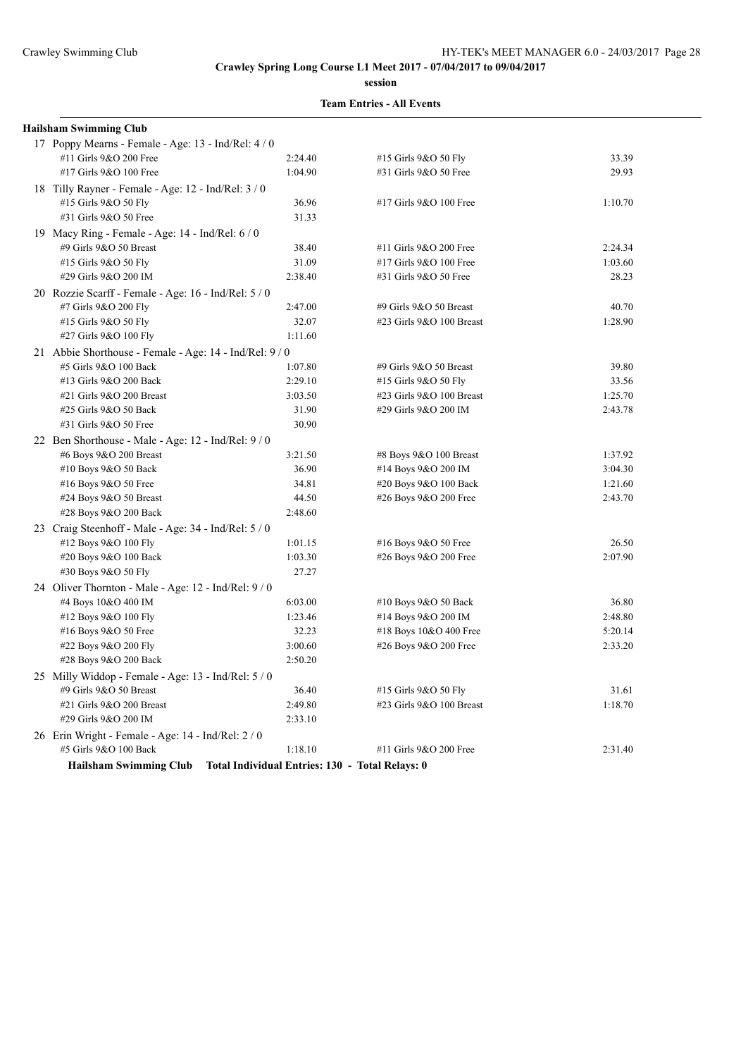**session**

| <b>Hailsham Swimming Club</b>                         |                                                 |                          |         |
|-------------------------------------------------------|-------------------------------------------------|--------------------------|---------|
| 17 Poppy Mearns - Female - Age: 13 - Ind/Rel: 4 / 0   |                                                 |                          |         |
| #11 Girls 9&O 200 Free                                | 2:24.40                                         | #15 Girls 9&O 50 Fly     | 33.39   |
| #17 Girls 9&O 100 Free                                | 1:04.90                                         | #31 Girls 9&O 50 Free    | 29.93   |
| 18 Tilly Rayner - Female - Age: 12 - Ind/Rel: 3 / 0   |                                                 |                          |         |
| #15 Girls 9&O 50 Fly                                  | 36.96                                           | #17 Girls 9&O 100 Free   | 1:10.70 |
| #31 Girls 9&O 50 Free                                 | 31.33                                           |                          |         |
| 19 Macy Ring - Female - Age: 14 - Ind/Rel: 6 / 0      |                                                 |                          |         |
| #9 Girls 9&O 50 Breast                                | 38.40                                           | #11 Girls 9&O 200 Free   | 2:24.34 |
| #15 Girls 9&O 50 Fly                                  | 31.09                                           | #17 Girls 9&O 100 Free   | 1:03.60 |
| #29 Girls 9&O 200 IM                                  | 2:38.40                                         | #31 Girls 9&O 50 Free    | 28.23   |
| 20 Rozzie Scarff - Female - Age: 16 - Ind/Rel: 5 / 0  |                                                 |                          |         |
| #7 Girls 9&O 200 Fly                                  | 2:47.00                                         | #9 Girls 9&O 50 Breast   | 40.70   |
| #15 Girls 9&O 50 Fly                                  | 32.07                                           | #23 Girls 9&O 100 Breast | 1:28.90 |
| #27 Girls 9&O 100 Fly                                 | 1:11.60                                         |                          |         |
| 21 Abbie Shorthouse - Female - Age: 14 - Ind/Rel: 9/0 |                                                 |                          |         |
| #5 Girls 9&O 100 Back                                 | 1:07.80                                         | #9 Girls 9&O 50 Breast   | 39.80   |
| #13 Girls 9&O 200 Back                                | 2:29.10                                         | #15 Girls 9&O 50 Fly     | 33.56   |
| #21 Girls 9&O 200 Breast                              | 3:03.50                                         | #23 Girls 9&O 100 Breast | 1:25.70 |
| #25 Girls 9&O 50 Back                                 | 31.90                                           | #29 Girls 9&O 200 IM     | 2:43.78 |
| #31 Girls 9&O 50 Free                                 | 30.90                                           |                          |         |
| 22 Ben Shorthouse - Male - Age: 12 - Ind/Rel: 9 / 0   |                                                 |                          |         |
| #6 Boys 9&O 200 Breast                                | 3:21.50                                         | #8 Boys 9&O 100 Breast   | 1:37.92 |
| #10 Boys 9&O 50 Back                                  | 36.90                                           | #14 Boys 9&O 200 IM      | 3:04.30 |
| #16 Boys 9&O 50 Free                                  | 34.81                                           | #20 Boys 9&O 100 Back    | 1:21.60 |
| #24 Boys 9&O 50 Breast                                | 44.50                                           | #26 Boys 9&O 200 Free    | 2:43.70 |
| #28 Boys 9&O 200 Back                                 | 2:48.60                                         |                          |         |
| 23 Craig Steenhoff - Male - Age: 34 - Ind/Rel: 5 / 0  |                                                 |                          |         |
| #12 Boys 9&O 100 Fly                                  | 1:01.15                                         | #16 Boys 9&O 50 Free     | 26.50   |
| #20 Boys 9&O 100 Back                                 | 1:03.30                                         | #26 Boys 9&O 200 Free    | 2:07.90 |
| #30 Boys 9&O 50 Fly                                   | 27.27                                           |                          |         |
| 24 Oliver Thornton - Male - Age: 12 - Ind/Rel: 9 / 0  |                                                 |                          |         |
| #4 Boys 10&O 400 IM                                   | 6:03.00                                         | #10 Boys 9&O 50 Back     | 36.80   |
| #12 Boys 9&O 100 Fly                                  | 1:23.46                                         | #14 Boys 9&O 200 IM      | 2:48.80 |
| #16 Boys 9&O 50 Free                                  | 32.23                                           | #18 Boys 10&O 400 Free   | 5:20.14 |
| #22 Boys 9&O 200 Fly                                  | 3:00.60                                         | #26 Boys 9&O 200 Free    | 2:33.20 |
| #28 Boys 9&O 200 Back                                 | 2:50.20                                         |                          |         |
| 25 Milly Widdop - Female - Age: 13 - Ind/Rel: 5 / 0   |                                                 |                          |         |
| #9 Girls 9&O 50 Breast                                | 36.40                                           | #15 Girls 9&O 50 Fly     | 31.61   |
| #21 Girls 9&O 200 Breast                              | 2:49.80                                         | #23 Girls 9&O 100 Breast | 1:18.70 |
| #29 Girls 9&O 200 IM                                  | 2:33.10                                         |                          |         |
| 26 Erin Wright - Female - Age: 14 - Ind/Rel: 2 / 0    |                                                 |                          |         |
| #5 Girls 9&O 100 Back                                 | 1:18.10                                         | #11 Girls 9&O 200 Free   | 2:31.40 |
| <b>Hailsham Swimming Club</b>                         | Total Individual Entries: 130 - Total Relays: 0 |                          |         |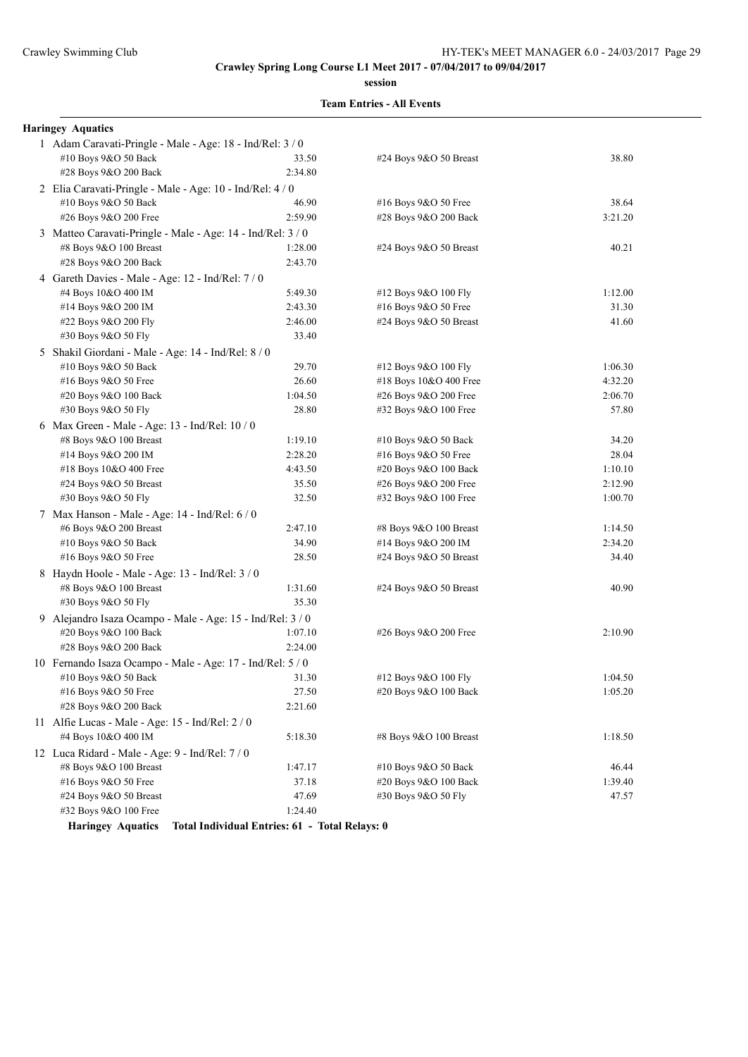**session**

| <b>Haringey Aquatics</b>                                   |                                                |                            |         |
|------------------------------------------------------------|------------------------------------------------|----------------------------|---------|
| 1 Adam Caravati-Pringle - Male - Age: 18 - Ind/Rel: 3 / 0  |                                                |                            |         |
| #10 Boys 9&O 50 Back                                       | 33.50                                          | #24 Boys 9&O 50 Breast     | 38.80   |
| #28 Boys 9&O 200 Back                                      | 2:34.80                                        |                            |         |
| 2 Elia Caravati-Pringle - Male - Age: 10 - Ind/Rel: 4/0    |                                                |                            |         |
| #10 Boys 9&O 50 Back                                       | 46.90                                          | #16 Boys 9&O 50 Free       | 38.64   |
| #26 Boys 9&O 200 Free                                      | 2:59.90                                        | #28 Boys 9&O 200 Back      | 3:21.20 |
| 3 Matteo Caravati-Pringle - Male - Age: 14 - Ind/Rel: 3/0  |                                                |                            |         |
| #8 Boys 9&O 100 Breast                                     | 1:28.00                                        | $#24$ Boys $9&O$ 50 Breast | 40.21   |
| #28 Boys 9&O 200 Back                                      | 2:43.70                                        |                            |         |
| 4 Gareth Davies - Male - Age: 12 - Ind/Rel: 7/0            |                                                |                            |         |
| #4 Boys 10&O 400 IM                                        | 5:49.30                                        | #12 Boys 9&O 100 Fly       | 1:12.00 |
| #14 Boys 9&O 200 IM                                        | 2:43.30                                        | #16 Boys 9&O 50 Free       | 31.30   |
| #22 Boys 9&O 200 Fly                                       | 2:46.00                                        | #24 Boys 9&O 50 Breast     | 41.60   |
| #30 Boys 9&O 50 Fly                                        | 33.40                                          |                            |         |
| 5 Shakil Giordani - Male - Age: 14 - Ind/Rel: 8 / 0        |                                                |                            |         |
| #10 Boys 9&O 50 Back                                       | 29.70                                          | #12 Boys 9&O 100 Fly       | 1:06.30 |
| #16 Boys 9&O 50 Free                                       | 26.60                                          | #18 Boys 10&O 400 Free     | 4:32.20 |
| #20 Boys 9&O 100 Back                                      | 1:04.50                                        | #26 Boys 9&O 200 Free      | 2:06.70 |
| #30 Boys 9&O 50 Fly                                        | 28.80                                          | #32 Boys 9&O 100 Free      | 57.80   |
| 6 Max Green - Male - Age: 13 - Ind/Rel: $10/0$             |                                                |                            |         |
| #8 Boys 9&O 100 Breast                                     | 1:19.10                                        | #10 Boys 9&O 50 Back       | 34.20   |
| #14 Boys 9&O 200 IM                                        | 2:28.20                                        | #16 Boys 9&O 50 Free       | 28.04   |
| #18 Boys 10&O 400 Free                                     | 4:43.50                                        | #20 Boys 9&O 100 Back      | 1:10.10 |
| #24 Boys 9&O 50 Breast                                     | 35.50                                          | #26 Boys 9&O 200 Free      | 2:12.90 |
| #30 Boys 9&O 50 Fly                                        | 32.50                                          | #32 Boys 9&O 100 Free      | 1:00.70 |
| 7 Max Hanson - Male - Age: 14 - Ind/Rel: 6 / 0             |                                                |                            |         |
| #6 Boys 9&O 200 Breast                                     | 2:47.10                                        | #8 Boys 9&O 100 Breast     | 1:14.50 |
| #10 Boys 9&O 50 Back                                       | 34.90                                          | #14 Boys 9&O 200 IM        | 2:34.20 |
| #16 Boys $9&O 50$ Free                                     | 28.50                                          | #24 Boys 9&O 50 Breast     | 34.40   |
| 8 Haydn Hoole - Male - Age: 13 - Ind/Rel: 3 / 0            |                                                |                            |         |
| #8 Boys 9&O 100 Breast                                     | 1:31.60                                        | #24 Boys 9&O 50 Breast     | 40.90   |
| #30 Boys 9&O 50 Fly                                        | 35.30                                          |                            |         |
| 9 Alejandro Isaza Ocampo - Male - Age: 15 - Ind/Rel: 3 / 0 |                                                |                            |         |
| #20 Boys 9&O 100 Back                                      | 1:07.10                                        | #26 Boys 9&O 200 Free      | 2:10.90 |
| #28 Boys 9&O 200 Back                                      | 2:24.00                                        |                            |         |
| 10 Fernando Isaza Ocampo - Male - Age: 17 - Ind/Rel: 5 / 0 |                                                |                            |         |
| #10 Boys 9&O 50 Back                                       | 31.30                                          | #12 Boys 9&O 100 Fly       | 1:04.50 |
| #16 Boys 9&O 50 Free                                       | 27.50                                          | #20 Boys 9&O 100 Back      | 1:05.20 |
| #28 Boys 9&O 200 Back                                      | 2:21.60                                        |                            |         |
| 11 Alfie Lucas - Male - Age: $15$ - Ind/Rel: $2/0$         |                                                |                            |         |
| #4 Boys 10&O 400 IM                                        | 5:18.30                                        | #8 Boys 9&O 100 Breast     | 1:18.50 |
| 12 Luca Ridard - Male - Age: 9 - Ind/Rel: 7 / 0            |                                                |                            |         |
| #8 Boys 9&O 100 Breast                                     | 1:47.17                                        | #10 Boys 9&O 50 Back       | 46.44   |
| #16 Boys 9&O 50 Free                                       | 37.18                                          | #20 Boys 9&O 100 Back      | 1:39.40 |
| #24 Boys 9&O 50 Breast                                     | 47.69                                          | #30 Boys 9&O 50 Fly        | 47.57   |
| #32 Boys 9&O 100 Free                                      | 1:24.40                                        |                            |         |
| <b>Haringey Aquatics</b>                                   | Total Individual Entries: 61 - Total Relays: 0 |                            |         |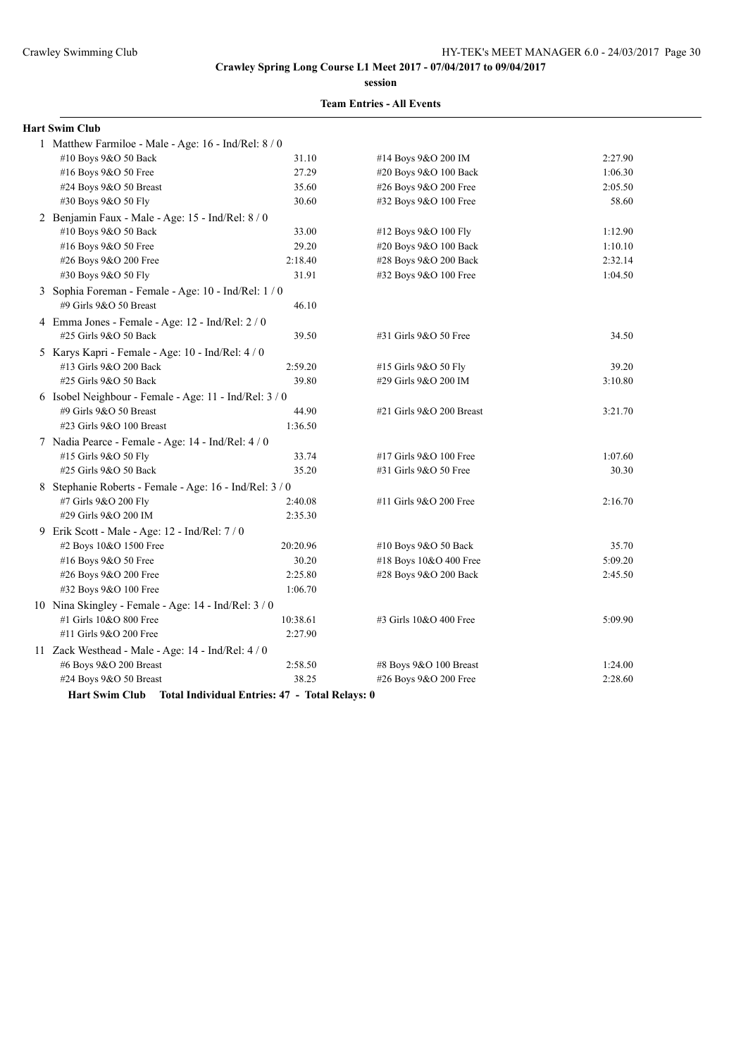**session**

#### **Team Entries - All Events**

| <b>Hart Swim Club</b>                                   |          |                          |         |  |
|---------------------------------------------------------|----------|--------------------------|---------|--|
| 1 Matthew Farmiloe - Male - Age: 16 - Ind/Rel: 8 / 0    |          |                          |         |  |
| #10 Boys 9&O 50 Back                                    | 31.10    | #14 Boys 9&O 200 IM      | 2:27.90 |  |
| #16 Boys 9&O 50 Free                                    | 27.29    | #20 Boys 9&O 100 Back    | 1:06.30 |  |
| #24 Boys 9&O 50 Breast                                  | 35.60    | #26 Boys 9&O 200 Free    | 2:05.50 |  |
| #30 Boys 9&O 50 Fly                                     | 30.60    | #32 Boys 9&O 100 Free    | 58.60   |  |
| 2 Benjamin Faux - Male - Age: 15 - Ind/Rel: 8 / 0       |          |                          |         |  |
| #10 Boys 9&O 50 Back                                    | 33.00    | #12 Boys 9&O 100 Fly     | 1:12.90 |  |
| #16 Boys 9&O 50 Free                                    | 29.20    | #20 Boys 9&O 100 Back    | 1:10.10 |  |
| #26 Boys 9&O 200 Free                                   | 2:18.40  | #28 Boys 9&O 200 Back    | 2:32.14 |  |
| #30 Boys 9&O 50 Fly                                     | 31.91    | #32 Boys 9&O 100 Free    | 1:04.50 |  |
| 3 Sophia Foreman - Female - Age: 10 - Ind/Rel: 1 / 0    |          |                          |         |  |
| #9 Girls 9&O 50 Breast                                  | 46.10    |                          |         |  |
| 4 Emma Jones - Female - Age: 12 - Ind/Rel: 2 / 0        |          |                          |         |  |
| #25 Girls 9&O 50 Back                                   | 39.50    | #31 Girls 9&O 50 Free    | 34.50   |  |
| 5 Karys Kapri - Female - Age: 10 - Ind/Rel: 4 / 0       |          |                          |         |  |
| #13 Girls 9&O 200 Back                                  | 2:59.20  | #15 Girls 9&O 50 Fly     | 39.20   |  |
| #25 Girls 9&O 50 Back                                   | 39.80    | #29 Girls 9&O 200 IM     | 3:10.80 |  |
| 6 Isobel Neighbour - Female - Age: 11 - Ind/Rel: 3 / 0  |          |                          |         |  |
| #9 Girls 9&O 50 Breast                                  | 44.90    | #21 Girls 9&O 200 Breast | 3:21.70 |  |
| #23 Girls 9&O 100 Breast                                | 1:36.50  |                          |         |  |
| 7 Nadia Pearce - Female - Age: 14 - Ind/Rel: 4 / 0      |          |                          |         |  |
| #15 Girls 9&O 50 Fly                                    | 33.74    | #17 Girls 9&O 100 Free   | 1:07.60 |  |
| #25 Girls 9&O 50 Back                                   | 35.20    | #31 Girls 9&O 50 Free    | 30.30   |  |
| 8 Stephanie Roberts - Female - Age: 16 - Ind/Rel: 3 / 0 |          |                          |         |  |
| #7 Girls 9&O 200 Fly                                    | 2:40.08  | #11 Girls 9&O 200 Free   | 2:16.70 |  |
| #29 Girls 9&O 200 IM                                    | 2:35.30  |                          |         |  |
| 9 Erik Scott - Male - Age: 12 - Ind/Rel: 7 / 0          |          |                          |         |  |
| #2 Boys 10&O 1500 Free                                  | 20:20.96 | #10 Boys 9&O 50 Back     | 35.70   |  |
| #16 Boys 9&O 50 Free                                    | 30.20    | #18 Boys 10&O 400 Free   | 5:09.20 |  |
| #26 Boys 9&O 200 Free                                   | 2:25.80  | #28 Boys 9&O 200 Back    | 2:45.50 |  |
| #32 Boys 9&O 100 Free                                   | 1:06.70  |                          |         |  |
| 10 Nina Skingley - Female - Age: 14 - Ind/Rel: 3 / 0    |          |                          |         |  |
| #1 Girls 10&O 800 Free                                  | 10:38.61 | #3 Girls 10&O 400 Free   | 5:09.90 |  |
| #11 Girls 9&O 200 Free                                  | 2:27.90  |                          |         |  |
| 11 Zack Westhead - Male - Age: 14 - Ind/Rel: 4/0        |          |                          |         |  |
| #6 Boys 9&O 200 Breast                                  | 2:58.50  | #8 Boys 9&O 100 Breast   | 1:24.00 |  |
| #24 Boys 9&O 50 Breast                                  | 38.25    | #26 Boys 9&O 200 Free    | 2:28.60 |  |
|                                                         | $\sim$   |                          |         |  |

**Hart Swim Club Total Individual Entries: 47 - Total Relays: 0**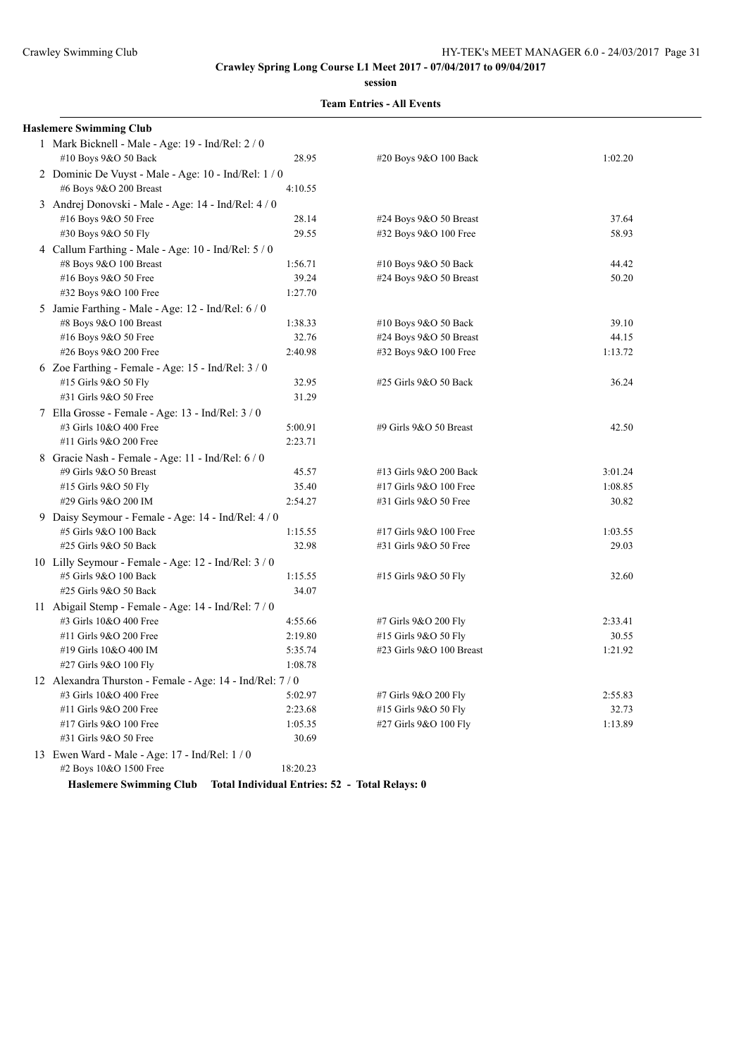**session**

### **Team Entries - All Events**

| <b>Haslemere Swimming Club</b>                            |          |                          |         |
|-----------------------------------------------------------|----------|--------------------------|---------|
| 1 Mark Bicknell - Male - Age: 19 - Ind/Rel: 2 / 0         |          |                          |         |
| #10 Boys 9&O 50 Back                                      | 28.95    | #20 Boys 9&O 100 Back    | 1:02.20 |
| 2 Dominic De Vuyst - Male - Age: $10$ - Ind/Rel: $1/0$    |          |                          |         |
| #6 Boys 9&O 200 Breast                                    | 4:10.55  |                          |         |
| 3 Andrej Donovski - Male - Age: 14 - Ind/Rel: 4 / 0       |          |                          |         |
| #16 Boys 9&O 50 Free                                      | 28.14    | #24 Boys 9&O 50 Breast   | 37.64   |
| #30 Boys 9&O 50 Fly                                       | 29.55    | #32 Boys 9&O 100 Free    | 58.93   |
| 4 Callum Farthing - Male - Age: 10 - Ind/Rel: 5 / 0       |          |                          |         |
| #8 Boys 9&O 100 Breast                                    | 1:56.71  | #10 Boys 9&O 50 Back     | 44.42   |
| #16 Boys 9&O 50 Free                                      | 39.24    | #24 Boys $9&O 50$ Breast | 50.20   |
| #32 Boys 9&O 100 Free                                     | 1:27.70  |                          |         |
| 5 Jamie Farthing - Male - Age: 12 - Ind/Rel: 6/0          |          |                          |         |
| #8 Boys 9&O 100 Breast                                    | 1:38.33  | #10 Boys 9&O 50 Back     | 39.10   |
| #16 Boys 9&O 50 Free                                      | 32.76    | #24 Boys $9&O 50$ Breast | 44.15   |
| #26 Boys 9&O 200 Free                                     | 2:40.98  | #32 Boys 9&O 100 Free    | 1:13.72 |
| 6 Zoe Farthing - Female - Age: $15$ - Ind/Rel: $3/0$      |          |                          |         |
| #15 Girls 9&O 50 Fly                                      | 32.95    | #25 Girls 9&O 50 Back    | 36.24   |
| #31 Girls 9&O 50 Free                                     | 31.29    |                          |         |
| 7 Ella Grosse - Female - Age: 13 - Ind/Rel: 3/0           |          |                          |         |
| #3 Girls 10&O 400 Free                                    | 5:00.91  | #9 Girls 9&O 50 Breast   | 42.50   |
| #11 Girls 9&O 200 Free                                    | 2:23.71  |                          |         |
| 8 Gracie Nash - Female - Age: 11 - Ind/Rel: 6 / 0         |          |                          |         |
| #9 Girls 9&O 50 Breast                                    | 45.57    | #13 Girls 9&O 200 Back   | 3:01.24 |
| #15 Girls 9&O 50 Fly                                      | 35.40    | #17 Girls 9&O 100 Free   | 1:08.85 |
| #29 Girls 9&O 200 IM                                      | 2:54.27  | #31 Girls 9&O 50 Free    | 30.82   |
| 9 Daisy Seymour - Female - Age: 14 - Ind/Rel: 4 / 0       |          |                          |         |
| #5 Girls 9&O 100 Back                                     | 1:15.55  | #17 Girls 9&O 100 Free   | 1:03.55 |
| #25 Girls 9&O 50 Back                                     | 32.98    | #31 Girls 9&O 50 Free    | 29.03   |
| 10 Lilly Seymour - Female - Age: $12$ - Ind/Rel: $3/0$    |          |                          |         |
| #5 Girls 9&O 100 Back                                     | 1:15.55  | #15 Girls 9&O 50 Fly     | 32.60   |
| #25 Girls 9&O 50 Back                                     | 34.07    |                          |         |
| 11 Abigail Stemp - Female - Age: 14 - Ind/Rel: 7/0        |          |                          |         |
| #3 Girls 10&O 400 Free                                    | 4:55.66  | #7 Girls 9&O 200 Fly     | 2:33.41 |
| #11 Girls 9&O 200 Free                                    | 2:19.80  | #15 Girls 9&O 50 Fly     | 30.55   |
| #19 Girls 10&O 400 IM                                     | 5:35.74  | #23 Girls 9&O 100 Breast | 1:21.92 |
| #27 Girls 9&O 100 Fly                                     | 1:08.78  |                          |         |
| 12 Alexandra Thurston - Female - Age: 14 - Ind/Rel: 7 / 0 |          |                          |         |
| #3 Girls 10&O 400 Free                                    | 5:02.97  | #7 Girls 9&O 200 Fly     | 2:55.83 |
| #11 Girls 9&O 200 Free                                    | 2:23.68  | #15 Girls 9&O 50 Fly     | 32.73   |
| #17 Girls 9&O 100 Free                                    | 1:05.35  | #27 Girls 9&O 100 Fly    | 1:13.89 |
| #31 Girls 9&O 50 Free                                     | 30.69    |                          |         |
| 13 Ewen Ward - Male - Age: 17 - Ind/Rel: 1/0              |          |                          |         |
| #2 Boys 10&O 1500 Free                                    | 18:20.23 |                          |         |

**Haslemere Swimming Club Total Individual Entries: 52 - Total Relays: 0**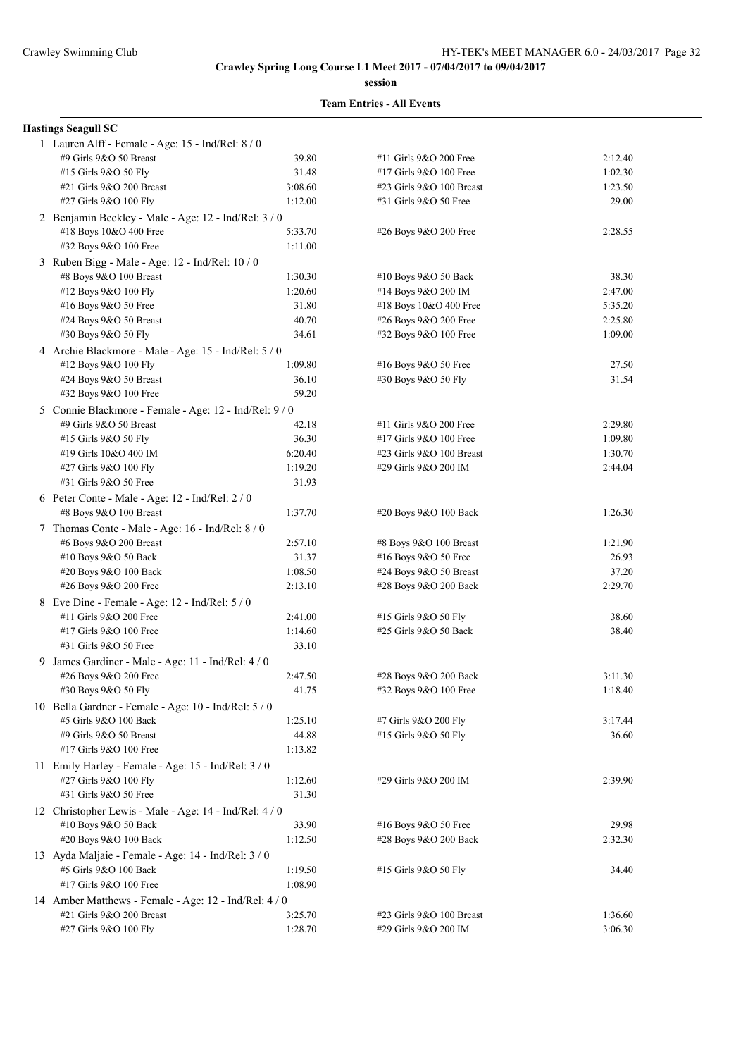**session**

#### **Team Entries - All Events**

## **Hastings Seagull SC**

| 1 Lauren Alff - Female - Age: 15 - Ind/Rel: 8 / 0                            |         |                          |         |
|------------------------------------------------------------------------------|---------|--------------------------|---------|
| #9 Girls 9&O 50 Breast                                                       | 39.80   | #11 Girls 9&O 200 Free   | 2:12.40 |
| #15 Girls 9&O 50 Fly                                                         | 31.48   | #17 Girls 9&O 100 Free   | 1:02.30 |
| #21 Girls 9&O 200 Breast                                                     | 3:08.60 | #23 Girls 9&O 100 Breast | 1:23.50 |
| #27 Girls 9&O 100 Fly                                                        | 1:12.00 | #31 Girls 9&O 50 Free    | 29.00   |
| 2 Benjamin Beckley - Male - Age: 12 - Ind/Rel: 3 / 0                         |         |                          |         |
| #18 Boys 10&O 400 Free                                                       | 5:33.70 | #26 Boys 9&O 200 Free    | 2:28.55 |
| #32 Boys 9&O 100 Free                                                        | 1:11.00 |                          |         |
| 3 Ruben Bigg - Male - Age: 12 - Ind/Rel: 10/0                                |         |                          |         |
| #8 Boys 9&O 100 Breast                                                       | 1:30.30 | #10 Boys 9&O 50 Back     | 38.30   |
| #12 Boys 9&O 100 Fly                                                         | 1:20.60 | #14 Boys 9&O 200 IM      | 2:47.00 |
| #16 Boys 9&O 50 Free                                                         | 31.80   | #18 Boys 10&O 400 Free   | 5:35.20 |
| #24 Boys 9&O 50 Breast                                                       | 40.70   | #26 Boys 9&O 200 Free    | 2:25.80 |
| #30 Boys 9&O 50 Fly                                                          | 34.61   | #32 Boys 9&O 100 Free    | 1:09.00 |
| 4 Archie Blackmore - Male - Age: 15 - Ind/Rel: 5 / 0                         |         |                          |         |
| #12 Boys 9&O 100 Fly                                                         | 1:09.80 | #16 Boys 9&O 50 Free     | 27.50   |
| #24 Boys 9&O 50 Breast                                                       | 36.10   | #30 Boys 9&O 50 Fly      | 31.54   |
| #32 Boys 9&O 100 Free                                                        | 59.20   |                          |         |
| 5 Connie Blackmore - Female - Age: 12 - Ind/Rel: 9/0                         |         |                          |         |
| #9 Girls 9&O 50 Breast                                                       | 42.18   | #11 Girls 9&O 200 Free   | 2:29.80 |
| #15 Girls 9&O 50 Fly                                                         | 36.30   | #17 Girls 9&O 100 Free   | 1:09.80 |
| #19 Girls 10&O 400 IM                                                        | 6:20.40 | #23 Girls 9&O 100 Breast | 1:30.70 |
| #27 Girls 9&O 100 Fly                                                        | 1:19.20 | #29 Girls 9&O 200 IM     | 2:44.04 |
| #31 Girls 9&O 50 Free                                                        | 31.93   |                          |         |
| 6 Peter Conte - Male - Age: 12 - Ind/Rel: 2 / 0                              |         |                          |         |
| #8 Boys 9&O 100 Breast                                                       | 1:37.70 | #20 Boys 9&O 100 Back    | 1:26.30 |
| 7 Thomas Conte - Male - Age: 16 - Ind/Rel: 8 / 0                             |         |                          |         |
| #6 Boys 9&O 200 Breast                                                       | 2:57.10 | #8 Boys 9&O 100 Breast   | 1:21.90 |
| #10 Boys 9&O 50 Back                                                         | 31.37   | #16 Boys $9&O 50$ Free   | 26.93   |
| #20 Boys 9&O 100 Back                                                        | 1:08.50 | #24 Boys 9&O 50 Breast   | 37.20   |
| #26 Boys 9&O 200 Free                                                        | 2:13.10 | #28 Boys 9&O 200 Back    | 2:29.70 |
| 8 Eve Dine - Female - Age: 12 - Ind/Rel: 5 / 0                               |         |                          |         |
| #11 Girls 9&O 200 Free                                                       | 2:41.00 | #15 Girls 9&O 50 Fly     | 38.60   |
| #17 Girls 9&O 100 Free                                                       | 1:14.60 | #25 Girls 9&O 50 Back    | 38.40   |
| #31 Girls 9&O 50 Free                                                        | 33.10   |                          |         |
| 9 James Gardiner - Male - Age: 11 - Ind/Rel: 4 / 0                           |         |                          |         |
| #26 Boys 9&O 200 Free                                                        | 2:47.50 | #28 Boys 9&O 200 Back    | 3:11.30 |
| #30 Boys 9&O 50 Fly                                                          | 41.75   | #32 Boys 9&O 100 Free    | 1:18.40 |
| 10 Bella Gardner - Female - Age: 10 - Ind/Rel: 5 / 0                         |         |                          |         |
| #5 Girls 9&O 100 Back                                                        | 1:25.10 | #7 Girls 9&O 200 Fly     | 3:17.44 |
| #9 Girls 9&O 50 Breast                                                       | 44.88   | #15 Girls 9&O 50 Fly     | 36.60   |
| #17 Girls 9&O 100 Free                                                       | 1:13.82 |                          |         |
|                                                                              |         |                          |         |
| 11 Emily Harley - Female - Age: 15 - Ind/Rel: 3 / 0<br>#27 Girls 9&O 100 Fly | 1:12.60 | #29 Girls 9&O 200 IM     | 2:39.90 |
| #31 Girls 9&O 50 Free                                                        | 31.30   |                          |         |
|                                                                              |         |                          |         |
| 12 Christopher Lewis - Male - Age: 14 - Ind/Rel: 4 / 0                       |         |                          |         |
| #10 Boys 9&O 50 Back                                                         | 33.90   | #16 Boys 9&O 50 Free     | 29.98   |
| #20 Boys 9&O 100 Back                                                        | 1:12.50 | #28 Boys 9&O 200 Back    | 2:32.30 |
| 13 Ayda Maljaie - Female - Age: 14 - Ind/Rel: 3 / 0                          |         |                          |         |
| #5 Girls 9&O 100 Back                                                        | 1:19.50 | #15 Girls 9&O 50 Fly     | 34.40   |
| #17 Girls 9&O 100 Free                                                       | 1:08.90 |                          |         |
| 14 Amber Matthews - Female - Age: 12 - Ind/Rel: 4 / 0                        |         |                          |         |
| #21 Girls 9&O 200 Breast                                                     | 3:25.70 | #23 Girls 9&O 100 Breast | 1:36.60 |
| #27 Girls 9&O 100 Fly                                                        | 1:28.70 | #29 Girls 9&O 200 IM     | 3:06.30 |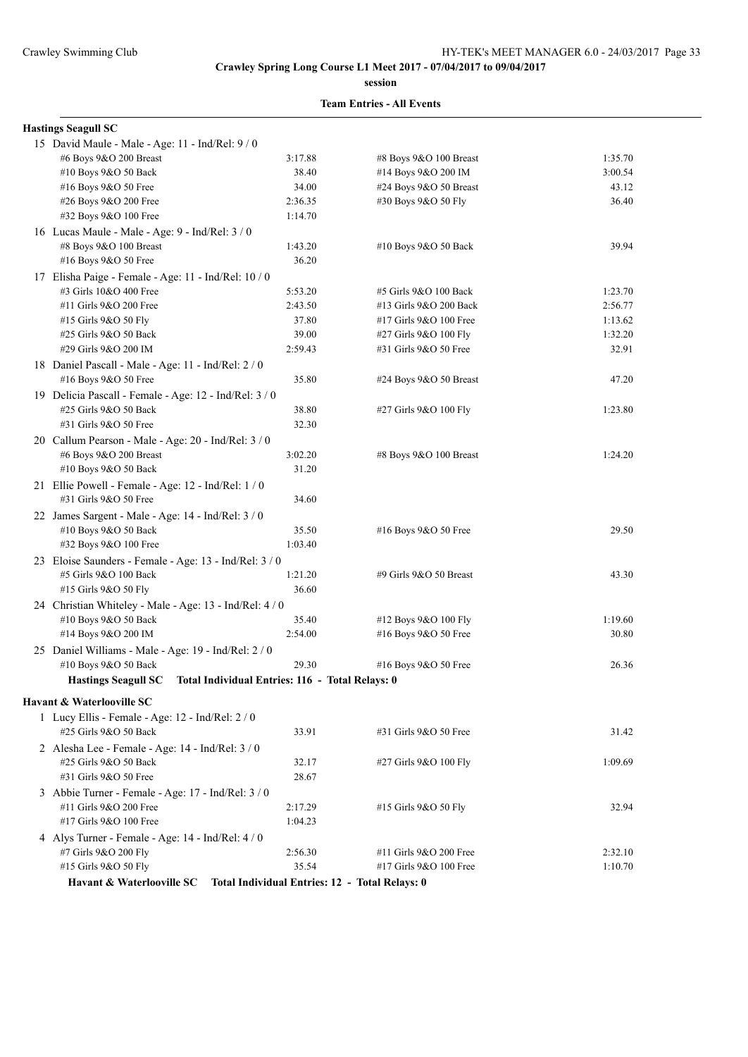**session**

#### **Team Entries - All Events**

## **Hastings Seagull SC**

| 15 David Maule - Male - Age: 11 - Ind/Rel: 9 / 0                          |                                                 |                        |         |
|---------------------------------------------------------------------------|-------------------------------------------------|------------------------|---------|
| #6 Boys 9&O 200 Breast                                                    | 3:17.88                                         | #8 Boys 9&O 100 Breast | 1:35.70 |
| #10 Boys 9&O 50 Back                                                      | 38.40                                           | #14 Boys 9&O 200 IM    | 3:00.54 |
| #16 Boys 9&O 50 Free                                                      | 34.00                                           | #24 Boys 9&O 50 Breast | 43.12   |
| #26 Boys 9&O 200 Free                                                     | 2:36.35                                         | #30 Boys 9&O 50 Fly    | 36.40   |
| #32 Boys 9&O 100 Free                                                     | 1:14.70                                         |                        |         |
| 16 Lucas Maule - Male - Age: 9 - Ind/Rel: 3 / 0                           |                                                 |                        |         |
| #8 Boys 9&O 100 Breast                                                    | 1:43.20                                         | #10 Boys 9&O 50 Back   | 39.94   |
| #16 Boys 9&O 50 Free                                                      | 36.20                                           |                        |         |
| 17 Elisha Paige - Female - Age: 11 - Ind/Rel: 10 / 0                      |                                                 |                        |         |
| #3 Girls 10&O 400 Free                                                    | 5:53.20                                         | #5 Girls 9&O 100 Back  | 1:23.70 |
| #11 Girls 9&O 200 Free                                                    | 2:43.50                                         | #13 Girls 9&O 200 Back | 2:56.77 |
| #15 Girls 9&O 50 Fly                                                      | 37.80                                           | #17 Girls 9&O 100 Free | 1:13.62 |
| #25 Girls 9&O 50 Back                                                     | 39.00                                           | #27 Girls 9&O 100 Fly  | 1:32.20 |
| #29 Girls 9&O 200 IM                                                      | 2:59.43                                         | #31 Girls 9&O 50 Free  | 32.91   |
|                                                                           |                                                 |                        |         |
| 18 Daniel Pascall - Male - Age: 11 - Ind/Rel: 2 / 0                       | 35.80                                           | #24 Boys 9&O 50 Breast | 47.20   |
| #16 Boys $9&O 50$ Free                                                    |                                                 |                        |         |
| 19 Delicia Pascall - Female - Age: 12 - Ind/Rel: 3 / 0                    |                                                 |                        |         |
| #25 Girls 9&O 50 Back                                                     | 38.80                                           | #27 Girls 9&O 100 Fly  | 1:23.80 |
| #31 Girls 9&O 50 Free                                                     | 32.30                                           |                        |         |
| 20 Callum Pearson - Male - Age: 20 - Ind/Rel: 3 / 0                       |                                                 |                        |         |
| #6 Boys 9&O 200 Breast                                                    | 3:02.20                                         | #8 Boys 9&O 100 Breast | 1:24.20 |
| #10 Boys 9&O 50 Back                                                      | 31.20                                           |                        |         |
| 21 Ellie Powell - Female - Age: 12 - Ind/Rel: 1 / 0                       |                                                 |                        |         |
| #31 Girls 9&O 50 Free                                                     | 34.60                                           |                        |         |
| 22 James Sargent - Male - Age: 14 - Ind/Rel: 3 / 0                        |                                                 |                        |         |
| #10 Boys 9&O 50 Back                                                      | 35.50                                           | #16 Boys 9&O 50 Free   | 29.50   |
| #32 Boys 9&O 100 Free                                                     | 1:03.40                                         |                        |         |
| 23 Eloise Saunders - Female - Age: 13 - Ind/Rel: 3 / 0                    |                                                 |                        |         |
| #5 Girls 9&O 100 Back                                                     | 1:21.20                                         | #9 Girls 9&O 50 Breast | 43.30   |
| #15 Girls 9&O 50 Fly                                                      | 36.60                                           |                        |         |
| 24 Christian Whiteley - Male - Age: 13 - Ind/Rel: 4/0                     |                                                 |                        |         |
| #10 Boys 9&O 50 Back                                                      | 35.40                                           | #12 Boys 9&O 100 Fly   | 1:19.60 |
| #14 Boys 9&O 200 IM                                                       | 2:54.00                                         | #16 Boys 9&O 50 Free   | 30.80   |
| 25 Daniel Williams - Male - Age: 19 - Ind/Rel: 2 / 0                      |                                                 |                        |         |
| #10 Boys 9&O 50 Back                                                      | 29.30                                           | #16 Boys 9&O 50 Free   | 26.36   |
| <b>Hastings Seagull SC</b>                                                | Total Individual Entries: 116 - Total Relays: 0 |                        |         |
| Havant & Waterlooville SC                                                 |                                                 |                        |         |
|                                                                           |                                                 |                        |         |
| 1 Lucy Ellis - Female - Age: 12 - Ind/Rel: 2 / 0<br>#25 Girls 9&O 50 Back |                                                 |                        |         |
|                                                                           | 33.91                                           | #31 Girls 9&O 50 Free  | 31.42   |
| 2 Alesha Lee - Female - Age: 14 - Ind/Rel: 3 / 0                          |                                                 |                        |         |
| #25 Girls 9&O 50 Back                                                     | 32.17                                           | #27 Girls 9&O 100 Fly  | 1:09.69 |
| #31 Girls 9&O 50 Free                                                     | 28.67                                           |                        |         |
| 3 Abbie Turner - Female - Age: 17 - Ind/Rel: 3 / 0                        |                                                 |                        |         |
| #11 Girls 9&O 200 Free                                                    | 2:17.29                                         | #15 Girls 9&O 50 Fly   | 32.94   |
| #17 Girls 9&O 100 Free                                                    | 1:04.23                                         |                        |         |
| 4 Alys Turner - Female - Age: $14$ - Ind/Rel: $4/0$                       |                                                 |                        |         |
| #7 Girls 9&O 200 Fly                                                      | 2:56.30                                         | #11 Girls 9&O 200 Free | 2:32.10 |
| #15 Girls 9&O 50 Fly                                                      | 35.54                                           | #17 Girls 9&O 100 Free | 1:10.70 |
| Havant & Waterlooville SC Total Individual Entries: 12 - Total Relays: 0  |                                                 |                        |         |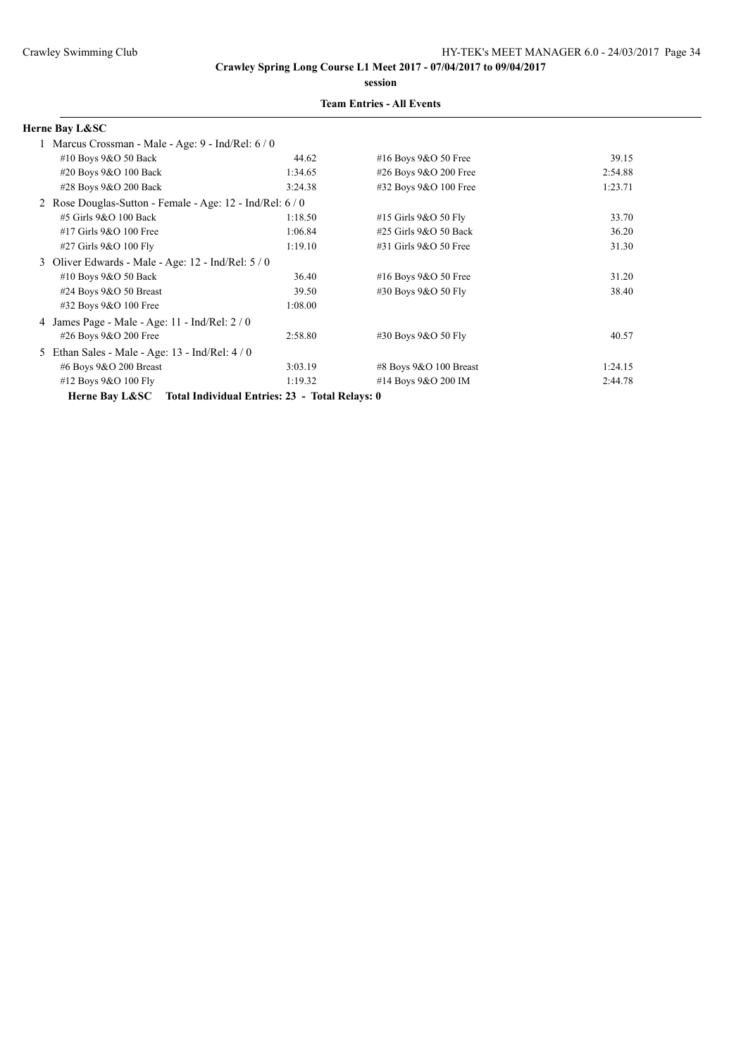**session**

### **Team Entries - All Events**

### **Herne Bay L&SC**

| 1 Marcus Crossman - Male - Age: 9 - Ind/Rel: 6 / 0                                                                                                                                                                                                                                                                                 |         |                          |         |
|------------------------------------------------------------------------------------------------------------------------------------------------------------------------------------------------------------------------------------------------------------------------------------------------------------------------------------|---------|--------------------------|---------|
| #10 Boys 9&O 50 Back                                                                                                                                                                                                                                                                                                               | 44.62   | #16 Boys 9&O 50 Free     | 39.15   |
| #20 Boys 9&O 100 Back                                                                                                                                                                                                                                                                                                              | 1:34.65 | #26 Boys 9&O 200 Free    | 2:54.88 |
| #28 Boys 9&O 200 Back                                                                                                                                                                                                                                                                                                              | 3:24.38 | #32 Boys 9&O 100 Free    | 1:23.71 |
| 2 Rose Douglas-Sutton - Female - Age: 12 - Ind/Rel: 6 / 0                                                                                                                                                                                                                                                                          |         |                          |         |
| $#5$ Girls $9&O$ 100 Back                                                                                                                                                                                                                                                                                                          | 1:18.50 | #15 Girls 9&O 50 Fly     | 33.70   |
| #17 Girls 9&O 100 Free                                                                                                                                                                                                                                                                                                             | 1:06.84 | #25 Girls 9&O 50 Back    | 36.20   |
| #27 Girls 9&O 100 Fly                                                                                                                                                                                                                                                                                                              | 1:19.10 | #31 Girls 9&O 50 Free    | 31.30   |
| 3 Oliver Edwards - Male - Age: 12 - Ind/Rel: 5 / 0                                                                                                                                                                                                                                                                                 |         |                          |         |
| #10 Boys 9&O 50 Back                                                                                                                                                                                                                                                                                                               | 36.40   | #16 Boys $9&O 50$ Free   | 31.20   |
| #24 Boys $9&O 50$ Breast                                                                                                                                                                                                                                                                                                           | 39.50   | #30 Boys 9&O 50 Fly      | 38.40   |
| $\#32$ Boys 9&O 100 Free                                                                                                                                                                                                                                                                                                           | 1:08.00 |                          |         |
| 4 James Page - Male - Age: 11 - Ind/Rel: 2/0                                                                                                                                                                                                                                                                                       |         |                          |         |
| #26 Boys 9&O 200 Free                                                                                                                                                                                                                                                                                                              | 2:58.80 | #30 Boys 9&O 50 Fly      | 40.57   |
| 5 Ethan Sales - Male - Age: 13 - Ind/Rel: 4/0                                                                                                                                                                                                                                                                                      |         |                          |         |
| #6 Boys 9&O 200 Breast                                                                                                                                                                                                                                                                                                             | 3:03.19 | #8 Boys $9&O$ 100 Breast | 1:24.15 |
| #12 Boys 9&O 100 Fly                                                                                                                                                                                                                                                                                                               | 1:19.32 | #14 Boys 9&O 200 IM      | 2:44.78 |
| $\mathbf{r}$ $\mathbf{r}$ $\mathbf{r}$ $\mathbf{r}$ $\mathbf{r}$ $\mathbf{r}$ $\mathbf{r}$ $\mathbf{r}$ $\mathbf{r}$ $\mathbf{r}$ $\mathbf{r}$ $\mathbf{r}$ $\mathbf{r}$ $\mathbf{r}$ $\mathbf{r}$ $\mathbf{r}$ $\mathbf{r}$ $\mathbf{r}$ $\mathbf{r}$ $\mathbf{r}$ $\mathbf{r}$ $\mathbf{r}$ $\mathbf{r}$ $\mathbf{r}$ $\mathbf{$ |         |                          |         |

**Herne Bay L&SC Total Individual Entries: 23 - Total Relays: 0**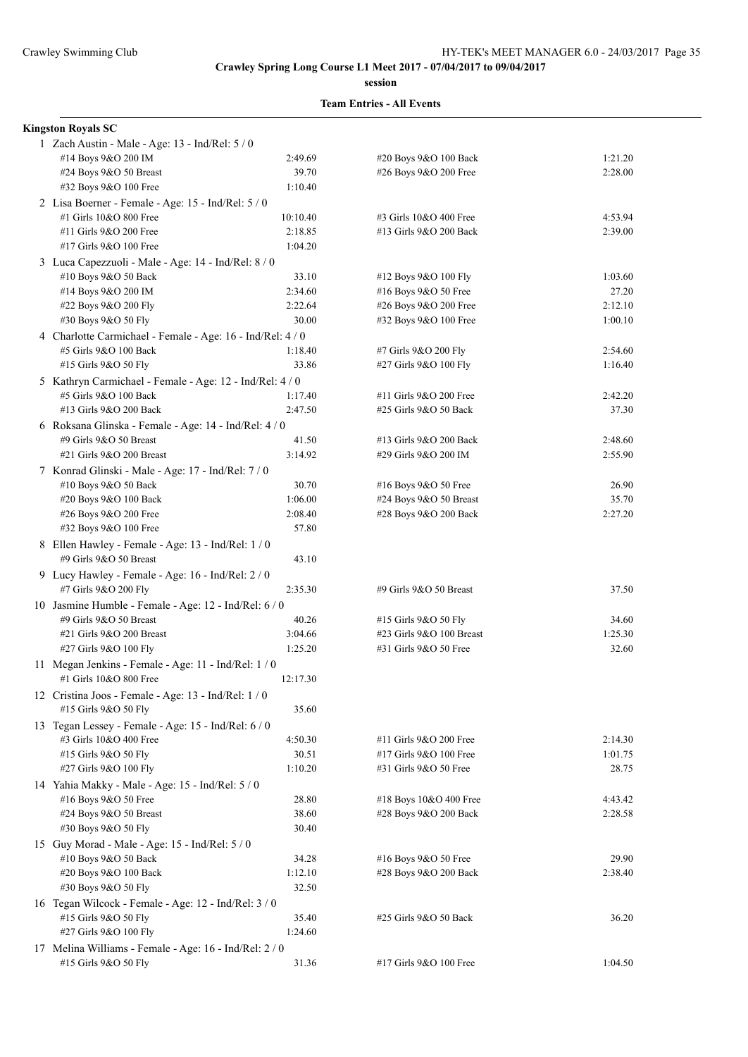**session**

#### **Team Entries - All Events**

## **Kingston Royals SC**

| 1 Zach Austin - Male - Age: 13 - Ind/Rel: 5 / 0                            |          |                          |         |
|----------------------------------------------------------------------------|----------|--------------------------|---------|
| #14 Boys 9&O 200 IM                                                        | 2:49.69  | #20 Boys 9&O 100 Back    | 1:21.20 |
| #24 Boys 9&O 50 Breast                                                     | 39.70    | #26 Boys 9&O 200 Free    | 2:28.00 |
| #32 Boys 9&O 100 Free                                                      | 1:10.40  |                          |         |
| 2 Lisa Boerner - Female - Age: 15 - Ind/Rel: 5 / 0                         |          |                          |         |
| #1 Girls 10&O 800 Free                                                     | 10:10.40 | #3 Girls 10&O 400 Free   | 4:53.94 |
| #11 Girls 9&O 200 Free                                                     | 2:18.85  | #13 Girls 9&O 200 Back   | 2:39.00 |
| #17 Girls 9&O 100 Free                                                     | 1:04.20  |                          |         |
| 3 Luca Capezzuoli - Male - Age: 14 - Ind/Rel: 8 / 0                        |          |                          |         |
| #10 Boys 9&O 50 Back                                                       | 33.10    | #12 Boys 9&O 100 Fly     | 1:03.60 |
| #14 Boys 9&O 200 IM                                                        | 2:34.60  | #16 Boys 9&O 50 Free     | 27.20   |
| #22 Boys 9&O 200 Fly                                                       | 2:22.64  | #26 Boys 9&O 200 Free    | 2:12.10 |
| #30 Boys 9&O 50 Fly                                                        | 30.00    | #32 Boys 9&O 100 Free    | 1:00.10 |
| 4 Charlotte Carmichael - Female - Age: 16 - Ind/Rel: 4 / 0                 |          |                          |         |
| #5 Girls 9&O 100 Back                                                      | 1:18.40  | #7 Girls 9&O 200 Fly     | 2:54.60 |
| #15 Girls 9&O 50 Fly                                                       | 33.86    | #27 Girls 9&O 100 Fly    | 1:16.40 |
| 5 Kathryn Carmichael - Female - Age: 12 - Ind/Rel: 4 / 0                   |          |                          |         |
| #5 Girls 9&O 100 Back                                                      | 1:17.40  | #11 Girls 9&O 200 Free   | 2:42.20 |
| #13 Girls 9&O 200 Back                                                     | 2:47.50  | #25 Girls 9&O 50 Back    | 37.30   |
| 6 Roksana Glinska - Female - Age: 14 - Ind/Rel: 4 / 0                      |          |                          |         |
| #9 Girls 9&O 50 Breast                                                     | 41.50    | #13 Girls 9&O 200 Back   | 2:48.60 |
| #21 Girls 9&O 200 Breast                                                   | 3:14.92  | #29 Girls 9&O 200 IM     | 2:55.90 |
|                                                                            |          |                          |         |
| 7 Konrad Glinski - Male - Age: 17 - Ind/Rel: 7 / 0<br>#10 Boys 9&O 50 Back | 30.70    | #16 Boys 9&O 50 Free     | 26.90   |
| #20 Boys 9&O 100 Back                                                      | 1:06.00  | #24 Boys $9&O 50$ Breast | 35.70   |
| #26 Boys 9&O 200 Free                                                      | 2:08.40  | #28 Boys 9&O 200 Back    | 2:27.20 |
| #32 Boys 9&O 100 Free                                                      | 57.80    |                          |         |
|                                                                            |          |                          |         |
| 8 Ellen Hawley - Female - Age: 13 - Ind/Rel: 1/0                           | 43.10    |                          |         |
| #9 Girls 9&O 50 Breast                                                     |          |                          |         |
| 9 Lucy Hawley - Female - Age: 16 - Ind/Rel: 2/0                            |          |                          |         |
| #7 Girls 9&O 200 Fly                                                       | 2:35.30  | #9 Girls 9&O 50 Breast   | 37.50   |
| 10 Jasmine Humble - Female - Age: 12 - Ind/Rel: 6 / 0                      |          |                          |         |
| #9 Girls 9&O 50 Breast                                                     | 40.26    | #15 Girls 9&O 50 Fly     | 34.60   |
| #21 Girls 9&O 200 Breast                                                   | 3:04.66  | #23 Girls 9&O 100 Breast | 1:25.30 |
| #27 Girls 9&O 100 Fly                                                      | 1:25.20  | #31 Girls 9&O 50 Free    | 32.60   |
| 11 Megan Jenkins - Female - Age: 11 - Ind/Rel: 1/0                         |          |                          |         |
| #1 Girls 10&O 800 Free                                                     | 12:17.30 |                          |         |
| 12 Cristina Joos - Female - Age: 13 - Ind/Rel: 1/0                         |          |                          |         |
| #15 Girls 9&O 50 Fly                                                       | 35.60    |                          |         |
| 13 Tegan Lessey - Female - Age: 15 - Ind/Rel: 6 / 0                        |          |                          |         |
| #3 Girls 10&O 400 Free                                                     | 4:50.30  | #11 Girls 9&O 200 Free   | 2:14.30 |
| #15 Girls 9&O 50 Fly                                                       | 30.51    | #17 Girls 9&O 100 Free   | 1:01.75 |
| #27 Girls 9&O 100 Fly                                                      | 1:10.20  | #31 Girls 9&O 50 Free    | 28.75   |
| 14 Yahia Makky - Male - Age: 15 - Ind/Rel: 5 / 0                           |          |                          |         |
| #16 Boys 9&O 50 Free                                                       | 28.80    | #18 Boys 10&O 400 Free   | 4:43.42 |
| #24 Boys 9&O 50 Breast                                                     | 38.60    | #28 Boys 9&O 200 Back    | 2:28.58 |
| #30 Boys 9&O 50 Fly                                                        | 30.40    |                          |         |
| 15 Guy Morad - Male - Age: 15 - Ind/Rel: 5 / 0                             |          |                          |         |
| #10 Boys 9&O 50 Back                                                       | 34.28    | #16 Boys 9&O 50 Free     | 29.90   |
| #20 Boys 9&O 100 Back                                                      | 1:12.10  | #28 Boys 9&O 200 Back    | 2:38.40 |
| #30 Boys 9&O 50 Fly                                                        | 32.50    |                          |         |
| 16 Tegan Wilcock - Female - Age: 12 - Ind/Rel: 3 / 0                       |          |                          |         |
| #15 Girls 9&O 50 Fly                                                       | 35.40    | #25 Girls 9&O 50 Back    | 36.20   |
| #27 Girls 9&O 100 Fly                                                      | 1:24.60  |                          |         |
| 17 Melina Williams - Female - Age: 16 - Ind/Rel: 2 / 0                     |          |                          |         |
| #15 Girls 9&O 50 Fly                                                       | 31.36    | #17 Girls 9&O 100 Free   | 1:04.50 |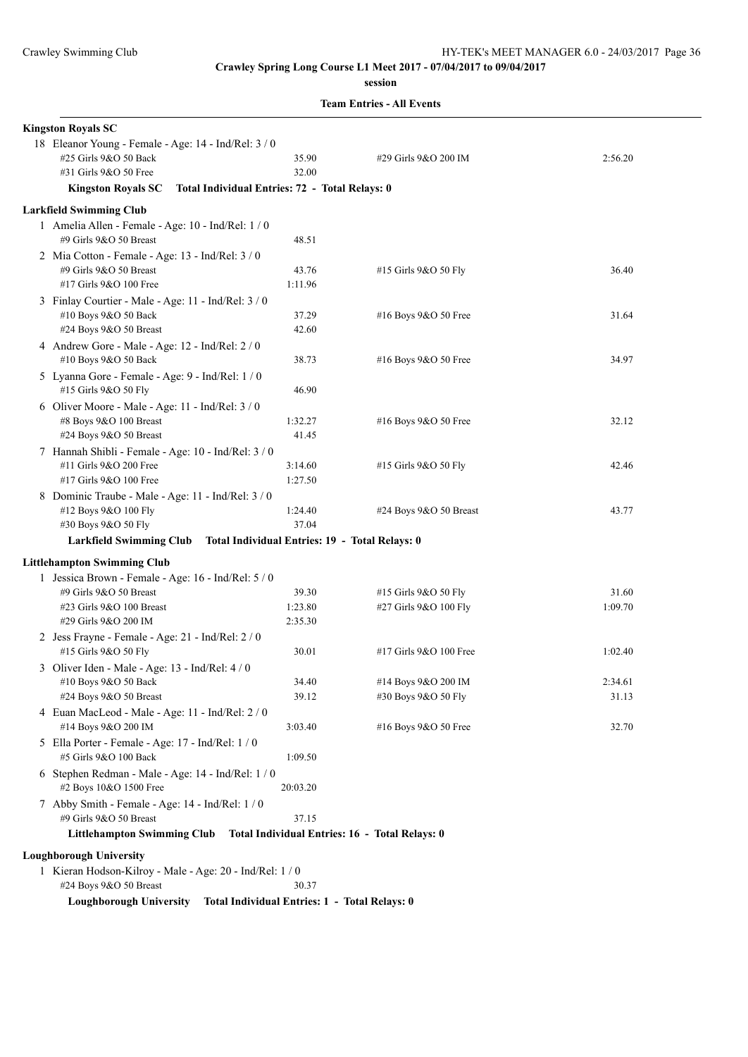**session**

**Team Entries - All Events**

| <b>Kingston Royals SC</b>                                                     |                                                |                                                |         |  |  |  |
|-------------------------------------------------------------------------------|------------------------------------------------|------------------------------------------------|---------|--|--|--|
| 18 Eleanor Young - Female - Age: 14 - Ind/Rel: 3 / 0<br>#25 Girls 9&O 50 Back | 35.90                                          | #29 Girls 9&O 200 IM                           | 2:56.20 |  |  |  |
| #31 Girls 9&O 50 Free                                                         | 32.00                                          |                                                |         |  |  |  |
| Total Individual Entries: 72 - Total Relays: 0<br><b>Kingston Royals SC</b>   |                                                |                                                |         |  |  |  |
| <b>Larkfield Swimming Club</b>                                                |                                                |                                                |         |  |  |  |
| 1 Amelia Allen - Female - Age: 10 - Ind/Rel: 1/0<br>#9 Girls 9&O 50 Breast    | 48.51                                          |                                                |         |  |  |  |
| 2 Mia Cotton - Female - Age: 13 - Ind/Rel: 3 / 0                              |                                                |                                                |         |  |  |  |
| #9 Girls 9&O 50 Breast                                                        | 43.76                                          | #15 Girls 9&O 50 Fly                           | 36.40   |  |  |  |
| #17 Girls 9&O 100 Free                                                        | 1:11.96                                        |                                                |         |  |  |  |
| 3 Finlay Courtier - Male - Age: 11 - Ind/Rel: 3 / 0                           |                                                |                                                |         |  |  |  |
| #10 Boys 9&O 50 Back                                                          | 37.29                                          | $#16$ Boys 9&O 50 Free                         | 31.64   |  |  |  |
| #24 Boys 9&O 50 Breast                                                        | 42.60                                          |                                                |         |  |  |  |
| 4 Andrew Gore - Male - Age: 12 - Ind/Rel: 2 / 0<br>#10 Boys 9&O 50 Back       | 38.73                                          | #16 Boys 9&O 50 Free                           | 34.97   |  |  |  |
| 5 Lyanna Gore - Female - Age: 9 - Ind/Rel: 1 / 0                              |                                                |                                                |         |  |  |  |
| #15 Girls 9&O 50 Fly                                                          | 46.90                                          |                                                |         |  |  |  |
| 6 Oliver Moore - Male - Age: 11 - Ind/Rel: 3 / 0                              |                                                |                                                |         |  |  |  |
| #8 Boys 9&O 100 Breast                                                        | 1:32.27                                        | $#16$ Boys 9&O 50 Free                         | 32.12   |  |  |  |
| #24 Boys 9&O 50 Breast                                                        | 41.45                                          |                                                |         |  |  |  |
| 7 Hannah Shibli - Female - Age: 10 - Ind/Rel: 3 / 0                           |                                                |                                                |         |  |  |  |
| #11 Girls 9&O 200 Free                                                        | 3:14.60                                        | #15 Girls 9&O 50 Fly                           | 42.46   |  |  |  |
| #17 Girls 9&O 100 Free                                                        | 1:27.50                                        |                                                |         |  |  |  |
| 8 Dominic Traube - Male - Age: 11 - Ind/Rel: 3 / 0                            |                                                |                                                |         |  |  |  |
| #12 Boys 9&O 100 Fly                                                          | 1:24.40                                        | $\#24$ Boys 9&O 50 Breast                      | 43.77   |  |  |  |
| #30 Boys 9&O 50 Fly                                                           | 37.04                                          |                                                |         |  |  |  |
| <b>Larkfield Swimming Club</b>                                                | Total Individual Entries: 19 - Total Relays: 0 |                                                |         |  |  |  |
|                                                                               |                                                |                                                |         |  |  |  |
| <b>Littlehampton Swimming Club</b>                                            |                                                |                                                |         |  |  |  |
| 1 Jessica Brown - Female - Age: 16 - Ind/Rel: 5 / 0<br>#9 Girls 9&O 50 Breast | 39.30                                          | #15 Girls 9&O 50 Fly                           | 31.60   |  |  |  |
| #23 Girls 9&O 100 Breast                                                      | 1:23.80                                        | #27 Girls 9&O 100 Fly                          | 1:09.70 |  |  |  |
| #29 Girls 9&O 200 IM                                                          | 2:35.30                                        |                                                |         |  |  |  |
| 2 Jess Frayne - Female - Age: 21 - Ind/Rel: 2 / 0                             |                                                |                                                |         |  |  |  |
| #15 Girls 9&O 50 Fly                                                          | 30.01                                          | #17 Girls 9&O 100 Free                         | 1:02.40 |  |  |  |
| 3 Oliver Iden - Male - Age: 13 - Ind/Rel: 4 / 0                               |                                                |                                                |         |  |  |  |
| #10 Boys 9&O 50 Back                                                          | 34.40                                          | #14 Boys 9&O 200 IM                            | 2:34.61 |  |  |  |
| #24 Boys 9&O 50 Breast                                                        | 39.12                                          | #30 Boys 9&O 50 Fly                            | 31.13   |  |  |  |
| 4 Euan MacLeod - Male - Age: 11 - Ind/Rel: 2 / 0                              |                                                |                                                |         |  |  |  |
| #14 Boys 9&O 200 IM                                                           | 3:03.40                                        | #16 Boys 9&O 50 Free                           | 32.70   |  |  |  |
| 5 Ella Porter - Female - Age: 17 - Ind/Rel: 1 / 0                             |                                                |                                                |         |  |  |  |
| #5 Girls 9&O 100 Back                                                         | 1:09.50                                        |                                                |         |  |  |  |
| 6 Stephen Redman - Male - Age: 14 - Ind/Rel: 1 / 0                            |                                                |                                                |         |  |  |  |
| #2 Boys 10&O 1500 Free                                                        | 20:03.20                                       |                                                |         |  |  |  |
| 7 Abby Smith - Female - Age: 14 - Ind/Rel: 1 / 0                              |                                                |                                                |         |  |  |  |
| #9 Girls 9&O 50 Breast                                                        | 37.15                                          |                                                |         |  |  |  |
| <b>Littlehampton Swimming Club</b>                                            |                                                | Total Individual Entries: 16 - Total Relays: 0 |         |  |  |  |
| <b>Loughborough University</b>                                                |                                                |                                                |         |  |  |  |
| 1 Kieran Hodson-Kilroy - Male - Age: 20 - Ind/Rel: 1 / 0                      |                                                |                                                |         |  |  |  |
| #24 Boys 9&O 50 Breast                                                        | 30.37                                          |                                                |         |  |  |  |

**Loughborough University Total Individual Entries: 1 - Total Relays: 0**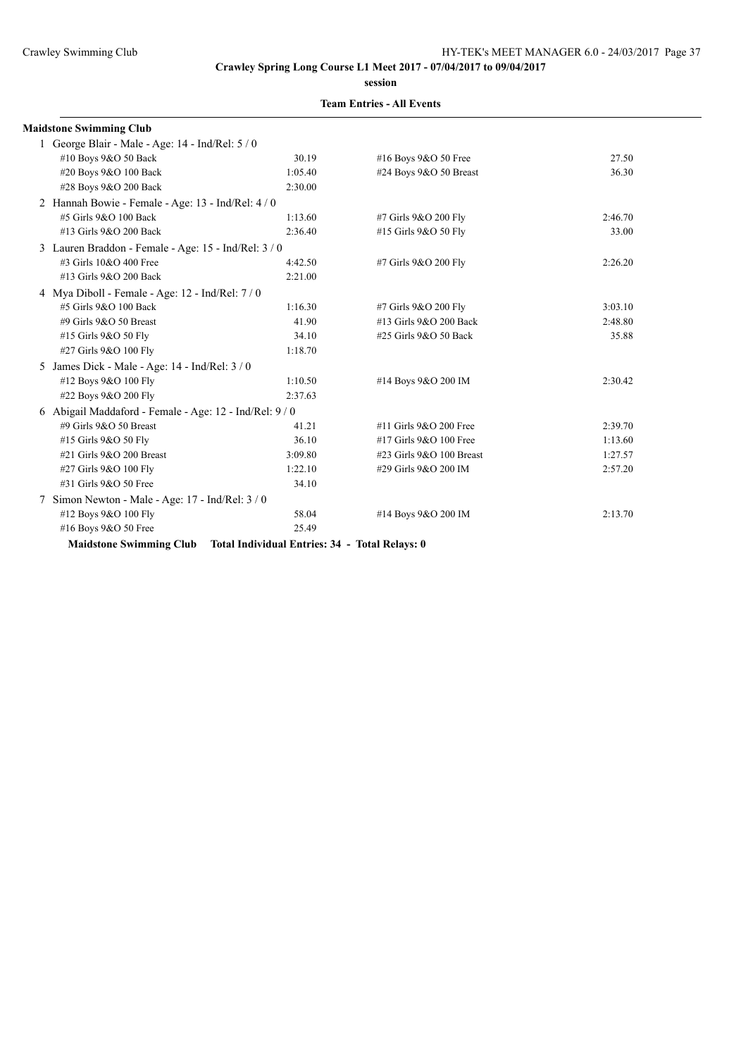**session**

|   | <b>Maidstone Swimming Club</b>                        |                                                |                          |         |
|---|-------------------------------------------------------|------------------------------------------------|--------------------------|---------|
|   | 1 George Blair - Male - Age: 14 - Ind/Rel: 5 / 0      |                                                |                          |         |
|   | #10 Boys 9&O 50 Back                                  | 30.19                                          | #16 Boys 9&O 50 Free     | 27.50   |
|   | #20 Boys 9&O 100 Back                                 | 1:05.40                                        | #24 Boys $9&O$ 50 Breast | 36.30   |
|   | #28 Boys 9&O 200 Back                                 | 2:30.00                                        |                          |         |
|   | 2 Hannah Bowie - Female - Age: 13 - Ind/Rel: 4 / 0    |                                                |                          |         |
|   | #5 Girls 9&O 100 Back                                 | 1:13.60                                        | #7 Girls 9&O 200 Fly     | 2:46.70 |
|   | #13 Girls 9&O 200 Back                                | 2:36.40                                        | #15 Girls 9&O 50 Fly     | 33.00   |
|   | 3 Lauren Braddon - Female - Age: 15 - Ind/Rel: 3/0    |                                                |                          |         |
|   | #3 Girls 10&O 400 Free                                | 4:42.50                                        | #7 Girls 9&O 200 Fly     | 2:26.20 |
|   | #13 Girls 9&O 200 Back                                | 2:21.00                                        |                          |         |
|   | 4 Mya Diboll - Female - Age: $12$ - Ind/Rel: $7/0$    |                                                |                          |         |
|   | #5 Girls 9&O 100 Back                                 | 1:16.30                                        | #7 Girls 9&O 200 Fly     | 3:03.10 |
|   | #9 Girls 9&O 50 Breast                                | 41.90                                          | #13 Girls 9&O 200 Back   | 2:48.80 |
|   | #15 Girls 9&O 50 Fly                                  | 34.10                                          | #25 Girls 9&O 50 Back    | 35.88   |
|   | #27 Girls 9&O 100 Fly                                 | 1:18.70                                        |                          |         |
| 5 | James Dick - Male - Age: 14 - Ind/Rel: 3 / 0          |                                                |                          |         |
|   | #12 Boys 9&O 100 Fly                                  | 1:10.50                                        | #14 Boys 9&O 200 IM      | 2:30.42 |
|   | #22 Boys 9&O 200 Fly                                  | 2:37.63                                        |                          |         |
|   | 6 Abigail Maddaford - Female - Age: 12 - Ind/Rel: 9/0 |                                                |                          |         |
|   | #9 Girls 9&O 50 Breast                                | 41.21                                          | #11 Girls 9&O 200 Free   | 2:39.70 |
|   | #15 Girls 9&O 50 Fly                                  | 36.10                                          | #17 Girls 9&O 100 Free   | 1:13.60 |
|   | #21 Girls 9&O 200 Breast                              | 3:09.80                                        | #23 Girls 9&O 100 Breast | 1:27.57 |
|   | #27 Girls 9&O 100 Fly                                 | 1:22.10                                        | #29 Girls 9&O 200 IM     | 2:57.20 |
|   | #31 Girls 9&O 50 Free                                 | 34.10                                          |                          |         |
|   | Simon Newton - Male - Age: 17 - Ind/Rel: 3 / 0        |                                                |                          |         |
|   | #12 Boys 9&O 100 Fly                                  | 58.04                                          | #14 Boys 9&O 200 IM      | 2:13.70 |
|   | #16 Boys 9&O 50 Free                                  | 25.49                                          |                          |         |
|   | <b>Maidstone Swimming Club</b>                        | Total Individual Entries: 34 - Total Relays: 0 |                          |         |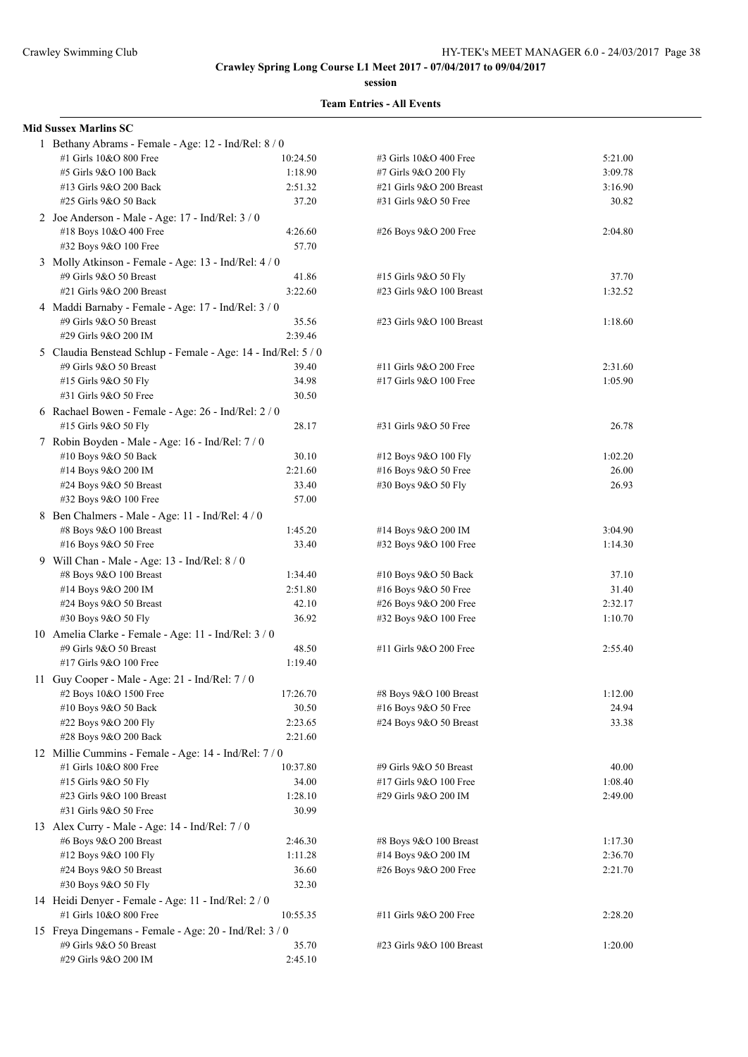**session**

| <b>Mid Sussex Marlins SC</b>                                  |          |                          |         |
|---------------------------------------------------------------|----------|--------------------------|---------|
| 1 Bethany Abrams - Female - Age: 12 - Ind/Rel: 8 / 0          |          |                          |         |
| #1 Girls 10&O 800 Free                                        | 10:24.50 | #3 Girls 10&O 400 Free   | 5:21.00 |
| #5 Girls 9&O 100 Back                                         | 1:18.90  | #7 Girls 9&O 200 Fly     | 3:09.78 |
| #13 Girls 9&O 200 Back                                        | 2:51.32  | #21 Girls 9&O 200 Breast | 3:16.90 |
| #25 Girls 9&O 50 Back                                         | 37.20    | #31 Girls 9&O 50 Free    | 30.82   |
| 2 Joe Anderson - Male - Age: 17 - Ind/Rel: 3 / 0              |          |                          |         |
| #18 Boys 10&O 400 Free                                        | 4:26.60  | #26 Boys 9&O 200 Free    | 2:04.80 |
| #32 Boys 9&O 100 Free                                         | 57.70    |                          |         |
| 3 Molly Atkinson - Female - Age: 13 - Ind/Rel: 4 / 0          |          |                          |         |
| #9 Girls 9&O 50 Breast                                        | 41.86    | #15 Girls 9&O 50 Fly     | 37.70   |
| #21 Girls 9&O 200 Breast                                      | 3:22.60  | #23 Girls 9&O 100 Breast | 1:32.52 |
|                                                               |          |                          |         |
| 4 Maddi Barnaby - Female - Age: 17 - Ind/Rel: 3 / 0           |          |                          |         |
| #9 Girls 9&O 50 Breast                                        | 35.56    | #23 Girls 9&O 100 Breast | 1:18.60 |
| #29 Girls 9&O 200 IM                                          | 2:39.46  |                          |         |
| 5 Claudia Benstead Schlup - Female - Age: 14 - Ind/Rel: 5 / 0 |          |                          |         |
| #9 Girls 9&O 50 Breast                                        | 39.40    | #11 Girls 9&O 200 Free   | 2:31.60 |
| #15 Girls 9&O 50 Fly                                          | 34.98    | #17 Girls 9&O 100 Free   | 1:05.90 |
| #31 Girls 9&O 50 Free                                         | 30.50    |                          |         |
| 6 Rachael Bowen - Female - Age: 26 - Ind/Rel: 2 / 0           |          |                          |         |
| #15 Girls 9&O 50 Fly                                          | 28.17    | #31 Girls 9&O 50 Free    | 26.78   |
| 7 Robin Boyden - Male - Age: 16 - Ind/Rel: 7 / 0              |          |                          |         |
| #10 Boys 9&O 50 Back                                          | 30.10    | #12 Boys 9&O 100 Fly     | 1:02.20 |
| #14 Boys 9&O 200 IM                                           | 2:21.60  | #16 Boys 9&O 50 Free     | 26.00   |
| #24 Boys 9&O 50 Breast                                        | 33.40    | #30 Boys 9&O 50 Fly      | 26.93   |
| #32 Boys 9&O 100 Free                                         | 57.00    |                          |         |
|                                                               |          |                          |         |
| 8 Ben Chalmers - Male - Age: 11 - Ind/Rel: 4 / 0              |          |                          |         |
| #8 Boys 9&O 100 Breast                                        | 1:45.20  | #14 Boys 9&O 200 IM      | 3:04.90 |
| #16 Boys 9&O 50 Free                                          | 33.40    | #32 Boys 9&O 100 Free    | 1:14.30 |
| 9 Will Chan - Male - Age: 13 - Ind/Rel: 8 / 0                 |          |                          |         |
| #8 Boys 9&O 100 Breast                                        | 1:34.40  | $#10$ Boys 9&O 50 Back   | 37.10   |
| #14 Boys 9&O 200 IM                                           | 2:51.80  | #16 Boys 9&O 50 Free     | 31.40   |
| #24 Boys 9&O 50 Breast                                        | 42.10    | #26 Boys 9&O 200 Free    | 2:32.17 |
| #30 Boys 9&O 50 Fly                                           | 36.92    | #32 Boys 9&O 100 Free    | 1:10.70 |
| 10 Amelia Clarke - Female - Age: 11 - Ind/Rel: 3 / 0          |          |                          |         |
| #9 Girls 9&O 50 Breast                                        | 48.50    | #11 Girls 9&O 200 Free   | 2:55.40 |
| #17 Girls 9&O 100 Free                                        | 1:19.40  |                          |         |
| 11 Guy Cooper - Male - Age: 21 - Ind/Rel: 7 / 0               |          |                          |         |
| #2 Boys 10&O 1500 Free                                        | 17:26.70 | #8 Boys 9&O 100 Breast   | 1:12.00 |
| #10 Boys 9&O 50 Back                                          | 30.50    | #16 Boys 9&O 50 Free     | 24.94   |
| #22 Boys 9&O 200 Fly                                          | 2:23.65  | #24 Boys 9&O 50 Breast   | 33.38   |
| #28 Boys 9&O 200 Back                                         | 2:21.60  |                          |         |
|                                                               |          |                          |         |
| 12 Millie Cummins - Female - Age: 14 - Ind/Rel: 7/0           |          |                          |         |
| #1 Girls 10&O 800 Free                                        | 10:37.80 | #9 Girls 9&O 50 Breast   | 40.00   |
| #15 Girls 9&O 50 Fly                                          | 34.00    | #17 Girls 9&O 100 Free   | 1:08.40 |
| #23 Girls 9&O 100 Breast                                      | 1:28.10  | #29 Girls 9&O 200 IM     | 2:49.00 |
| #31 Girls 9&O 50 Free                                         | 30.99    |                          |         |
| 13 Alex Curry - Male - Age: 14 - Ind/Rel: 7 / 0               |          |                          |         |
| #6 Boys 9&O 200 Breast                                        | 2:46.30  | #8 Boys 9&O 100 Breast   | 1:17.30 |
| #12 Boys 9&O 100 Fly                                          | 1:11.28  | #14 Boys 9&O 200 IM      | 2:36.70 |
| #24 Boys 9&O 50 Breast                                        | 36.60    | #26 Boys 9&O 200 Free    | 2:21.70 |
| #30 Boys 9&O 50 Fly                                           | 32.30    |                          |         |
| 14 Heidi Denyer - Female - Age: 11 - Ind/Rel: 2 / 0           |          |                          |         |
| #1 Girls 10&O 800 Free                                        | 10:55.35 | #11 Girls 9&O 200 Free   | 2:28.20 |
| 15 Freya Dingemans - Female - Age: 20 - Ind/Rel: 3 / 0        |          |                          |         |
| #9 Girls 9&O 50 Breast                                        | 35.70    | #23 Girls 9&O 100 Breast |         |
|                                                               |          |                          | 1:20.00 |
| #29 Girls 9&O 200 IM                                          | 2:45.10  |                          |         |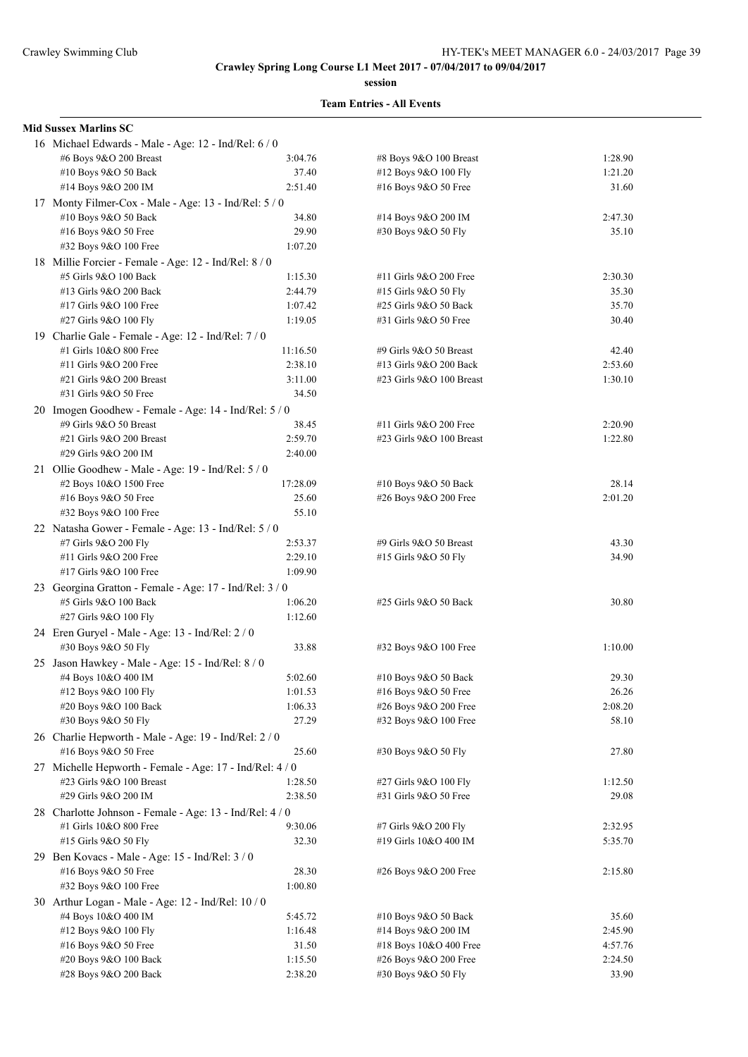**session**

| <b>Mid Sussex Marlins SC</b>                             |          |                          |         |
|----------------------------------------------------------|----------|--------------------------|---------|
| 16 Michael Edwards - Male - Age: 12 - Ind/Rel: 6 / 0     |          |                          |         |
| #6 Boys 9&O 200 Breast                                   | 3:04.76  | #8 Boys 9&O 100 Breast   | 1:28.90 |
| #10 Boys 9&O 50 Back                                     | 37.40    | #12 Boys 9&O 100 Fly     | 1:21.20 |
| #14 Boys 9&O 200 IM                                      | 2:51.40  | #16 Boys 9&O 50 Free     | 31.60   |
| 17 Monty Filmer-Cox - Male - Age: 13 - Ind/Rel: 5 / 0    |          |                          |         |
| #10 Boys 9&O 50 Back                                     | 34.80    | #14 Boys 9&O 200 IM      | 2:47.30 |
| #16 Boys 9&O 50 Free                                     | 29.90    | #30 Boys 9&O 50 Fly      | 35.10   |
| #32 Boys 9&O 100 Free                                    | 1:07.20  |                          |         |
|                                                          |          |                          |         |
| 18 Millie Forcier - Female - Age: 12 - Ind/Rel: 8 / 0    |          |                          |         |
| #5 Girls 9&O 100 Back                                    | 1:15.30  | #11 Girls 9&O 200 Free   | 2:30.30 |
| #13 Girls 9&O 200 Back                                   | 2:44.79  | #15 Girls 9&O 50 Fly     | 35.30   |
| #17 Girls 9&O 100 Free                                   | 1:07.42  | #25 Girls 9&O 50 Back    | 35.70   |
| #27 Girls 9&O 100 Fly                                    | 1:19.05  | #31 Girls 9&O 50 Free    | 30.40   |
| 19 Charlie Gale - Female - Age: 12 - Ind/Rel: 7/0        |          |                          |         |
| #1 Girls 10&O 800 Free                                   | 11:16.50 | #9 Girls 9&O 50 Breast   | 42.40   |
| #11 Girls 9&O 200 Free                                   | 2:38.10  | #13 Girls 9&O 200 Back   | 2:53.60 |
| #21 Girls 9&O 200 Breast                                 | 3:11.00  | #23 Girls 9&O 100 Breast | 1:30.10 |
| #31 Girls 9&O 50 Free                                    | 34.50    |                          |         |
| 20 Imogen Goodhew - Female - Age: 14 - Ind/Rel: 5 / 0    |          |                          |         |
| #9 Girls 9&O 50 Breast                                   | 38.45    | #11 Girls 9&O 200 Free   | 2:20.90 |
| #21 Girls 9&O 200 Breast                                 | 2:59.70  | #23 Girls 9&O 100 Breast | 1:22.80 |
| #29 Girls 9&O 200 IM                                     | 2:40.00  |                          |         |
|                                                          |          |                          |         |
| 21 Ollie Goodhew - Male - Age: 19 - Ind/Rel: 5 / 0       |          |                          |         |
| #2 Boys 10&O 1500 Free                                   | 17:28.09 | #10 Boys 9&O 50 Back     | 28.14   |
| #16 Boys 9&O 50 Free                                     | 25.60    | #26 Boys 9&O 200 Free    | 2:01.20 |
| #32 Boys 9&O 100 Free                                    | 55.10    |                          |         |
| 22 Natasha Gower - Female - Age: 13 - Ind/Rel: 5 / 0     |          |                          |         |
| #7 Girls 9&O 200 Fly                                     | 2:53.37  | #9 Girls 9&O 50 Breast   | 43.30   |
| #11 Girls 9&O 200 Free                                   | 2:29.10  | #15 Girls 9&O 50 Fly     | 34.90   |
| #17 Girls 9&O 100 Free                                   | 1:09.90  |                          |         |
| 23 Georgina Gratton - Female - Age: 17 - Ind/Rel: 3 / 0  |          |                          |         |
| #5 Girls 9&O 100 Back                                    | 1:06.20  | #25 Girls 9&O 50 Back    | 30.80   |
| #27 Girls 9&O 100 Fly                                    | 1:12.60  |                          |         |
| 24 Eren Guryel - Male - Age: 13 - Ind/Rel: 2 / 0         |          |                          |         |
|                                                          | 33.88    |                          |         |
| #30 Boys 9&O 50 Fly                                      |          | #32 Boys 9&O 100 Free    | 1:10.00 |
| 25 Jason Hawkey - Male - Age: 15 - Ind/Rel: 8 / 0        |          |                          |         |
| #4 Boys 10&O 400 IM                                      | 5:02.60  | #10 Boys 9&O 50 Back     | 29.30   |
| #12 Boys 9&O 100 Fly                                     | 1:01.53  | #16 Boys 9&O 50 Free     | 26.26   |
| #20 Boys 9&O 100 Back                                    | 1:06.33  | #26 Boys 9&O 200 Free    | 2:08.20 |
| #30 Boys 9&O 50 Fly                                      | 27.29    | #32 Boys 9&O 100 Free    | 58.10   |
| 26 Charlie Hepworth - Male - Age: 19 - Ind/Rel: 2 / 0    |          |                          |         |
| #16 Boys 9&O 50 Free                                     | 25.60    | #30 Boys 9&O 50 Fly      | 27.80   |
| 27 Michelle Hepworth - Female - Age: 17 - Ind/Rel: 4 / 0 |          |                          |         |
| #23 Girls 9&O 100 Breast                                 | 1:28.50  | #27 Girls 9&O 100 Fly    | 1:12.50 |
| #29 Girls 9&O 200 IM                                     | 2:38.50  | #31 Girls 9&O 50 Free    | 29.08   |
| 28 Charlotte Johnson - Female - Age: 13 - Ind/Rel: 4/0   |          |                          |         |
| #1 Girls 10&O 800 Free                                   | 9:30.06  | #7 Girls 9&O 200 Fly     | 2:32.95 |
|                                                          |          |                          |         |
| #15 Girls 9&O 50 Fly                                     | 32.30    | #19 Girls 10&O 400 IM    | 5:35.70 |
| 29 Ben Kovacs - Male - Age: 15 - Ind/Rel: 3 / 0          |          |                          |         |
| #16 Boys 9&O 50 Free                                     | 28.30    | #26 Boys 9&O 200 Free    | 2:15.80 |
| #32 Boys 9&O 100 Free                                    | 1:00.80  |                          |         |
| 30 Arthur Logan - Male - Age: 12 - Ind/Rel: 10 / 0       |          |                          |         |
| #4 Boys 10&O 400 IM                                      | 5:45.72  | #10 Boys 9&O 50 Back     | 35.60   |
| #12 Boys 9&O 100 Fly                                     | 1:16.48  | #14 Boys 9&O 200 IM      | 2:45.90 |
| #16 Boys $9&O 50$ Free                                   | 31.50    | #18 Boys 10&O 400 Free   | 4:57.76 |
| #20 Boys 9&O 100 Back                                    | 1:15.50  | #26 Boys 9&O 200 Free    | 2:24.50 |
| #28 Boys 9&O 200 Back                                    | 2:38.20  | #30 Boys 9&O 50 Fly      | 33.90   |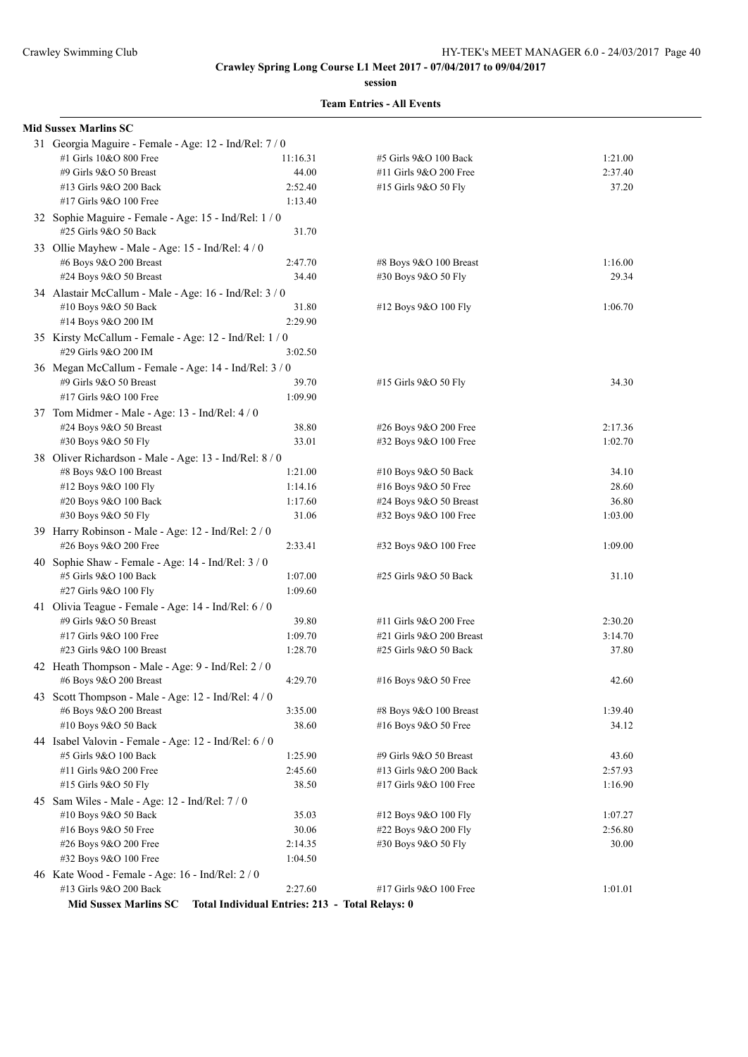**session**

| 31 Georgia Maguire - Female - Age: 12 - Ind/Rel: 7 / 0                     |                                                                                                                                                                                                                                                                                                                                                                                                                                                                                                                                                                                                                                                                                                                                                                                                                                   |                                                                                                                                                                                                                                                                                                                                                                                                                                                                                                                                                                                                                                                                                                                                                                                                                                                                                                                                                                                                                                          |                                                                                                                                                                                                                                                                                                                                                                                                                                                                                                                                            |
|----------------------------------------------------------------------------|-----------------------------------------------------------------------------------------------------------------------------------------------------------------------------------------------------------------------------------------------------------------------------------------------------------------------------------------------------------------------------------------------------------------------------------------------------------------------------------------------------------------------------------------------------------------------------------------------------------------------------------------------------------------------------------------------------------------------------------------------------------------------------------------------------------------------------------|------------------------------------------------------------------------------------------------------------------------------------------------------------------------------------------------------------------------------------------------------------------------------------------------------------------------------------------------------------------------------------------------------------------------------------------------------------------------------------------------------------------------------------------------------------------------------------------------------------------------------------------------------------------------------------------------------------------------------------------------------------------------------------------------------------------------------------------------------------------------------------------------------------------------------------------------------------------------------------------------------------------------------------------|--------------------------------------------------------------------------------------------------------------------------------------------------------------------------------------------------------------------------------------------------------------------------------------------------------------------------------------------------------------------------------------------------------------------------------------------------------------------------------------------------------------------------------------------|
|                                                                            | 11:16.31                                                                                                                                                                                                                                                                                                                                                                                                                                                                                                                                                                                                                                                                                                                                                                                                                          | #5 Girls 9&O 100 Back                                                                                                                                                                                                                                                                                                                                                                                                                                                                                                                                                                                                                                                                                                                                                                                                                                                                                                                                                                                                                    | 1:21.00                                                                                                                                                                                                                                                                                                                                                                                                                                                                                                                                    |
|                                                                            | 44.00                                                                                                                                                                                                                                                                                                                                                                                                                                                                                                                                                                                                                                                                                                                                                                                                                             | #11 Girls 9&O 200 Free                                                                                                                                                                                                                                                                                                                                                                                                                                                                                                                                                                                                                                                                                                                                                                                                                                                                                                                                                                                                                   | 2:37.40                                                                                                                                                                                                                                                                                                                                                                                                                                                                                                                                    |
|                                                                            | 2:52.40                                                                                                                                                                                                                                                                                                                                                                                                                                                                                                                                                                                                                                                                                                                                                                                                                           | #15 Girls 9&O 50 Fly                                                                                                                                                                                                                                                                                                                                                                                                                                                                                                                                                                                                                                                                                                                                                                                                                                                                                                                                                                                                                     | 37.20                                                                                                                                                                                                                                                                                                                                                                                                                                                                                                                                      |
|                                                                            | 1:13.40                                                                                                                                                                                                                                                                                                                                                                                                                                                                                                                                                                                                                                                                                                                                                                                                                           |                                                                                                                                                                                                                                                                                                                                                                                                                                                                                                                                                                                                                                                                                                                                                                                                                                                                                                                                                                                                                                          |                                                                                                                                                                                                                                                                                                                                                                                                                                                                                                                                            |
|                                                                            |                                                                                                                                                                                                                                                                                                                                                                                                                                                                                                                                                                                                                                                                                                                                                                                                                                   |                                                                                                                                                                                                                                                                                                                                                                                                                                                                                                                                                                                                                                                                                                                                                                                                                                                                                                                                                                                                                                          |                                                                                                                                                                                                                                                                                                                                                                                                                                                                                                                                            |
|                                                                            | 31.70                                                                                                                                                                                                                                                                                                                                                                                                                                                                                                                                                                                                                                                                                                                                                                                                                             |                                                                                                                                                                                                                                                                                                                                                                                                                                                                                                                                                                                                                                                                                                                                                                                                                                                                                                                                                                                                                                          |                                                                                                                                                                                                                                                                                                                                                                                                                                                                                                                                            |
|                                                                            |                                                                                                                                                                                                                                                                                                                                                                                                                                                                                                                                                                                                                                                                                                                                                                                                                                   |                                                                                                                                                                                                                                                                                                                                                                                                                                                                                                                                                                                                                                                                                                                                                                                                                                                                                                                                                                                                                                          |                                                                                                                                                                                                                                                                                                                                                                                                                                                                                                                                            |
|                                                                            | 2:47.70                                                                                                                                                                                                                                                                                                                                                                                                                                                                                                                                                                                                                                                                                                                                                                                                                           | #8 Boys 9&O 100 Breast                                                                                                                                                                                                                                                                                                                                                                                                                                                                                                                                                                                                                                                                                                                                                                                                                                                                                                                                                                                                                   | 1:16.00                                                                                                                                                                                                                                                                                                                                                                                                                                                                                                                                    |
|                                                                            | 34.40                                                                                                                                                                                                                                                                                                                                                                                                                                                                                                                                                                                                                                                                                                                                                                                                                             | #30 Boys 9&O 50 Fly                                                                                                                                                                                                                                                                                                                                                                                                                                                                                                                                                                                                                                                                                                                                                                                                                                                                                                                                                                                                                      | 29.34                                                                                                                                                                                                                                                                                                                                                                                                                                                                                                                                      |
|                                                                            |                                                                                                                                                                                                                                                                                                                                                                                                                                                                                                                                                                                                                                                                                                                                                                                                                                   |                                                                                                                                                                                                                                                                                                                                                                                                                                                                                                                                                                                                                                                                                                                                                                                                                                                                                                                                                                                                                                          |                                                                                                                                                                                                                                                                                                                                                                                                                                                                                                                                            |
|                                                                            | 31.80                                                                                                                                                                                                                                                                                                                                                                                                                                                                                                                                                                                                                                                                                                                                                                                                                             |                                                                                                                                                                                                                                                                                                                                                                                                                                                                                                                                                                                                                                                                                                                                                                                                                                                                                                                                                                                                                                          | 1:06.70                                                                                                                                                                                                                                                                                                                                                                                                                                                                                                                                    |
|                                                                            | 2:29.90                                                                                                                                                                                                                                                                                                                                                                                                                                                                                                                                                                                                                                                                                                                                                                                                                           |                                                                                                                                                                                                                                                                                                                                                                                                                                                                                                                                                                                                                                                                                                                                                                                                                                                                                                                                                                                                                                          |                                                                                                                                                                                                                                                                                                                                                                                                                                                                                                                                            |
|                                                                            |                                                                                                                                                                                                                                                                                                                                                                                                                                                                                                                                                                                                                                                                                                                                                                                                                                   |                                                                                                                                                                                                                                                                                                                                                                                                                                                                                                                                                                                                                                                                                                                                                                                                                                                                                                                                                                                                                                          |                                                                                                                                                                                                                                                                                                                                                                                                                                                                                                                                            |
|                                                                            |                                                                                                                                                                                                                                                                                                                                                                                                                                                                                                                                                                                                                                                                                                                                                                                                                                   |                                                                                                                                                                                                                                                                                                                                                                                                                                                                                                                                                                                                                                                                                                                                                                                                                                                                                                                                                                                                                                          |                                                                                                                                                                                                                                                                                                                                                                                                                                                                                                                                            |
|                                                                            |                                                                                                                                                                                                                                                                                                                                                                                                                                                                                                                                                                                                                                                                                                                                                                                                                                   |                                                                                                                                                                                                                                                                                                                                                                                                                                                                                                                                                                                                                                                                                                                                                                                                                                                                                                                                                                                                                                          |                                                                                                                                                                                                                                                                                                                                                                                                                                                                                                                                            |
|                                                                            |                                                                                                                                                                                                                                                                                                                                                                                                                                                                                                                                                                                                                                                                                                                                                                                                                                   |                                                                                                                                                                                                                                                                                                                                                                                                                                                                                                                                                                                                                                                                                                                                                                                                                                                                                                                                                                                                                                          | 34.30                                                                                                                                                                                                                                                                                                                                                                                                                                                                                                                                      |
|                                                                            |                                                                                                                                                                                                                                                                                                                                                                                                                                                                                                                                                                                                                                                                                                                                                                                                                                   |                                                                                                                                                                                                                                                                                                                                                                                                                                                                                                                                                                                                                                                                                                                                                                                                                                                                                                                                                                                                                                          |                                                                                                                                                                                                                                                                                                                                                                                                                                                                                                                                            |
|                                                                            |                                                                                                                                                                                                                                                                                                                                                                                                                                                                                                                                                                                                                                                                                                                                                                                                                                   |                                                                                                                                                                                                                                                                                                                                                                                                                                                                                                                                                                                                                                                                                                                                                                                                                                                                                                                                                                                                                                          |                                                                                                                                                                                                                                                                                                                                                                                                                                                                                                                                            |
|                                                                            |                                                                                                                                                                                                                                                                                                                                                                                                                                                                                                                                                                                                                                                                                                                                                                                                                                   |                                                                                                                                                                                                                                                                                                                                                                                                                                                                                                                                                                                                                                                                                                                                                                                                                                                                                                                                                                                                                                          | 2:17.36                                                                                                                                                                                                                                                                                                                                                                                                                                                                                                                                    |
|                                                                            |                                                                                                                                                                                                                                                                                                                                                                                                                                                                                                                                                                                                                                                                                                                                                                                                                                   |                                                                                                                                                                                                                                                                                                                                                                                                                                                                                                                                                                                                                                                                                                                                                                                                                                                                                                                                                                                                                                          | 1:02.70                                                                                                                                                                                                                                                                                                                                                                                                                                                                                                                                    |
|                                                                            |                                                                                                                                                                                                                                                                                                                                                                                                                                                                                                                                                                                                                                                                                                                                                                                                                                   |                                                                                                                                                                                                                                                                                                                                                                                                                                                                                                                                                                                                                                                                                                                                                                                                                                                                                                                                                                                                                                          |                                                                                                                                                                                                                                                                                                                                                                                                                                                                                                                                            |
|                                                                            |                                                                                                                                                                                                                                                                                                                                                                                                                                                                                                                                                                                                                                                                                                                                                                                                                                   |                                                                                                                                                                                                                                                                                                                                                                                                                                                                                                                                                                                                                                                                                                                                                                                                                                                                                                                                                                                                                                          | 34.10                                                                                                                                                                                                                                                                                                                                                                                                                                                                                                                                      |
|                                                                            |                                                                                                                                                                                                                                                                                                                                                                                                                                                                                                                                                                                                                                                                                                                                                                                                                                   |                                                                                                                                                                                                                                                                                                                                                                                                                                                                                                                                                                                                                                                                                                                                                                                                                                                                                                                                                                                                                                          | 28.60                                                                                                                                                                                                                                                                                                                                                                                                                                                                                                                                      |
|                                                                            |                                                                                                                                                                                                                                                                                                                                                                                                                                                                                                                                                                                                                                                                                                                                                                                                                                   |                                                                                                                                                                                                                                                                                                                                                                                                                                                                                                                                                                                                                                                                                                                                                                                                                                                                                                                                                                                                                                          | 36.80                                                                                                                                                                                                                                                                                                                                                                                                                                                                                                                                      |
|                                                                            |                                                                                                                                                                                                                                                                                                                                                                                                                                                                                                                                                                                                                                                                                                                                                                                                                                   |                                                                                                                                                                                                                                                                                                                                                                                                                                                                                                                                                                                                                                                                                                                                                                                                                                                                                                                                                                                                                                          | 1:03.00                                                                                                                                                                                                                                                                                                                                                                                                                                                                                                                                    |
|                                                                            |                                                                                                                                                                                                                                                                                                                                                                                                                                                                                                                                                                                                                                                                                                                                                                                                                                   |                                                                                                                                                                                                                                                                                                                                                                                                                                                                                                                                                                                                                                                                                                                                                                                                                                                                                                                                                                                                                                          |                                                                                                                                                                                                                                                                                                                                                                                                                                                                                                                                            |
|                                                                            |                                                                                                                                                                                                                                                                                                                                                                                                                                                                                                                                                                                                                                                                                                                                                                                                                                   |                                                                                                                                                                                                                                                                                                                                                                                                                                                                                                                                                                                                                                                                                                                                                                                                                                                                                                                                                                                                                                          | 1:09.00                                                                                                                                                                                                                                                                                                                                                                                                                                                                                                                                    |
|                                                                            |                                                                                                                                                                                                                                                                                                                                                                                                                                                                                                                                                                                                                                                                                                                                                                                                                                   |                                                                                                                                                                                                                                                                                                                                                                                                                                                                                                                                                                                                                                                                                                                                                                                                                                                                                                                                                                                                                                          |                                                                                                                                                                                                                                                                                                                                                                                                                                                                                                                                            |
|                                                                            |                                                                                                                                                                                                                                                                                                                                                                                                                                                                                                                                                                                                                                                                                                                                                                                                                                   |                                                                                                                                                                                                                                                                                                                                                                                                                                                                                                                                                                                                                                                                                                                                                                                                                                                                                                                                                                                                                                          | 31.10                                                                                                                                                                                                                                                                                                                                                                                                                                                                                                                                      |
|                                                                            |                                                                                                                                                                                                                                                                                                                                                                                                                                                                                                                                                                                                                                                                                                                                                                                                                                   |                                                                                                                                                                                                                                                                                                                                                                                                                                                                                                                                                                                                                                                                                                                                                                                                                                                                                                                                                                                                                                          |                                                                                                                                                                                                                                                                                                                                                                                                                                                                                                                                            |
|                                                                            |                                                                                                                                                                                                                                                                                                                                                                                                                                                                                                                                                                                                                                                                                                                                                                                                                                   |                                                                                                                                                                                                                                                                                                                                                                                                                                                                                                                                                                                                                                                                                                                                                                                                                                                                                                                                                                                                                                          |                                                                                                                                                                                                                                                                                                                                                                                                                                                                                                                                            |
|                                                                            |                                                                                                                                                                                                                                                                                                                                                                                                                                                                                                                                                                                                                                                                                                                                                                                                                                   |                                                                                                                                                                                                                                                                                                                                                                                                                                                                                                                                                                                                                                                                                                                                                                                                                                                                                                                                                                                                                                          | 2:30.20                                                                                                                                                                                                                                                                                                                                                                                                                                                                                                                                    |
|                                                                            |                                                                                                                                                                                                                                                                                                                                                                                                                                                                                                                                                                                                                                                                                                                                                                                                                                   |                                                                                                                                                                                                                                                                                                                                                                                                                                                                                                                                                                                                                                                                                                                                                                                                                                                                                                                                                                                                                                          | 3:14.70                                                                                                                                                                                                                                                                                                                                                                                                                                                                                                                                    |
|                                                                            |                                                                                                                                                                                                                                                                                                                                                                                                                                                                                                                                                                                                                                                                                                                                                                                                                                   |                                                                                                                                                                                                                                                                                                                                                                                                                                                                                                                                                                                                                                                                                                                                                                                                                                                                                                                                                                                                                                          | 37.80                                                                                                                                                                                                                                                                                                                                                                                                                                                                                                                                      |
|                                                                            |                                                                                                                                                                                                                                                                                                                                                                                                                                                                                                                                                                                                                                                                                                                                                                                                                                   |                                                                                                                                                                                                                                                                                                                                                                                                                                                                                                                                                                                                                                                                                                                                                                                                                                                                                                                                                                                                                                          |                                                                                                                                                                                                                                                                                                                                                                                                                                                                                                                                            |
|                                                                            |                                                                                                                                                                                                                                                                                                                                                                                                                                                                                                                                                                                                                                                                                                                                                                                                                                   |                                                                                                                                                                                                                                                                                                                                                                                                                                                                                                                                                                                                                                                                                                                                                                                                                                                                                                                                                                                                                                          |                                                                                                                                                                                                                                                                                                                                                                                                                                                                                                                                            |
|                                                                            |                                                                                                                                                                                                                                                                                                                                                                                                                                                                                                                                                                                                                                                                                                                                                                                                                                   |                                                                                                                                                                                                                                                                                                                                                                                                                                                                                                                                                                                                                                                                                                                                                                                                                                                                                                                                                                                                                                          | 42.60                                                                                                                                                                                                                                                                                                                                                                                                                                                                                                                                      |
|                                                                            |                                                                                                                                                                                                                                                                                                                                                                                                                                                                                                                                                                                                                                                                                                                                                                                                                                   |                                                                                                                                                                                                                                                                                                                                                                                                                                                                                                                                                                                                                                                                                                                                                                                                                                                                                                                                                                                                                                          |                                                                                                                                                                                                                                                                                                                                                                                                                                                                                                                                            |
|                                                                            |                                                                                                                                                                                                                                                                                                                                                                                                                                                                                                                                                                                                                                                                                                                                                                                                                                   |                                                                                                                                                                                                                                                                                                                                                                                                                                                                                                                                                                                                                                                                                                                                                                                                                                                                                                                                                                                                                                          | 1:39.40                                                                                                                                                                                                                                                                                                                                                                                                                                                                                                                                    |
|                                                                            |                                                                                                                                                                                                                                                                                                                                                                                                                                                                                                                                                                                                                                                                                                                                                                                                                                   |                                                                                                                                                                                                                                                                                                                                                                                                                                                                                                                                                                                                                                                                                                                                                                                                                                                                                                                                                                                                                                          | 34.12                                                                                                                                                                                                                                                                                                                                                                                                                                                                                                                                      |
|                                                                            |                                                                                                                                                                                                                                                                                                                                                                                                                                                                                                                                                                                                                                                                                                                                                                                                                                   |                                                                                                                                                                                                                                                                                                                                                                                                                                                                                                                                                                                                                                                                                                                                                                                                                                                                                                                                                                                                                                          |                                                                                                                                                                                                                                                                                                                                                                                                                                                                                                                                            |
|                                                                            |                                                                                                                                                                                                                                                                                                                                                                                                                                                                                                                                                                                                                                                                                                                                                                                                                                   |                                                                                                                                                                                                                                                                                                                                                                                                                                                                                                                                                                                                                                                                                                                                                                                                                                                                                                                                                                                                                                          | 43.60                                                                                                                                                                                                                                                                                                                                                                                                                                                                                                                                      |
|                                                                            |                                                                                                                                                                                                                                                                                                                                                                                                                                                                                                                                                                                                                                                                                                                                                                                                                                   |                                                                                                                                                                                                                                                                                                                                                                                                                                                                                                                                                                                                                                                                                                                                                                                                                                                                                                                                                                                                                                          | 2:57.93                                                                                                                                                                                                                                                                                                                                                                                                                                                                                                                                    |
|                                                                            |                                                                                                                                                                                                                                                                                                                                                                                                                                                                                                                                                                                                                                                                                                                                                                                                                                   |                                                                                                                                                                                                                                                                                                                                                                                                                                                                                                                                                                                                                                                                                                                                                                                                                                                                                                                                                                                                                                          | 1:16.90                                                                                                                                                                                                                                                                                                                                                                                                                                                                                                                                    |
|                                                                            |                                                                                                                                                                                                                                                                                                                                                                                                                                                                                                                                                                                                                                                                                                                                                                                                                                   |                                                                                                                                                                                                                                                                                                                                                                                                                                                                                                                                                                                                                                                                                                                                                                                                                                                                                                                                                                                                                                          |                                                                                                                                                                                                                                                                                                                                                                                                                                                                                                                                            |
|                                                                            |                                                                                                                                                                                                                                                                                                                                                                                                                                                                                                                                                                                                                                                                                                                                                                                                                                   |                                                                                                                                                                                                                                                                                                                                                                                                                                                                                                                                                                                                                                                                                                                                                                                                                                                                                                                                                                                                                                          | 1:07.27                                                                                                                                                                                                                                                                                                                                                                                                                                                                                                                                    |
|                                                                            |                                                                                                                                                                                                                                                                                                                                                                                                                                                                                                                                                                                                                                                                                                                                                                                                                                   |                                                                                                                                                                                                                                                                                                                                                                                                                                                                                                                                                                                                                                                                                                                                                                                                                                                                                                                                                                                                                                          | 2:56.80                                                                                                                                                                                                                                                                                                                                                                                                                                                                                                                                    |
| #26 Boys 9&O 200 Free                                                      | 2:14.35                                                                                                                                                                                                                                                                                                                                                                                                                                                                                                                                                                                                                                                                                                                                                                                                                           | #30 Boys 9&O 50 Fly                                                                                                                                                                                                                                                                                                                                                                                                                                                                                                                                                                                                                                                                                                                                                                                                                                                                                                                                                                                                                      | 30.00                                                                                                                                                                                                                                                                                                                                                                                                                                                                                                                                      |
|                                                                            |                                                                                                                                                                                                                                                                                                                                                                                                                                                                                                                                                                                                                                                                                                                                                                                                                                   |                                                                                                                                                                                                                                                                                                                                                                                                                                                                                                                                                                                                                                                                                                                                                                                                                                                                                                                                                                                                                                          |                                                                                                                                                                                                                                                                                                                                                                                                                                                                                                                                            |
| #32 Boys 9&O 100 Free                                                      | 1:04.50                                                                                                                                                                                                                                                                                                                                                                                                                                                                                                                                                                                                                                                                                                                                                                                                                           |                                                                                                                                                                                                                                                                                                                                                                                                                                                                                                                                                                                                                                                                                                                                                                                                                                                                                                                                                                                                                                          |                                                                                                                                                                                                                                                                                                                                                                                                                                                                                                                                            |
| 46 Kate Wood - Female - Age: 16 - Ind/Rel: 2 / 0<br>#13 Girls 9&O 200 Back | 2:27.60                                                                                                                                                                                                                                                                                                                                                                                                                                                                                                                                                                                                                                                                                                                                                                                                                           | #17 Girls 9&O 100 Free                                                                                                                                                                                                                                                                                                                                                                                                                                                                                                                                                                                                                                                                                                                                                                                                                                                                                                                                                                                                                   | 1:01.01                                                                                                                                                                                                                                                                                                                                                                                                                                                                                                                                    |
|                                                                            | #1 Girls 10&O 800 Free<br>#9 Girls 9&O 50 Breast<br>#13 Girls 9&O 200 Back<br>#17 Girls 9&O 100 Free<br>#25 Girls 9&O 50 Back<br>#6 Boys 9&O 200 Breast<br>#24 Boys 9&O 50 Breast<br>#10 Boys 9&O 50 Back<br>#14 Boys 9&O 200 IM<br>#29 Girls 9&O 200 IM<br>#9 Girls 9&O 50 Breast<br>#17 Girls 9&O 100 Free<br>#24 Boys 9&O 50 Breast<br>#30 Boys 9&O 50 Fly<br>#8 Boys 9&O 100 Breast<br>#12 Boys 9&O 100 Fly<br>#20 Boys 9&O 100 Back<br>#30 Boys 9&O 50 Fly<br>#26 Boys 9&O 200 Free<br>#5 Girls 9&O 100 Back<br>#27 Girls 9&O 100 Fly<br>#9 Girls 9&O 50 Breast<br>#17 Girls 9&O 100 Free<br>#23 Girls 9&O 100 Breast<br>#6 Boys 9&O 200 Breast<br>#6 Boys 9&O 200 Breast<br>#10 Boys 9&O 50 Back<br>#5 Girls 9&O 100 Back<br>#11 Girls 9&O 200 Free<br>#15 Girls 9&O 50 Fly<br>#10 Boys 9&O 50 Back<br>#16 Boys 9&O 50 Free | 32 Sophie Maguire - Female - Age: 15 - Ind/Rel: 1 / 0<br>33 Ollie Mayhew - Male - Age: 15 - Ind/Rel: 4/0<br>34 Alastair McCallum - Male - Age: 16 - Ind/Rel: 3 / 0<br>35 Kirsty McCallum - Female - Age: 12 - Ind/Rel: 1 / 0<br>3:02.50<br>36 Megan McCallum - Female - Age: 14 - Ind/Rel: 3/0<br>39.70<br>1:09.90<br>37 Tom Midmer - Male - Age: 13 - Ind/Rel: 4 / 0<br>38.80<br>33.01<br>38 Oliver Richardson - Male - Age: 13 - Ind/Rel: 8 / 0<br>1:21.00<br>1:14.16<br>1:17.60<br>31.06<br>39 Harry Robinson - Male - Age: 12 - Ind/Rel: 2 / 0<br>2:33.41<br>40 Sophie Shaw - Female - Age: 14 - Ind/Rel: 3 / 0<br>1:07.00<br>1:09.60<br>41 Olivia Teague - Female - Age: 14 - Ind/Rel: 6 / 0<br>39.80<br>1:09.70<br>1:28.70<br>42 Heath Thompson - Male - Age: 9 - Ind/Rel: 2 / 0<br>4:29.70<br>43 Scott Thompson - Male - Age: 12 - Ind/Rel: 4 / 0<br>3:35.00<br>38.60<br>44 Isabel Valovin - Female - Age: 12 - Ind/Rel: 6 / 0<br>1:25.90<br>2:45.60<br>38.50<br>45 Sam Wiles - Male - Age: 12 - Ind/Rel: 7 / 0<br>35.03<br>30.06 | #12 Boys 9&O 100 Fly<br>#15 Girls 9&O 50 Fly<br>#26 Boys 9&O 200 Free<br>#32 Boys 9&O 100 Free<br>#10 Boys 9&O 50 Back<br>#16 Boys 9&O 50 Free<br>#24 Boys 9&O 50 Breast<br>#32 Boys 9&O 100 Free<br>#32 Boys 9&O 100 Free<br>#25 Girls 9&O 50 Back<br>#11 Girls 9&O 200 Free<br>#21 Girls 9&O 200 Breast<br>#25 Girls 9&O 50 Back<br>#16 Boys 9&O 50 Free<br>#8 Boys 9&O 100 Breast<br>#16 Boys 9&O 50 Free<br>#9 Girls 9&O 50 Breast<br>#13 Girls 9&O 200 Back<br>#17 Girls 9&O 100 Free<br>#12 Boys 9&O 100 Fly<br>#22 Boys 9&O 200 Fly |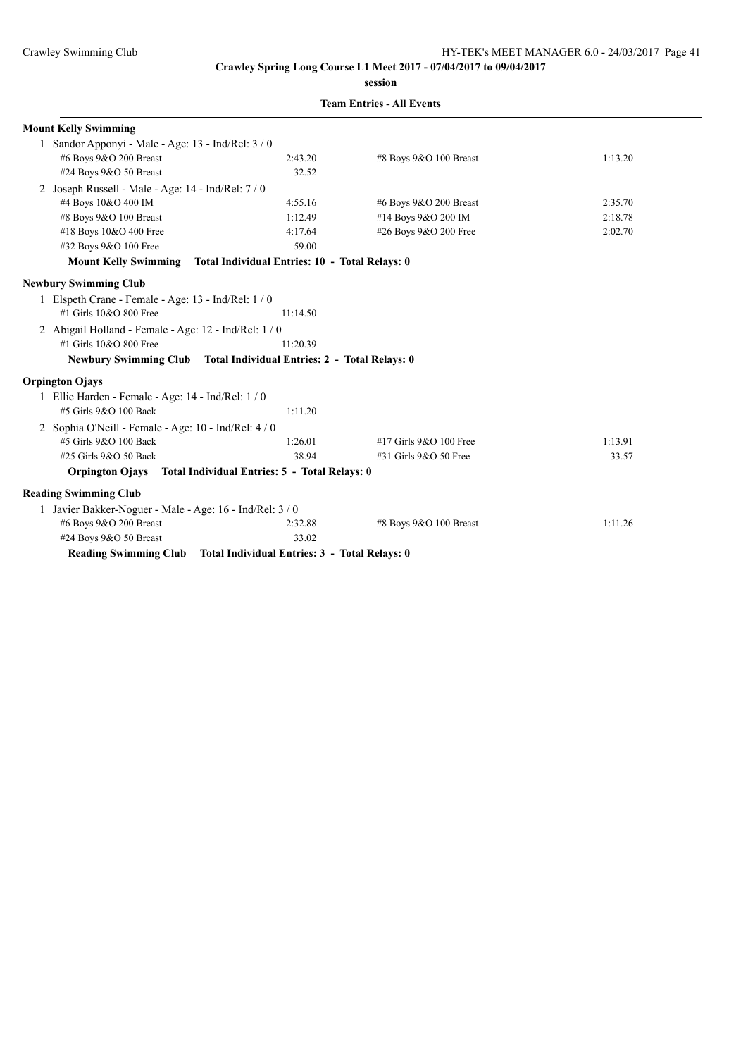**session**

| <b>Mount Kelly Swimming</b>                                |                                                                     |                        |         |
|------------------------------------------------------------|---------------------------------------------------------------------|------------------------|---------|
| 1 Sandor Apponyi - Male - Age: 13 - Ind/Rel: 3 / 0         |                                                                     |                        |         |
| #6 Boys 9&O 200 Breast                                     | 2:43.20                                                             | #8 Boys 9&O 100 Breast | 1:13.20 |
| #24 Boys 9&O 50 Breast                                     | 32.52                                                               |                        |         |
| 2 Joseph Russell - Male - Age: 14 - Ind/Rel: 7 / 0         |                                                                     |                        |         |
| #4 Boys 10&O 400 IM                                        | 4:55.16                                                             | #6 Boys 9&O 200 Breast | 2:35.70 |
| #8 Boys 9&O 100 Breast                                     | 1:12.49                                                             | #14 Boys 9&O 200 IM    | 2:18.78 |
| #18 Boys 10&O 400 Free                                     | 4:17.64                                                             | #26 Boys 9&O 200 Free  | 2:02.70 |
| #32 Boys 9&O 100 Free                                      | 59.00                                                               |                        |         |
| <b>Mount Kelly Swimming</b>                                | Total Individual Entries: 10 - Total Relays: 0                      |                        |         |
| <b>Newbury Swimming Club</b>                               |                                                                     |                        |         |
| 1 Elspeth Crane - Female - Age: 13 - Ind/Rel: 1/0          |                                                                     |                        |         |
| #1 Girls 10&O 800 Free                                     | 11:14.50                                                            |                        |         |
| 2 Abigail Holland - Female - Age: 12 - Ind/Rel: 1 / 0      |                                                                     |                        |         |
| #1 Girls 10&O 800 Free                                     | 11:20.39                                                            |                        |         |
|                                                            | Newbury Swimming Club Total Individual Entries: 2 - Total Relays: 0 |                        |         |
| <b>Orpington Ojays</b>                                     |                                                                     |                        |         |
| 1 Ellie Harden - Female - Age: 14 - Ind/Rel: 1 / 0         |                                                                     |                        |         |
| #5 Girls 9&O 100 Back                                      | 1:11.20                                                             |                        |         |
| 2 Sophia O'Neill - Female - Age: 10 - Ind/Rel: 4/0         |                                                                     |                        |         |
| #5 Girls 9&O 100 Back                                      | 1:26.01                                                             | #17 Girls 9&O 100 Free | 1:13.91 |
| #25 Girls 9&O 50 Back                                      | 38.94                                                               | #31 Girls 9&O 50 Free  | 33.57   |
|                                                            | Orpington Ojays Total Individual Entries: 5 - Total Relays: 0       |                        |         |
| <b>Reading Swimming Club</b>                               |                                                                     |                        |         |
| 1 Javier Bakker-Noguer - Male - Age: $16$ - Ind/Rel: $3/0$ |                                                                     |                        |         |
| #6 Boys 9&O 200 Breast                                     | 2:32.88                                                             | #8 Boys 9&O 100 Breast | 1:11.26 |
| #24 Boys 9&O 50 Breast                                     | 33.02                                                               |                        |         |
| <b>Reading Swimming Club</b>                               | Total Individual Entries: 3 - Total Relays: 0                       |                        |         |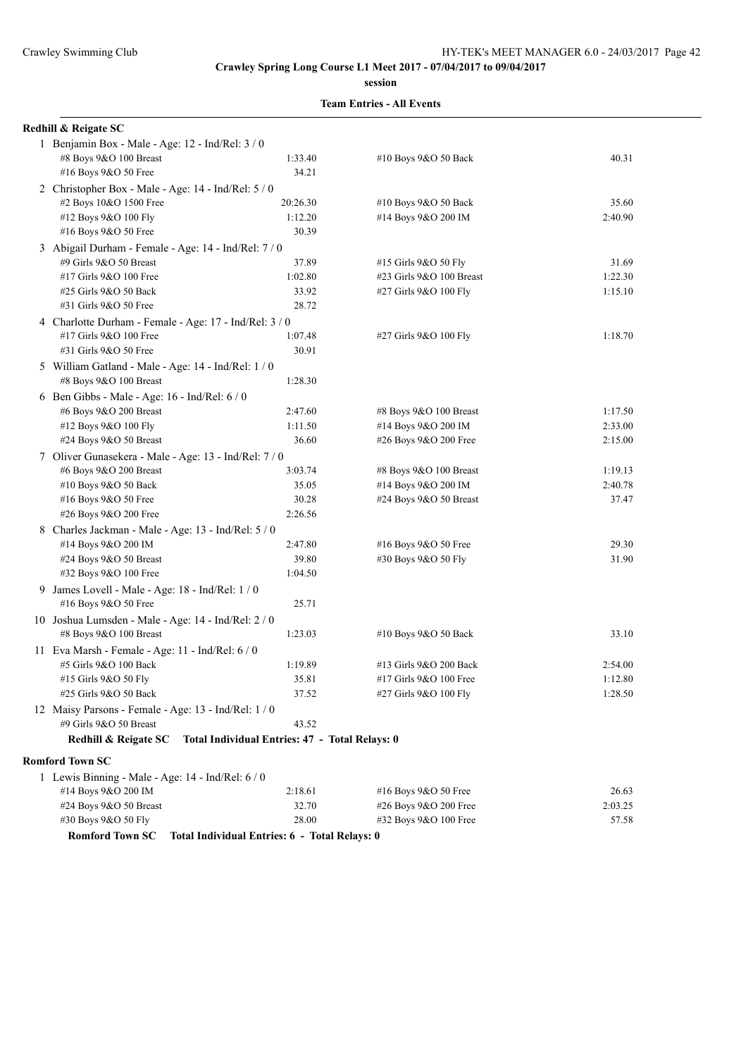**session**

|    | Redhill & Reigate SC                                   |                                                |                          |         |
|----|--------------------------------------------------------|------------------------------------------------|--------------------------|---------|
|    | 1 Benjamin Box - Male - Age: 12 - Ind/Rel: 3 / 0       |                                                |                          |         |
|    | #8 Boys 9&O 100 Breast                                 | 1:33.40                                        | #10 Boys 9&O 50 Back     | 40.31   |
|    | #16 Boys 9&O 50 Free                                   | 34.21                                          |                          |         |
|    | 2 Christopher Box - Male - Age: 14 - Ind/Rel: 5 / 0    |                                                |                          |         |
|    | #2 Boys 10&O 1500 Free                                 | 20:26.30                                       | #10 Boys 9&O 50 Back     | 35.60   |
|    | #12 Boys 9&O 100 Fly                                   | 1:12.20                                        | #14 Boys 9&O 200 IM      | 2:40.90 |
|    | #16 Boys 9&O 50 Free                                   | 30.39                                          |                          |         |
|    | 3 Abigail Durham - Female - Age: 14 - Ind/Rel: 7 / 0   |                                                |                          |         |
|    | #9 Girls 9&O 50 Breast                                 | 37.89                                          | #15 Girls 9&O 50 Fly     | 31.69   |
|    | #17 Girls 9&O 100 Free                                 | 1:02.80                                        | #23 Girls 9&O 100 Breast | 1:22.30 |
|    | #25 Girls 9&O 50 Back                                  | 33.92                                          | #27 Girls 9&O 100 Fly    | 1:15.10 |
|    | #31 Girls 9&O 50 Free                                  | 28.72                                          |                          |         |
|    | 4 Charlotte Durham - Female - Age: 17 - Ind/Rel: 3 / 0 |                                                |                          |         |
|    | #17 Girls 9&O 100 Free                                 | 1:07.48                                        | #27 Girls 9&O 100 Fly    | 1:18.70 |
|    | #31 Girls 9&O 50 Free                                  | 30.91                                          |                          |         |
|    | 5 William Gatland - Male - Age: 14 - Ind/Rel: 1 / 0    |                                                |                          |         |
|    | #8 Boys 9&O 100 Breast                                 | 1:28.30                                        |                          |         |
|    | 6 Ben Gibbs - Male - Age: 16 - Ind/Rel: 6 / 0          |                                                |                          |         |
|    | #6 Boys 9&O 200 Breast                                 | 2:47.60                                        | #8 Boys 9&O 100 Breast   | 1:17.50 |
|    | #12 Boys 9&O 100 Fly                                   | 1:11.50                                        | #14 Boys 9&O 200 IM      | 2:33.00 |
|    | #24 Boys 9&O 50 Breast                                 | 36.60                                          | #26 Boys 9&O 200 Free    | 2:15.00 |
|    | 7 Oliver Gunasekera - Male - Age: 13 - Ind/Rel: 7 / 0  |                                                |                          |         |
|    | #6 Boys 9&O 200 Breast                                 | 3:03.74                                        | #8 Boys 9&O 100 Breast   | 1:19.13 |
|    | #10 Boys 9&O 50 Back                                   | 35.05                                          | #14 Boys 9&O 200 IM      | 2:40.78 |
|    | #16 Boys 9&O 50 Free                                   | 30.28                                          | #24 Boys 9&O 50 Breast   | 37.47   |
|    | #26 Boys 9&O 200 Free                                  | 2:26.56                                        |                          |         |
|    | 8 Charles Jackman - Male - Age: 13 - Ind/Rel: 5 / 0    |                                                |                          |         |
|    | #14 Boys 9&O 200 IM                                    | 2:47.80                                        | #16 Boys 9&O 50 Free     | 29.30   |
|    | #24 Boys 9&O 50 Breast                                 | 39.80                                          | #30 Boys 9&O 50 Fly      | 31.90   |
|    | #32 Boys 9&O 100 Free                                  | 1:04.50                                        |                          |         |
| 9. | James Lovell - Male - Age: 18 - Ind/Rel: 1 / 0         |                                                |                          |         |
|    | #16 Boys 9&O 50 Free                                   | 25.71                                          |                          |         |
|    | 10 Joshua Lumsden - Male - Age: 14 - Ind/Rel: 2 / 0    |                                                |                          |         |
|    | #8 Boys 9&O 100 Breast                                 | 1:23.03                                        | #10 Boys 9&O 50 Back     | 33.10   |
|    | 11 Eva Marsh - Female - Age: 11 - Ind/Rel: 6 / 0       |                                                |                          |         |
|    | #5 Girls 9&O 100 Back                                  | 1:19.89                                        | #13 Girls 9&O 200 Back   | 2:54.00 |
|    | #15 Girls 9&O 50 Fly                                   | 35.81                                          | #17 Girls 9&O 100 Free   | 1:12.80 |
|    | #25 Girls 9&O 50 Back                                  | 37.52                                          | #27 Girls 9&O 100 Fly    | 1:28.50 |
|    | 12 Maisy Parsons - Female - Age: 13 - Ind/Rel: 1 / 0   |                                                |                          |         |
|    | #9 Girls 9&O 50 Breast                                 | 43.52                                          |                          |         |
|    | Redhill & Reigate SC                                   | Total Individual Entries: 47 - Total Relays: 0 |                          |         |
|    |                                                        |                                                |                          |         |
|    | <b>Romford Town SC</b>                                 |                                                |                          |         |
|    | 1 Lewis Binning - Male - Age: 14 - Ind/Rel: 6 / 0      |                                                |                          |         |
|    | #14 Boys 9&O 200 IM                                    | 2:18.61                                        | #16 Boys 9&O 50 Free     | 26.63   |
|    | #24 Boys $9&O 50$ Breast                               | 32.70                                          | #26 Boys 9&O 200 Free    | 2:03.25 |
|    | #30 Boys 9&O 50 Fly                                    | 28.00                                          | #32 Boys 9&O 100 Free    | 57.58   |
|    | <b>Romford Town SC</b>                                 | Total Individual Entries: 6 - Total Relays: 0  |                          |         |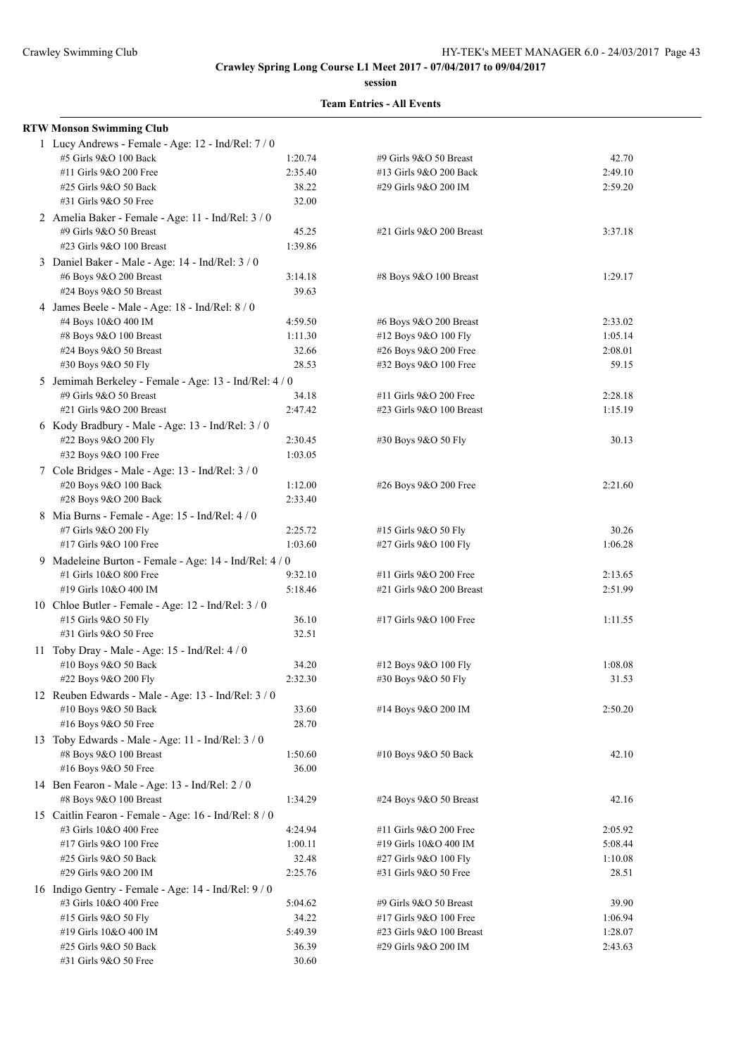**session**

| <b>RTW Monson Swimming Club</b>                        |         |                          |         |
|--------------------------------------------------------|---------|--------------------------|---------|
| 1 Lucy Andrews - Female - Age: 12 - Ind/Rel: 7 / 0     |         |                          |         |
| #5 Girls 9&O 100 Back                                  | 1:20.74 | #9 Girls 9&O 50 Breast   | 42.70   |
| #11 Girls 9&O 200 Free                                 | 2:35.40 | #13 Girls 9&O 200 Back   | 2:49.10 |
| #25 Girls 9&O 50 Back                                  | 38.22   | #29 Girls 9&O 200 IM     | 2:59.20 |
| #31 Girls 9&O 50 Free                                  | 32.00   |                          |         |
| 2 Amelia Baker - Female - Age: 11 - Ind/Rel: 3 / 0     |         |                          |         |
| #9 Girls 9&O 50 Breast                                 | 45.25   | #21 Girls 9&O 200 Breast | 3:37.18 |
| #23 Girls 9&O 100 Breast                               | 1:39.86 |                          |         |
| 3 Daniel Baker - Male - Age: 14 - Ind/Rel: 3 / 0       |         |                          |         |
| #6 Boys 9&O 200 Breast                                 | 3:14.18 | #8 Boys 9&O 100 Breast   | 1:29.17 |
| #24 Boys 9&O 50 Breast                                 | 39.63   |                          |         |
| 4 James Beele - Male - Age: 18 - Ind/Rel: 8 / 0        |         |                          |         |
| #4 Boys 10&O 400 IM                                    | 4:59.50 | #6 Boys 9&O 200 Breast   | 2:33.02 |
| #8 Boys 9&O 100 Breast                                 | 1:11.30 | #12 Boys 9&O 100 Fly     | 1:05.14 |
| #24 Boys 9&O 50 Breast                                 | 32.66   | #26 Boys 9&O 200 Free    | 2:08.01 |
| #30 Boys 9&O 50 Fly                                    | 28.53   | #32 Boys 9&O 100 Free    | 59.15   |
| 5 Jemimah Berkeley - Female - Age: 13 - Ind/Rel: 4 / 0 |         |                          |         |
| #9 Girls 9&O 50 Breast                                 | 34.18   | #11 Girls 9&O 200 Free   | 2:28.18 |
| #21 Girls 9&O 200 Breast                               | 2:47.42 | #23 Girls 9&O 100 Breast | 1:15.19 |
| 6 Kody Bradbury - Male - Age: 13 - Ind/Rel: 3 / 0      |         |                          |         |
| #22 Boys 9&O 200 Fly                                   | 2:30.45 | #30 Boys 9&O 50 Fly      | 30.13   |
| #32 Boys 9&O 100 Free                                  | 1:03.05 |                          |         |
| 7 Cole Bridges - Male - Age: 13 - Ind/Rel: 3 / 0       |         |                          |         |
| #20 Boys 9&O 100 Back                                  | 1:12.00 | #26 Boys 9&O 200 Free    | 2:21.60 |
| #28 Boys 9&O 200 Back                                  | 2:33.40 |                          |         |
| 8 Mia Burns - Female - Age: 15 - Ind/Rel: 4 / 0        |         |                          |         |
| #7 Girls 9&O 200 Fly                                   | 2:25.72 | #15 Girls 9&O 50 Fly     | 30.26   |
| #17 Girls 9&O 100 Free                                 | 1:03.60 | #27 Girls 9&O 100 Fly    | 1:06.28 |
| 9 Madeleine Burton - Female - Age: 14 - Ind/Rel: 4 / 0 |         |                          |         |
| #1 Girls 10&O 800 Free                                 | 9:32.10 | #11 Girls 9&O 200 Free   | 2:13.65 |
| #19 Girls 10&O 400 IM                                  | 5:18.46 | #21 Girls 9&O 200 Breast | 2:51.99 |
| 10 Chloe Butler - Female - Age: 12 - Ind/Rel: 3 / 0    |         |                          |         |
| #15 Girls 9&O 50 Fly                                   | 36.10   | #17 Girls 9&O 100 Free   | 1:11.55 |
| #31 Girls 9&O 50 Free                                  | 32.51   |                          |         |
| 11 Toby Dray - Male - Age: 15 - Ind/Rel: 4 / 0         |         |                          |         |
| #10 Boys 9&O 50 Back                                   | 34.20   | #12 Boys 9&O 100 Fly     | 1:08.08 |
| #22 Boys 9&O 200 Fly                                   | 2:32.30 | #30 Boys 9&O 50 Fly      | 31.53   |
| 12 Reuben Edwards - Male - Age: 13 - Ind/Rel: 3 / 0    |         |                          |         |
| #10 Boys 9&O 50 Back                                   | 33.60   | #14 Boys 9&O 200 IM      | 2:50.20 |
| #16 Boys 9&O 50 Free                                   | 28.70   |                          |         |
| 13 Toby Edwards - Male - Age: 11 - Ind/Rel: 3 / 0      |         |                          |         |
| #8 Boys 9&O 100 Breast                                 | 1:50.60 | #10 Boys 9&O 50 Back     | 42.10   |
| #16 Boys 9&O 50 Free                                   | 36.00   |                          |         |
| 14 Ben Fearon - Male - Age: 13 - Ind/Rel: 2/0          |         |                          |         |
| #8 Boys 9&O 100 Breast                                 | 1:34.29 | #24 Boys 9&O 50 Breast   | 42.16   |
| 15 Caitlin Fearon - Female - Age: 16 - Ind/Rel: 8 / 0  |         |                          |         |
| #3 Girls 10&O 400 Free                                 | 4:24.94 | #11 Girls 9&O 200 Free   | 2:05.92 |
| #17 Girls 9&O 100 Free                                 | 1:00.11 | #19 Girls 10&O 400 IM    | 5:08.44 |
| #25 Girls 9&O 50 Back                                  | 32.48   | #27 Girls 9&O 100 Fly    | 1:10.08 |
| #29 Girls 9&O 200 IM                                   | 2:25.76 | #31 Girls 9&O 50 Free    | 28.51   |
| 16 Indigo Gentry - Female - Age: 14 - Ind/Rel: 9/0     |         |                          |         |
| #3 Girls 10&O 400 Free                                 | 5:04.62 | #9 Girls 9&O 50 Breast   | 39.90   |
| #15 Girls 9&O 50 Fly                                   | 34.22   | #17 Girls 9&O 100 Free   | 1:06.94 |
| #19 Girls 10&O 400 IM                                  | 5:49.39 | #23 Girls 9&O 100 Breast | 1:28.07 |
| #25 Girls 9&O 50 Back                                  | 36.39   | #29 Girls 9&O 200 IM     | 2:43.63 |
| #31 Girls 9&O 50 Free                                  | 30.60   |                          |         |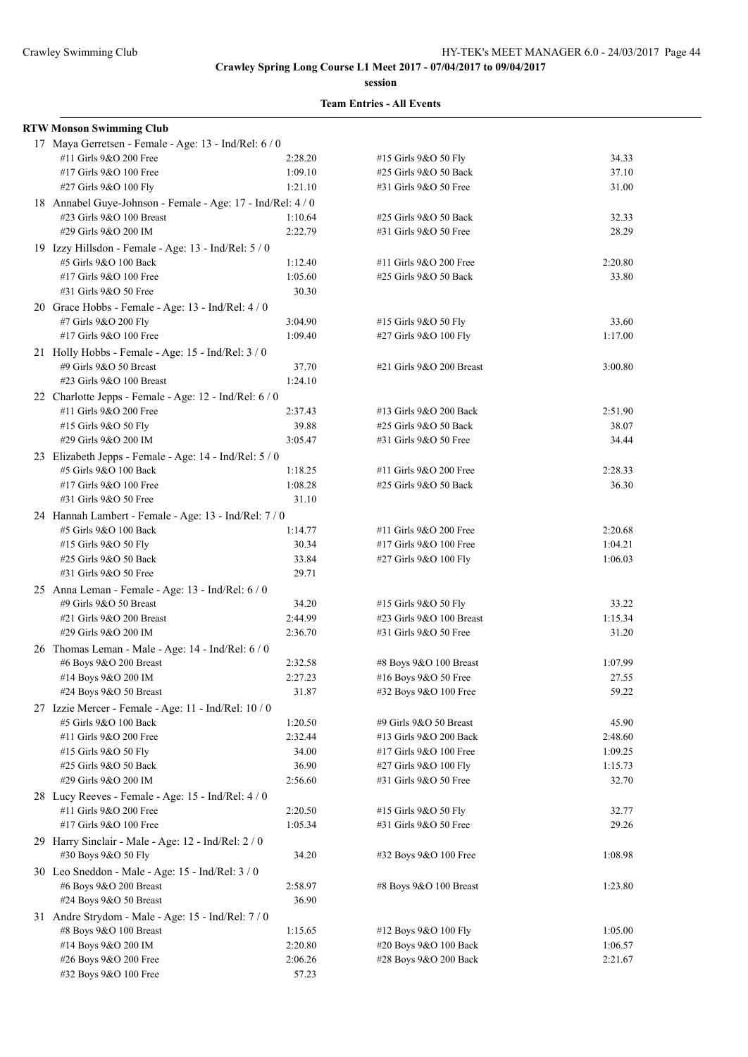**session**

| <b>RTW Monson Swimming Club</b>                             |         |                          |         |
|-------------------------------------------------------------|---------|--------------------------|---------|
| 17 Maya Gerretsen - Female - Age: 13 - Ind/Rel: 6 / 0       |         |                          |         |
| #11 Girls 9&O 200 Free                                      | 2:28.20 | #15 Girls 9&O 50 Fly     | 34.33   |
| #17 Girls 9&O 100 Free                                      | 1:09.10 | #25 Girls 9&O 50 Back    | 37.10   |
| #27 Girls 9&O 100 Fly                                       | 1:21.10 | #31 Girls 9&O 50 Free    | 31.00   |
| 18 Annabel Guye-Johnson - Female - Age: 17 - Ind/Rel: 4 / 0 |         |                          |         |
| #23 Girls 9&O 100 Breast                                    | 1:10.64 | #25 Girls 9&O 50 Back    | 32.33   |
| #29 Girls 9&O 200 IM                                        | 2:22.79 | #31 Girls 9&O 50 Free    | 28.29   |
| 19 Izzy Hillsdon - Female - Age: 13 - Ind/Rel: 5 / 0        |         |                          |         |
| #5 Girls 9&O 100 Back                                       | 1:12.40 | #11 Girls 9&O 200 Free   | 2:20.80 |
| #17 Girls 9&O 100 Free                                      | 1:05.60 | #25 Girls 9&O 50 Back    | 33.80   |
| #31 Girls 9&O 50 Free                                       | 30.30   |                          |         |
|                                                             |         |                          |         |
| 20 Grace Hobbs - Female - Age: 13 - Ind/Rel: 4/0            |         |                          |         |
| #7 Girls 9&O 200 Fly                                        | 3:04.90 | #15 Girls 9&O 50 Fly     | 33.60   |
| #17 Girls 9&O 100 Free                                      | 1:09.40 | #27 Girls 9&O 100 Fly    | 1:17.00 |
| 21 Holly Hobbs - Female - Age: 15 - Ind/Rel: 3/0            |         |                          |         |
| #9 Girls 9&O 50 Breast                                      | 37.70   | #21 Girls 9&O 200 Breast | 3:00.80 |
| #23 Girls 9&O 100 Breast                                    | 1:24.10 |                          |         |
| 22 Charlotte Jepps - Female - Age: 12 - Ind/Rel: 6 / 0      |         |                          |         |
| #11 Girls 9&O 200 Free                                      | 2:37.43 | #13 Girls 9&O 200 Back   | 2:51.90 |
| #15 Girls 9&O 50 Fly                                        | 39.88   | #25 Girls 9&O 50 Back    | 38.07   |
| #29 Girls 9&O 200 IM                                        | 3:05.47 | #31 Girls 9&O 50 Free    | 34.44   |
| 23 Elizabeth Jepps - Female - Age: 14 - Ind/Rel: 5 / 0      |         |                          |         |
| #5 Girls 9&O 100 Back                                       | 1:18.25 | #11 Girls 9&O 200 Free   | 2:28.33 |
| #17 Girls 9&O 100 Free                                      | 1:08.28 | #25 Girls 9&O 50 Back    | 36.30   |
| #31 Girls 9&O 50 Free                                       | 31.10   |                          |         |
| 24 Hannah Lambert - Female - Age: 13 - Ind/Rel: 7/0         |         |                          |         |
| #5 Girls 9&O 100 Back                                       | 1:14.77 | #11 Girls 9&O 200 Free   | 2:20.68 |
| #15 Girls 9&O 50 Fly                                        | 30.34   | #17 Girls 9&O 100 Free   | 1:04.21 |
| #25 Girls 9&O 50 Back                                       | 33.84   | #27 Girls 9&O 100 Fly    | 1:06.03 |
| #31 Girls 9&O 50 Free                                       | 29.71   |                          |         |
| 25 Anna Leman - Female - Age: 13 - Ind/Rel: 6 / 0           |         |                          |         |
| #9 Girls 9&O 50 Breast                                      | 34.20   | #15 Girls 9&O 50 Fly     | 33.22   |
| #21 Girls 9&O 200 Breast                                    | 2:44.99 | #23 Girls 9&O 100 Breast | 1:15.34 |
| #29 Girls 9&O 200 IM                                        | 2:36.70 | #31 Girls 9&O 50 Free    | 31.20   |
|                                                             |         |                          |         |
| 26 Thomas Leman - Male - Age: 14 - Ind/Rel: 6 / 0           |         |                          |         |
| #6 Boys $9&O$ 200 Breast                                    | 2:32.58 | #8 Boys 9&O 100 Breast   | 1:07.99 |
| #14 Boys 9&O 200 IM                                         | 2:27.23 | #16 Boys 9&O 50 Free     | 27.55   |
| #24 Boys 9&O 50 Breast                                      | 31.87   | #32 Boys 9&O 100 Free    | 59.22   |
| 27 Izzie Mercer - Female - Age: 11 - Ind/Rel: 10 / 0        |         |                          |         |
| #5 Girls 9&O 100 Back                                       | 1:20.50 | #9 Girls 9&O 50 Breast   | 45.90   |
| #11 Girls 9&O 200 Free                                      | 2:32.44 | #13 Girls 9&O 200 Back   | 2:48.60 |
| #15 Girls 9&O 50 Fly                                        | 34.00   | #17 Girls 9&O 100 Free   | 1:09.25 |
| #25 Girls 9&O 50 Back                                       | 36.90   | #27 Girls 9&O 100 Fly    | 1:15.73 |
| #29 Girls 9&O 200 IM                                        | 2:56.60 | #31 Girls 9&O 50 Free    | 32.70   |
| 28 Lucy Reeves - Female - Age: 15 - Ind/Rel: 4/0            |         |                          |         |
| #11 Girls 9&O 200 Free                                      | 2:20.50 | #15 Girls 9&O 50 Fly     | 32.77   |
| #17 Girls 9&O 100 Free                                      | 1:05.34 | #31 Girls 9&O 50 Free    | 29.26   |
| 29 Harry Sinclair - Male - Age: 12 - Ind/Rel: 2 / 0         |         |                          |         |
| #30 Boys 9&O 50 Fly                                         | 34.20   | #32 Boys 9&O 100 Free    | 1:08.98 |
| 30 Leo Sneddon - Male - Age: 15 - Ind/Rel: 3 / 0            |         |                          |         |
| #6 Boys 9&O 200 Breast                                      | 2:58.97 | #8 Boys 9&O 100 Breast   | 1:23.80 |
| #24 Boys 9&O 50 Breast                                      | 36.90   |                          |         |
|                                                             |         |                          |         |
| 31 Andre Strydom - Male - Age: 15 - Ind/Rel: 7/0            |         |                          |         |
| #8 Boys 9&O 100 Breast                                      | 1:15.65 | #12 Boys 9&O 100 Fly     | 1:05.00 |
| #14 Boys 9&O 200 IM                                         | 2:20.80 | #20 Boys 9&O 100 Back    | 1:06.57 |
| #26 Boys 9&O 200 Free                                       | 2:06.26 | #28 Boys 9&O 200 Back    | 2:21.67 |
| #32 Boys 9&O 100 Free                                       | 57.23   |                          |         |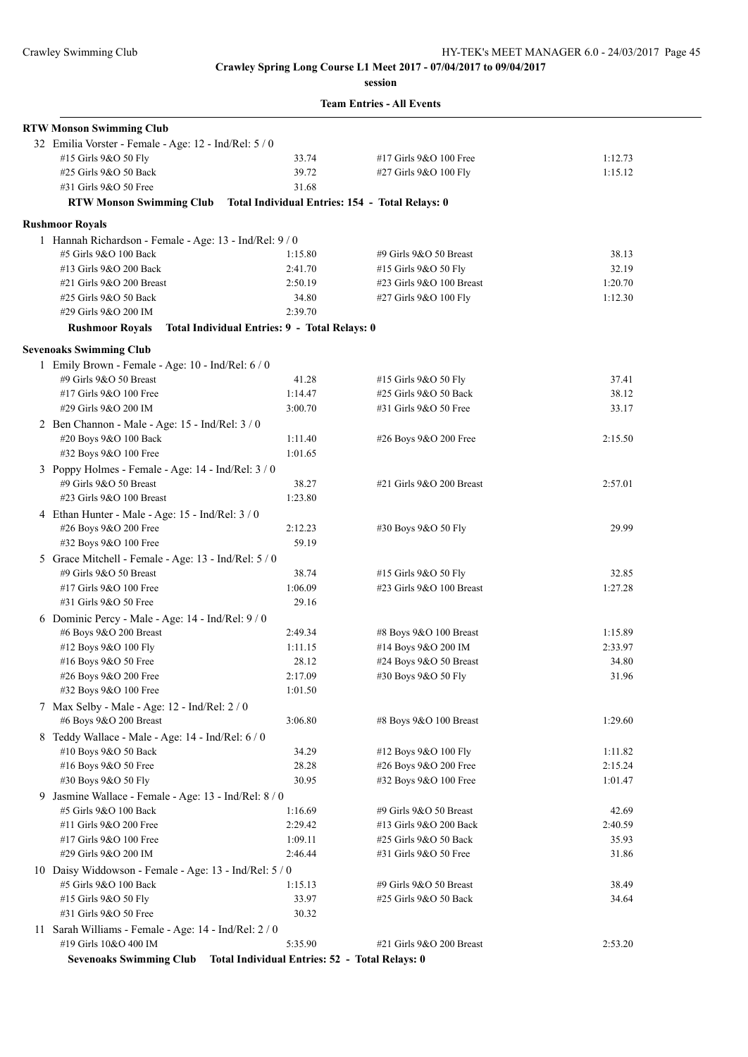**session**

|  | <b>Team Entries - All Events</b> |  |  |
|--|----------------------------------|--|--|
|--|----------------------------------|--|--|

| <b>RTW Monson Swimming Club</b>                                                     |                                                 |                          |         |
|-------------------------------------------------------------------------------------|-------------------------------------------------|--------------------------|---------|
| 32 Emilia Vorster - Female - Age: 12 - Ind/Rel: 5 / 0                               |                                                 |                          |         |
| #15 Girls 9&O 50 Fly                                                                | 33.74                                           | #17 Girls 9&O 100 Free   | 1:12.73 |
| #25 Girls 9&O 50 Back                                                               | 39.72                                           | #27 Girls 9&O 100 Fly    | 1:15.12 |
| #31 Girls 9&O 50 Free                                                               | 31.68                                           |                          |         |
| <b>RTW Monson Swimming Club</b>                                                     | Total Individual Entries: 154 - Total Relays: 0 |                          |         |
| <b>Rushmoor Royals</b>                                                              |                                                 |                          |         |
| 1 Hannah Richardson - Female - Age: 13 - Ind/Rel: 9/0                               |                                                 |                          |         |
| #5 Girls 9&O 100 Back                                                               | 1:15.80                                         | #9 Girls 9&O 50 Breast   | 38.13   |
| #13 Girls 9&O 200 Back                                                              | 2:41.70                                         | #15 Girls 9&O 50 Fly     | 32.19   |
| #21 Girls 9&O 200 Breast                                                            | 2:50.19                                         | #23 Girls 9&O 100 Breast | 1:20.70 |
| #25 Girls 9&O 50 Back                                                               | 34.80                                           | #27 Girls 9&O 100 Fly    | 1:12.30 |
| #29 Girls 9&O 200 IM                                                                | 2:39.70                                         |                          |         |
| <b>Rushmoor Royals</b>                                                              | Total Individual Entries: 9 - Total Relays: 0   |                          |         |
|                                                                                     |                                                 |                          |         |
| <b>Sevenoaks Swimming Club</b><br>1 Emily Brown - Female - Age: 10 - Ind/Rel: 6 / 0 |                                                 |                          |         |
| #9 Girls 9&O 50 Breast                                                              | 41.28                                           | #15 Girls 9&O 50 Fly     | 37.41   |
| #17 Girls 9&O 100 Free                                                              | 1:14.47                                         | #25 Girls 9&O 50 Back    | 38.12   |
| #29 Girls 9&O 200 IM                                                                | 3:00.70                                         | #31 Girls 9&O 50 Free    | 33.17   |
|                                                                                     |                                                 |                          |         |
| 2 Ben Channon - Male - Age: 15 - Ind/Rel: 3 / 0                                     |                                                 | #26 Boys 9&O 200 Free    | 2:15.50 |
| #20 Boys 9&O 100 Back<br>#32 Boys 9&O 100 Free                                      | 1:11.40<br>1:01.65                              |                          |         |
|                                                                                     |                                                 |                          |         |
| 3 Poppy Holmes - Female - Age: 14 - Ind/Rel: 3 / 0                                  |                                                 |                          |         |
| #9 Girls 9&O 50 Breast<br>#23 Girls $9&O$ 100 Breast                                | 38.27<br>1:23.80                                | #21 Girls 9&O 200 Breast | 2:57.01 |
|                                                                                     |                                                 |                          |         |
| 4 Ethan Hunter - Male - Age: 15 - Ind/Rel: 3 / 0                                    |                                                 |                          |         |
| #26 Boys 9&O 200 Free                                                               | 2:12.23                                         | #30 Boys 9&O 50 Fly      | 29.99   |
| #32 Boys 9&O 100 Free                                                               | 59.19                                           |                          |         |
| 5 Grace Mitchell - Female - Age: 13 - Ind/Rel: 5 / 0                                |                                                 |                          |         |
| #9 Girls 9&O 50 Breast                                                              | 38.74                                           | #15 Girls 9&O 50 Fly     | 32.85   |
| #17 Girls 9&O 100 Free                                                              | 1:06.09                                         | #23 Girls 9&O 100 Breast | 1:27.28 |
| #31 Girls 9&O 50 Free                                                               | 29.16                                           |                          |         |
| 6 Dominic Percy - Male - Age: 14 - Ind/Rel: 9/0                                     |                                                 |                          |         |
| #6 Boys 9&O 200 Breast                                                              | 2:49.34                                         | #8 Boys 9&O 100 Breast   | 1:15.89 |
| #12 Boys 9&O 100 Fly                                                                | 1:11.15                                         | #14 Boys 9&O 200 IM      | 2:33.97 |
| #16 Boys 9&O 50 Free                                                                | 28.12                                           | #24 Boys 9&O 50 Breast   | 34.80   |
| #26 Boys 9&O 200 Free                                                               | 2:17.09                                         | #30 Boys 9&O 50 Fly      | 31.96   |
| #32 Boys 9&O 100 Free                                                               | 1:01.50                                         |                          |         |
| 7 Max Selby - Male - Age: 12 - Ind/Rel: 2 / 0                                       |                                                 |                          |         |
| #6 Boys 9&O 200 Breast                                                              | 3:06.80                                         | #8 Boys 9&O 100 Breast   | 1:29.60 |
| 8 Teddy Wallace - Male - Age: 14 - Ind/Rel: 6 / 0                                   |                                                 |                          |         |
| #10 Boys 9&O 50 Back                                                                | 34.29                                           | #12 Boys 9&O 100 Fly     | 1:11.82 |
| #16 Boys 9&O 50 Free                                                                | 28.28                                           | #26 Boys 9&O 200 Free    | 2:15.24 |
| #30 Boys 9&O 50 Fly                                                                 | 30.95                                           | #32 Boys 9&O 100 Free    | 1:01.47 |
| 9 Jasmine Wallace - Female - Age: 13 - Ind/Rel: 8 / 0                               |                                                 |                          |         |
| #5 Girls 9&O 100 Back                                                               | 1:16.69                                         | #9 Girls 9&O 50 Breast   | 42.69   |
| #11 Girls 9&O 200 Free                                                              | 2:29.42                                         | #13 Girls 9&O 200 Back   | 2:40.59 |
| #17 Girls 9&O 100 Free                                                              | 1:09.11                                         | #25 Girls 9&O 50 Back    | 35.93   |
| #29 Girls 9&O 200 IM                                                                | 2:46.44                                         | #31 Girls 9&O 50 Free    | 31.86   |
| 10 Daisy Widdowson - Female - Age: 13 - Ind/Rel: 5 / 0                              |                                                 |                          |         |
| #5 Girls 9&O 100 Back                                                               | 1:15.13                                         | #9 Girls 9&O 50 Breast   | 38.49   |
| #15 Girls 9&O 50 Fly                                                                | 33.97                                           | #25 Girls 9&O 50 Back    | 34.64   |
| #31 Girls 9&O 50 Free                                                               | 30.32                                           |                          |         |
| 11 Sarah Williams - Female - Age: 14 - Ind/Rel: 2 / 0                               |                                                 |                          |         |
| #19 Girls 10&O 400 IM                                                               | 5:35.90                                         | #21 Girls 9&O 200 Breast | 2:53.20 |
| Sevenoaks Swimming Club Total Individual Entries: 52 - Total Relays: 0              |                                                 |                          |         |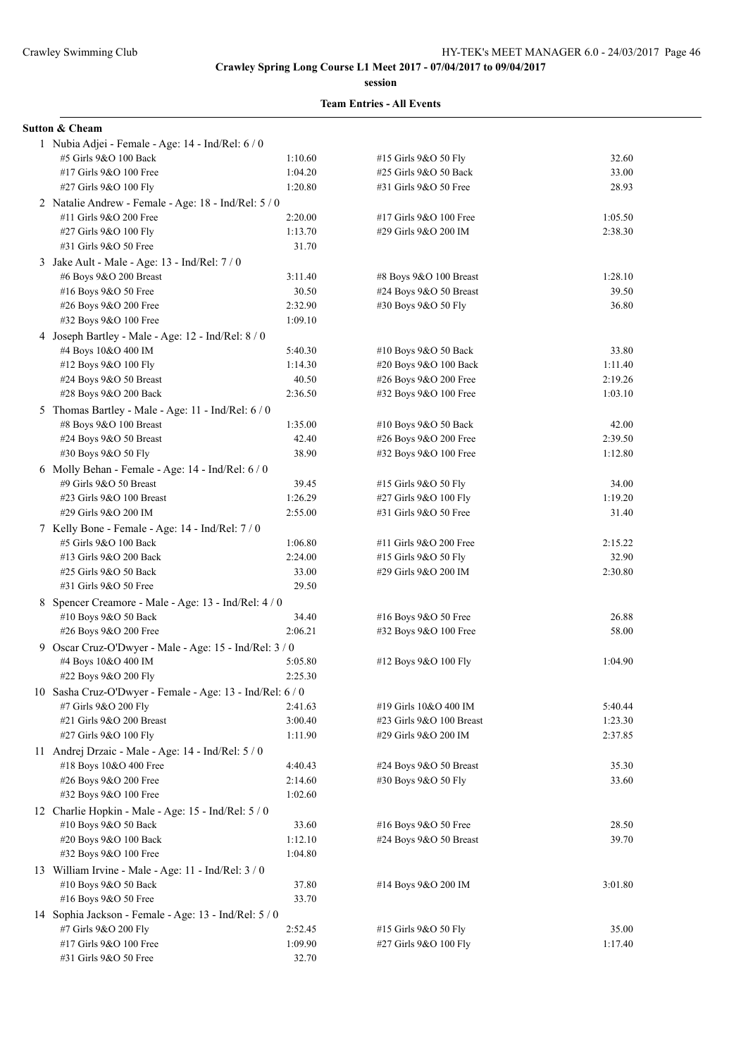**session**

#### **Team Entries - All Events**

#### **Sutton & Cheam**

| 1 Nubia Adjei - Female - Age: 14 - Ind/Rel: 6 / 0         |         |                                                |         |
|-----------------------------------------------------------|---------|------------------------------------------------|---------|
| #5 Girls 9&O 100 Back                                     | 1:10.60 | #15 Girls 9&O 50 Fly                           | 32.60   |
| #17 Girls 9&O 100 Free                                    | 1:04.20 | #25 Girls 9&O 50 Back                          | 33.00   |
| #27 Girls 9&O 100 Fly                                     | 1:20.80 | #31 Girls 9&O 50 Free                          | 28.93   |
| 2 Natalie Andrew - Female - Age: 18 - Ind/Rel: 5 / 0      |         |                                                |         |
| #11 Girls 9&O 200 Free                                    | 2:20.00 | #17 Girls 9&O 100 Free                         | 1:05.50 |
| #27 Girls 9&O 100 Fly                                     | 1:13.70 | #29 Girls 9&O 200 IM                           | 2:38.30 |
| #31 Girls 9&O 50 Free                                     | 31.70   |                                                |         |
| 3 Jake Ault - Male - Age: 13 - Ind/Rel: 7/0               |         |                                                |         |
| #6 Boys 9&O 200 Breast                                    | 3:11.40 | #8 Boys 9&O 100 Breast                         | 1:28.10 |
| #16 Boys 9&O 50 Free                                      | 30.50   | #24 Boys 9&O 50 Breast                         | 39.50   |
| #26 Boys 9&O 200 Free                                     | 2:32.90 | #30 Boys 9&O 50 Fly                            | 36.80   |
| #32 Boys 9&O 100 Free                                     | 1:09.10 |                                                |         |
| 4 Joseph Bartley - Male - Age: 12 - Ind/Rel: 8 / 0        |         |                                                |         |
| #4 Boys 10&O 400 IM                                       | 5:40.30 | #10 Boys 9&O 50 Back                           | 33.80   |
| #12 Boys 9&O 100 Fly                                      | 1:14.30 |                                                | 1:11.40 |
| #24 Boys 9&O 50 Breast                                    | 40.50   | #20 Boys 9&O 100 Back<br>#26 Boys 9&O 200 Free | 2:19.26 |
| #28 Boys 9&O 200 Back                                     | 2:36.50 | #32 Boys 9&O 100 Free                          | 1:03.10 |
|                                                           |         |                                                |         |
| 5 Thomas Bartley - Male - Age: 11 - Ind/Rel: 6 / 0        |         |                                                |         |
| #8 Boys 9&O 100 Breast                                    | 1:35.00 | #10 Boys 9&O 50 Back                           | 42.00   |
| #24 Boys 9&O 50 Breast                                    | 42.40   | #26 Boys 9&O 200 Free                          | 2:39.50 |
| #30 Boys 9&O 50 Fly                                       | 38.90   | #32 Boys 9&O 100 Free                          | 1:12.80 |
| 6 Molly Behan - Female - Age: $14$ - Ind/Rel: $6/0$       |         |                                                |         |
| #9 Girls 9&O 50 Breast                                    | 39.45   | #15 Girls 9&O 50 Fly                           | 34.00   |
| #23 Girls 9&O 100 Breast                                  | 1:26.29 | #27 Girls 9&O 100 Fly                          | 1:19.20 |
| #29 Girls 9&O 200 IM                                      | 2:55.00 | #31 Girls 9&O 50 Free                          | 31.40   |
| 7 Kelly Bone - Female - Age: 14 - Ind/Rel: 7 / 0          |         |                                                |         |
| #5 Girls 9&O 100 Back                                     | 1:06.80 | #11 Girls 9&O 200 Free                         | 2:15.22 |
| #13 Girls 9&O 200 Back                                    | 2:24.00 | #15 Girls 9&O 50 Fly                           | 32.90   |
| #25 Girls 9&O 50 Back                                     | 33.00   | #29 Girls 9&O 200 IM                           | 2:30.80 |
| #31 Girls 9&O 50 Free                                     | 29.50   |                                                |         |
| 8 Spencer Creamore - Male - Age: 13 - Ind/Rel: 4 / 0      |         |                                                |         |
| #10 Boys 9&O 50 Back                                      | 34.40   | #16 Boys 9&O 50 Free                           | 26.88   |
| #26 Boys 9&O 200 Free                                     | 2:06.21 | #32 Boys 9&O 100 Free                          | 58.00   |
| 9 Oscar Cruz-O'Dwyer - Male - Age: 15 - Ind/Rel: 3 / 0    |         |                                                |         |
| #4 Boys 10&O 400 IM                                       | 5:05.80 | #12 Boys 9&O 100 Fly                           | 1:04.90 |
| #22 Boys 9&O 200 Fly                                      | 2:25.30 |                                                |         |
| 10 Sasha Cruz-O'Dwyer - Female - Age: 13 - Ind/Rel: 6 / 0 |         |                                                |         |
| #7 Girls 9&O 200 Fly                                      | 2:41.63 | #19 Girls 10&O 400 IM                          | 5:40.44 |
| #21 Girls 9&O 200 Breast                                  | 3:00.40 | #23 Girls 9&O 100 Breast                       | 1:23.30 |
| #27 Girls 9&O 100 Fly                                     | 1:11.90 | #29 Girls 9&O 200 IM                           | 2:37.85 |
| 11 Andrej Drzaic - Male - Age: 14 - Ind/Rel: 5 / 0        |         |                                                |         |
| #18 Boys 10&O 400 Free                                    | 4:40.43 | #24 Boys 9&O 50 Breast                         | 35.30   |
| #26 Boys 9&O 200 Free                                     | 2:14.60 | #30 Boys 9&O 50 Fly                            | 33.60   |
| #32 Boys 9&O 100 Free                                     | 1:02.60 |                                                |         |
| 12 Charlie Hopkin - Male - Age: 15 - Ind/Rel: 5 / 0       |         |                                                |         |
| #10 Boys 9&O 50 Back                                      | 33.60   | #16 Boys $9&O 50$ Free                         | 28.50   |
| #20 Boys 9&O 100 Back                                     | 1:12.10 | $\#24$ Boys 9&O 50 Breast                      | 39.70   |
| #32 Boys 9&O 100 Free                                     | 1:04.80 |                                                |         |
| 13 William Irvine - Male - Age: 11 - Ind/Rel: 3 / 0       |         |                                                |         |
| #10 Boys 9&O 50 Back                                      | 37.80   | #14 Boys 9&O 200 IM                            | 3:01.80 |
| #16 Boys 9&O 50 Free                                      | 33.70   |                                                |         |
| 14 Sophia Jackson - Female - Age: 13 - Ind/Rel: 5 / 0     |         |                                                |         |
| #7 Girls 9&O 200 Fly                                      | 2:52.45 | #15 Girls 9&O 50 Fly                           | 35.00   |
| #17 Girls 9&O 100 Free                                    | 1:09.90 | #27 Girls 9&O 100 Fly                          | 1:17.40 |
| #31 Girls 9&O 50 Free                                     | 32.70   |                                                |         |
|                                                           |         |                                                |         |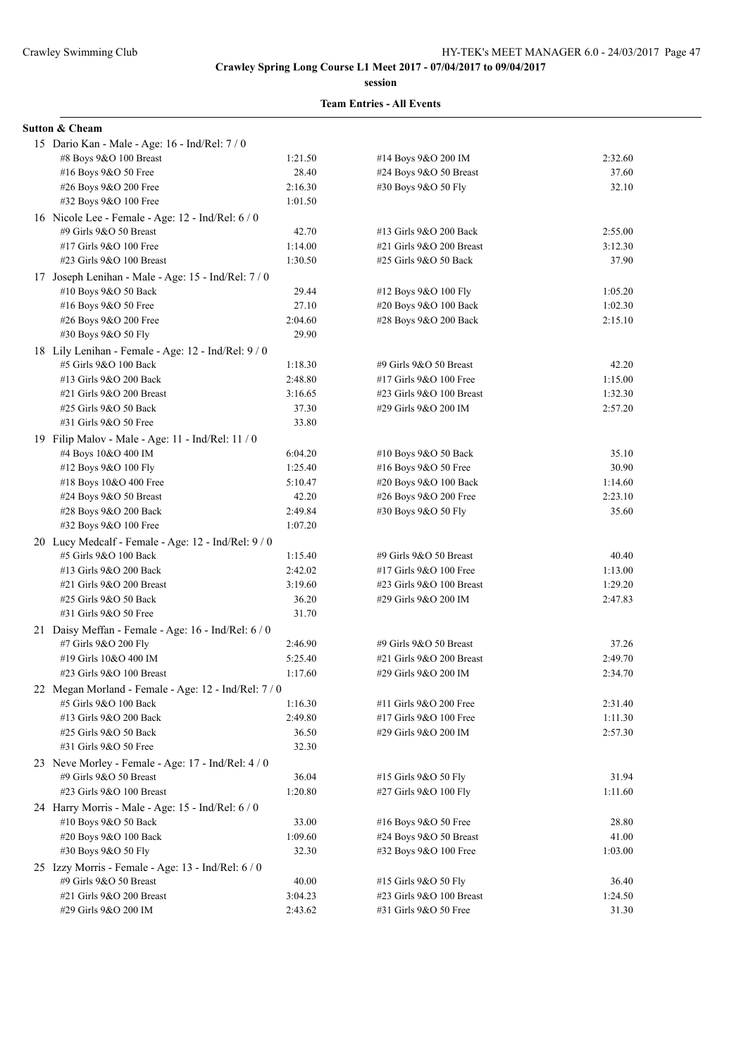**session**

#### **Team Entries - All Events**

## **Sutton & Cheam**

| 15 Dario Kan - Male - Age: 16 - Ind/Rel: 7 / 0      |         |                          |         |
|-----------------------------------------------------|---------|--------------------------|---------|
| #8 Boys 9&O 100 Breast                              | 1:21.50 | #14 Boys 9&O 200 IM      | 2:32.60 |
| #16 Boys 9&O 50 Free                                | 28.40   | #24 Boys 9&O 50 Breast   | 37.60   |
| #26 Boys 9&O 200 Free                               | 2:16.30 | #30 Boys 9&O 50 Fly      | 32.10   |
| #32 Boys 9&O 100 Free                               | 1:01.50 |                          |         |
| 16 Nicole Lee - Female - Age: 12 - Ind/Rel: 6/0     |         |                          |         |
| #9 Girls 9&O 50 Breast                              | 42.70   | #13 Girls 9&O 200 Back   | 2:55.00 |
| #17 Girls 9&O 100 Free                              | 1:14.00 | #21 Girls 9&O 200 Breast | 3:12.30 |
| #23 Girls 9&O 100 Breast                            | 1:30.50 | #25 Girls 9&O 50 Back    | 37.90   |
| 17 Joseph Lenihan - Male - Age: 15 - Ind/Rel: 7/0   |         |                          |         |
| $#10$ Boys 9&O 50 Back                              | 29.44   | #12 Boys 9&O 100 Fly     | 1:05.20 |
| #16 Boys 9&O 50 Free                                | 27.10   | #20 Boys 9&O 100 Back    | 1:02.30 |
| #26 Boys 9&O 200 Free                               | 2:04.60 | #28 Boys 9&O 200 Back    | 2:15.10 |
| #30 Boys 9&O 50 Fly                                 | 29.90   |                          |         |
| 18 Lily Lenihan - Female - Age: 12 - Ind/Rel: 9/0   |         |                          |         |
| #5 Girls 9&O 100 Back                               | 1:18.30 | #9 Girls 9&O 50 Breast   | 42.20   |
| #13 Girls 9&O 200 Back                              | 2:48.80 | #17 Girls 9&O 100 Free   | 1:15.00 |
| #21 Girls 9&O 200 Breast                            | 3:16.65 | #23 Girls 9&O 100 Breast | 1:32.30 |
| #25 Girls 9&O 50 Back                               | 37.30   | #29 Girls 9&O 200 IM     | 2:57.20 |
| #31 Girls 9&O 50 Free                               | 33.80   |                          |         |
| 19 Filip Malov - Male - Age: 11 - Ind/Rel: 11 / 0   |         |                          |         |
| #4 Boys 10&O 400 IM                                 | 6:04.20 | #10 Boys $9&O 50$ Back   | 35.10   |
| #12 Boys 9&O 100 Fly                                | 1:25.40 | #16 Boys 9&O 50 Free     | 30.90   |
| #18 Boys 10&O 400 Free                              | 5:10.47 | #20 Boys 9&O 100 Back    | 1:14.60 |
| #24 Boys $9&O 50$ Breast                            | 42.20   | #26 Boys 9&O 200 Free    | 2:23.10 |
| #28 Boys 9&O 200 Back                               | 2:49.84 | #30 Boys 9&O 50 Fly      | 35.60   |
| #32 Boys 9&O 100 Free                               | 1:07.20 |                          |         |
| 20 Lucy Medcalf - Female - Age: 12 - Ind/Rel: 9 / 0 |         |                          |         |
| #5 Girls 9&O 100 Back                               | 1:15.40 | #9 Girls 9&O 50 Breast   | 40.40   |
| #13 Girls 9&O 200 Back                              | 2:42.02 | #17 Girls 9&O 100 Free   | 1:13.00 |
| #21 Girls 9&O 200 Breast                            | 3:19.60 | #23 Girls 9&O 100 Breast | 1:29.20 |
| #25 Girls 9&O 50 Back                               | 36.20   | #29 Girls 9&O 200 IM     | 2:47.83 |
| #31 Girls 9&O 50 Free                               | 31.70   |                          |         |
| 21 Daisy Meffan - Female - Age: 16 - Ind/Rel: 6 / 0 |         |                          |         |
| #7 Girls 9&O 200 Fly                                | 2:46.90 | #9 Girls 9&O 50 Breast   | 37.26   |
| #19 Girls 10&O 400 IM                               | 5:25.40 | #21 Girls 9&O 200 Breast | 2:49.70 |
| #23 Girls 9&O 100 Breast                            | 1:17.60 | #29 Girls 9&O 200 IM     | 2:34.70 |
| 22 Megan Morland - Female - Age: 12 - Ind/Rel: 7/0  |         |                          |         |
| #5 Girls 9&O 100 Back                               | 1:16.30 | #11 Girls 9&O 200 Free   | 2:31.40 |
| #13 Girls 9&O 200 Back                              | 2:49.80 | #17 Girls 9&O 100 Free   | 1:11.30 |
| #25 Girls 9&O 50 Back                               | 36.50   | #29 Girls 9&O 200 IM     | 2:57.30 |
| #31 Girls 9&O 50 Free                               | 32.30   |                          |         |
| 23 Neve Morley - Female - Age: 17 - Ind/Rel: 4/0    |         |                          |         |
| #9 Girls 9&O 50 Breast                              | 36.04   | #15 Girls 9&O 50 Fly     | 31.94   |
| #23 Girls 9&O 100 Breast                            | 1:20.80 | #27 Girls 9&O 100 Fly    | 1:11.60 |
| 24 Harry Morris - Male - Age: 15 - Ind/Rel: 6 / 0   |         |                          |         |
| #10 Boys 9&O 50 Back                                | 33.00   | #16 Boys 9&O 50 Free     | 28.80   |
| #20 Boys 9&O 100 Back                               | 1:09.60 | #24 Boys $9&O 50$ Breast | 41.00   |
| #30 Boys 9&O 50 Fly                                 | 32.30   | #32 Boys 9&O 100 Free    | 1:03.00 |
| 25 Izzy Morris - Female - Age: 13 - Ind/Rel: 6 / 0  |         |                          |         |
| #9 Girls 9&O 50 Breast                              | 40.00   | #15 Girls 9&O 50 Fly     | 36.40   |
| #21 Girls 9&O 200 Breast                            | 3:04.23 | #23 Girls 9&O 100 Breast | 1:24.50 |
| #29 Girls 9&O 200 IM                                | 2:43.62 | #31 Girls 9&O 50 Free    | 31.30   |
|                                                     |         |                          |         |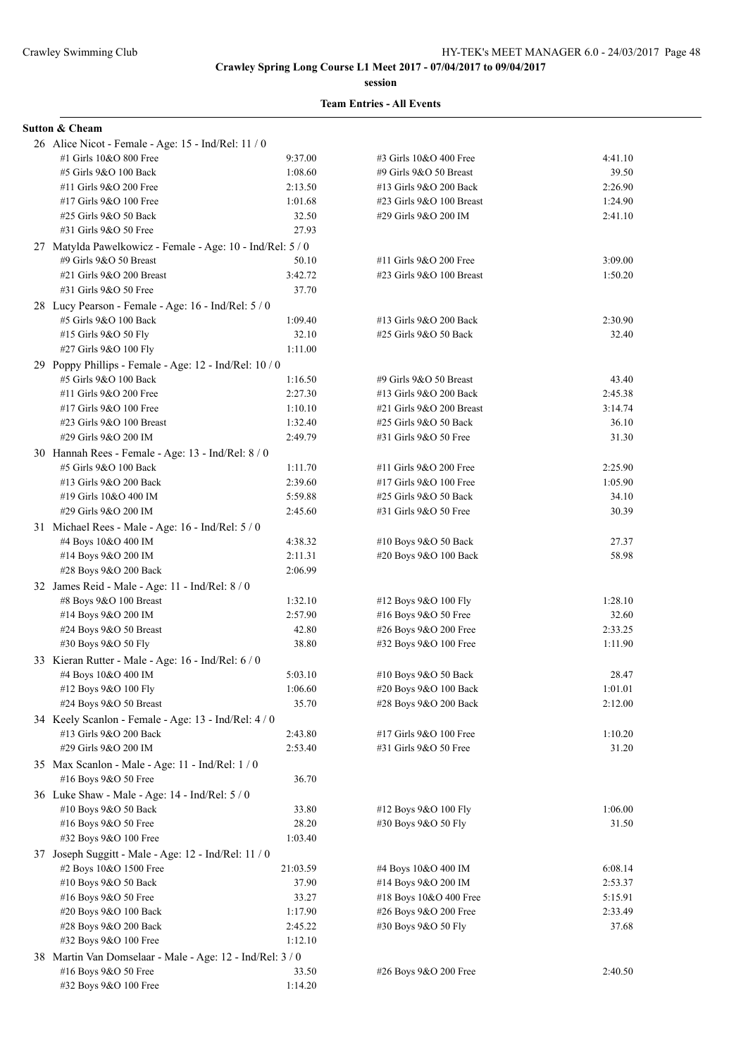**session**

#### **Team Entries - All Events**

# **Sutton & Cheam**

| 26 Alice Nicot - Female - Age: 15 - Ind/Rel: 11 / 0        |                   |                            |                    |
|------------------------------------------------------------|-------------------|----------------------------|--------------------|
| #1 Girls 10&O 800 Free                                     | 9:37.00           | #3 Girls 10&O 400 Free     | 4:41.10            |
| #5 Girls 9&O 100 Back                                      | 1:08.60           | #9 Girls 9&O 50 Breast     | 39.50              |
| #11 Girls 9&O 200 Free                                     | 2:13.50           | #13 Girls 9&O 200 Back     | 2:26.90            |
| #17 Girls 9&O 100 Free                                     | 1:01.68           | #23 Girls $9&O$ 100 Breast | 1:24.90            |
| #25 Girls 9&O 50 Back                                      | 32.50             | #29 Girls 9&O 200 IM       | 2:41.10            |
| #31 Girls 9&O 50 Free                                      | 27.93             |                            |                    |
| 27 Matylda Pawelkowicz - Female - Age: 10 - Ind/Rel: 5 / 0 |                   |                            |                    |
| #9 Girls 9&O 50 Breast                                     | 50.10             | #11 Girls 9&O 200 Free     | 3:09.00            |
| #21 Girls 9&O 200 Breast                                   | 3:42.72           | #23 Girls 9&O 100 Breast   | 1:50.20            |
| #31 Girls 9&O 50 Free                                      | 37.70             |                            |                    |
| 28 Lucy Pearson - Female - Age: 16 - Ind/Rel: 5 / 0        |                   |                            |                    |
| #5 Girls 9&O 100 Back                                      | 1:09.40           | #13 Girls 9&O 200 Back     | 2:30.90            |
| #15 Girls 9&O 50 Fly                                       | 32.10             | #25 Girls 9&O 50 Back      | 32.40              |
| #27 Girls 9&O 100 Fly                                      | 1:11.00           |                            |                    |
| 29 Poppy Phillips - Female - Age: 12 - Ind/Rel: 10 / 0     |                   |                            |                    |
| #5 Girls 9&O 100 Back                                      | 1:16.50           | #9 Girls 9&O 50 Breast     | 43.40              |
| #11 Girls 9&O 200 Free                                     | 2:27.30           | #13 Girls 9&O 200 Back     | 2:45.38            |
| #17 Girls 9&O 100 Free                                     | 1:10.10           | #21 Girls 9&O 200 Breast   | 3:14.74            |
| #23 Girls 9&O 100 Breast                                   | 1:32.40           | #25 Girls 9&O 50 Back      | 36.10              |
| #29 Girls 9&O 200 IM                                       | 2:49.79           | #31 Girls 9&O 50 Free      | 31.30              |
|                                                            |                   |                            |                    |
| 30 Hannah Rees - Female - Age: 13 - Ind/Rel: 8 / 0         |                   |                            |                    |
| #5 Girls 9&O 100 Back                                      | 1:11.70           | #11 Girls 9&O 200 Free     | 2:25.90            |
| #13 Girls 9&O 200 Back                                     | 2:39.60           | #17 Girls 9&O 100 Free     | 1:05.90            |
| #19 Girls 10&O 400 IM                                      | 5:59.88           | #25 Girls 9&O 50 Back      | 34.10              |
| #29 Girls 9&O 200 IM                                       | 2:45.60           | #31 Girls 9&O 50 Free      | 30.39              |
| 31 Michael Rees - Male - Age: 16 - Ind/Rel: 5 / 0          |                   |                            |                    |
| #4 Boys 10&O 400 IM                                        | 4:38.32           | #10 Boys 9&O 50 Back       | 27.37              |
| #14 Boys 9&O 200 IM                                        | 2:11.31           | #20 Boys 9&O 100 Back      | 58.98              |
| #28 Boys 9&O 200 Back                                      | 2:06.99           |                            |                    |
| 32 James Reid - Male - Age: 11 - Ind/Rel: 8 / 0            |                   |                            |                    |
| $#8$ Boys $9&O$ 100 Breast                                 | 1:32.10           | #12 Boys 9&O 100 Fly       | 1:28.10            |
| #14 Boys 9&O 200 IM                                        | 2:57.90           | #16 Boys $9&O 50$ Free     | 32.60              |
| #24 Boys 9&O 50 Breast                                     | 42.80             | #26 Boys 9&O 200 Free      | 2:33.25            |
| #30 Boys 9&O 50 Fly                                        | 38.80             | #32 Boys 9&O 100 Free      | 1:11.90            |
| 33 Kieran Rutter - Male - Age: 16 - Ind/Rel: 6 / 0         |                   |                            |                    |
| #4 Boys 10&O 400 IM                                        | 5:03.10           | #10 Boys 9&O 50 Back       | 28.47              |
| #12 Boys 9&O 100 Fly                                       | 1:06.60           | #20 Boys 9&O 100 Back      | 1:01.01            |
| #24 Boys 9&O 50 Breast                                     | 35.70             | #28 Boys 9&O 200 Back      | 2:12.00            |
| 34 Keely Scanlon - Female - Age: 13 - Ind/Rel: 4 / 0       |                   |                            |                    |
| #13 Girls 9&O 200 Back                                     | 2:43.80           | #17 Girls 9&O 100 Free     | 1:10.20            |
| #29 Girls 9&O 200 IM                                       | 2:53.40           | #31 Girls 9&O 50 Free      | 31.20              |
| 35 Max Scanlon - Male - Age: 11 - Ind/Rel: 1 / 0           |                   |                            |                    |
| #16 Boys 9&O 50 Free                                       | 36.70             |                            |                    |
| 36 Luke Shaw - Male - Age: 14 - Ind/Rel: 5 / 0             |                   |                            |                    |
| #10 Boys 9&O 50 Back                                       | 33.80             | #12 Boys 9&O 100 Fly       | 1:06.00            |
| #16 Boys 9&O 50 Free                                       | 28.20             | #30 Boys 9&O 50 Fly        | 31.50              |
| #32 Boys 9&O 100 Free                                      | 1:03.40           |                            |                    |
|                                                            |                   |                            |                    |
| 37 Joseph Suggitt - Male - Age: 12 - Ind/Rel: 11 / 0       |                   |                            |                    |
| #2 Boys 10&O 1500 Free                                     | 21:03.59<br>37.90 | #4 Boys 10&O 400 IM        | 6:08.14<br>2:53.37 |
| #10 Boys 9&O 50 Back                                       |                   | #14 Boys 9&O 200 IM        |                    |
| #16 Boys 9&O 50 Free                                       | 33.27             | #18 Boys 10&O 400 Free     | 5:15.91            |
| #20 Boys 9&O 100 Back                                      | 1:17.90           | #26 Boys 9&O 200 Free      | 2:33.49            |
| #28 Boys 9&O 200 Back                                      | 2:45.22           | #30 Boys 9&O 50 Fly        | 37.68              |
| #32 Boys 9&O 100 Free                                      | 1:12.10           |                            |                    |
| 38 Martin Van Domselaar - Male - Age: 12 - Ind/Rel: 3 / 0  |                   |                            |                    |
| #16 Boys 9&O 50 Free                                       | 33.50             | #26 Boys 9&O 200 Free      | 2:40.50            |
| #32 Boys 9&O 100 Free                                      | 1:14.20           |                            |                    |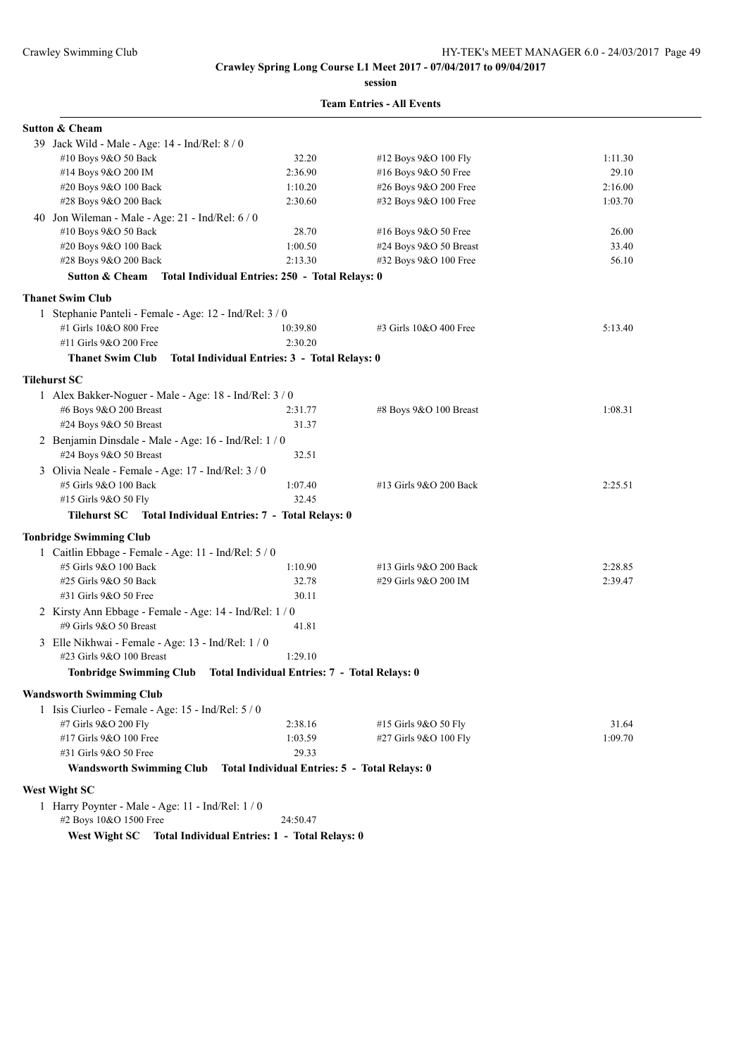**session**

| <b>Sutton &amp; Cheam</b>                                                        |                                                 |                            |         |
|----------------------------------------------------------------------------------|-------------------------------------------------|----------------------------|---------|
| 39 Jack Wild - Male - Age: 14 - Ind/Rel: 8 / 0                                   |                                                 |                            |         |
| #10 Boys 9&O 50 Back                                                             | 32.20                                           | #12 Boys 9&O 100 Fly       | 1:11.30 |
| #14 Boys 9&O 200 IM                                                              | 2:36.90                                         | #16 Boys 9&O 50 Free       | 29.10   |
| #20 Boys 9&O 100 Back                                                            | 1:10.20                                         | #26 Boys 9&O 200 Free      | 2:16.00 |
| #28 Boys 9&O 200 Back                                                            | 2:30.60                                         | #32 Boys 9&O 100 Free      | 1:03.70 |
| 40 Jon Wileman - Male - Age: $21$ - Ind/Rel: $6/0$                               |                                                 |                            |         |
| #10 Boys 9&O 50 Back                                                             | 28.70                                           | #16 Boys 9&O 50 Free       | 26.00   |
| #20 Boys 9&O 100 Back                                                            | 1:00.50                                         | #24 Boys 9&O 50 Breast     | 33.40   |
| #28 Boys 9&O 200 Back                                                            | 2:13.30                                         | #32 Boys 9&O 100 Free      | 56.10   |
| <b>Sutton &amp; Cheam</b>                                                        | Total Individual Entries: 250 - Total Relays: 0 |                            |         |
| <b>Thanet Swim Club</b>                                                          |                                                 |                            |         |
| 1 Stephanie Panteli - Female - Age: 12 - Ind/Rel: 3 / 0                          |                                                 |                            |         |
| #1 Girls 10&O 800 Free                                                           | 10:39.80                                        | #3 Girls 10&O 400 Free     | 5:13.40 |
| #11 Girls 9&O 200 Free                                                           | 2:30.20                                         |                            |         |
| <b>Thanet Swim Club</b>                                                          | Total Individual Entries: 3 - Total Relays: 0   |                            |         |
|                                                                                  |                                                 |                            |         |
| <b>Tilehurst SC</b>                                                              |                                                 |                            |         |
| 1 Alex Bakker-Noguer - Male - Age: 18 - Ind/Rel: 3 / 0<br>#6 Boys 9&O 200 Breast | 2:31.77                                         |                            | 1:08.31 |
| #24 Boys 9&O 50 Breast                                                           | 31.37                                           | $#8$ Boys $9&O$ 100 Breast |         |
|                                                                                  |                                                 |                            |         |
| 2 Benjamin Dinsdale - Male - Age: 16 - Ind/Rel: 1 / 0<br>#24 Boys 9&O 50 Breast  | 32.51                                           |                            |         |
| 3 Olivia Neale - Female - Age: 17 - Ind/Rel: 3 / 0                               |                                                 |                            |         |
| #5 Girls 9&O 100 Back                                                            | 1:07.40                                         | #13 Girls 9&O 200 Back     | 2:25.51 |
| #15 Girls 9&O 50 Fly                                                             | 32.45                                           |                            |         |
| Tilehurst SC Total Individual Entries: 7 - Total Relays: 0                       |                                                 |                            |         |
| <b>Tonbridge Swimming Club</b>                                                   |                                                 |                            |         |
| 1 Caitlin Ebbage - Female - Age: 11 - Ind/Rel: 5 / 0                             |                                                 |                            |         |
| #5 Girls 9&O 100 Back                                                            | 1:10.90                                         | #13 Girls 9&O 200 Back     | 2:28.85 |
| #25 Girls 9&O 50 Back                                                            | 32.78                                           | #29 Girls 9&O 200 IM       | 2:39.47 |
| #31 Girls 9&O 50 Free                                                            | 30.11                                           |                            |         |
| 2 Kirsty Ann Ebbage - Female - Age: 14 - Ind/Rel: 1 / 0                          |                                                 |                            |         |
| #9 Girls 9&O 50 Breast                                                           | 41.81                                           |                            |         |
| 3 Elle Nikhwai - Female - Age: 13 - Ind/Rel: 1 / 0                               |                                                 |                            |         |
| #23 Girls 9&O 100 Breast                                                         | 1:29.10                                         |                            |         |
| Tonbridge Swimming Club Total Individual Entries: 7 - Total Relays: 0            |                                                 |                            |         |
| <b>Wandsworth Swimming Club</b>                                                  |                                                 |                            |         |
| 1 Isis Ciurleo - Female - Age: 15 - Ind/Rel: 5 / 0                               |                                                 |                            |         |
| #7 Girls 9&O 200 Fly                                                             | 2:38.16                                         | #15 Girls 9&O 50 Fly       | 31.64   |
| #17 Girls 9&O 100 Free                                                           | 1:03.59                                         | #27 Girls 9&O 100 Fly      | 1:09.70 |
| #31 Girls 9&O 50 Free                                                            | 29.33                                           |                            |         |
| <b>Wandsworth Swimming Club</b>                                                  | Total Individual Entries: 5 - Total Relays: 0   |                            |         |
| <b>West Wight SC</b>                                                             |                                                 |                            |         |
| 1 Harry Poynter - Male - Age: 11 - Ind/Rel: 1 / 0                                |                                                 |                            |         |
| #2 Boys 10&O 1500 Free                                                           | 24:50.47                                        |                            |         |
| West Wight SC                                                                    | Total Individual Entries: 1 - Total Relays: 0   |                            |         |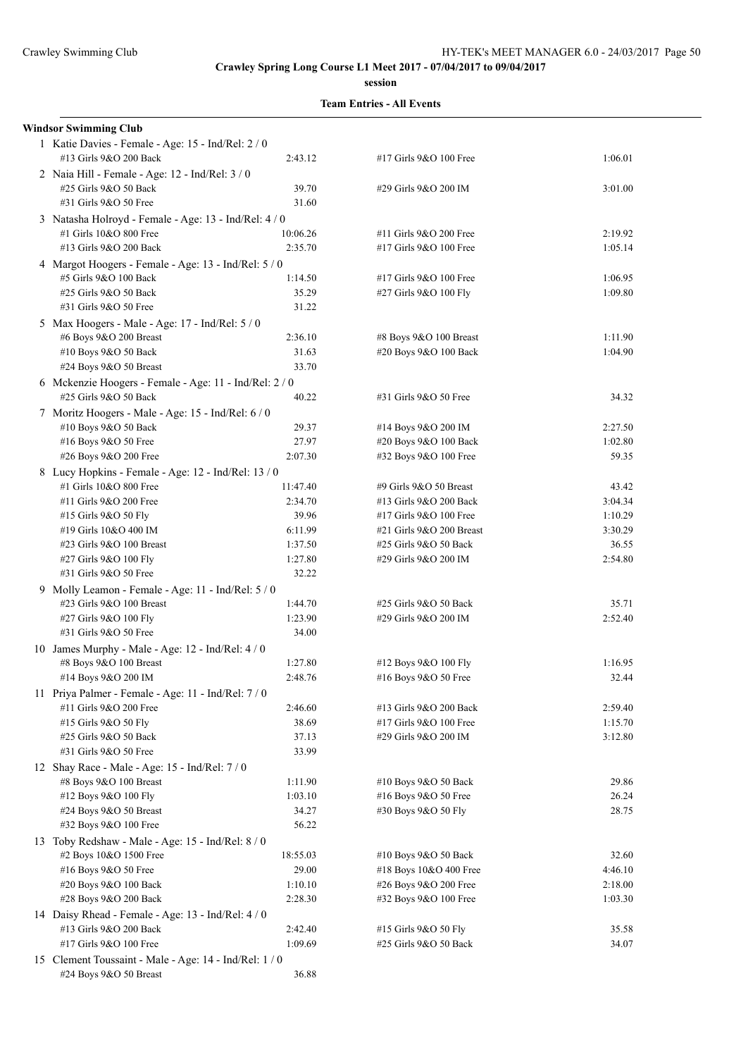#### **session**

#### **Team Entries - All Events**

## **Windsor Swimming Club** 1 Katie Davies - Female - Age: 15 - Ind/Rel: 2 / 0 #13 Girls 9&O 200 Back 2:43.12 #17 Girls 9&O 100 Free 1:06.01 2 Naia Hill - Female - Age: 12 - Ind/Rel: 3 / 0 #25 Girls 9&O 50 Back 39.70 #31 Girls 9&O 50 Free 31.60 3 Natasha Holroyd - Female - Age: 13 - Ind/Rel: 4 / 0 #1 Girls 10&O 800 Free 10:06.26 #13 Girls 9&O 200 Back 2:35.70 4 Margot Hoogers - Female - Age: 13 - Ind/Rel: 5 / 0 #5 Girls 9&O 100 Back 1:14.50 #25 Girls 9&O 50 Back 35.29 #31 Girls 9&O 50 Free 31.22 5 Max Hoogers - Male - Age: 17 - Ind/Rel: 5 / 0 #6 Boys 9&O 200 Breast 2:36.10 #10 Boys 9&O 50 Back 31.63 #24 Boys 9&O 50 Breast 33.70 6 Mckenzie Hoogers - Female - Age: 11 - Ind/Rel: 2 / 0 #25 Girls 9&O 50 Back 40.22 7 Moritz Hoogers - Male - Age: 15 - Ind/Rel: 6 / 0 #10 Boys 9&O 50 Back 29.37 #16 Boys 9&O 50 Free 27.97 #26 Boys 9&O 200 Free 2:07.30 8 Lucy Hopkins - Female - Age: 12 - Ind/Rel: 13 / 0 #1 Girls 10&O 800 Free 11:47.40  $\#11$  Girls 9&O 200 Free 2:34.70  $\#15$  Girls 9&O 50 Fly 39.96  $\#19$  Girls  $10\&O$  400 IM 6:11.99 #23 Girls 9&O 100 Breast 1:37.50 #27 Girls 9&O 100 Fly 1:27.80 #31 Girls 9&O 50 Free 32.22 9 Molly Leamon - Female - Age: 11 - Ind/Rel: 5 / 0 #23 Girls 9&O 100 Breast 1:44.70 #27 Girls 9&O 100 Fly 1:23.90 #31 Girls 9&O 50 Free 34.00 10 James Murphy - Male - Age: 12 - Ind/Rel: 4 / 0 #8 Boys 9&O 100 Breast 1:27.80 #14 Boys 9&O 200 IM 2:48.76 11 Priya Palmer - Female - Age: 11 - Ind/Rel: 7 / 0 #11 Girls 9&O 200 Free 2:46.60 #15 Girls 9&O 50 Fly 38.69 #25 Girls 9&O 50 Back 37.13 #31 Girls 9&O 50 Free 33.99 12 Shay Race - Male - Age: 15 - Ind/Rel: 7 / 0 #8 Boys 9&O 100 Breast 1:11.90 #12 Boys 9&O 100 Fly 1:03.10 #24 Boys 9&O 50 Breast 34.27 #32 Boys 9&O 100 Free 56.22 13 Toby Redshaw - Male - Age: 15 - Ind/Rel: 8 / 0 #2 Boys 10&O 1500 Free 18:55.03

#16 Boys 9&O 50 Free 29.00 #20 Boys 9&O 100 Back 1:10.10 #28 Boys 9&O 200 Back 2:28.30

#13 Girls 9&O 200 Back 2:42.40 #17 Girls 9&O 100 Free 1:09.69

#24 Boys 9&O 50 Breast 36.88

14 Daisy Rhead - Female - Age: 13 - Ind/Rel: 4 / 0

15 Clement Toussaint - Male - Age: 14 - Ind/Rel: 1 / 0

| #29 Girls 9&O 200 IM                             | 3:01.00            |
|--------------------------------------------------|--------------------|
| #11 Girls 9&O 200 Free<br>#17 Girls 9&O 100 Free | 2:19.92<br>1:05.14 |
| #17 Girls 9&O 100 Free<br>#27 Girls 9&O 100 Fly  | 1:06.95<br>1:09.80 |
| #8 Boys 9&O 100 Breast<br>#20 Boys 9&O 100 Back  | 1:11.90<br>1:04.90 |
| #31 Girls 9&O 50 Free                            | 34.32              |
| #14 Boys 9&O 200 IM                              | 2:27.50            |
| #20 Boys 9&O 100 Back                            | 1:02.80            |
| #32 Boys 9&O 100 Free                            | 59.35              |
| #9 Girls 9&O 50 Breast                           | 43.42              |
| #13 Girls 9&O 200 Back                           | 3:04.34            |
| #17 Girls 9&O 100 Free                           | 1:10.29            |
| #21 Girls 9&O 200 Breast                         | 3:30.29            |
| #25 Girls 9&O 50 Back                            | 36.55              |
| #29 Girls 9&O 200 IM                             | 2:54.80            |
|                                                  |                    |
| #25 Girls 9&O 50 Back                            | 35.71              |
| #29 Girls 9&O 200 IM                             | 2:52.40            |
|                                                  |                    |
| #12 Boys 9&O 100 Fly                             | 1:16.95            |
| #16 Boys 9&O 50 Free                             | 32.44              |
| #13 Girls 9&O 200 Back                           | 2:59.40            |
| #17 Girls 9&O 100 Free                           | 1:15.70            |
| #29 Girls 9&O 200 IM                             | 3:12.80            |
|                                                  |                    |
| #10 Boys 9&O 50 Back                             | 29.86              |
| #16 Boys 9&O 50 Free                             | 26.24              |
| #30 Boys 9&O 50 Fly                              | 28.75              |
| #10 Boys 9&O 50 Back                             | 32.60              |
| #18 Boys 10&O 400 Free                           | 4:46.10            |
| #26 Boys 9&O 200 Free                            | 2:18.00            |
| #32 Boys 9&O 100 Free                            | 1:03.30            |
|                                                  |                    |
| #15 Girls 9&O 50 Fly                             | 35.58              |
| #25 Girls 9&O 50 Back                            | 34.07              |
|                                                  |                    |